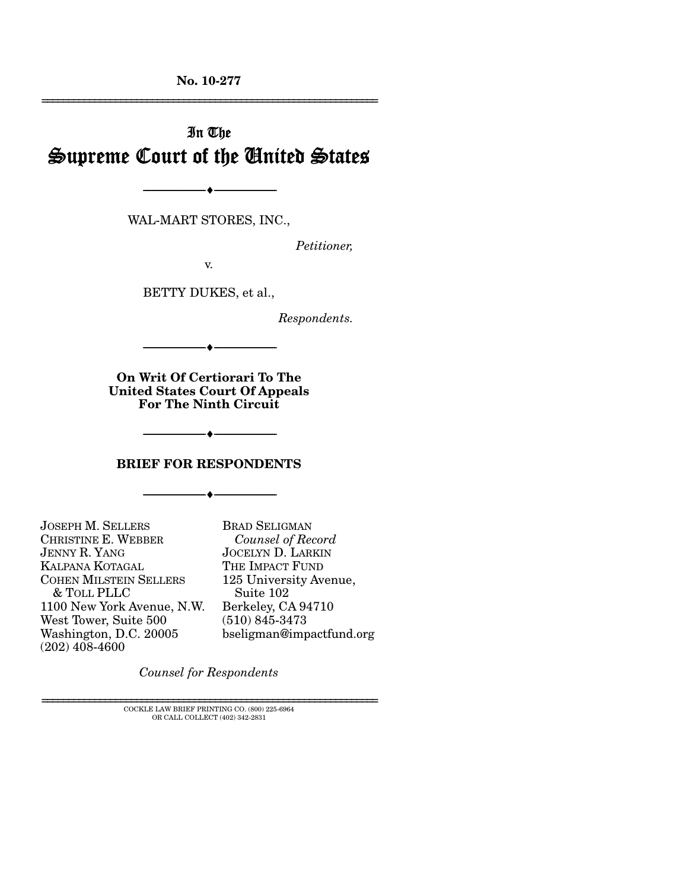**No. 10-277** 

# In The Supreme Court of the United States

WAL-MART STORES, INC.,

 $\bullet$   $-$ 

*Petitioner,* 

================================================================

v.

BETTY DUKES, et al.,

*Respondents.* 

**On Writ Of Certiorari To The United States Court Of Appeals For The Ninth Circuit** 

 $- \bullet -$ 

#### **BRIEF FOR RESPONDENTS**

--------------------------------- ♦ ---------------------------------

--------------------------------- ♦ ---------------------------------

JOSEPH M. SELLERS CHRISTINE E. WEBBER JENNY R. YANG KALPANA KOTAGAL COHEN MILSTEIN SELLERS & TOLL PLLC 1100 New York Avenue, N.W. West Tower, Suite 500 Washington, D.C. 20005 (202) 408-4600

BRAD SELIGMAN  *Counsel of Record* JOCELYN D. LARKIN THE IMPACT FUND 125 University Avenue, Suite 102 Berkeley, CA 94710 (510) 845-3473 bseligman@impactfund.org

*Counsel for Respondents*

 ${\rm COCKLE}$  LAW BRIEF PRINTING CO.  $(800)$  225-6964 OR CALL COLLECT (402) 342-2831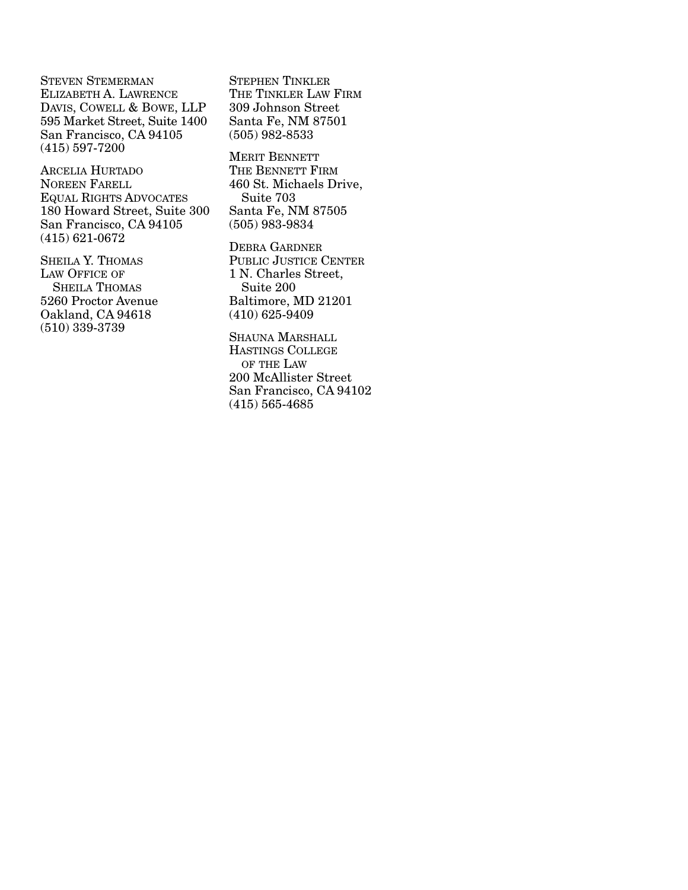STEVEN STEMERMAN ELIZABETH A. LAWRENCE DAVIS, COWELL & BOWE, LLP 595 Market Street, Suite 1400 San Francisco, CA 94105 (415) 597-7200

ARCELIA HURTADO NOREEN FARELL EQUAL RIGHTS ADVOCATES 180 Howard Street, Suite 300 San Francisco, CA 94105 (415) 621-0672

SHEILA Y. THOMAS LAW OFFICE OF SHEILA THOMAS 5260 Proctor Avenue Oakland, CA 94618 (510) 339-3739

STEPHEN TINKLER THE TINKLER LAW FIRM 309 Johnson Street Santa Fe, NM 87501 (505) 982-8533

MERIT BENNETT THE BENNETT FIRM 460 St. Michaels Drive, Suite 703 Santa Fe, NM 87505 (505) 983-9834

DEBRA GARDNER PUBLIC JUSTICE CENTER 1 N. Charles Street, Suite 200 Baltimore, MD 21201 (410) 625-9409

SHAUNA MARSHALL HASTINGS COLLEGE OF THE LAW 200 McAllister Street San Francisco, CA 94102 (415) 565-4685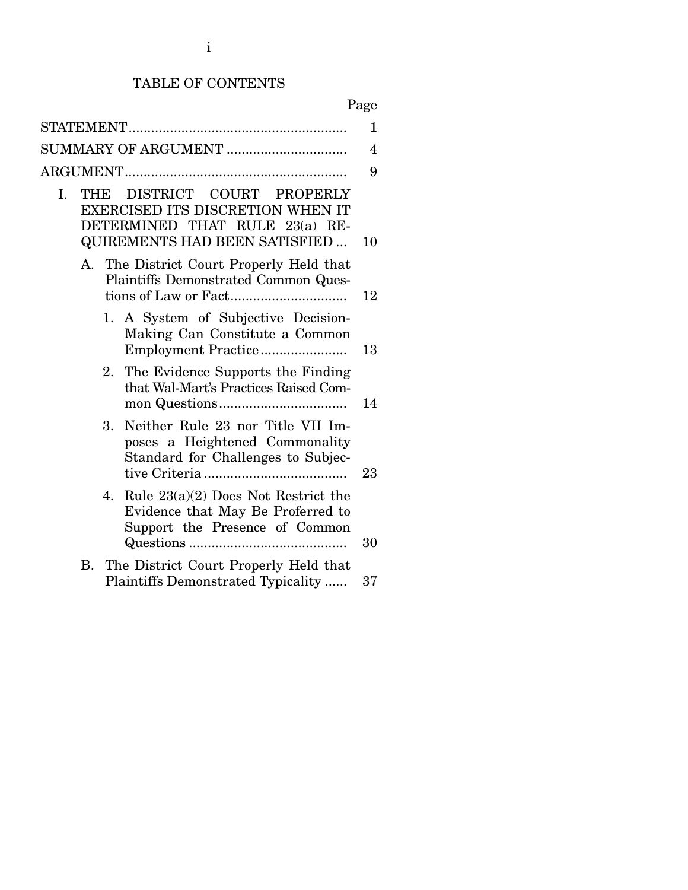# TABLE OF CONTENTS

| $\mathbf{1}$<br>SUMMARY OF ARGUMENT<br>9<br>DISTRICT COURT PROPERLY<br>I.<br>THE<br><b>EXERCISED ITS DISCRETION WHEN IT</b><br>DETERMINED THAT RULE 23(a) RE-<br><b>QUIREMENTS HAD BEEN SATISFIED</b><br>A. The District Court Properly Held that<br>Plaintiffs Demonstrated Common Ques-<br>1. A System of Subjective Decision-<br>Making Can Constitute a Common<br>13<br>The Evidence Supports the Finding<br>2.<br>that Wal-Mart's Practices Raised Com-<br>Neither Rule 23 nor Title VII Im-<br>3.<br>poses a Heightened Commonality<br>Standard for Challenges to Subjec-<br>23<br>Rule $23(a)(2)$ Does Not Restrict the<br>4.<br>Evidence that May Be Proferred to<br>Support the Presence of Common<br>30<br>The District Court Properly Held that<br><b>B.</b><br>Plaintiffs Demonstrated Typicality<br>37 |  |  |    |
|---------------------------------------------------------------------------------------------------------------------------------------------------------------------------------------------------------------------------------------------------------------------------------------------------------------------------------------------------------------------------------------------------------------------------------------------------------------------------------------------------------------------------------------------------------------------------------------------------------------------------------------------------------------------------------------------------------------------------------------------------------------------------------------------------------------------|--|--|----|
|                                                                                                                                                                                                                                                                                                                                                                                                                                                                                                                                                                                                                                                                                                                                                                                                                     |  |  |    |
|                                                                                                                                                                                                                                                                                                                                                                                                                                                                                                                                                                                                                                                                                                                                                                                                                     |  |  | 4  |
|                                                                                                                                                                                                                                                                                                                                                                                                                                                                                                                                                                                                                                                                                                                                                                                                                     |  |  |    |
|                                                                                                                                                                                                                                                                                                                                                                                                                                                                                                                                                                                                                                                                                                                                                                                                                     |  |  | 10 |
|                                                                                                                                                                                                                                                                                                                                                                                                                                                                                                                                                                                                                                                                                                                                                                                                                     |  |  | 12 |
|                                                                                                                                                                                                                                                                                                                                                                                                                                                                                                                                                                                                                                                                                                                                                                                                                     |  |  |    |
|                                                                                                                                                                                                                                                                                                                                                                                                                                                                                                                                                                                                                                                                                                                                                                                                                     |  |  | 14 |
|                                                                                                                                                                                                                                                                                                                                                                                                                                                                                                                                                                                                                                                                                                                                                                                                                     |  |  |    |
|                                                                                                                                                                                                                                                                                                                                                                                                                                                                                                                                                                                                                                                                                                                                                                                                                     |  |  |    |
|                                                                                                                                                                                                                                                                                                                                                                                                                                                                                                                                                                                                                                                                                                                                                                                                                     |  |  |    |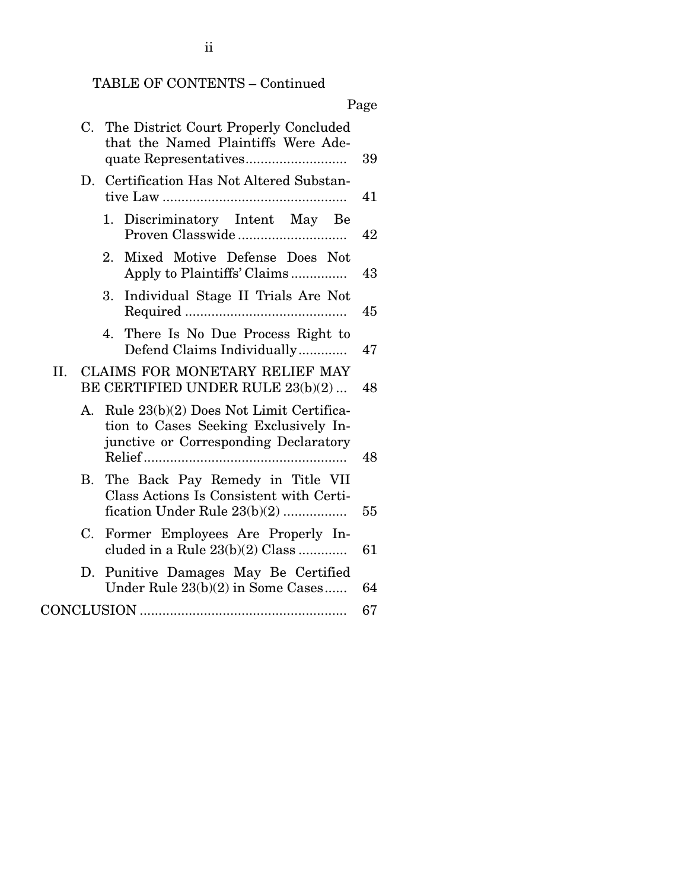# TABLE OF CONTENTS – Continued

|     |    |                                                                                                                           | Page |
|-----|----|---------------------------------------------------------------------------------------------------------------------------|------|
|     | C. | The District Court Properly Concluded<br>that the Named Plaintiffs Were Ade-                                              | 39   |
|     | D. | Certification Has Not Altered Substan-                                                                                    | 41   |
|     |    | Discriminatory Intent May Be<br>1.                                                                                        | 42   |
|     |    | Mixed Motive Defense Does Not<br>2.<br>Apply to Plaintiffs' Claims                                                        | 43   |
|     |    | Individual Stage II Trials Are Not<br>3.                                                                                  | 45   |
|     |    | There Is No Due Process Right to<br>4.<br>Defend Claims Individually                                                      | 47   |
| II. |    | CLAIMS FOR MONETARY RELIEF MAY<br>BE CERTIFIED UNDER RULE 23(b)(2)                                                        | 48   |
|     | А. | Rule 23(b)(2) Does Not Limit Certifica-<br>tion to Cases Seeking Exclusively In-<br>junctive or Corresponding Declaratory | 48   |
|     | В. | The Back Pay Remedy in Title VII<br>Class Actions Is Consistent with Certi-<br>fication Under Rule $23(b)(2)$             | 55   |
|     | C. | Former Employees Are Properly In-<br>cluded in a Rule $23(b)(2)$ Class                                                    | 61   |
|     | D. | Punitive Damages May Be Certified<br>Under Rule $23(b)(2)$ in Some Cases                                                  | 64   |
|     |    |                                                                                                                           | 67   |
|     |    |                                                                                                                           |      |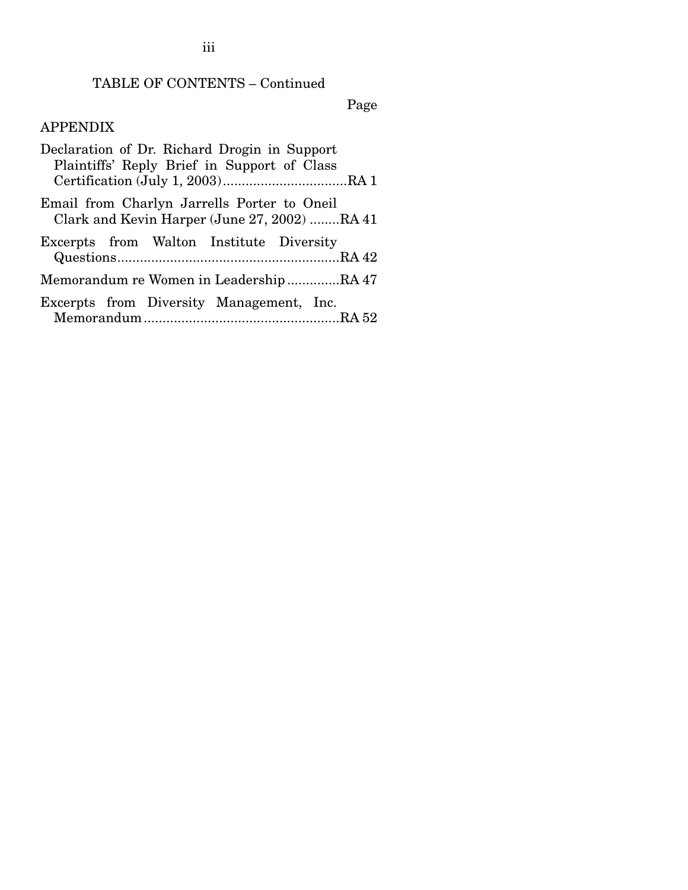# TABLE OF CONTENTS – Continued

Page

# APPENDIX

iii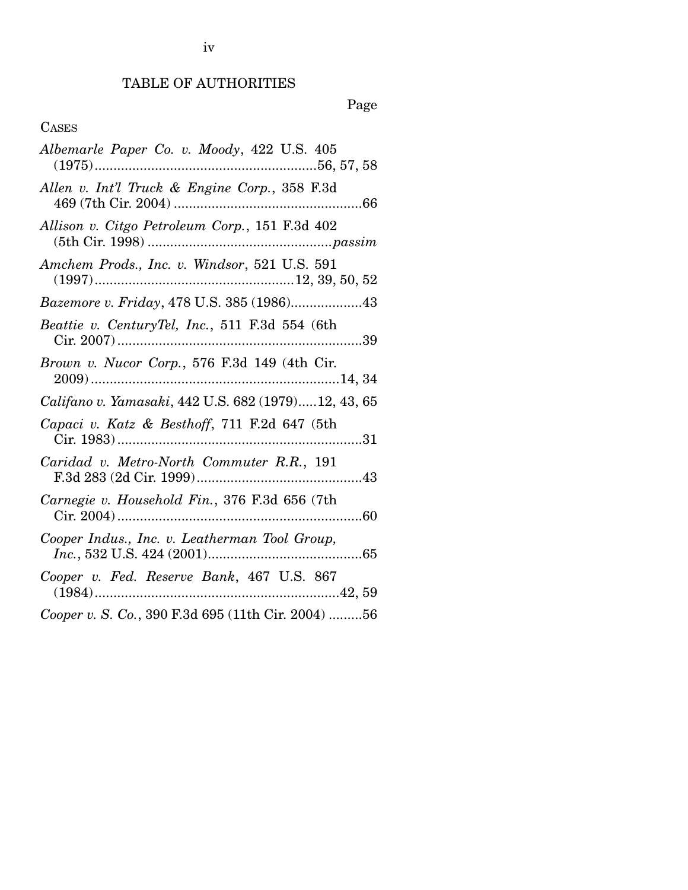## TABLE OF AUTHORITIES

Page

## CASES

| Albemarle Paper Co. v. Moody, 422 U.S. 405          |
|-----------------------------------------------------|
| Allen v. Int'l Truck & Engine Corp., 358 F.3d       |
| Allison v. Citgo Petroleum Corp., 151 F.3d 402      |
| Amchem Prods., Inc. v. Windsor, 521 U.S. 591        |
| Bazemore v. Friday, 478 U.S. 385 (1986)43           |
| Beattie v. CenturyTel, Inc., 511 F.3d 554 (6th      |
| Brown v. Nucor Corp., 576 F.3d 149 (4th Cir.        |
| Califano v. Yamasaki, 442 U.S. 682 (1979)12, 43, 65 |
| Capaci v. Katz & Besthoff, 711 F.2d 647 (5th        |
| Caridad v. Metro-North Commuter R.R., 191           |
| Carnegie v. Household Fin., 376 F.3d 656 (7th       |
| Cooper Indus., Inc. v. Leatherman Tool Group,       |
| Cooper v. Fed. Reserve Bank, 467 U.S. 867           |
| Cooper v. S. Co., 390 F.3d 695 (11th Cir. 2004) 56  |

iv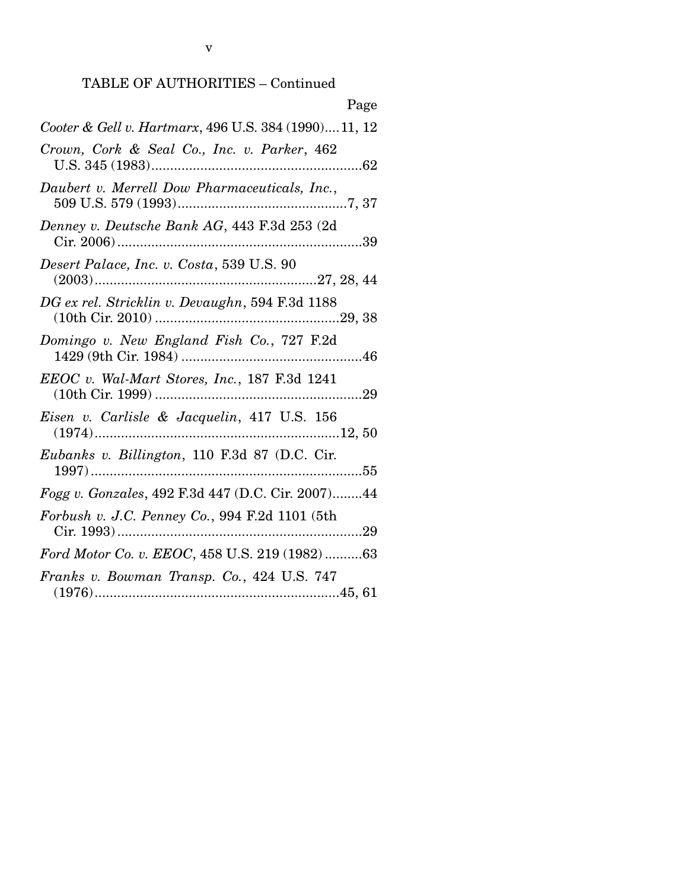# TABLE OF AUTHORITIES – Continued

| Page                                                 |
|------------------------------------------------------|
| Cooter & Gell v. Hartmarx, 496 U.S. 384 (1990)11, 12 |
| Crown, Cork & Seal Co., Inc. v. Parker, 462          |
| Daubert v. Merrell Dow Pharmaceuticals, Inc.,        |
| Denney v. Deutsche Bank AG, 443 F.3d 253 (2d         |
| Desert Palace, Inc. v. Costa, 539 U.S. 90            |
| DG ex rel. Stricklin v. Devaughn, 594 F.3d 1188      |
| Domingo v. New England Fish Co., 727 F.2d            |
| EEOC v. Wal-Mart Stores, Inc., 187 F.3d 1241         |
| Eisen v. Carlisle & Jacquelin, 417 U.S. 156          |
| Eubanks v. Billington, 110 F.3d 87 (D.C. Cir.        |
| Fogg v. Gonzales, 492 F.3d 447 (D.C. Cir. 2007)44    |
| Forbush v. J.C. Penney Co., 994 F.2d 1101 (5th       |
| Ford Motor Co. v. EEOC, 458 U.S. 219 (1982) 63       |
| Franks v. Bowman Transp. Co., 424 U.S. 747           |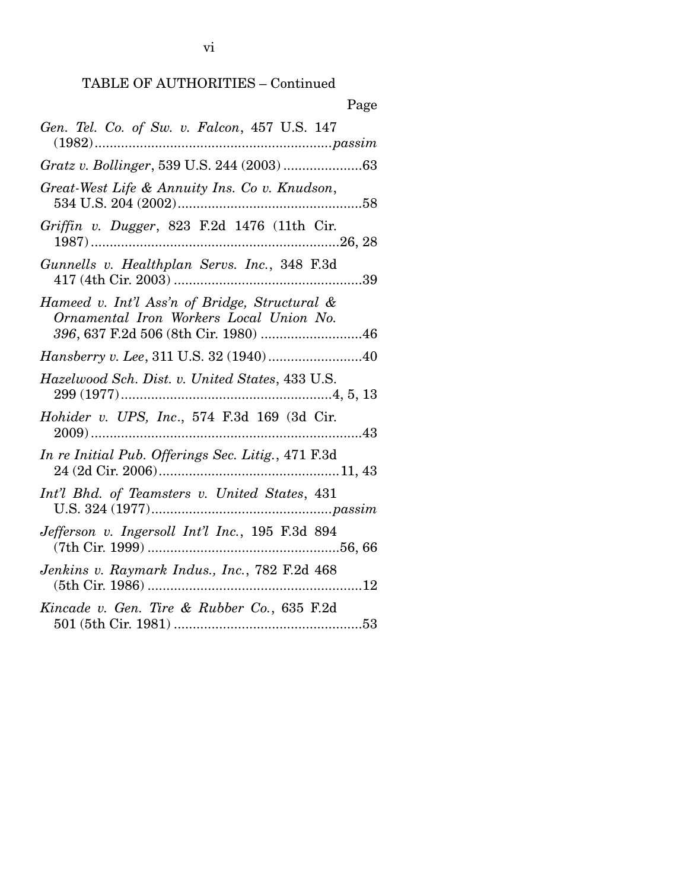| Page                                                                                     |
|------------------------------------------------------------------------------------------|
| Gen. Tel. Co. of Sw. v. Falcon, 457 U.S. 147                                             |
|                                                                                          |
| Great-West Life & Annuity Ins. Co v. Knudson,                                            |
| Griffin v. Dugger, 823 F.2d 1476 (11th Cir.                                              |
| Gunnells v. Healthplan Servs. Inc., 348 F.3d                                             |
| Hameed v. Int'l Ass'n of Bridge, Structural &<br>Ornamental Iron Workers Local Union No. |
| Hansberry v. Lee, 311 U.S. 32 (1940)40                                                   |
| Hazelwood Sch. Dist. v. United States, 433 U.S.                                          |
| Hohider v. UPS, Inc., 574 F.3d 169 (3d Cir.                                              |
| In re Initial Pub. Offerings Sec. Litig., 471 F.3d                                       |
| Int'l Bhd. of Teamsters v. United States, 431                                            |
| Jefferson v. Ingersoll Int'l Inc., 195 F.3d 894                                          |
| Jenkins v. Raymark Indus., Inc., 782 F.2d 468                                            |
| Kincade v. Gen. Tire & Rubber Co., 635 F.2d                                              |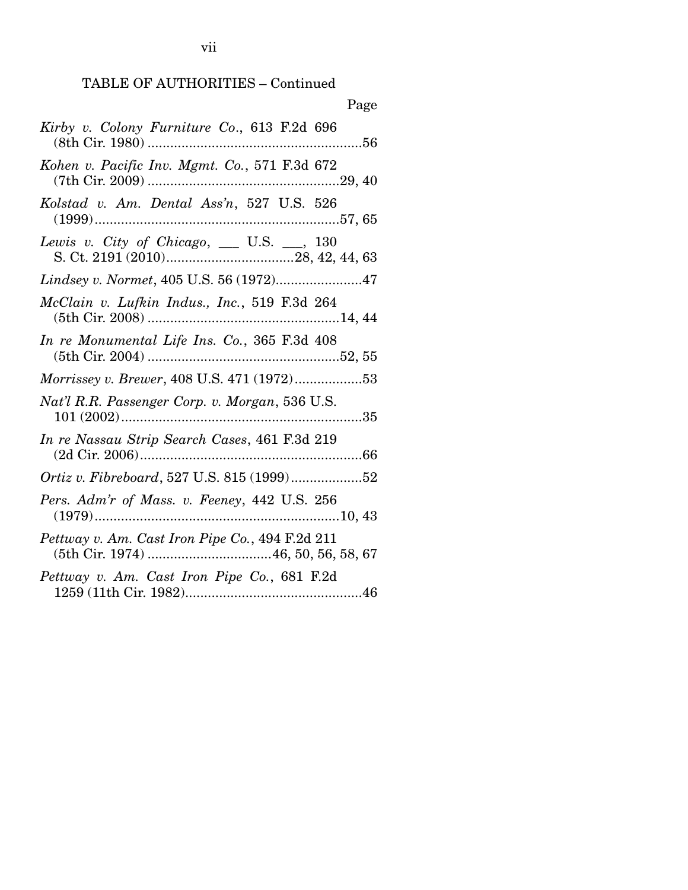| Page                                               |
|----------------------------------------------------|
| Kirby v. Colony Furniture Co., 613 F.2d 696        |
| Kohen v. Pacific Inv. Mgmt. Co., 571 F.3d 672      |
| Kolstad v. Am. Dental Ass'n, 527 U.S. 526          |
| Lewis v. City of Chicago, $\_\_$ U.S. $\_\_$ , 130 |
| Lindsey v. Normet, 405 U.S. 56 (1972)47            |
| McClain v. Lufkin Indus., Inc., 519 F.3d 264       |
| In re Monumental Life Ins. Co., 365 F.3d 408       |
| Morrissey v. Brewer, 408 U.S. 471 (1972)53         |
| Nat'l R.R. Passenger Corp. v. Morgan, 536 U.S.     |
| In re Nassau Strip Search Cases, 461 F.3d 219      |
|                                                    |
| Pers. Adm'r of Mass. v. Feeney, 442 U.S. 256       |
| Pettway v. Am. Cast Iron Pipe Co., 494 F.2d 211    |
| Pettway v. Am. Cast Iron Pipe Co., 681 F.2d        |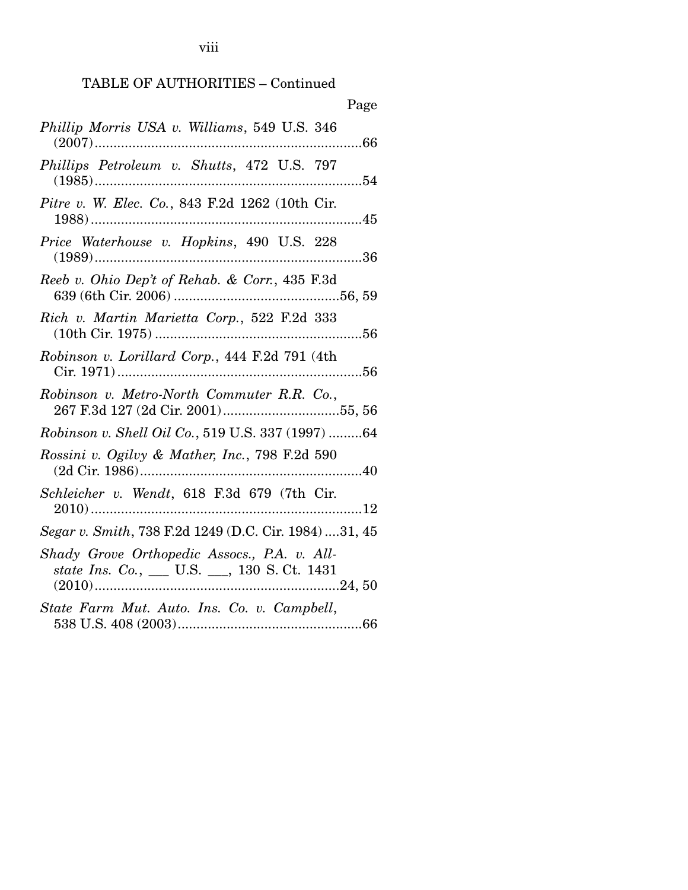viii

## TABLE OF AUTHORITIES – Continued

| Page                                                  |
|-------------------------------------------------------|
| Phillip Morris USA v. Williams, 549 U.S. 346          |
| Phillips Petroleum v. Shutts, 472 U.S. 797            |
| Pitre v. W. Elec. Co., 843 F.2d 1262 (10th Cir.       |
| Price Waterhouse v. Hopkins, 490 U.S. 228             |
| Reeb v. Ohio Dep't of Rehab. & Corr., 435 F.3d        |
| Rich v. Martin Marietta Corp., 522 F.2d 333           |
| Robinson v. Lorillard Corp., 444 F.2d 791 (4th        |
| Robinson v. Metro-North Commuter R.R. Co.,            |
| Robinson v. Shell Oil Co., 519 U.S. 337 (1997) 64     |
| Rossini v. Ogilvy & Mather, Inc., 798 F.2d 590        |
| Schleicher v. Wendt, 618 F.3d 679 (7th Cir.           |
| Segar v. Smith, 738 F.2d 1249 (D.C. Cir. 1984) 31, 45 |
| Shady Grove Orthopedic Assocs., P.A. v. All-          |
| State Farm Mut. Auto. Ins. Co. v. Campbell,           |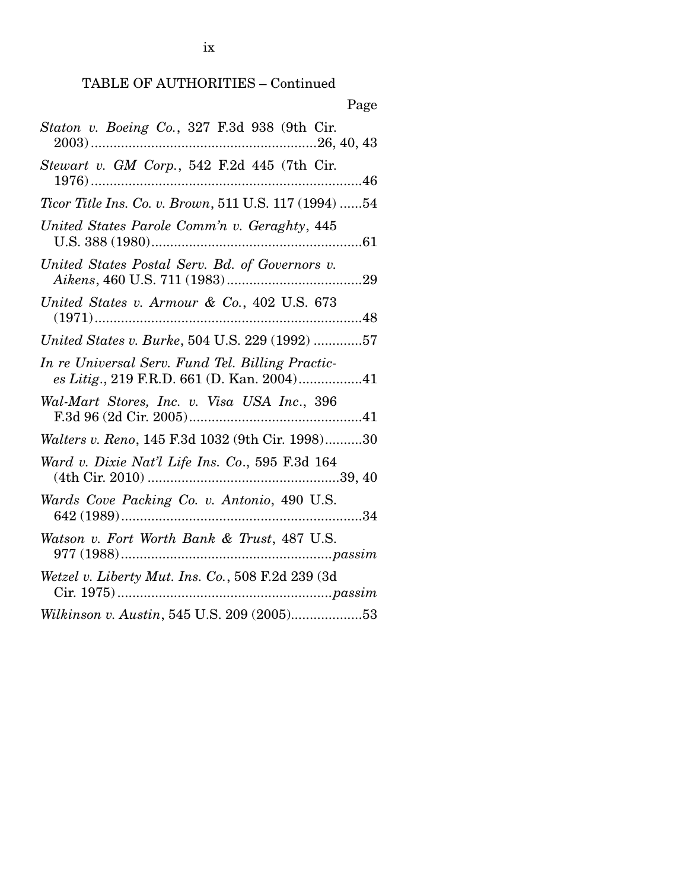| Page                                                                                           |
|------------------------------------------------------------------------------------------------|
| Staton v. Boeing Co., 327 F.3d 938 (9th Cir.                                                   |
| Stewart v. GM Corp., 542 F.2d 445 (7th Cir.                                                    |
| <i>Ticor Title Ins. Co. v. Brown,</i> 511 U.S. 117 (1994) 54                                   |
| United States Parole Comm'n v. Geraghty, 445                                                   |
| United States Postal Serv. Bd. of Governors v.                                                 |
| United States v. Armour & Co., 402 U.S. 673                                                    |
| United States v. Burke, 504 U.S. 229 (1992) 57                                                 |
| In re Universal Serv. Fund Tel. Billing Practic-<br>es Litig., 219 F.R.D. 661 (D. Kan. 2004)41 |
| Wal-Mart Stores, Inc. v. Visa USA Inc., 396                                                    |
| <i>Walters v. Reno</i> , 145 F.3d 1032 (9th Cir. 1998)30                                       |
| Ward v. Dixie Nat'l Life Ins. Co., 595 F.3d 164                                                |
| Wards Cove Packing Co. v. Antonio, 490 U.S.                                                    |
| Watson v. Fort Worth Bank & Trust, 487 U.S.                                                    |
| Wetzel v. Liberty Mut. Ins. Co., 508 F.2d 239 (3d                                              |
| Wilkinson v. Austin, 545 U.S. 209 (2005)53                                                     |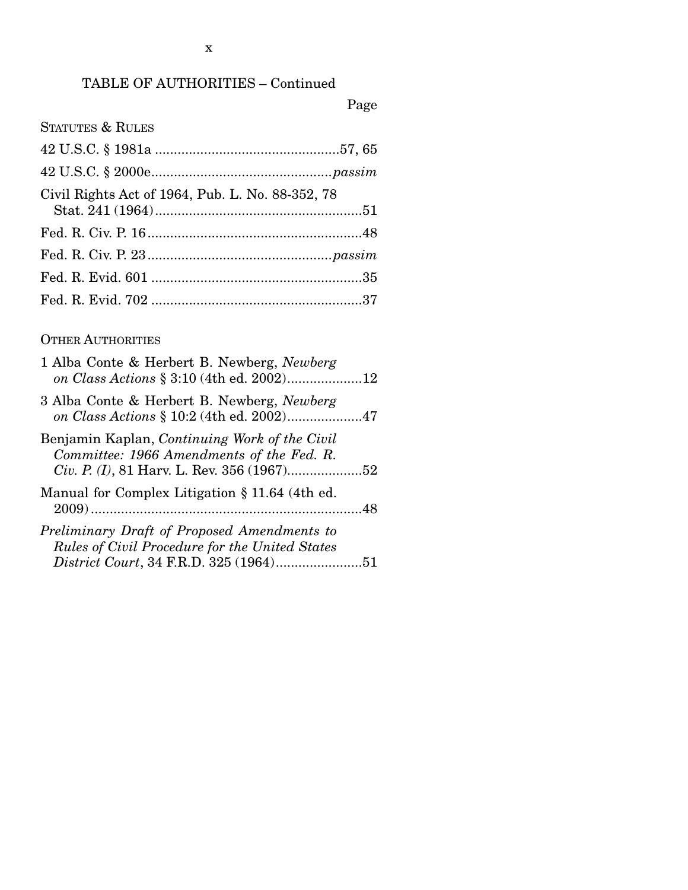# TABLE OF AUTHORITIES – Continued

Page

| <b>STATUTES &amp; RULES</b>                      |
|--------------------------------------------------|
|                                                  |
|                                                  |
| Civil Rights Act of 1964, Pub. L. No. 88-352, 78 |
|                                                  |
|                                                  |
|                                                  |
|                                                  |

### OTHER AUTHORITIES

| 1 Alba Conte & Herbert B. Newberg, Newberg<br>on Class Actions § 3:10 (4th ed. 2002)12                                                  |  |
|-----------------------------------------------------------------------------------------------------------------------------------------|--|
| 3 Alba Conte & Herbert B. Newberg, Newberg<br>on Class Actions § 10:2 (4th ed. 2002)47                                                  |  |
| Benjamin Kaplan, Continuing Work of the Civil<br>Committee: 1966 Amendments of the Fed. R.                                              |  |
| Manual for Complex Litigation § 11.64 (4th ed.                                                                                          |  |
| Preliminary Draft of Proposed Amendments to<br>Rules of Civil Procedure for the United States<br>District Court, 34 F.R.D. 325 (1964)51 |  |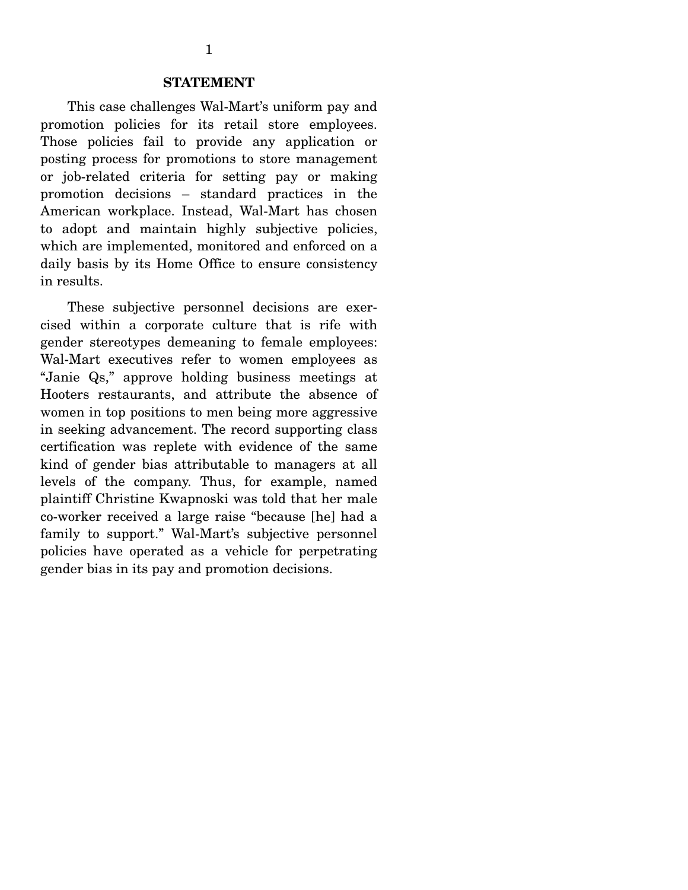#### **STATEMENT**

 This case challenges Wal-Mart's uniform pay and promotion policies for its retail store employees. Those policies fail to provide any application or posting process for promotions to store management or job-related criteria for setting pay or making promotion decisions – standard practices in the American workplace. Instead, Wal-Mart has chosen to adopt and maintain highly subjective policies, which are implemented, monitored and enforced on a daily basis by its Home Office to ensure consistency in results.

 These subjective personnel decisions are exercised within a corporate culture that is rife with gender stereotypes demeaning to female employees: Wal-Mart executives refer to women employees as "Janie Qs," approve holding business meetings at Hooters restaurants, and attribute the absence of women in top positions to men being more aggressive in seeking advancement. The record supporting class certification was replete with evidence of the same kind of gender bias attributable to managers at all levels of the company. Thus, for example, named plaintiff Christine Kwapnoski was told that her male co-worker received a large raise "because [he] had a family to support." Wal-Mart's subjective personnel policies have operated as a vehicle for perpetrating gender bias in its pay and promotion decisions. Ì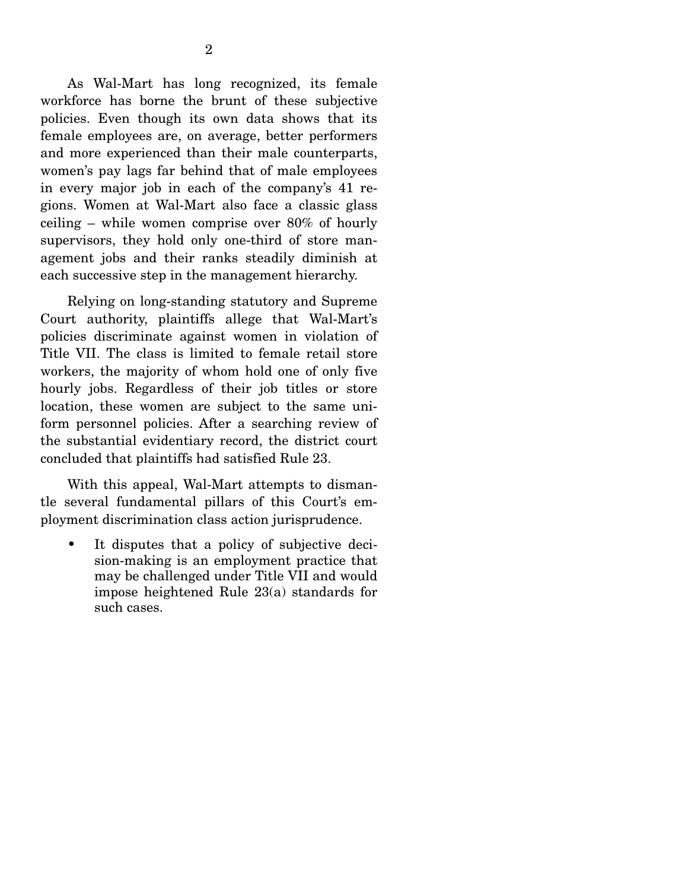As Wal-Mart has long recognized, its female workforce has borne the brunt of these subjective policies. Even though its own data shows that its female employees are, on average, better performers and more experienced than their male counterparts, women's pay lags far behind that of male employees in every major job in each of the company's 41 regions. Women at Wal-Mart also face a classic glass ceiling – while women comprise over 80% of hourly supervisors, they hold only one-third of store management jobs and their ranks steadily diminish at each successive step in the management hierarchy.

 Relying on long-standing statutory and Supreme Court authority, plaintiffs allege that Wal-Mart's policies discriminate against women in violation of Title VII. The class is limited to female retail store workers, the majority of whom hold one of only five hourly jobs. Regardless of their job titles or store location, these women are subject to the same uniform personnel policies. After a searching review of the substantial evidentiary record, the district court concluded that plaintiffs had satisfied Rule 23.

 With this appeal, Wal-Mart attempts to dismantle several fundamental pillars of this Court's employment discrimination class action jurisprudence.

• It disputes that a policy of subjective decision-making is an employment practice that may be challenged under Title VII and would impose heightened Rule 23(a) standards for such cases.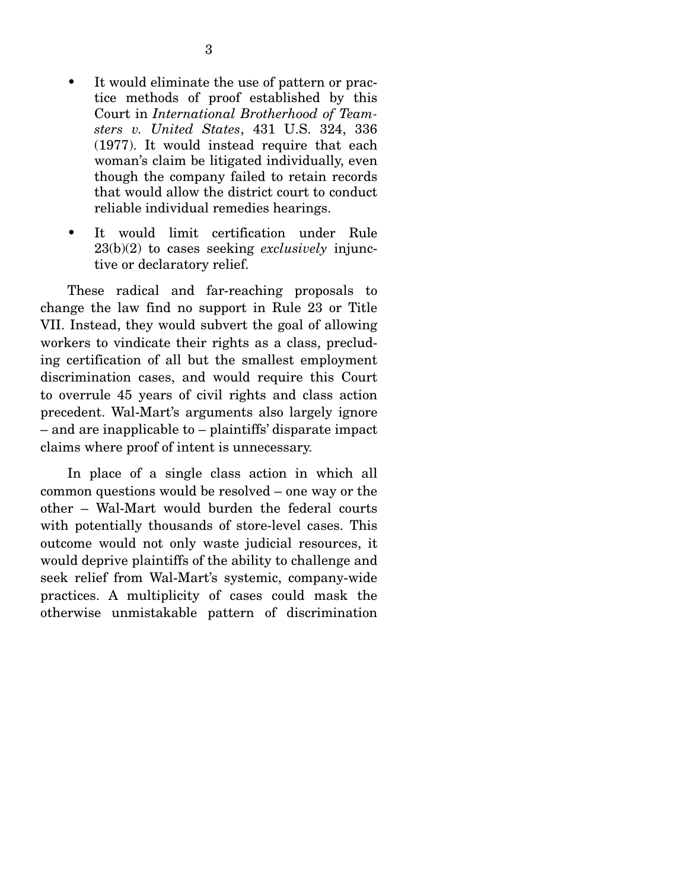- It would eliminate the use of pattern or practice methods of proof established by this Court in *International Brotherhood of Teamsters v. United States*, 431 U.S. 324, 336 (1977). It would instead require that each woman's claim be litigated individually, even though the company failed to retain records that would allow the district court to conduct reliable individual remedies hearings.
- It would limit certification under Rule 23(b)(2) to cases seeking *exclusively* injunctive or declaratory relief.

 These radical and far-reaching proposals to change the law find no support in Rule 23 or Title VII. Instead, they would subvert the goal of allowing workers to vindicate their rights as a class, precluding certification of all but the smallest employment discrimination cases, and would require this Court to overrule 45 years of civil rights and class action precedent. Wal-Mart's arguments also largely ignore – and are inapplicable to – plaintiffs' disparate impact claims where proof of intent is unnecessary.

 In place of a single class action in which all common questions would be resolved – one way or the other – Wal-Mart would burden the federal courts with potentially thousands of store-level cases. This outcome would not only waste judicial resources, it would deprive plaintiffs of the ability to challenge and seek relief from Wal-Mart's systemic, company-wide practices. A multiplicity of cases could mask the otherwise unmistakable pattern of discrimination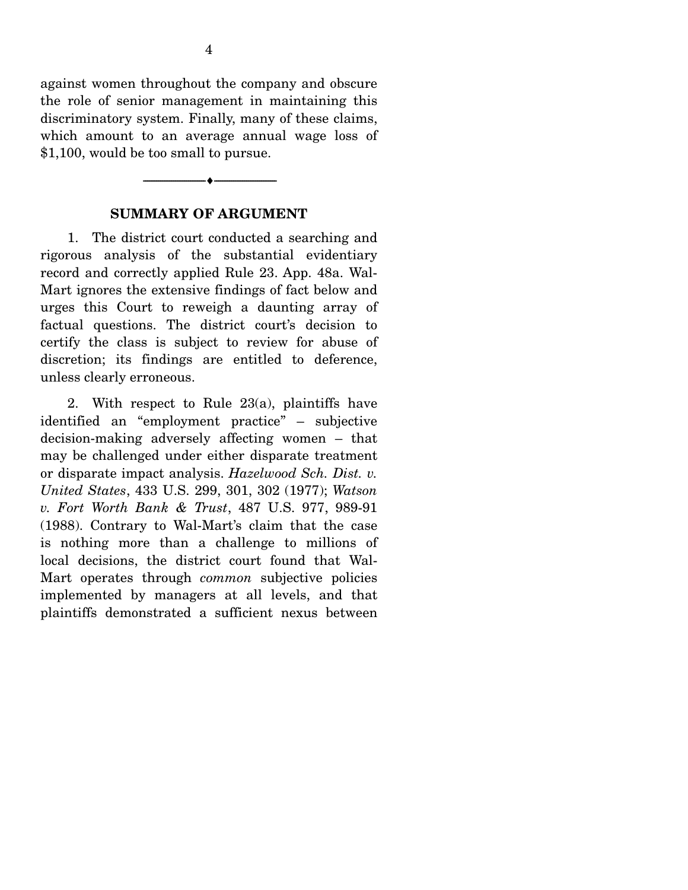against women throughout the company and obscure the role of senior management in maintaining this discriminatory system. Finally, many of these claims, which amount to an average annual wage loss of \$1,100, would be too small to pursue.

### **SUMMARY OF ARGUMENT**

--------------------------------- ♦ ---------------------------------

1. The district court conducted a searching and rigorous analysis of the substantial evidentiary record and correctly applied Rule 23. App. 48a. Wal-Mart ignores the extensive findings of fact below and urges this Court to reweigh a daunting array of factual questions. The district court's decision to certify the class is subject to review for abuse of discretion; its findings are entitled to deference, unless clearly erroneous.

 2. With respect to Rule 23(a), plaintiffs have identified an "employment practice" – subjective decision-making adversely affecting women – that may be challenged under either disparate treatment or disparate impact analysis. *Hazelwood Sch. Dist. v. United States*, 433 U.S. 299, 301, 302 (1977); *Watson v. Fort Worth Bank & Trust*, 487 U.S. 977, 989-91 (1988). Contrary to Wal-Mart's claim that the case is nothing more than a challenge to millions of local decisions, the district court found that Wal-Mart operates through *common* subjective policies implemented by managers at all levels, and that plaintiffs demonstrated a sufficient nexus between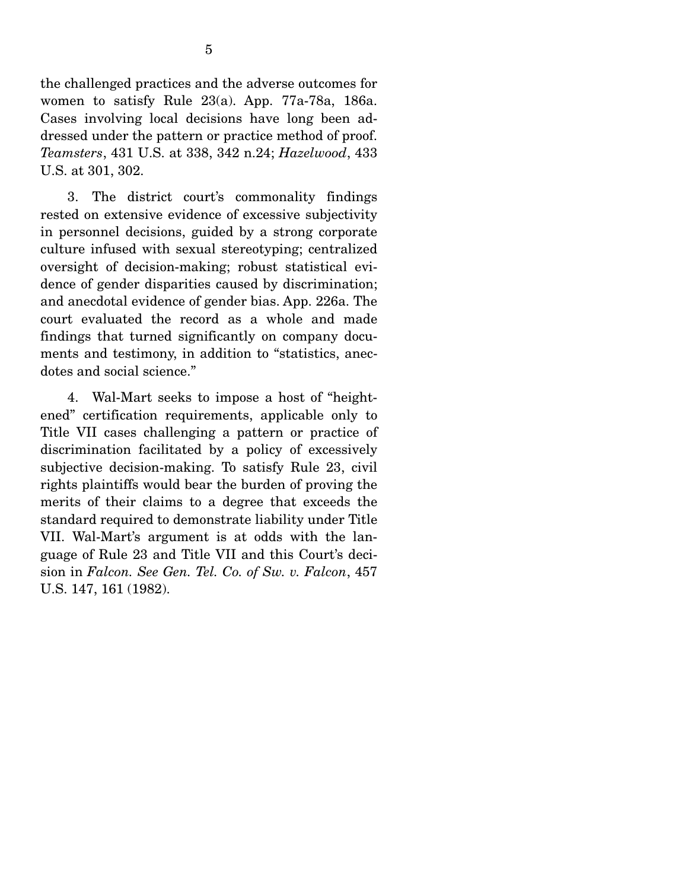the challenged practices and the adverse outcomes for women to satisfy Rule 23(a). App. 77a-78a, 186a. Cases involving local decisions have long been addressed under the pattern or practice method of proof. *Teamsters*, 431 U.S. at 338, 342 n.24; *Hazelwood*, 433 U.S. at 301, 302.

 3. The district court's commonality findings rested on extensive evidence of excessive subjectivity in personnel decisions, guided by a strong corporate culture infused with sexual stereotyping; centralized oversight of decision-making; robust statistical evidence of gender disparities caused by discrimination; and anecdotal evidence of gender bias. App. 226a. The court evaluated the record as a whole and made findings that turned significantly on company documents and testimony, in addition to "statistics, anecdotes and social science."

 4. Wal-Mart seeks to impose a host of "heightened" certification requirements, applicable only to Title VII cases challenging a pattern or practice of discrimination facilitated by a policy of excessively subjective decision-making. To satisfy Rule 23, civil rights plaintiffs would bear the burden of proving the merits of their claims to a degree that exceeds the standard required to demonstrate liability under Title VII. Wal-Mart's argument is at odds with the language of Rule 23 and Title VII and this Court's decision in *Falcon. See Gen. Tel. Co. of Sw. v. Falcon*, 457 U.S. 147, 161 (1982).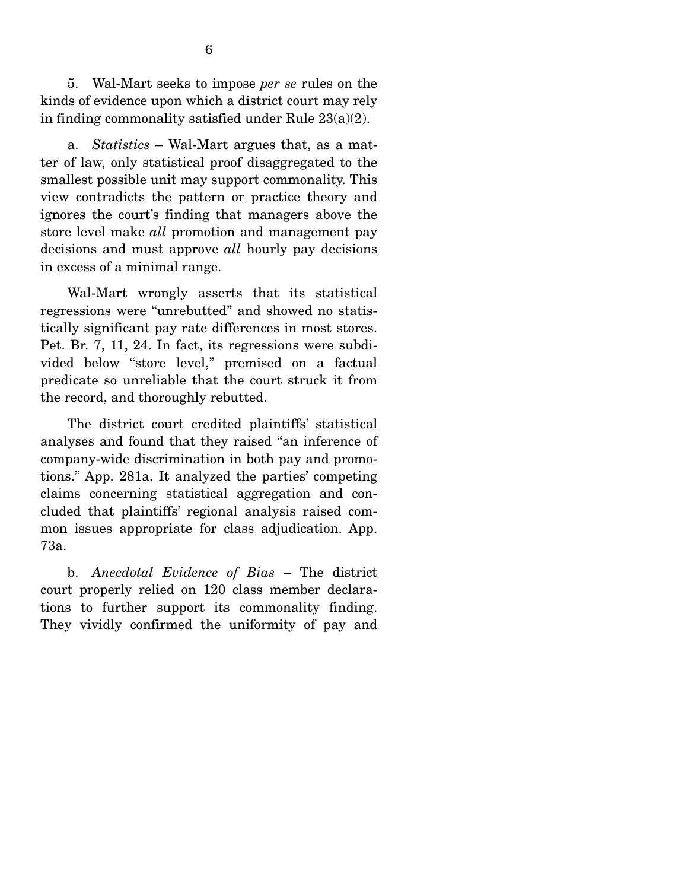5. Wal-Mart seeks to impose *per se* rules on the kinds of evidence upon which a district court may rely in finding commonality satisfied under Rule 23(a)(2).

 a. *Statistics* – Wal-Mart argues that, as a matter of law, only statistical proof disaggregated to the smallest possible unit may support commonality. This view contradicts the pattern or practice theory and ignores the court's finding that managers above the store level make *all* promotion and management pay decisions and must approve *all* hourly pay decisions in excess of a minimal range.

 Wal-Mart wrongly asserts that its statistical regressions were "unrebutted" and showed no statistically significant pay rate differences in most stores. Pet. Br. 7, 11, 24. In fact, its regressions were subdivided below "store level," premised on a factual predicate so unreliable that the court struck it from the record, and thoroughly rebutted.

 The district court credited plaintiffs' statistical analyses and found that they raised "an inference of company-wide discrimination in both pay and promotions." App. 281a. It analyzed the parties' competing claims concerning statistical aggregation and concluded that plaintiffs' regional analysis raised common issues appropriate for class adjudication. App. 73a.

 b. *Anecdotal Evidence of Bias* – The district court properly relied on 120 class member declarations to further support its commonality finding. They vividly confirmed the uniformity of pay and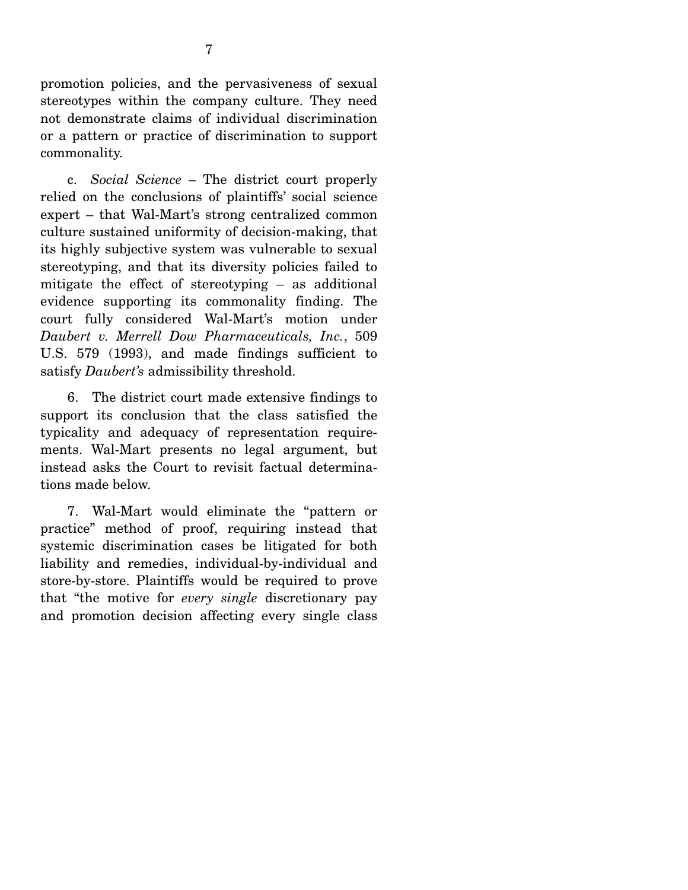promotion policies, and the pervasiveness of sexual stereotypes within the company culture. They need not demonstrate claims of individual discrimination or a pattern or practice of discrimination to support commonality.

 c. *Social Science* – The district court properly relied on the conclusions of plaintiffs' social science expert – that Wal-Mart's strong centralized common culture sustained uniformity of decision-making, that its highly subjective system was vulnerable to sexual stereotyping, and that its diversity policies failed to mitigate the effect of stereotyping – as additional evidence supporting its commonality finding. The court fully considered Wal-Mart's motion under *Daubert v. Merrell Dow Pharmaceuticals, Inc.*, 509 U.S. 579 (1993), and made findings sufficient to satisfy *Daubert's* admissibility threshold.

 6. The district court made extensive findings to support its conclusion that the class satisfied the typicality and adequacy of representation requirements. Wal-Mart presents no legal argument, but instead asks the Court to revisit factual determinations made below.

 7. Wal-Mart would eliminate the "pattern or practice" method of proof, requiring instead that systemic discrimination cases be litigated for both liability and remedies, individual-by-individual and store-by-store. Plaintiffs would be required to prove that "the motive for *every single* discretionary pay and promotion decision affecting every single class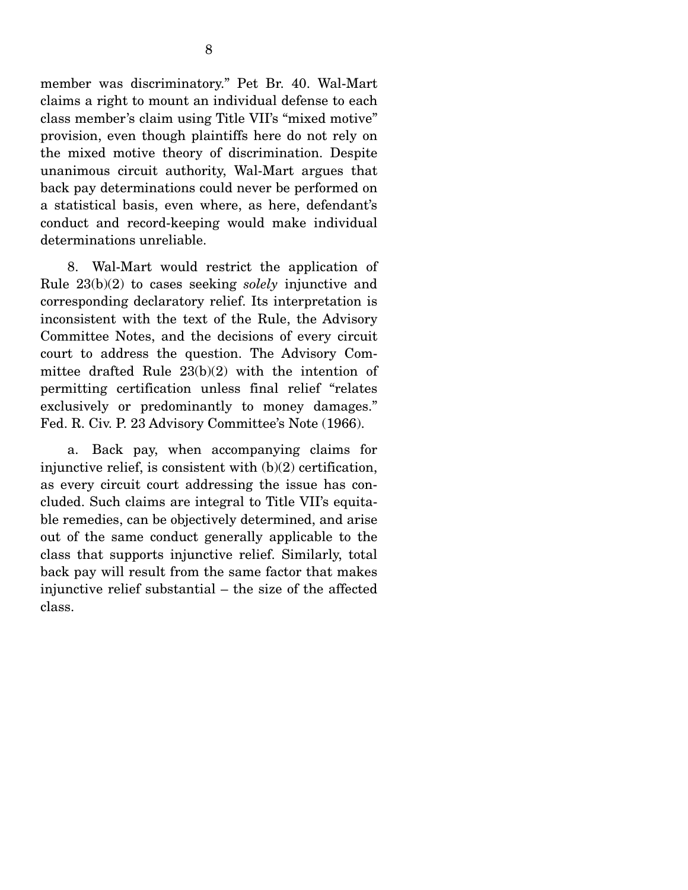member was discriminatory." Pet Br. 40. Wal-Mart claims a right to mount an individual defense to each class member's claim using Title VII's "mixed motive" provision, even though plaintiffs here do not rely on the mixed motive theory of discrimination. Despite unanimous circuit authority, Wal-Mart argues that back pay determinations could never be performed on a statistical basis, even where, as here, defendant's conduct and record-keeping would make individual determinations unreliable.

 8. Wal-Mart would restrict the application of Rule 23(b)(2) to cases seeking *solely* injunctive and corresponding declaratory relief. Its interpretation is inconsistent with the text of the Rule, the Advisory Committee Notes, and the decisions of every circuit court to address the question. The Advisory Committee drafted Rule 23(b)(2) with the intention of permitting certification unless final relief "relates exclusively or predominantly to money damages." Fed. R. Civ. P. 23 Advisory Committee's Note (1966).

 a. Back pay, when accompanying claims for injunctive relief, is consistent with  $(b)(2)$  certification, as every circuit court addressing the issue has concluded. Such claims are integral to Title VII's equitable remedies, can be objectively determined, and arise out of the same conduct generally applicable to the class that supports injunctive relief. Similarly, total back pay will result from the same factor that makes injunctive relief substantial – the size of the affected class.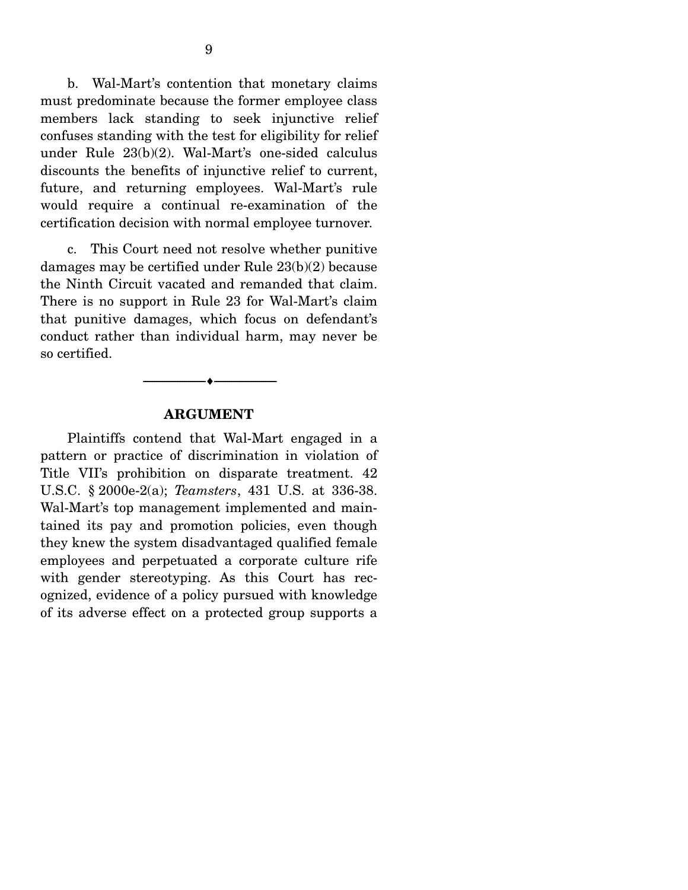b. Wal-Mart's contention that monetary claims must predominate because the former employee class members lack standing to seek injunctive relief confuses standing with the test for eligibility for relief under Rule 23(b)(2). Wal-Mart's one-sided calculus discounts the benefits of injunctive relief to current, future, and returning employees. Wal-Mart's rule would require a continual re-examination of the certification decision with normal employee turnover.

 c. This Court need not resolve whether punitive damages may be certified under Rule 23(b)(2) because the Ninth Circuit vacated and remanded that claim. There is no support in Rule 23 for Wal-Mart's claim that punitive damages, which focus on defendant's conduct rather than individual harm, may never be so certified.



#### **ARGUMENT**

Plaintiffs contend that Wal-Mart engaged in a pattern or practice of discrimination in violation of Title VII's prohibition on disparate treatment. 42 U.S.C. § 2000e-2(a); *Teamsters*, 431 U.S. at 336-38. Wal-Mart's top management implemented and maintained its pay and promotion policies, even though they knew the system disadvantaged qualified female employees and perpetuated a corporate culture rife with gender stereotyping. As this Court has recognized, evidence of a policy pursued with knowledge of its adverse effect on a protected group supports a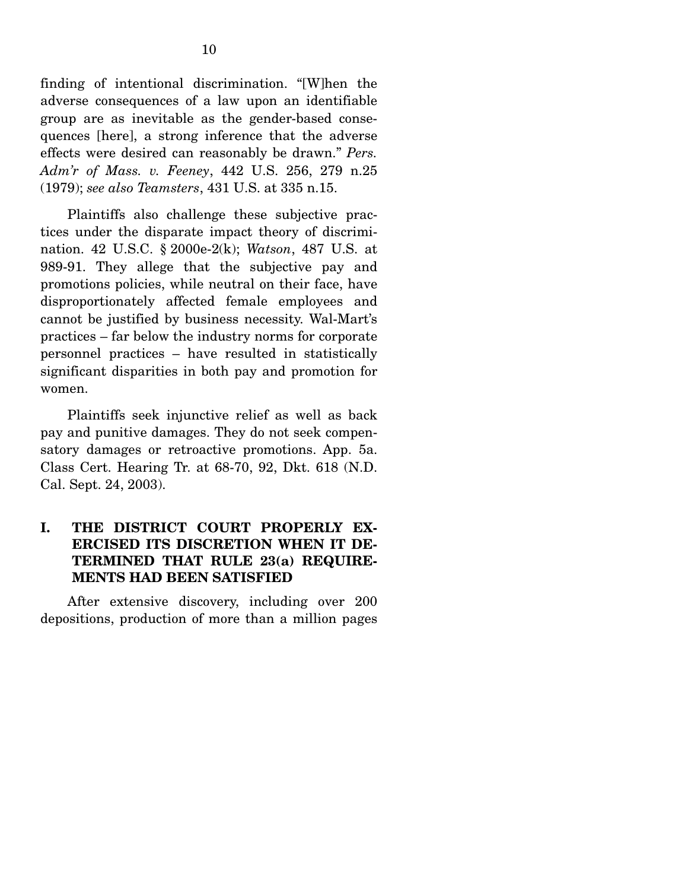finding of intentional discrimination. "[W]hen the adverse consequences of a law upon an identifiable group are as inevitable as the gender-based consequences [here], a strong inference that the adverse effects were desired can reasonably be drawn." *Pers. Adm'r of Mass. v. Feeney*, 442 U.S. 256, 279 n.25 (1979); *see also Teamsters*, 431 U.S. at 335 n.15.

 Plaintiffs also challenge these subjective practices under the disparate impact theory of discrimination. 42 U.S.C. § 2000e-2(k); *Watson*, 487 U.S. at 989-91. They allege that the subjective pay and promotions policies, while neutral on their face, have disproportionately affected female employees and cannot be justified by business necessity. Wal-Mart's practices – far below the industry norms for corporate personnel practices – have resulted in statistically significant disparities in both pay and promotion for women.

 Plaintiffs seek injunctive relief as well as back pay and punitive damages. They do not seek compensatory damages or retroactive promotions. App. 5a. Class Cert. Hearing Tr. at 68-70, 92, Dkt. 618 (N.D. Cal. Sept. 24, 2003).

### **I. THE DISTRICT COURT PROPERLY EX-ERCISED ITS DISCRETION WHEN IT DE-TERMINED THAT RULE 23(a) REQUIRE-MENTS HAD BEEN SATISFIED**

After extensive discovery, including over 200 depositions, production of more than a million pages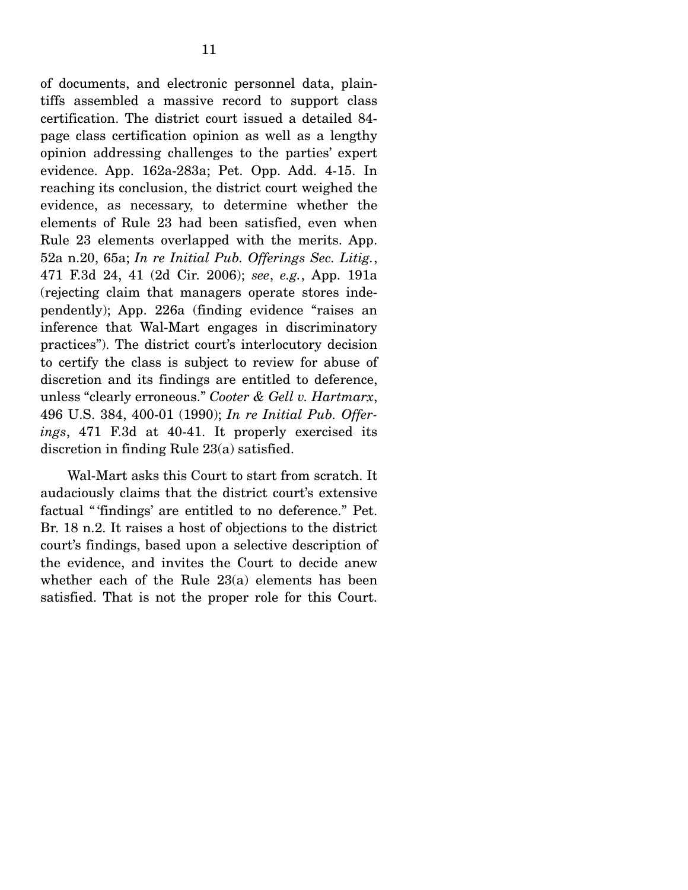of documents, and electronic personnel data, plaintiffs assembled a massive record to support class certification. The district court issued a detailed 84 page class certification opinion as well as a lengthy opinion addressing challenges to the parties' expert evidence. App. 162a-283a; Pet. Opp. Add. 4-15. In reaching its conclusion, the district court weighed the evidence, as necessary, to determine whether the elements of Rule 23 had been satisfied, even when Rule 23 elements overlapped with the merits. App. 52a n.20, 65a; *In re Initial Pub. Offerings Sec. Litig.*, 471 F.3d 24, 41 (2d Cir. 2006); *see*, *e.g.*, App. 191a (rejecting claim that managers operate stores independently); App. 226a (finding evidence "raises an inference that Wal-Mart engages in discriminatory practices"). The district court's interlocutory decision to certify the class is subject to review for abuse of discretion and its findings are entitled to deference, unless "clearly erroneous." *Cooter & Gell v. Hartmarx*, 496 U.S. 384, 400-01 (1990); *In re Initial Pub. Offerings*, 471 F.3d at 40-41. It properly exercised its discretion in finding Rule 23(a) satisfied.

 Wal-Mart asks this Court to start from scratch. It audaciously claims that the district court's extensive factual " 'findings' are entitled to no deference." Pet. Br. 18 n.2. It raises a host of objections to the district court's findings, based upon a selective description of the evidence, and invites the Court to decide anew whether each of the Rule 23(a) elements has been satisfied. That is not the proper role for this Court.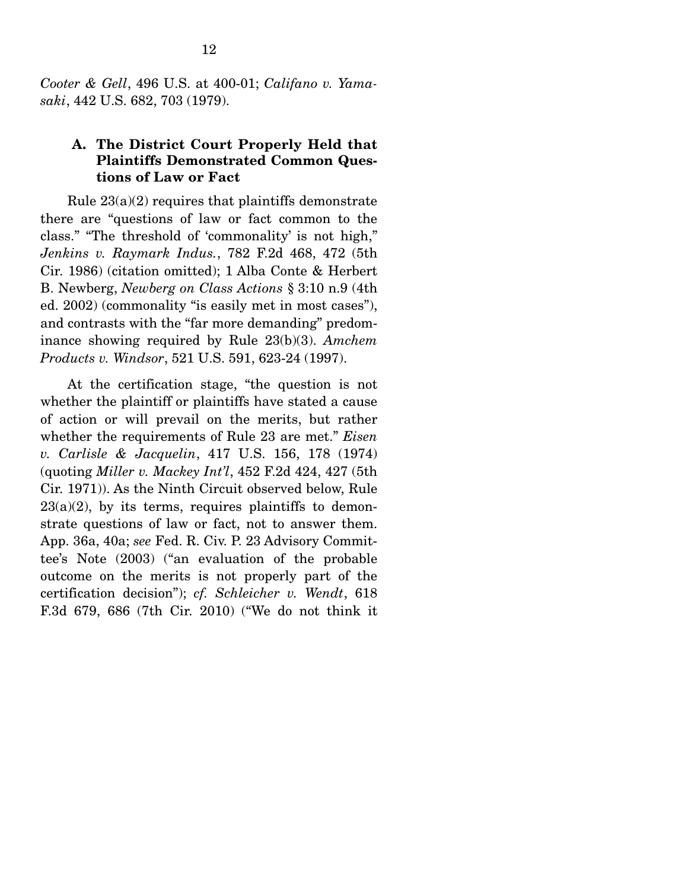*Cooter & Gell*, 496 U.S. at 400-01; *Califano v. Yamasaki*, 442 U.S. 682, 703 (1979).

### **A. The District Court Properly Held that Plaintiffs Demonstrated Common Questions of Law or Fact**

Rule  $23(a)(2)$  requires that plaintiffs demonstrate there are "questions of law or fact common to the class." "The threshold of 'commonality' is not high," *Jenkins v. Raymark Indus.*, 782 F.2d 468, 472 (5th Cir. 1986) (citation omitted); 1 Alba Conte & Herbert B. Newberg, *Newberg on Class Actions* § 3:10 n.9 (4th ed. 2002) (commonality "is easily met in most cases"), and contrasts with the "far more demanding" predominance showing required by Rule 23(b)(3). *Amchem Products v. Windsor*, 521 U.S. 591, 623-24 (1997).

 At the certification stage, "the question is not whether the plaintiff or plaintiffs have stated a cause of action or will prevail on the merits, but rather whether the requirements of Rule 23 are met." *Eisen v. Carlisle & Jacquelin*, 417 U.S. 156, 178 (1974) (quoting *Miller v. Mackey Int'l*, 452 F.2d 424, 427 (5th Cir. 1971)). As the Ninth Circuit observed below, Rule  $23(a)(2)$ , by its terms, requires plaintiffs to demonstrate questions of law or fact, not to answer them. App. 36a, 40a; *see* Fed. R. Civ. P. 23 Advisory Committee's Note (2003) ("an evaluation of the probable outcome on the merits is not properly part of the certification decision"); *cf. Schleicher v. Wendt*, 618 F.3d 679, 686 (7th Cir. 2010) ("We do not think it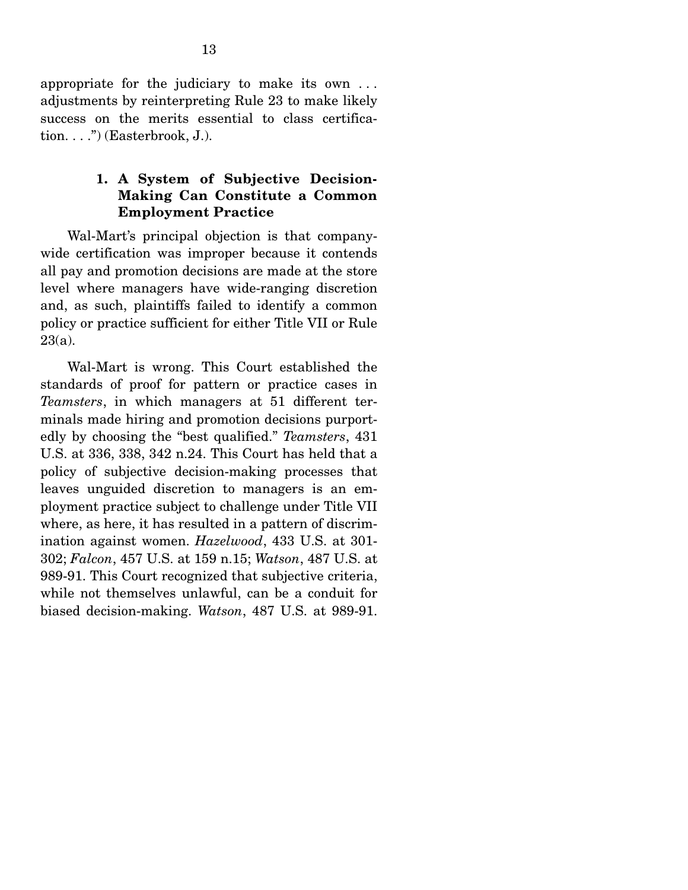appropriate for the judiciary to make its own . . . adjustments by reinterpreting Rule 23 to make likely success on the merits essential to class certification....") (Easterbrook, J.).

### **1. A System of Subjective Decision-Making Can Constitute a Common Employment Practice**

Wal-Mart's principal objection is that companywide certification was improper because it contends all pay and promotion decisions are made at the store level where managers have wide-ranging discretion and, as such, plaintiffs failed to identify a common policy or practice sufficient for either Title VII or Rule  $23(a)$ .

 Wal-Mart is wrong. This Court established the standards of proof for pattern or practice cases in *Teamsters*, in which managers at 51 different terminals made hiring and promotion decisions purportedly by choosing the "best qualified." *Teamsters*, 431 U.S. at 336, 338, 342 n.24. This Court has held that a policy of subjective decision-making processes that leaves unguided discretion to managers is an employment practice subject to challenge under Title VII where, as here, it has resulted in a pattern of discrimination against women. *Hazelwood*, 433 U.S. at 301- 302; *Falcon*, 457 U.S. at 159 n.15; *Watson*, 487 U.S. at 989-91. This Court recognized that subjective criteria, while not themselves unlawful, can be a conduit for biased decision-making. *Watson*, 487 U.S. at 989-91.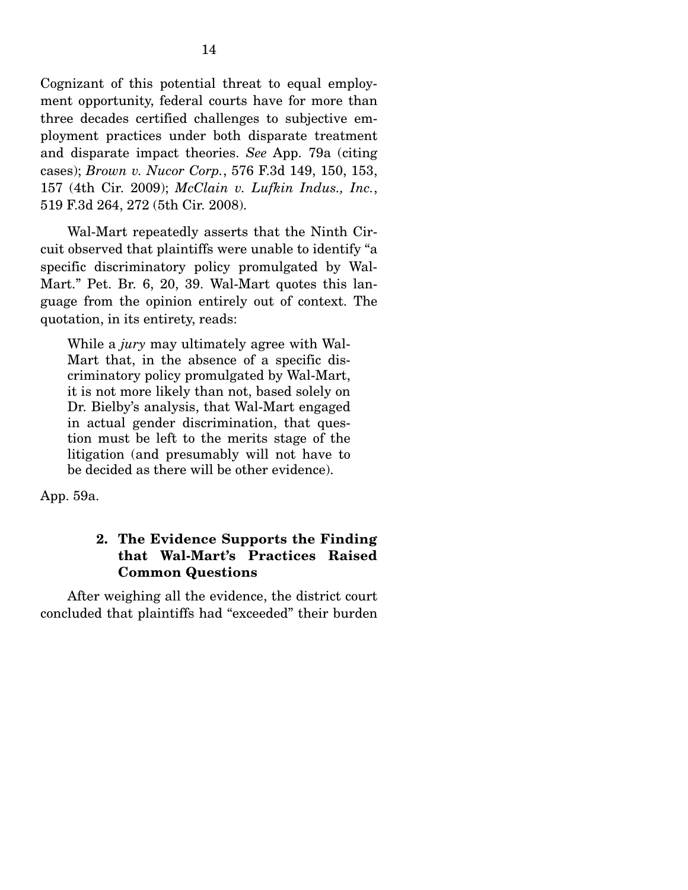Cognizant of this potential threat to equal employment opportunity, federal courts have for more than three decades certified challenges to subjective employment practices under both disparate treatment and disparate impact theories. *See* App. 79a (citing cases); *Brown v. Nucor Corp.*, 576 F.3d 149, 150, 153, 157 (4th Cir. 2009); *McClain v. Lufkin Indus., Inc.*, 519 F.3d 264, 272 (5th Cir. 2008).

 Wal-Mart repeatedly asserts that the Ninth Circuit observed that plaintiffs were unable to identify "a specific discriminatory policy promulgated by Wal-Mart." Pet. Br. 6, 20, 39. Wal-Mart quotes this language from the opinion entirely out of context. The quotation, in its entirety, reads:

While a *jury* may ultimately agree with Wal-Mart that, in the absence of a specific discriminatory policy promulgated by Wal-Mart, it is not more likely than not, based solely on Dr. Bielby's analysis, that Wal-Mart engaged in actual gender discrimination, that question must be left to the merits stage of the litigation (and presumably will not have to be decided as there will be other evidence).

App. 59a.

### **2. The Evidence Supports the Finding that Wal-Mart's Practices Raised Common Questions**

After weighing all the evidence, the district court concluded that plaintiffs had "exceeded" their burden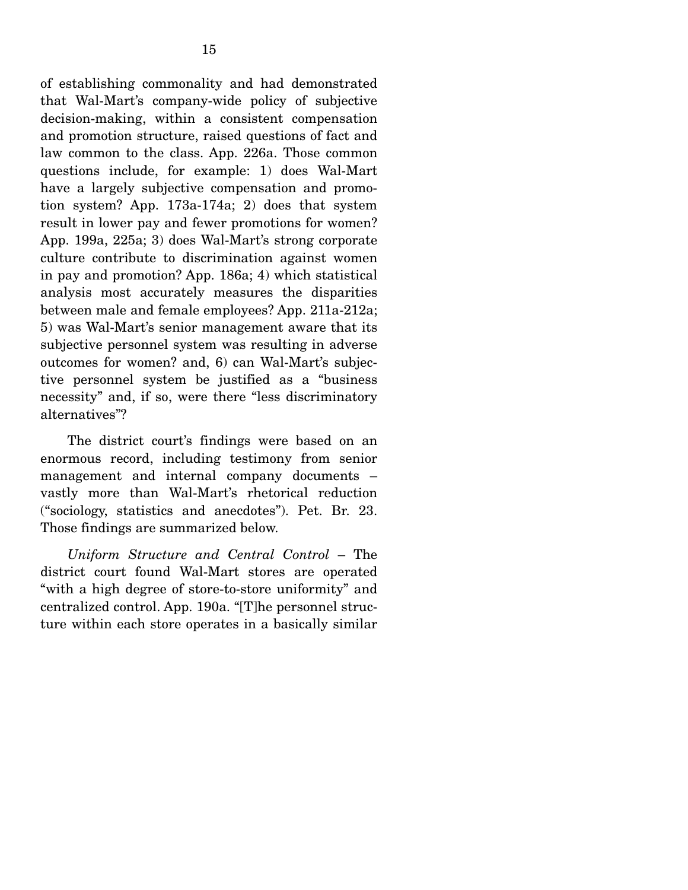of establishing commonality and had demonstrated that Wal-Mart's company-wide policy of subjective decision-making, within a consistent compensation and promotion structure, raised questions of fact and law common to the class. App. 226a. Those common questions include, for example: 1) does Wal-Mart have a largely subjective compensation and promotion system? App. 173a-174a; 2) does that system result in lower pay and fewer promotions for women? App. 199a, 225a; 3) does Wal-Mart's strong corporate culture contribute to discrimination against women in pay and promotion? App. 186a; 4) which statistical analysis most accurately measures the disparities between male and female employees? App. 211a-212a; 5) was Wal-Mart's senior management aware that its subjective personnel system was resulting in adverse outcomes for women? and, 6) can Wal-Mart's subjective personnel system be justified as a "business necessity" and, if so, were there "less discriminatory alternatives"?

 The district court's findings were based on an enormous record, including testimony from senior management and internal company documents – vastly more than Wal-Mart's rhetorical reduction ("sociology, statistics and anecdotes"). Pet. Br. 23. Those findings are summarized below.

*Uniform Structure and Central Control* – The district court found Wal-Mart stores are operated "with a high degree of store-to-store uniformity" and centralized control. App. 190a. "[T]he personnel structure within each store operates in a basically similar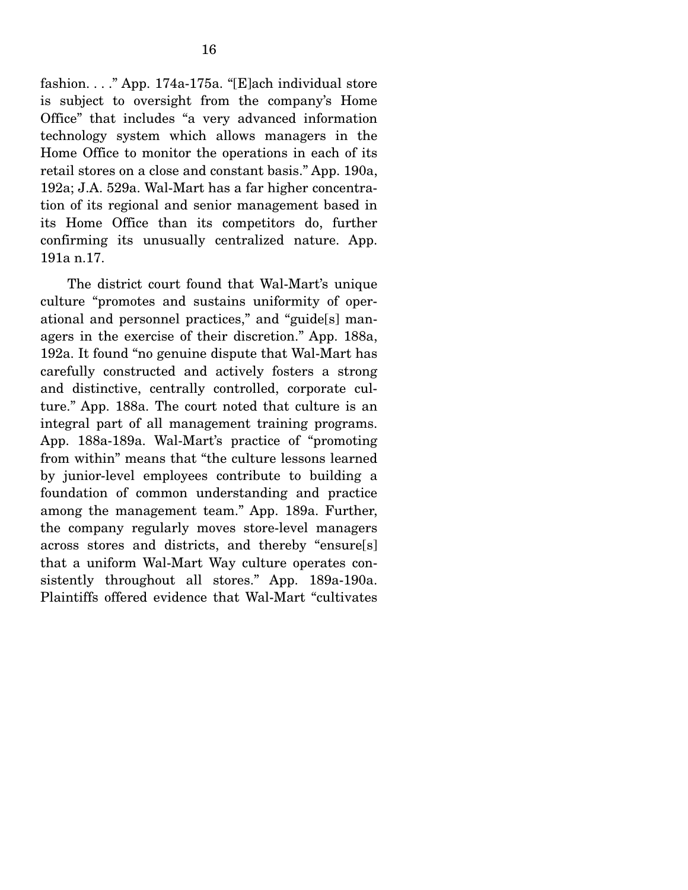fashion. . . ." App. 174a-175a. "[E]ach individual store is subject to oversight from the company's Home Office" that includes "a very advanced information technology system which allows managers in the Home Office to monitor the operations in each of its retail stores on a close and constant basis." App. 190a, 192a; J.A. 529a. Wal-Mart has a far higher concentration of its regional and senior management based in its Home Office than its competitors do, further confirming its unusually centralized nature. App. 191a n.17.

 The district court found that Wal-Mart's unique culture "promotes and sustains uniformity of operational and personnel practices," and "guide[s] managers in the exercise of their discretion." App. 188a, 192a. It found "no genuine dispute that Wal-Mart has carefully constructed and actively fosters a strong and distinctive, centrally controlled, corporate culture." App. 188a. The court noted that culture is an integral part of all management training programs. App. 188a-189a. Wal-Mart's practice of "promoting from within" means that "the culture lessons learned by junior-level employees contribute to building a foundation of common understanding and practice among the management team." App. 189a. Further, the company regularly moves store-level managers across stores and districts, and thereby "ensure[s] that a uniform Wal-Mart Way culture operates consistently throughout all stores." App. 189a-190a. Plaintiffs offered evidence that Wal-Mart "cultivates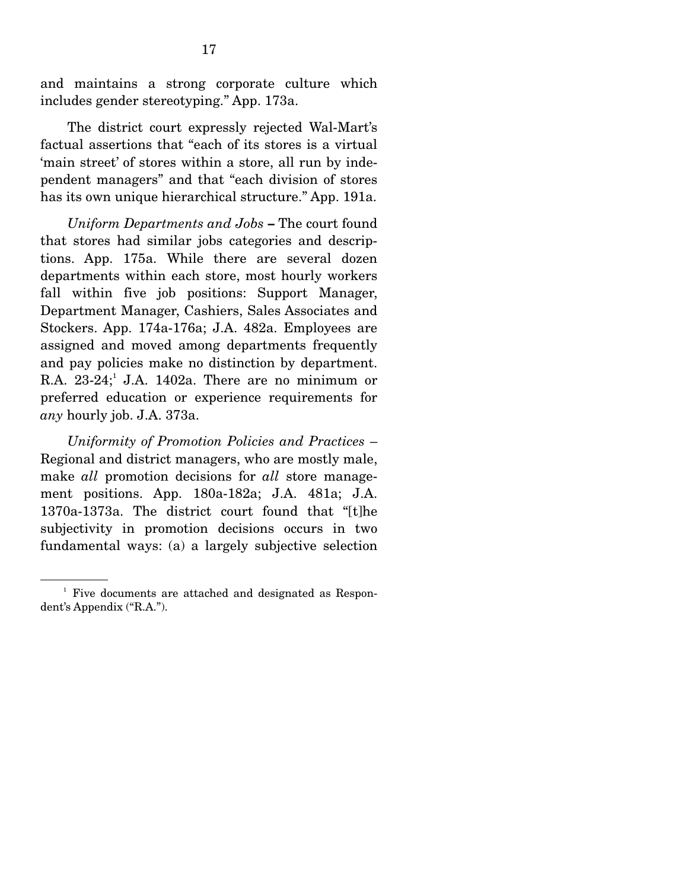and maintains a strong corporate culture which includes gender stereotyping." App. 173a.

 The district court expressly rejected Wal-Mart's factual assertions that "each of its stores is a virtual 'main street' of stores within a store, all run by independent managers" and that "each division of stores has its own unique hierarchical structure." App. 191a.

*Uniform Departments and Jobs* **–** The court found that stores had similar jobs categories and descriptions. App. 175a. While there are several dozen departments within each store, most hourly workers fall within five job positions: Support Manager, Department Manager, Cashiers, Sales Associates and Stockers. App. 174a-176a; J.A. 482a. Employees are assigned and moved among departments frequently and pay policies make no distinction by department. R.A.  $23-24$ ; J.A. 1402a. There are no minimum or preferred education or experience requirements for *any* hourly job. J.A. 373a.

*Uniformity of Promotion Policies and Practices* – Regional and district managers, who are mostly male, make *all* promotion decisions for *all* store management positions. App. 180a-182a; J.A. 481a; J.A. 1370a-1373a. The district court found that "[t]he subjectivity in promotion decisions occurs in two fundamental ways: (a) a largely subjective selection

<sup>&</sup>lt;sup>1</sup> Five documents are attached and designated as Respondent's Appendix ("R.A.").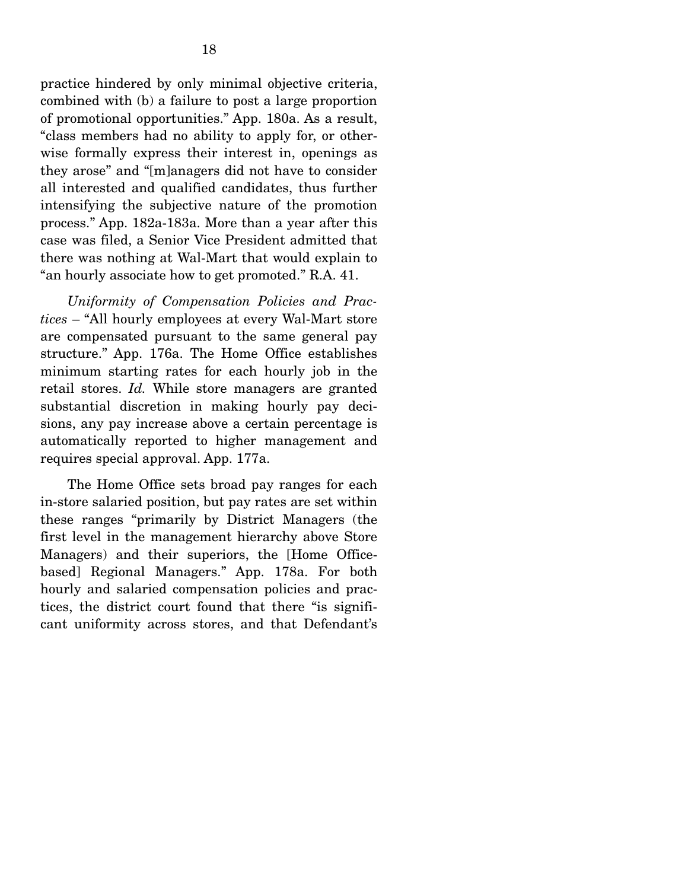practice hindered by only minimal objective criteria, combined with (b) a failure to post a large proportion of promotional opportunities." App. 180a. As a result, "class members had no ability to apply for, or otherwise formally express their interest in, openings as they arose" and "[m]anagers did not have to consider all interested and qualified candidates, thus further intensifying the subjective nature of the promotion process." App. 182a-183a. More than a year after this case was filed, a Senior Vice President admitted that there was nothing at Wal-Mart that would explain to "an hourly associate how to get promoted." R.A. 41.

*Uniformity of Compensation Policies and Practices* – "All hourly employees at every Wal-Mart store are compensated pursuant to the same general pay structure." App. 176a. The Home Office establishes minimum starting rates for each hourly job in the retail stores. *Id.* While store managers are granted substantial discretion in making hourly pay decisions, any pay increase above a certain percentage is automatically reported to higher management and requires special approval. App. 177a.

The Home Office sets broad pay ranges for each in-store salaried position, but pay rates are set within these ranges "primarily by District Managers (the first level in the management hierarchy above Store Managers) and their superiors, the [Home Officebased] Regional Managers." App. 178a. For both hourly and salaried compensation policies and practices, the district court found that there "is significant uniformity across stores, and that Defendant's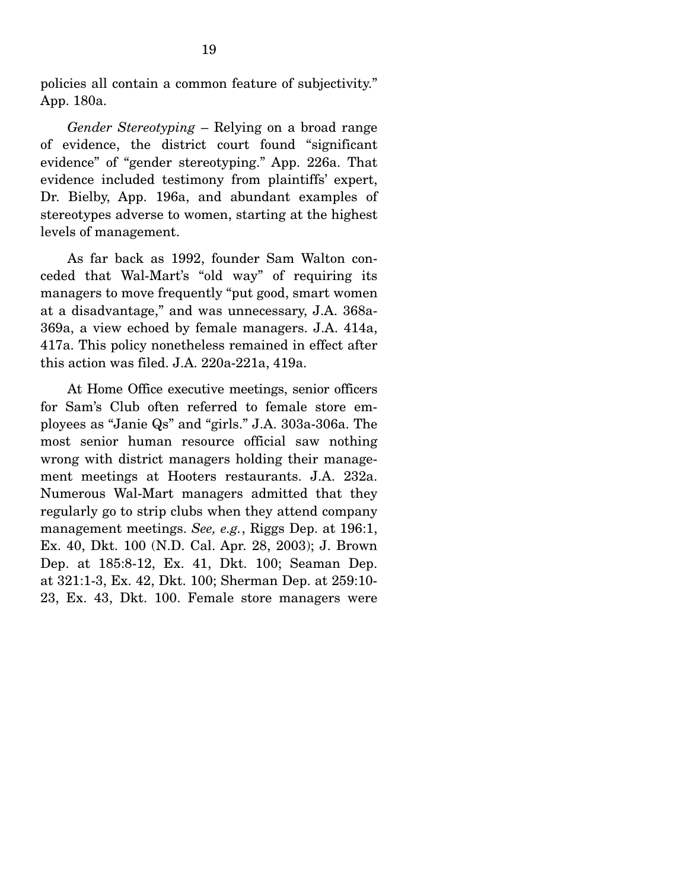policies all contain a common feature of subjectivity." App. 180a.

*Gender Stereotyping* – Relying on a broad range of evidence, the district court found "significant evidence" of "gender stereotyping." App. 226a. That evidence included testimony from plaintiffs' expert, Dr. Bielby, App. 196a, and abundant examples of stereotypes adverse to women, starting at the highest levels of management.

 As far back as 1992, founder Sam Walton conceded that Wal-Mart's "old way" of requiring its managers to move frequently "put good, smart women at a disadvantage," and was unnecessary, J.A. 368a-369a, a view echoed by female managers. J.A. 414a, 417a. This policy nonetheless remained in effect after this action was filed. J.A. 220a-221a, 419a.

 At Home Office executive meetings, senior officers for Sam's Club often referred to female store employees as "Janie Qs" and "girls." J.A. 303a-306a. The most senior human resource official saw nothing wrong with district managers holding their management meetings at Hooters restaurants. J.A. 232a. Numerous Wal-Mart managers admitted that they regularly go to strip clubs when they attend company management meetings. *See, e.g.*, Riggs Dep. at 196:1, Ex. 40, Dkt. 100 (N.D. Cal. Apr. 28, 2003); J. Brown Dep. at 185:8-12, Ex. 41, Dkt. 100; Seaman Dep. at 321:1-3, Ex. 42, Dkt. 100; Sherman Dep. at 259:10- 23, Ex. 43, Dkt. 100. Female store managers were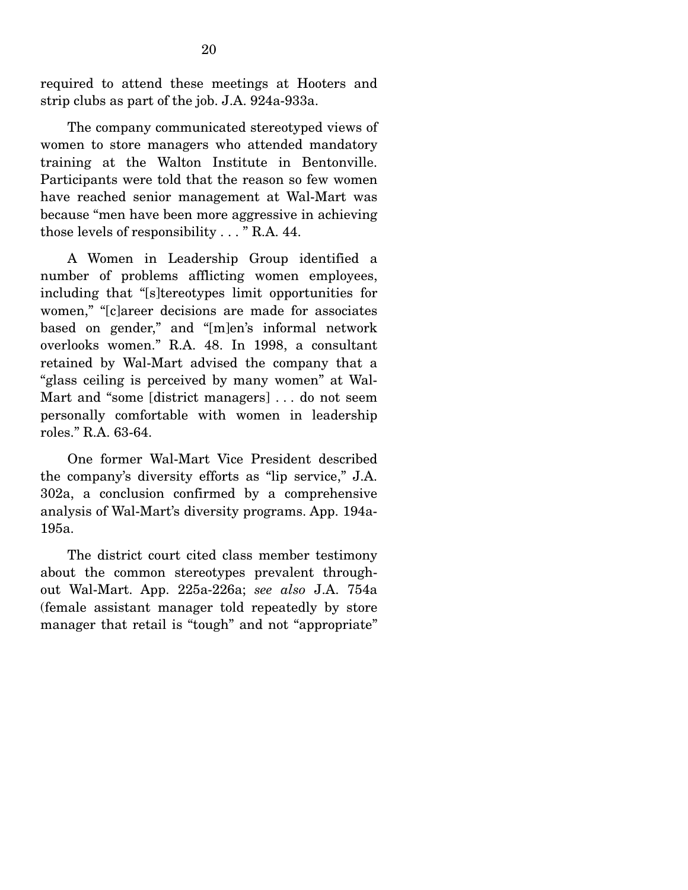required to attend these meetings at Hooters and strip clubs as part of the job. J.A. 924a-933a.

 The company communicated stereotyped views of women to store managers who attended mandatory training at the Walton Institute in Bentonville. Participants were told that the reason so few women have reached senior management at Wal-Mart was because "men have been more aggressive in achieving those levels of responsibility . . . " R.A. 44.

A Women in Leadership Group identified a number of problems afflicting women employees, including that "[s]tereotypes limit opportunities for women," "[c]areer decisions are made for associates based on gender," and "[m]en's informal network overlooks women." R.A. 48. In 1998, a consultant retained by Wal-Mart advised the company that a "glass ceiling is perceived by many women" at Wal-Mart and "some [district managers] . . . do not seem personally comfortable with women in leadership roles." R.A. 63-64.

 One former Wal-Mart Vice President described the company's diversity efforts as "lip service," J.A. 302a, a conclusion confirmed by a comprehensive analysis of Wal-Mart's diversity programs. App. 194a-195a.

 The district court cited class member testimony about the common stereotypes prevalent throughout Wal-Mart. App. 225a-226a; *see also* J.A. 754a (female assistant manager told repeatedly by store manager that retail is "tough" and not "appropriate"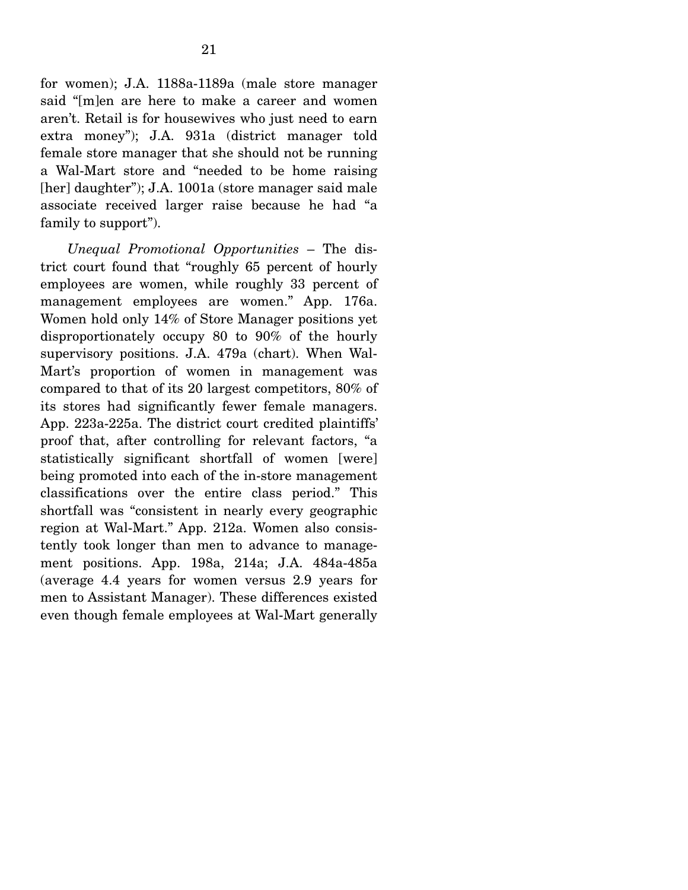for women); J.A. 1188a-1189a (male store manager said "[m]en are here to make a career and women aren't. Retail is for housewives who just need to earn extra money"); J.A. 931a (district manager told female store manager that she should not be running a Wal-Mart store and "needed to be home raising [her] daughter"); J.A. 1001a (store manager said male associate received larger raise because he had "a family to support").

*Unequal Promotional Opportunities* – The district court found that "roughly 65 percent of hourly employees are women, while roughly 33 percent of management employees are women." App. 176a. Women hold only 14% of Store Manager positions yet disproportionately occupy 80 to 90% of the hourly supervisory positions. J.A. 479a (chart). When Wal-Mart's proportion of women in management was compared to that of its 20 largest competitors, 80% of its stores had significantly fewer female managers. App. 223a-225a. The district court credited plaintiffs' proof that, after controlling for relevant factors, "a statistically significant shortfall of women [were] being promoted into each of the in-store management classifications over the entire class period." This shortfall was "consistent in nearly every geographic region at Wal-Mart." App. 212a. Women also consistently took longer than men to advance to management positions. App. 198a, 214a; J.A. 484a-485a (average 4.4 years for women versus 2.9 years for men to Assistant Manager). These differences existed even though female employees at Wal-Mart generally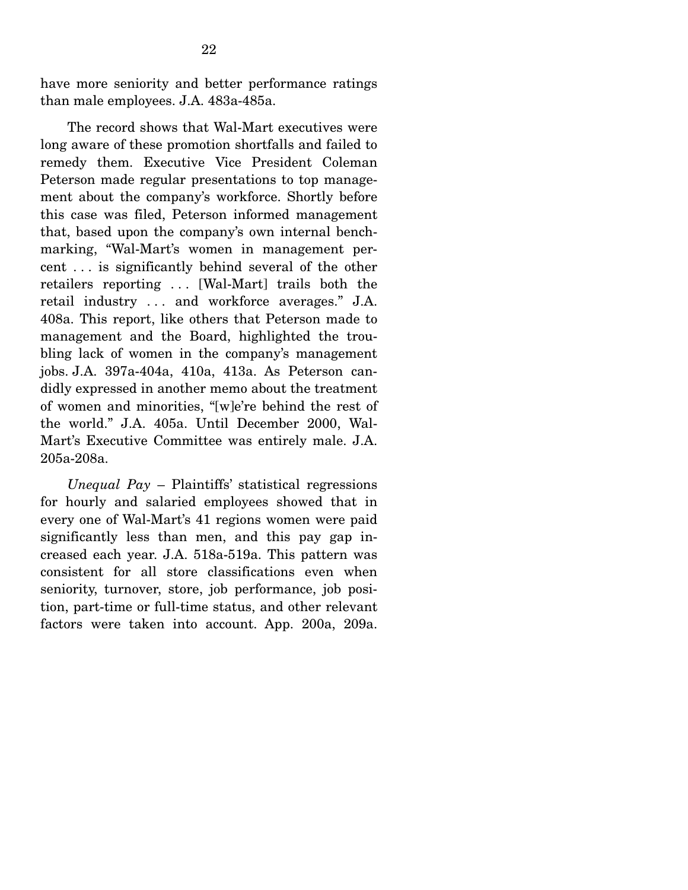have more seniority and better performance ratings than male employees. J.A. 483a-485a.

 The record shows that Wal-Mart executives were long aware of these promotion shortfalls and failed to remedy them. Executive Vice President Coleman Peterson made regular presentations to top management about the company's workforce. Shortly before this case was filed, Peterson informed management that, based upon the company's own internal benchmarking, "Wal-Mart's women in management percent . . . is significantly behind several of the other retailers reporting . . . [Wal-Mart] trails both the retail industry . . . and workforce averages." J.A. 408a. This report, like others that Peterson made to management and the Board, highlighted the troubling lack of women in the company's management jobs. J.A. 397a-404a, 410a, 413a. As Peterson candidly expressed in another memo about the treatment of women and minorities, "[w]e're behind the rest of the world." J.A. 405a. Until December 2000, Wal-Mart's Executive Committee was entirely male. J.A. 205a-208a.

*Unequal Pay* – Plaintiffs' statistical regressions for hourly and salaried employees showed that in every one of Wal-Mart's 41 regions women were paid significantly less than men, and this pay gap increased each year. J.A. 518a-519a. This pattern was consistent for all store classifications even when seniority, turnover, store, job performance, job position, part-time or full-time status, and other relevant factors were taken into account. App. 200a, 209a.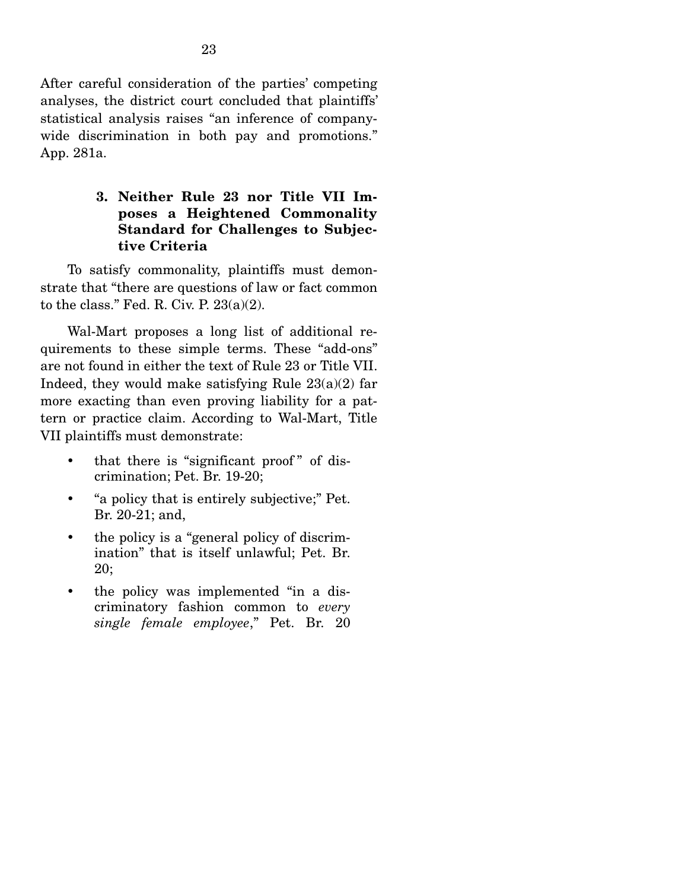After careful consideration of the parties' competing analyses, the district court concluded that plaintiffs' statistical analysis raises "an inference of companywide discrimination in both pay and promotions." App. 281a.

### **3. Neither Rule 23 nor Title VII Imposes a Heightened Commonality Standard for Challenges to Subjective Criteria**

To satisfy commonality, plaintiffs must demonstrate that "there are questions of law or fact common to the class." Fed. R. Civ. P.  $23(a)(2)$ .

 Wal-Mart proposes a long list of additional requirements to these simple terms. These "add-ons" are not found in either the text of Rule 23 or Title VII. Indeed, they would make satisfying Rule  $23(a)(2)$  far more exacting than even proving liability for a pattern or practice claim. According to Wal-Mart, Title VII plaintiffs must demonstrate:

- that there is "significant proof" of discrimination; Pet. Br. 19-20;
- "a policy that is entirely subjective;" Pet. Br. 20-21; and,
- the policy is a "general policy of discrimination" that is itself unlawful; Pet. Br. 20;
- the policy was implemented "in a discriminatory fashion common to *every single female employee*," Pet. Br. 20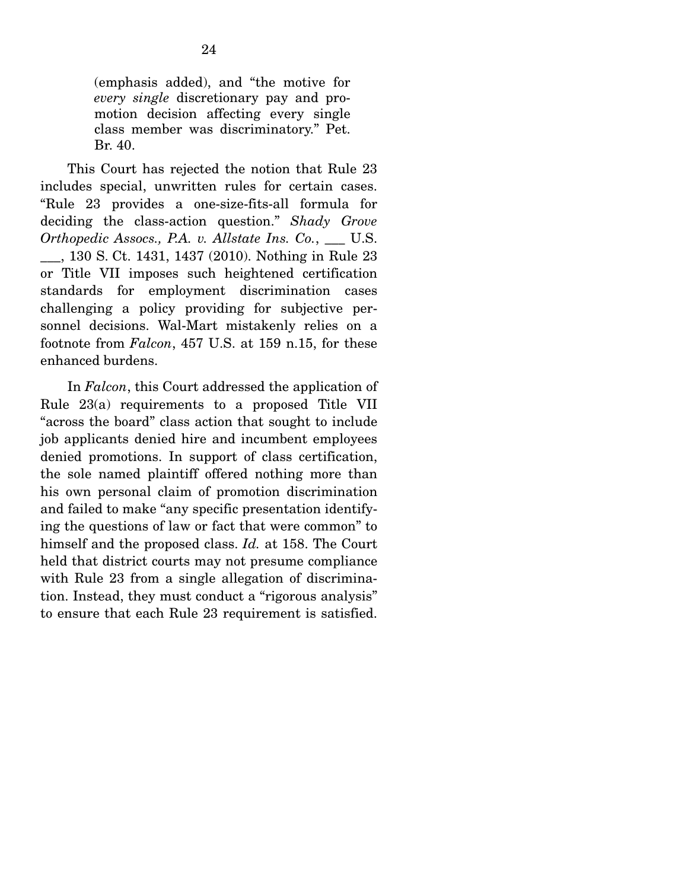(emphasis added), and "the motive for *every single* discretionary pay and promotion decision affecting every single class member was discriminatory." Pet. Br. 40.

 This Court has rejected the notion that Rule 23 includes special, unwritten rules for certain cases. "Rule 23 provides a one-size-fits-all formula for deciding the class-action question." *Shady Grove Orthopedic Assocs., P.A. v. Allstate Ins. Co.*, \_\_\_ U.S. \_\_\_, 130 S. Ct. 1431, 1437 (2010). Nothing in Rule 23 or Title VII imposes such heightened certification standards for employment discrimination cases challenging a policy providing for subjective personnel decisions. Wal-Mart mistakenly relies on a footnote from *Falcon*, 457 U.S. at 159 n.15, for these enhanced burdens.

In *Falcon*, this Court addressed the application of Rule 23(a) requirements to a proposed Title VII "across the board" class action that sought to include job applicants denied hire and incumbent employees denied promotions. In support of class certification, the sole named plaintiff offered nothing more than his own personal claim of promotion discrimination and failed to make "any specific presentation identifying the questions of law or fact that were common" to himself and the proposed class. *Id.* at 158. The Court held that district courts may not presume compliance with Rule 23 from a single allegation of discrimination. Instead, they must conduct a "rigorous analysis" to ensure that each Rule 23 requirement is satisfied.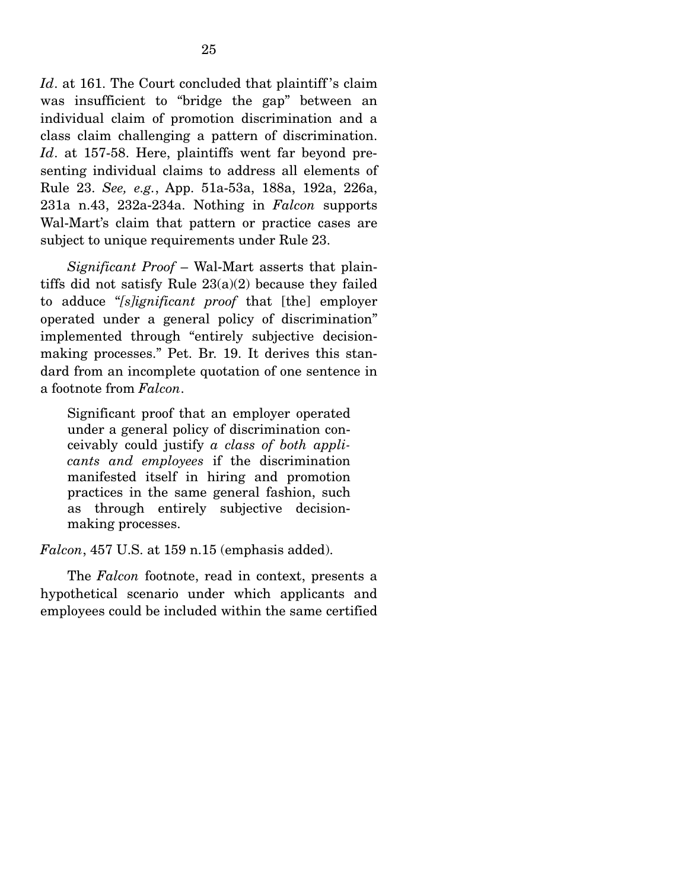*Id*. at 161. The Court concluded that plaintiff's claim was insufficient to "bridge the gap" between an individual claim of promotion discrimination and a class claim challenging a pattern of discrimination. *Id*. at 157-58. Here, plaintiffs went far beyond presenting individual claims to address all elements of Rule 23. *See, e.g.*, App. 51a-53a, 188a, 192a, 226a, 231a n.43, 232a-234a. Nothing in *Falcon* supports Wal-Mart's claim that pattern or practice cases are subject to unique requirements under Rule 23.

*Significant Proof* – Wal-Mart asserts that plaintiffs did not satisfy Rule  $23(a)(2)$  because they failed to adduce "*[s]ignificant proof* that [the] employer operated under a general policy of discrimination" implemented through "entirely subjective decisionmaking processes." Pet. Br. 19. It derives this standard from an incomplete quotation of one sentence in a footnote from *Falcon*.

Significant proof that an employer operated under a general policy of discrimination conceivably could justify *a class of both applicants and employees* if the discrimination manifested itself in hiring and promotion practices in the same general fashion, such as through entirely subjective decisionmaking processes.

*Falcon*, 457 U.S. at 159 n.15 (emphasis added).

 The *Falcon* footnote, read in context, presents a hypothetical scenario under which applicants and employees could be included within the same certified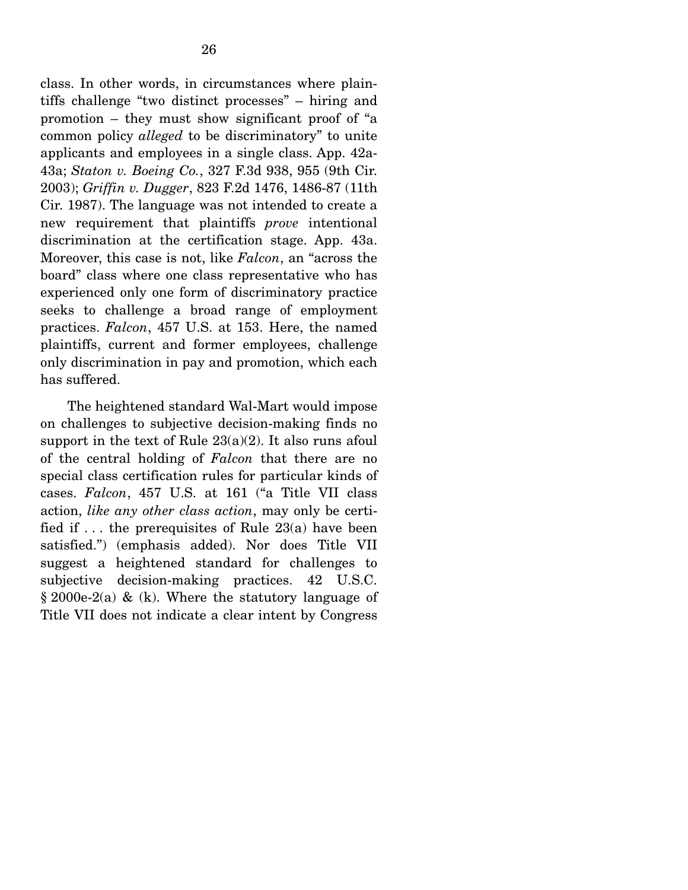class. In other words, in circumstances where plaintiffs challenge "two distinct processes" – hiring and promotion – they must show significant proof of "a common policy *alleged* to be discriminatory" to unite applicants and employees in a single class. App. 42a-43a; *Staton v. Boeing Co.*, 327 F.3d 938, 955 (9th Cir. 2003); *Griffin v. Dugger*, 823 F.2d 1476, 1486-87 (11th Cir. 1987). The language was not intended to create a new requirement that plaintiffs *prove* intentional discrimination at the certification stage. App. 43a. Moreover, this case is not, like *Falcon*, an "across the board" class where one class representative who has experienced only one form of discriminatory practice seeks to challenge a broad range of employment practices. *Falcon*, 457 U.S. at 153. Here, the named plaintiffs, current and former employees, challenge only discrimination in pay and promotion, which each has suffered.

 The heightened standard Wal-Mart would impose on challenges to subjective decision-making finds no support in the text of Rule  $23(a)(2)$ . It also runs afoul of the central holding of *Falcon* that there are no special class certification rules for particular kinds of cases. *Falcon*, 457 U.S. at 161 ("a Title VII class action, *like any other class action*, may only be certified if  $\dots$  the prerequisites of Rule 23(a) have been satisfied.") (emphasis added). Nor does Title VII suggest a heightened standard for challenges to subjective decision-making practices. 42 U.S.C.  $§ 2000e-2(a) \& (k)$ . Where the statutory language of Title VII does not indicate a clear intent by Congress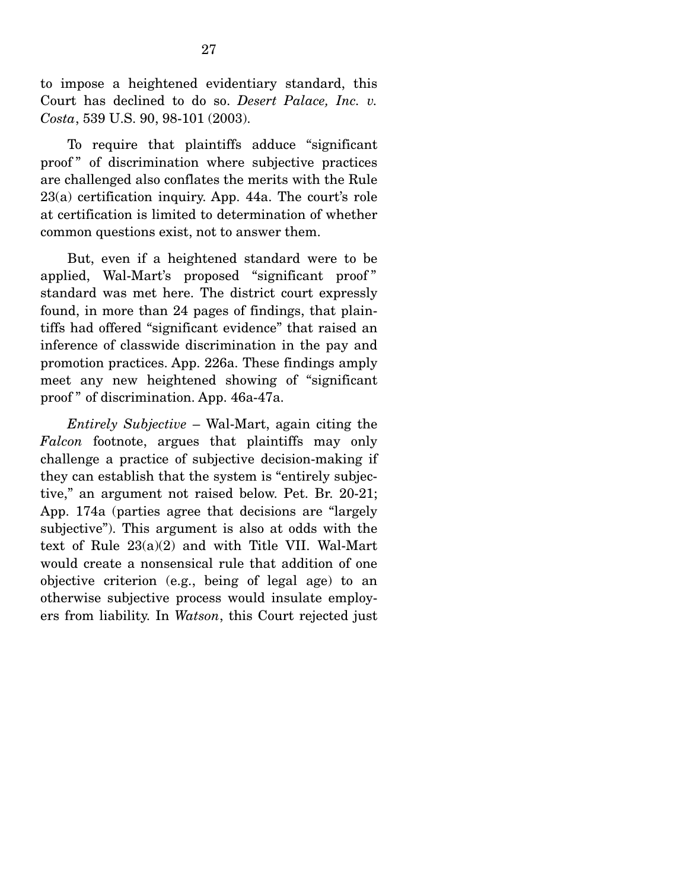to impose a heightened evidentiary standard, this Court has declined to do so. *Desert Palace, Inc. v. Costa*, 539 U.S. 90, 98-101 (2003).

 To require that plaintiffs adduce "significant proof " of discrimination where subjective practices are challenged also conflates the merits with the Rule 23(a) certification inquiry. App. 44a. The court's role at certification is limited to determination of whether common questions exist, not to answer them.

 But, even if a heightened standard were to be applied, Wal-Mart's proposed "significant proof " standard was met here. The district court expressly found, in more than 24 pages of findings, that plaintiffs had offered "significant evidence" that raised an inference of classwide discrimination in the pay and promotion practices. App. 226a. These findings amply meet any new heightened showing of "significant proof " of discrimination. App. 46a-47a.

 *Entirely Subjective* – Wal-Mart, again citing the *Falcon* footnote, argues that plaintiffs may only challenge a practice of subjective decision-making if they can establish that the system is "entirely subjective," an argument not raised below. Pet. Br. 20-21; App. 174a (parties agree that decisions are "largely subjective"). This argument is also at odds with the text of Rule 23(a)(2) and with Title VII. Wal-Mart would create a nonsensical rule that addition of one objective criterion (e.g., being of legal age) to an otherwise subjective process would insulate employers from liability. In *Watson*, this Court rejected just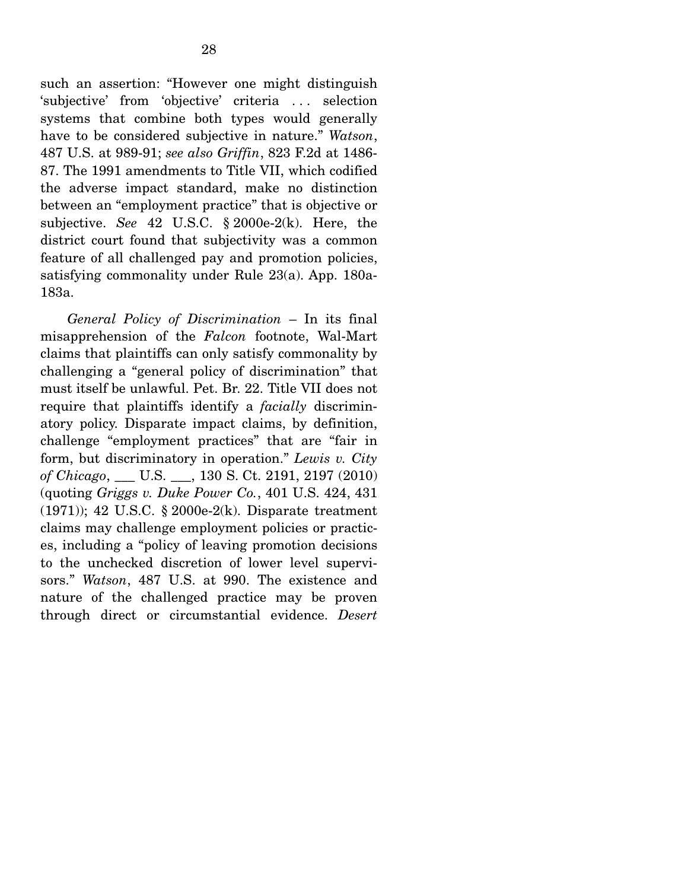such an assertion: "However one might distinguish 'subjective' from 'objective' criteria . . . selection systems that combine both types would generally have to be considered subjective in nature." *Watson*, 487 U.S. at 989-91; *see also Griffin*, 823 F.2d at 1486- 87. The 1991 amendments to Title VII, which codified the adverse impact standard, make no distinction between an "employment practice" that is objective or subjective. *See* 42 U.S.C. § 2000e-2(k). Here, the district court found that subjectivity was a common feature of all challenged pay and promotion policies, satisfying commonality under Rule 23(a). App. 180a-183a.

*General Policy of Discrimination* – In its final misapprehension of the *Falcon* footnote, Wal-Mart claims that plaintiffs can only satisfy commonality by challenging a "general policy of discrimination" that must itself be unlawful. Pet. Br. 22. Title VII does not require that plaintiffs identify a *facially* discriminatory policy. Disparate impact claims, by definition, challenge "employment practices" that are "fair in form, but discriminatory in operation." *Lewis v. City of Chicago*, \_\_\_ U.S. \_\_\_, 130 S. Ct. 2191, 2197 (2010) (quoting *Griggs v. Duke Power Co.*, 401 U.S. 424, 431 (1971)); 42 U.S.C. § 2000e-2(k). Disparate treatment claims may challenge employment policies or practices, including a "policy of leaving promotion decisions to the unchecked discretion of lower level supervisors." *Watson*, 487 U.S. at 990. The existence and nature of the challenged practice may be proven through direct or circumstantial evidence. *Desert*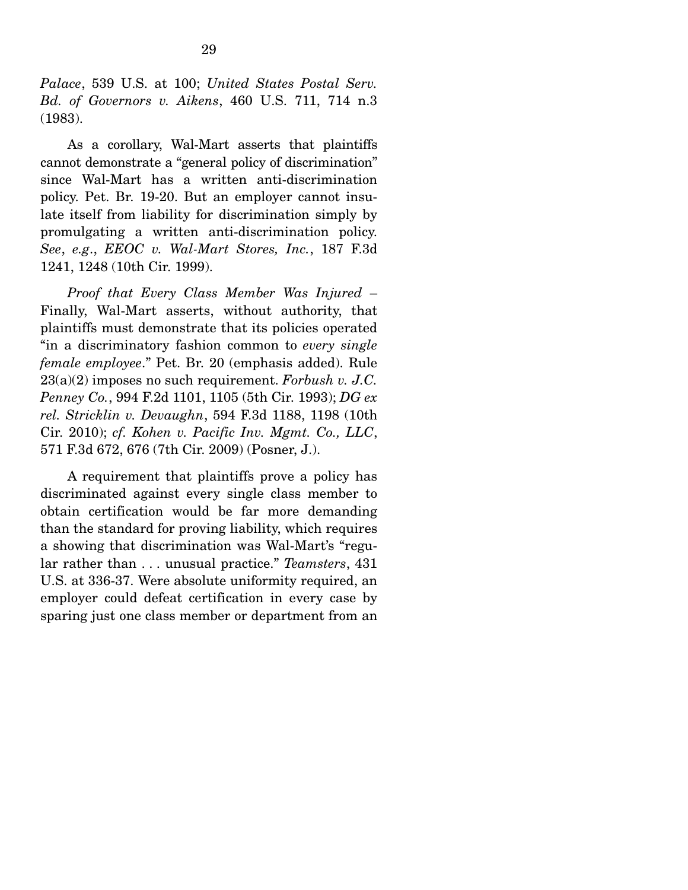*Palace*, 539 U.S. at 100; *United States Postal Serv. Bd. of Governors v. Aikens*, 460 U.S. 711, 714 n.3 (1983).

 As a corollary, Wal-Mart asserts that plaintiffs cannot demonstrate a "general policy of discrimination" since Wal-Mart has a written anti-discrimination policy. Pet. Br. 19-20. But an employer cannot insulate itself from liability for discrimination simply by promulgating a written anti-discrimination policy. *See*, *e.g*., *EEOC v. Wal-Mart Stores, Inc.*, 187 F.3d 1241, 1248 (10th Cir. 1999).

*Proof that Every Class Member Was Injured* – Finally, Wal-Mart asserts, without authority, that plaintiffs must demonstrate that its policies operated "in a discriminatory fashion common to *every single female employee*." Pet. Br. 20 (emphasis added). Rule 23(a)(2) imposes no such requirement. *Forbush v. J.C. Penney Co.*, 994 F.2d 1101, 1105 (5th Cir. 1993); *DG ex rel. Stricklin v. Devaughn*, 594 F.3d 1188, 1198 (10th Cir. 2010); *cf. Kohen v. Pacific Inv. Mgmt. Co., LLC*, 571 F.3d 672, 676 (7th Cir. 2009) (Posner, J.).

A requirement that plaintiffs prove a policy has discriminated against every single class member to obtain certification would be far more demanding than the standard for proving liability, which requires a showing that discrimination was Wal-Mart's "regular rather than . . . unusual practice." *Teamsters*, 431 U.S. at 336-37. Were absolute uniformity required, an employer could defeat certification in every case by sparing just one class member or department from an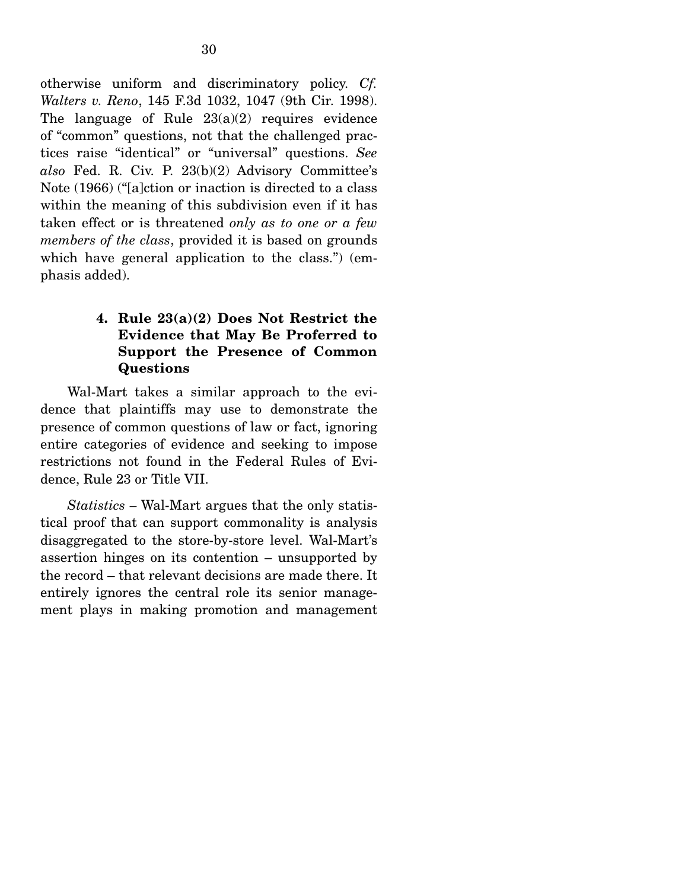otherwise uniform and discriminatory policy. *Cf. Walters v. Reno*, 145 F.3d 1032, 1047 (9th Cir. 1998). The language of Rule 23(a)(2) requires evidence of "common" questions, not that the challenged practices raise "identical" or "universal" questions. *See also* Fed. R. Civ. P. 23(b)(2) Advisory Committee's Note (1966) ("[a]ction or inaction is directed to a class within the meaning of this subdivision even if it has taken effect or is threatened *only as to one or a few members of the class*, provided it is based on grounds which have general application to the class.") (emphasis added).

## **4. Rule 23(a)(2) Does Not Restrict the Evidence that May Be Proferred to Support the Presence of Common Questions**

Wal-Mart takes a similar approach to the evidence that plaintiffs may use to demonstrate the presence of common questions of law or fact, ignoring entire categories of evidence and seeking to impose restrictions not found in the Federal Rules of Evidence, Rule 23 or Title VII.

*Statistics –* Wal-Mart argues that the only statistical proof that can support commonality is analysis disaggregated to the store-by-store level. Wal-Mart's assertion hinges on its contention – unsupported by the record – that relevant decisions are made there. It entirely ignores the central role its senior management plays in making promotion and management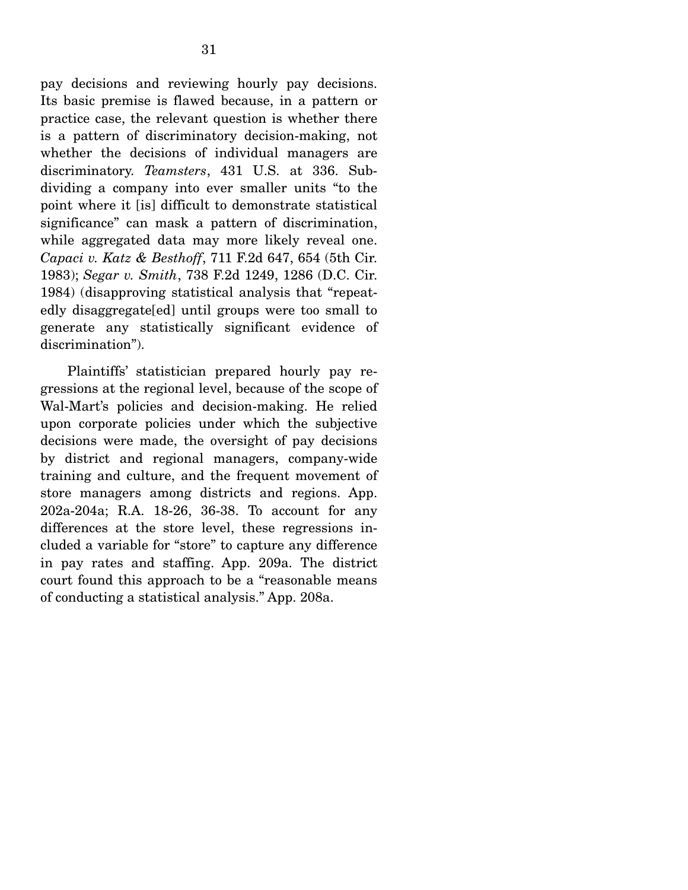pay decisions and reviewing hourly pay decisions. Its basic premise is flawed because, in a pattern or practice case, the relevant question is whether there is a pattern of discriminatory decision-making, not whether the decisions of individual managers are discriminatory. *Teamsters*, 431 U.S. at 336. Subdividing a company into ever smaller units "to the point where it [is] difficult to demonstrate statistical significance" can mask a pattern of discrimination, while aggregated data may more likely reveal one. *Capaci v. Katz & Besthoff*, 711 F.2d 647, 654 (5th Cir. 1983); *Segar v. Smith*, 738 F.2d 1249, 1286 (D.C. Cir. 1984) (disapproving statistical analysis that "repeatedly disaggregate[ed] until groups were too small to generate any statistically significant evidence of discrimination").

 Plaintiffs' statistician prepared hourly pay regressions at the regional level, because of the scope of Wal-Mart's policies and decision-making. He relied upon corporate policies under which the subjective decisions were made, the oversight of pay decisions by district and regional managers, company-wide training and culture, and the frequent movement of store managers among districts and regions. App. 202a-204a; R.A. 18-26, 36-38. To account for any differences at the store level, these regressions included a variable for "store" to capture any difference in pay rates and staffing. App. 209a. The district court found this approach to be a "reasonable means of conducting a statistical analysis." App. 208a.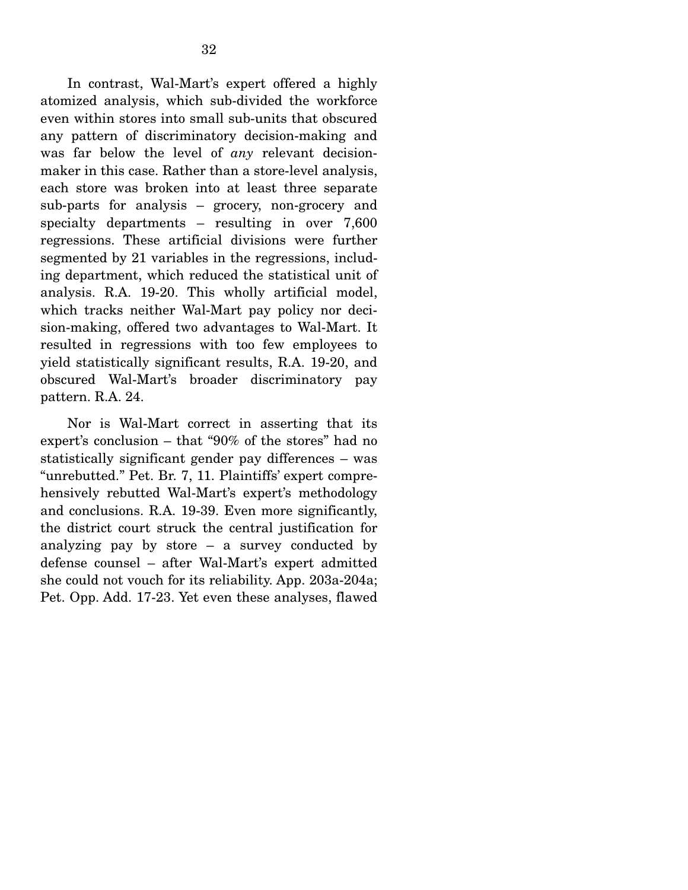In contrast, Wal-Mart's expert offered a highly atomized analysis, which sub-divided the workforce even within stores into small sub-units that obscured any pattern of discriminatory decision-making and was far below the level of *any* relevant decisionmaker in this case. Rather than a store-level analysis, each store was broken into at least three separate sub-parts for analysis – grocery, non-grocery and specialty departments – resulting in over 7,600 regressions. These artificial divisions were further segmented by 21 variables in the regressions, including department, which reduced the statistical unit of analysis. R.A. 19-20. This wholly artificial model, which tracks neither Wal-Mart pay policy nor decision-making, offered two advantages to Wal-Mart. It resulted in regressions with too few employees to yield statistically significant results, R.A. 19-20, and obscured Wal-Mart's broader discriminatory pay pattern. R.A. 24.

 Nor is Wal-Mart correct in asserting that its expert's conclusion – that "90% of the stores" had no statistically significant gender pay differences – was "unrebutted." Pet. Br. 7, 11. Plaintiffs' expert comprehensively rebutted Wal-Mart's expert's methodology and conclusions. R.A. 19-39. Even more significantly, the district court struck the central justification for analyzing pay by store – a survey conducted by defense counsel – after Wal-Mart's expert admitted she could not vouch for its reliability. App. 203a-204a; Pet. Opp. Add. 17-23. Yet even these analyses, flawed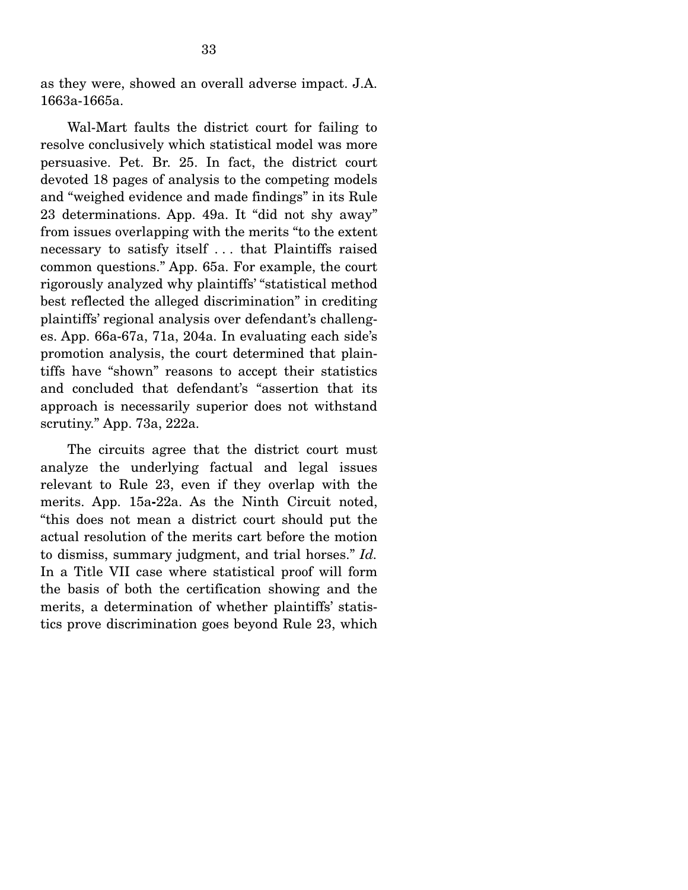as they were, showed an overall adverse impact. J.A. 1663a-1665a.

 Wal-Mart faults the district court for failing to resolve conclusively which statistical model was more persuasive. Pet. Br. 25. In fact, the district court devoted 18 pages of analysis to the competing models and "weighed evidence and made findings" in its Rule 23 determinations. App. 49a. It "did not shy away" from issues overlapping with the merits "to the extent necessary to satisfy itself . . . that Plaintiffs raised common questions." App. 65a. For example, the court rigorously analyzed why plaintiffs' "statistical method best reflected the alleged discrimination" in crediting plaintiffs' regional analysis over defendant's challenges. App. 66a-67a, 71a, 204a. In evaluating each side's promotion analysis, the court determined that plaintiffs have "shown" reasons to accept their statistics and concluded that defendant's "assertion that its approach is necessarily superior does not withstand scrutiny." App. 73a, 222a.

 The circuits agree that the district court must analyze the underlying factual and legal issues relevant to Rule 23, even if they overlap with the merits. App. 15a**-**22a. As the Ninth Circuit noted, "this does not mean a district court should put the actual resolution of the merits cart before the motion to dismiss, summary judgment, and trial horses." *Id.*  In a Title VII case where statistical proof will form the basis of both the certification showing and the merits, a determination of whether plaintiffs' statistics prove discrimination goes beyond Rule 23, which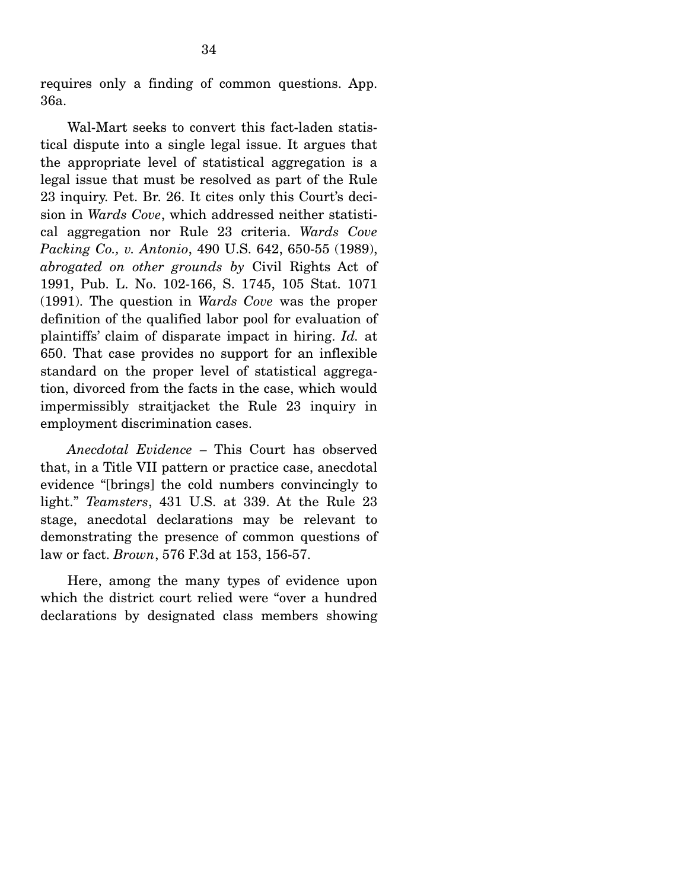requires only a finding of common questions. App. 36a.

Wal-Mart seeks to convert this fact-laden statistical dispute into a single legal issue. It argues that the appropriate level of statistical aggregation is a legal issue that must be resolved as part of the Rule 23 inquiry. Pet. Br. 26. It cites only this Court's decision in *Wards Cove*, which addressed neither statistical aggregation nor Rule 23 criteria. *Wards Cove Packing Co., v. Antonio*, 490 U.S. 642, 650-55 (1989), *abrogated on other grounds by* Civil Rights Act of 1991, Pub. L. No. 102-166, S. 1745, 105 Stat. 1071 (1991). The question in *Wards Cove* was the proper definition of the qualified labor pool for evaluation of plaintiffs' claim of disparate impact in hiring. *Id.* at 650. That case provides no support for an inflexible standard on the proper level of statistical aggregation, divorced from the facts in the case, which would impermissibly straitjacket the Rule 23 inquiry in employment discrimination cases.

*Anecdotal Evidence –* This Court has observed that, in a Title VII pattern or practice case, anecdotal evidence "[brings] the cold numbers convincingly to light." *Teamsters*, 431 U.S. at 339. At the Rule 23 stage, anecdotal declarations may be relevant to demonstrating the presence of common questions of law or fact. *Brown*, 576 F.3d at 153, 156-57.

 Here, among the many types of evidence upon which the district court relied were "over a hundred declarations by designated class members showing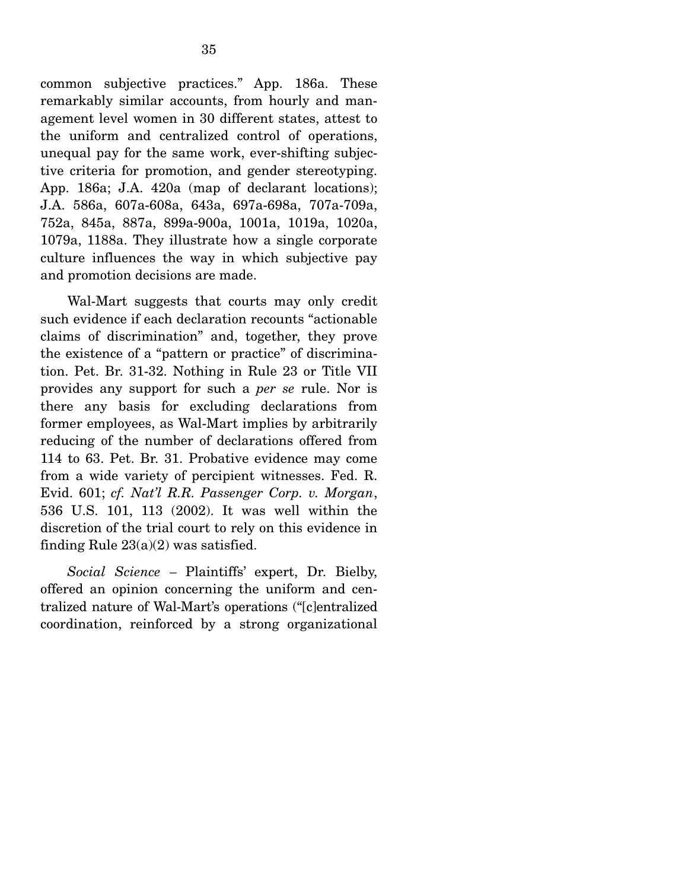common subjective practices." App. 186a. These remarkably similar accounts, from hourly and management level women in 30 different states, attest to the uniform and centralized control of operations, unequal pay for the same work, ever-shifting subjective criteria for promotion, and gender stereotyping. App. 186a; J.A. 420a (map of declarant locations); J.A. 586a, 607a-608a, 643a, 697a-698a, 707a-709a, 752a, 845a, 887a, 899a-900a, 1001a, 1019a, 1020a, 1079a, 1188a. They illustrate how a single corporate culture influences the way in which subjective pay and promotion decisions are made.

 Wal-Mart suggests that courts may only credit such evidence if each declaration recounts "actionable claims of discrimination" and, together, they prove the existence of a "pattern or practice" of discrimination. Pet. Br. 31-32. Nothing in Rule 23 or Title VII provides any support for such a *per se* rule. Nor is there any basis for excluding declarations from former employees, as Wal-Mart implies by arbitrarily reducing of the number of declarations offered from 114 to 63. Pet. Br. 31. Probative evidence may come from a wide variety of percipient witnesses. Fed. R. Evid. 601; *cf. Nat'l R.R. Passenger Corp. v. Morgan*, 536 U.S. 101, 113 (2002). It was well within the discretion of the trial court to rely on this evidence in finding Rule 23(a)(2) was satisfied.

*Social Science –* Plaintiffs' expert, Dr. Bielby, offered an opinion concerning the uniform and centralized nature of Wal-Mart's operations ("[c]entralized coordination, reinforced by a strong organizational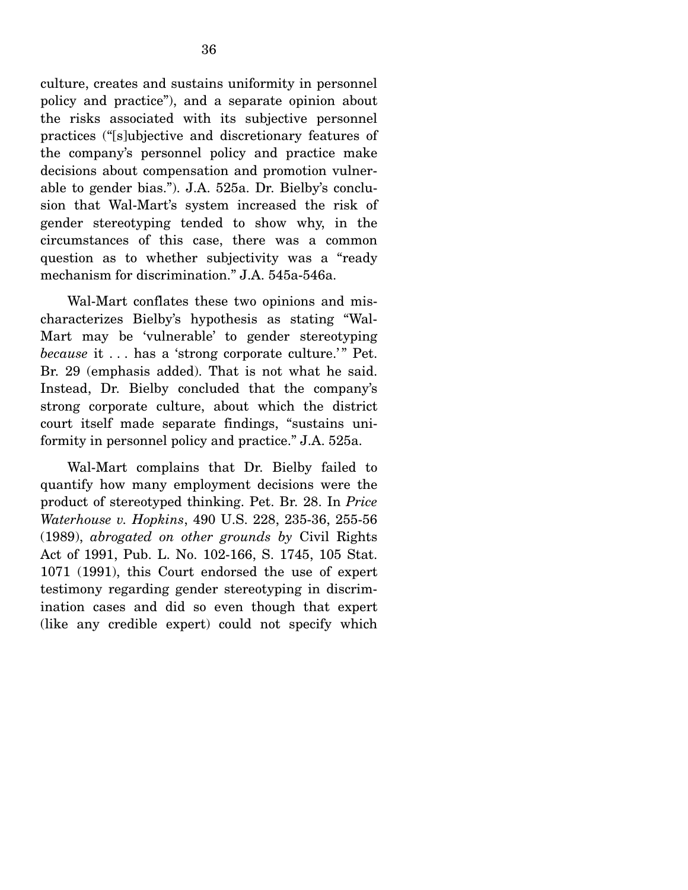culture, creates and sustains uniformity in personnel policy and practice"), and a separate opinion about the risks associated with its subjective personnel practices ("[s]ubjective and discretionary features of the company's personnel policy and practice make decisions about compensation and promotion vulnerable to gender bias."). J.A. 525a. Dr. Bielby's conclusion that Wal-Mart's system increased the risk of gender stereotyping tended to show why, in the circumstances of this case, there was a common question as to whether subjectivity was a "ready mechanism for discrimination." J.A. 545a-546a.

Wal-Mart conflates these two opinions and mischaracterizes Bielby's hypothesis as stating "Wal-Mart may be 'vulnerable' to gender stereotyping *because* it . . . has a 'strong corporate culture.'" Pet. Br. 29 (emphasis added). That is not what he said. Instead, Dr. Bielby concluded that the company's strong corporate culture, about which the district court itself made separate findings, "sustains uniformity in personnel policy and practice." J.A. 525a.

 Wal-Mart complains that Dr. Bielby failed to quantify how many employment decisions were the product of stereotyped thinking. Pet. Br. 28. In *Price Waterhouse v. Hopkins*, 490 U.S. 228, 235-36, 255-56 (1989), *abrogated on other grounds by* Civil Rights Act of 1991, Pub. L. No. 102-166, S. 1745, 105 Stat. 1071 (1991), this Court endorsed the use of expert testimony regarding gender stereotyping in discrimination cases and did so even though that expert (like any credible expert) could not specify which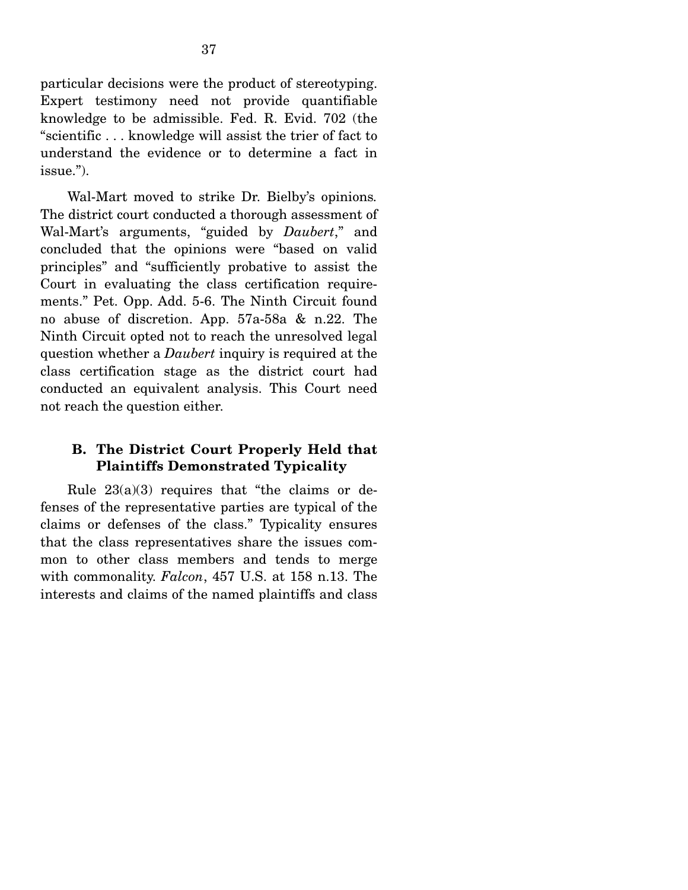particular decisions were the product of stereotyping. Expert testimony need not provide quantifiable knowledge to be admissible. Fed. R. Evid. 702 (the "scientific . . . knowledge will assist the trier of fact to understand the evidence or to determine a fact in issue.").

 Wal-Mart moved to strike Dr. Bielby's opinions*.* The district court conducted a thorough assessment of Wal-Mart's arguments, "guided by *Daubert*," and concluded that the opinions were "based on valid principles" and "sufficiently probative to assist the Court in evaluating the class certification requirements." Pet. Opp. Add. 5-6. The Ninth Circuit found no abuse of discretion. App. 57a-58a & n.22. The Ninth Circuit opted not to reach the unresolved legal question whether a *Daubert* inquiry is required at the class certification stage as the district court had conducted an equivalent analysis. This Court need not reach the question either.

# **B. The District Court Properly Held that Plaintiffs Demonstrated Typicality**

Rule  $23(a)(3)$  requires that "the claims or defenses of the representative parties are typical of the claims or defenses of the class." Typicality ensures that the class representatives share the issues common to other class members and tends to merge with commonality. *Falcon*, 457 U.S. at 158 n.13. The interests and claims of the named plaintiffs and class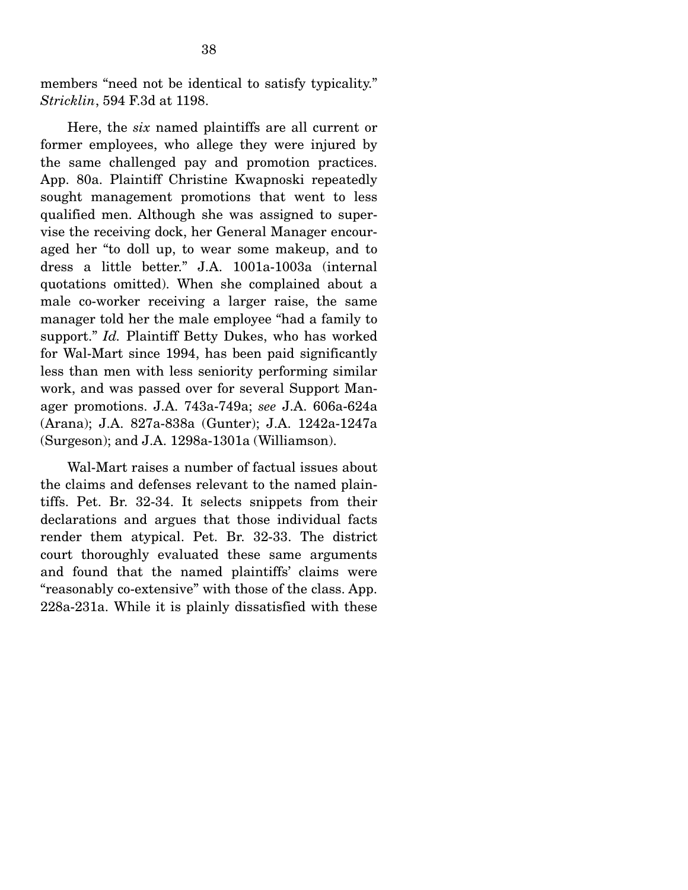members "need not be identical to satisfy typicality." *Stricklin*, 594 F.3d at 1198.

 Here, the *six* named plaintiffs are all current or former employees, who allege they were injured by the same challenged pay and promotion practices. App. 80a. Plaintiff Christine Kwapnoski repeatedly sought management promotions that went to less qualified men. Although she was assigned to supervise the receiving dock, her General Manager encouraged her "to doll up, to wear some makeup, and to dress a little better." J.A. 1001a-1003a (internal quotations omitted). When she complained about a male co-worker receiving a larger raise, the same manager told her the male employee "had a family to support." *Id.* Plaintiff Betty Dukes, who has worked for Wal-Mart since 1994, has been paid significantly less than men with less seniority performing similar work, and was passed over for several Support Manager promotions. J.A. 743a-749a; *see* J.A. 606a-624a (Arana); J.A. 827a-838a (Gunter); J.A. 1242a-1247a (Surgeson); and J.A. 1298a-1301a (Williamson).

 Wal-Mart raises a number of factual issues about the claims and defenses relevant to the named plaintiffs. Pet. Br. 32-34. It selects snippets from their declarations and argues that those individual facts render them atypical. Pet. Br. 32-33. The district court thoroughly evaluated these same arguments and found that the named plaintiffs' claims were "reasonably co-extensive" with those of the class. App. 228a-231a. While it is plainly dissatisfied with these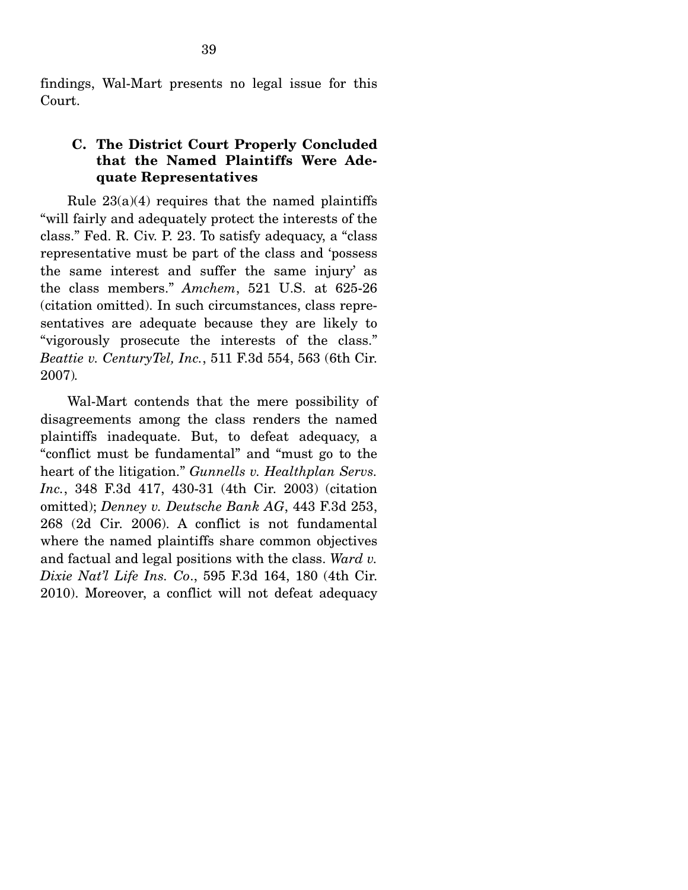findings, Wal-Mart presents no legal issue for this Court.

### **C. The District Court Properly Concluded that the Named Plaintiffs Were Adequate Representatives**

Rule  $23(a)(4)$  requires that the named plaintiffs "will fairly and adequately protect the interests of the class." Fed. R. Civ. P. 23. To satisfy adequacy, a "class representative must be part of the class and 'possess the same interest and suffer the same injury' as the class members." *Amchem*, 521 U.S. at 625-26 (citation omitted). In such circumstances, class representatives are adequate because they are likely to "vigorously prosecute the interests of the class." *Beattie v. CenturyTel, Inc.*, 511 F.3d 554, 563 (6th Cir. 2007)*.*

 Wal-Mart contends that the mere possibility of disagreements among the class renders the named plaintiffs inadequate. But, to defeat adequacy, a "conflict must be fundamental" and "must go to the heart of the litigation." *Gunnells v. Healthplan Servs. Inc.*, 348 F.3d 417, 430-31 (4th Cir. 2003) (citation omitted); *Denney v. Deutsche Bank AG*, 443 F.3d 253, 268 (2d Cir. 2006). A conflict is not fundamental where the named plaintiffs share common objectives and factual and legal positions with the class. *Ward v. Dixie Nat'l Life Ins. Co*., 595 F.3d 164, 180 (4th Cir. 2010). Moreover, a conflict will not defeat adequacy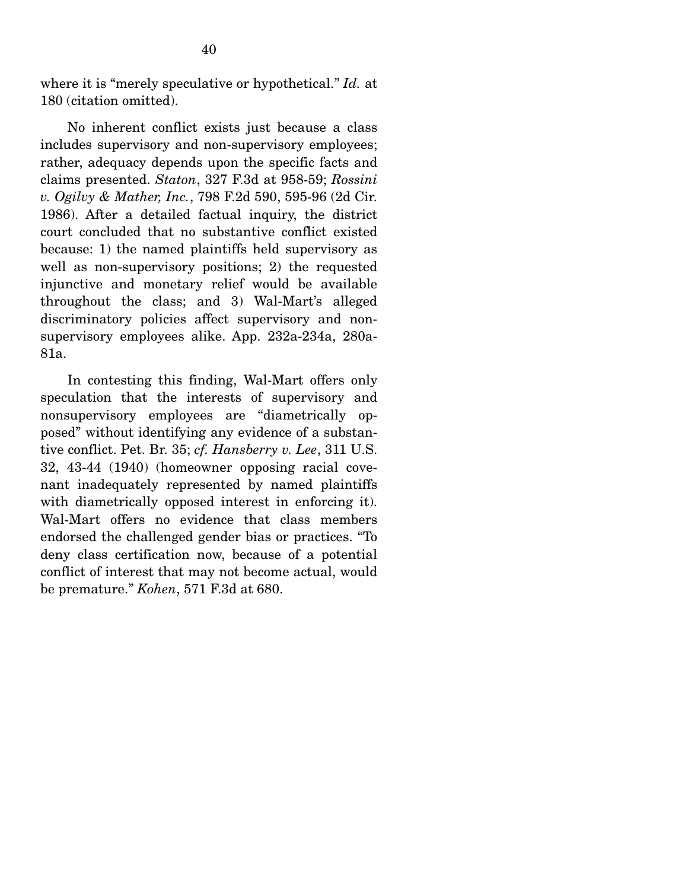where it is "merely speculative or hypothetical." *Id.* at 180 (citation omitted).

 No inherent conflict exists just because a class includes supervisory and non-supervisory employees; rather, adequacy depends upon the specific facts and claims presented. *Staton*, 327 F.3d at 958-59; *Rossini v. Ogilvy & Mather, Inc.*, 798 F.2d 590, 595-96 (2d Cir. 1986). After a detailed factual inquiry, the district court concluded that no substantive conflict existed because: 1) the named plaintiffs held supervisory as well as non-supervisory positions; 2) the requested injunctive and monetary relief would be available throughout the class; and 3) Wal-Mart's alleged discriminatory policies affect supervisory and nonsupervisory employees alike. App. 232a-234a, 280a-81a.

 In contesting this finding, Wal-Mart offers only speculation that the interests of supervisory and nonsupervisory employees are "diametrically opposed" without identifying any evidence of a substantive conflict. Pet. Br. 35; *cf. Hansberry v. Lee*, 311 U.S. 32, 43-44 (1940) (homeowner opposing racial covenant inadequately represented by named plaintiffs with diametrically opposed interest in enforcing it). Wal-Mart offers no evidence that class members endorsed the challenged gender bias or practices. "To deny class certification now, because of a potential conflict of interest that may not become actual, would be premature." *Kohen*, 571 F.3d at 680.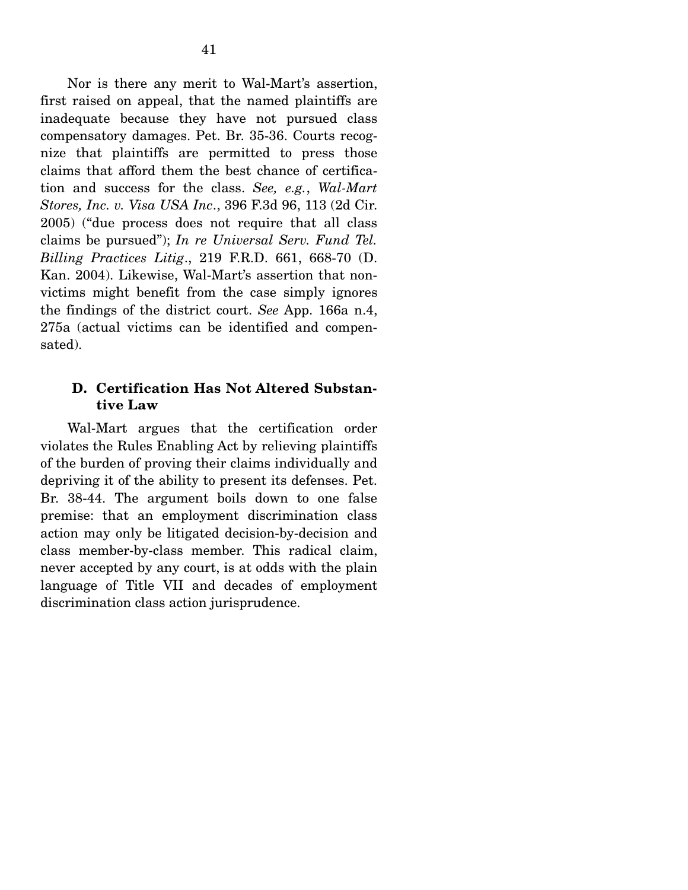Nor is there any merit to Wal-Mart's assertion, first raised on appeal, that the named plaintiffs are inadequate because they have not pursued class compensatory damages. Pet. Br. 35-36. Courts recognize that plaintiffs are permitted to press those claims that afford them the best chance of certification and success for the class. *See, e.g.*, *Wal-Mart Stores, Inc. v. Visa USA Inc*., 396 F.3d 96, 113 (2d Cir. 2005) ("due process does not require that all class claims be pursued"); *In re Universal Serv. Fund Tel. Billing Practices Litig*., 219 F.R.D. 661, 668-70 (D. Kan. 2004). Likewise, Wal-Mart's assertion that nonvictims might benefit from the case simply ignores the findings of the district court. *See* App. 166a n.4, 275a (actual victims can be identified and compensated).

## **D. Certification Has Not Altered Substantive Law**

Wal-Mart argues that the certification order violates the Rules Enabling Act by relieving plaintiffs of the burden of proving their claims individually and depriving it of the ability to present its defenses. Pet. Br. 38-44. The argument boils down to one false premise: that an employment discrimination class action may only be litigated decision-by-decision and class member-by-class member. This radical claim, never accepted by any court, is at odds with the plain language of Title VII and decades of employment discrimination class action jurisprudence.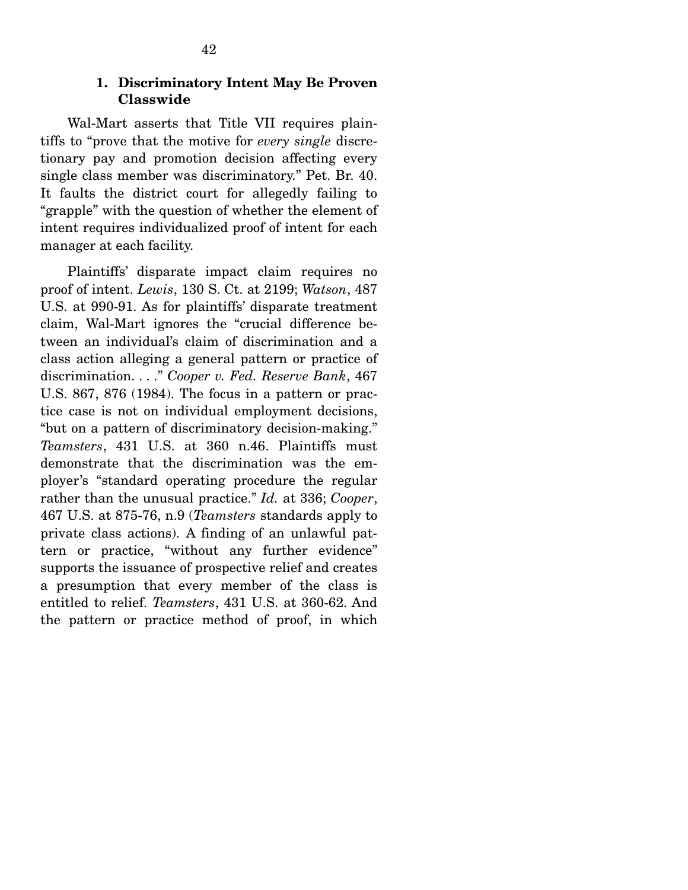#### **1. Discriminatory Intent May Be Proven Classwide**

Wal-Mart asserts that Title VII requires plaintiffs to "prove that the motive for *every single* discretionary pay and promotion decision affecting every single class member was discriminatory." Pet. Br. 40. It faults the district court for allegedly failing to "grapple" with the question of whether the element of intent requires individualized proof of intent for each manager at each facility.

 Plaintiffs' disparate impact claim requires no proof of intent. *Lewis*, 130 S. Ct. at 2199; *Watson*, 487 U.S. at 990-91. As for plaintiffs' disparate treatment claim, Wal-Mart ignores the "crucial difference between an individual's claim of discrimination and a class action alleging a general pattern or practice of discrimination. . . ." *Cooper v. Fed. Reserve Bank*, 467 U.S. 867, 876 (1984). The focus in a pattern or practice case is not on individual employment decisions, "but on a pattern of discriminatory decision-making." *Teamsters*, 431 U.S. at 360 n.46. Plaintiffs must demonstrate that the discrimination was the employer's "standard operating procedure the regular rather than the unusual practice." *Id.* at 336; *Cooper*, 467 U.S. at 875-76, n.9 (*Teamsters* standards apply to private class actions). A finding of an unlawful pattern or practice, "without any further evidence" supports the issuance of prospective relief and creates a presumption that every member of the class is entitled to relief. *Teamsters*, 431 U.S. at 360-62. And the pattern or practice method of proof, in which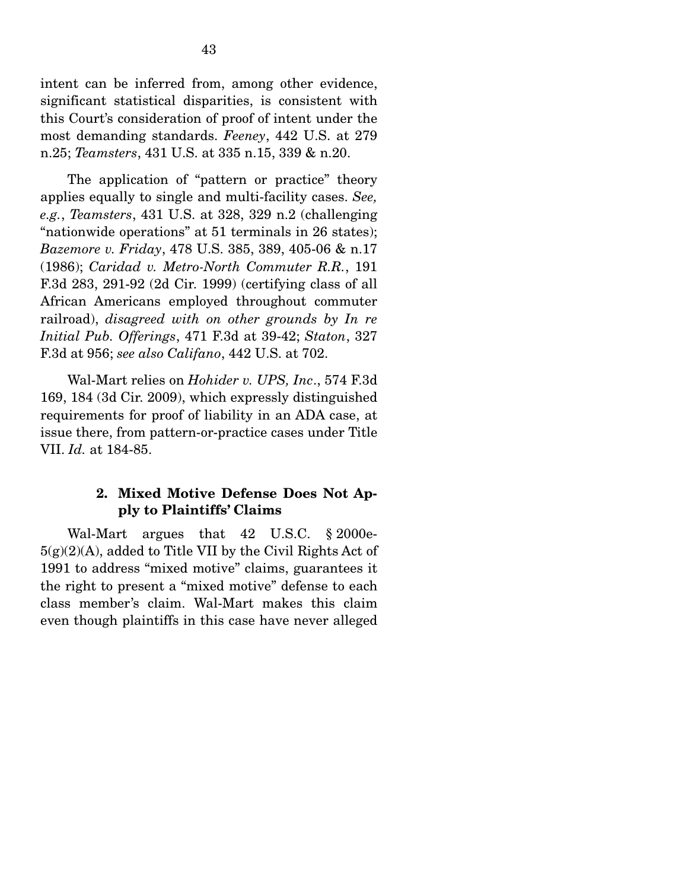intent can be inferred from, among other evidence, significant statistical disparities, is consistent with this Court's consideration of proof of intent under the most demanding standards. *Feeney*, 442 U.S. at 279 n.25; *Teamsters*, 431 U.S. at 335 n.15, 339 & n.20.

 The application of "pattern or practice" theory applies equally to single and multi-facility cases. *See, e.g.*, *Teamsters*, 431 U.S. at 328, 329 n.2 (challenging "nationwide operations" at 51 terminals in 26 states); *Bazemore v. Friday*, 478 U.S. 385, 389, 405-06 & n.17 (1986); *Caridad v. Metro-North Commuter R.R.*, 191 F.3d 283, 291-92 (2d Cir. 1999) (certifying class of all African Americans employed throughout commuter railroad), *disagreed with on other grounds by In re Initial Pub. Offerings*, 471 F.3d at 39-42; *Staton*, 327 F.3d at 956; *see also Califano*, 442 U.S. at 702.

 Wal-Mart relies on *Hohider v. UPS, Inc*., 574 F.3d 169, 184 (3d Cir. 2009), which expressly distinguished requirements for proof of liability in an ADA case, at issue there, from pattern-or-practice cases under Title VII. *Id.* at 184-85.

### **2. Mixed Motive Defense Does Not Apply to Plaintiffs' Claims**

Wal-Mart argues that 42 U.S.C. § 2000e- $5(g)(2)(A)$ , added to Title VII by the Civil Rights Act of 1991 to address "mixed motive" claims, guarantees it the right to present a "mixed motive" defense to each class member's claim. Wal-Mart makes this claim even though plaintiffs in this case have never alleged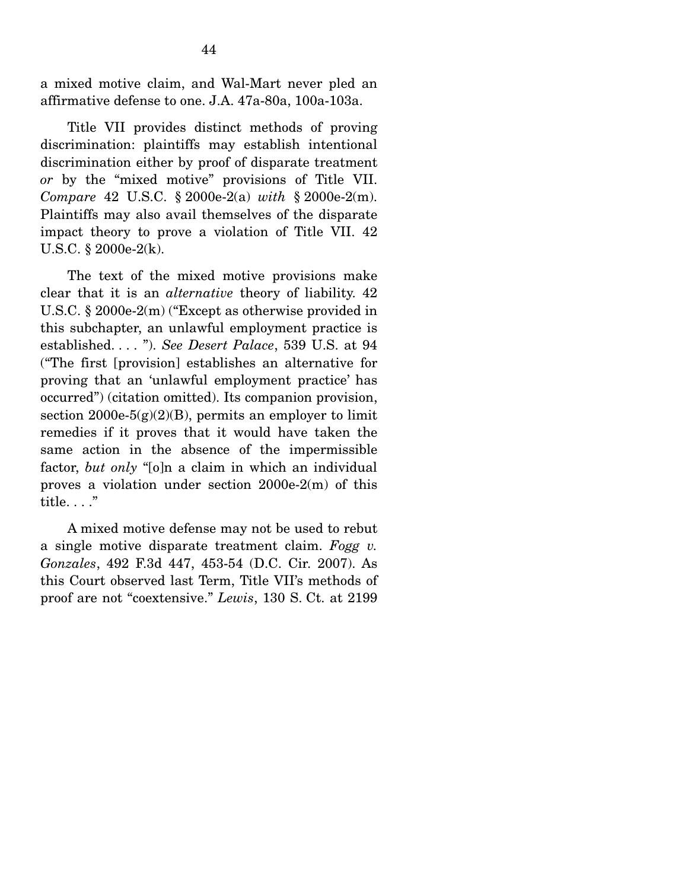a mixed motive claim, and Wal-Mart never pled an affirmative defense to one. J.A. 47a-80a, 100a-103a.

 Title VII provides distinct methods of proving discrimination: plaintiffs may establish intentional discrimination either by proof of disparate treatment *or* by the "mixed motive" provisions of Title VII. *Compare* 42 U.S.C. § 2000e-2(a) *with* § 2000e-2(m). Plaintiffs may also avail themselves of the disparate impact theory to prove a violation of Title VII. 42 U.S.C. § 2000e-2(k).

 The text of the mixed motive provisions make clear that it is an *alternative* theory of liability. 42 U.S.C. § 2000e-2(m) ("Except as otherwise provided in this subchapter, an unlawful employment practice is established. . . . "). *See Desert Palace*, 539 U.S. at 94 ("The first [provision] establishes an alternative for proving that an 'unlawful employment practice' has occurred") (citation omitted). Its companion provision, section 2000e-5 $(g)(2)(B)$ , permits an employer to limit remedies if it proves that it would have taken the same action in the absence of the impermissible factor, *but only* "[o]n a claim in which an individual proves a violation under section 2000e-2(m) of this title. . . ."

 A mixed motive defense may not be used to rebut a single motive disparate treatment claim. *Fogg v. Gonzales*, 492 F.3d 447, 453-54 (D.C. Cir. 2007). As this Court observed last Term, Title VII's methods of proof are not "coextensive." *Lewis*, 130 S. Ct. at 2199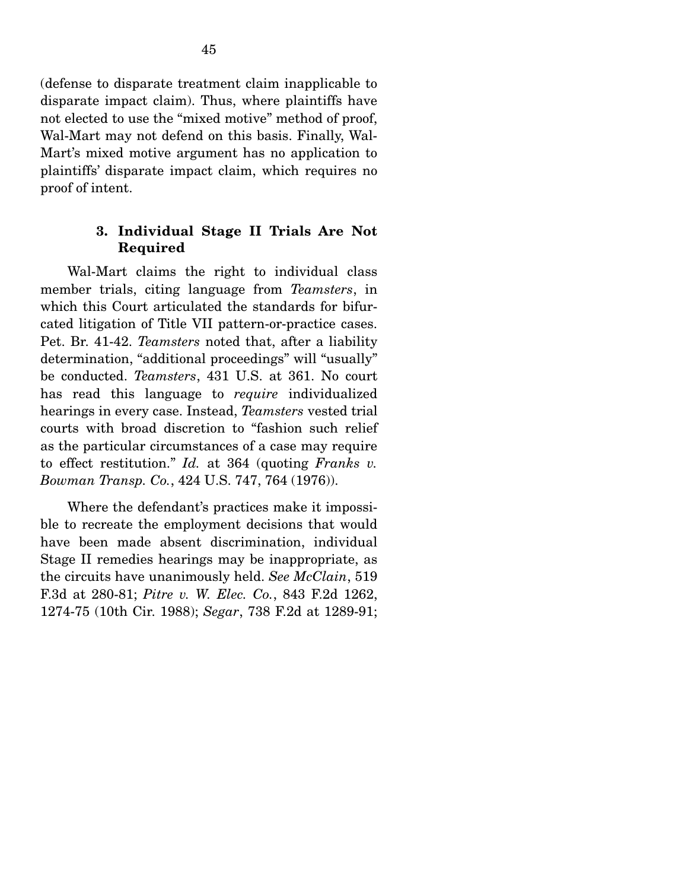(defense to disparate treatment claim inapplicable to disparate impact claim). Thus, where plaintiffs have not elected to use the "mixed motive" method of proof, Wal-Mart may not defend on this basis. Finally, Wal-Mart's mixed motive argument has no application to plaintiffs' disparate impact claim, which requires no proof of intent.

### **3. Individual Stage II Trials Are Not Required**

Wal-Mart claims the right to individual class member trials, citing language from *Teamsters*, in which this Court articulated the standards for bifurcated litigation of Title VII pattern-or-practice cases. Pet. Br. 41-42. *Teamsters* noted that, after a liability determination, "additional proceedings" will "usually" be conducted. *Teamsters*, 431 U.S. at 361. No court has read this language to *require* individualized hearings in every case. Instead, *Teamsters* vested trial courts with broad discretion to "fashion such relief as the particular circumstances of a case may require to effect restitution." *Id.* at 364 (quoting *Franks v. Bowman Transp. Co.*, 424 U.S. 747, 764 (1976)).

 Where the defendant's practices make it impossible to recreate the employment decisions that would have been made absent discrimination, individual Stage II remedies hearings may be inappropriate, as the circuits have unanimously held. *See McClain*, 519 F.3d at 280-81; *Pitre v. W. Elec. Co.*, 843 F.2d 1262, 1274-75 (10th Cir. 1988); *Segar*, 738 F.2d at 1289-91;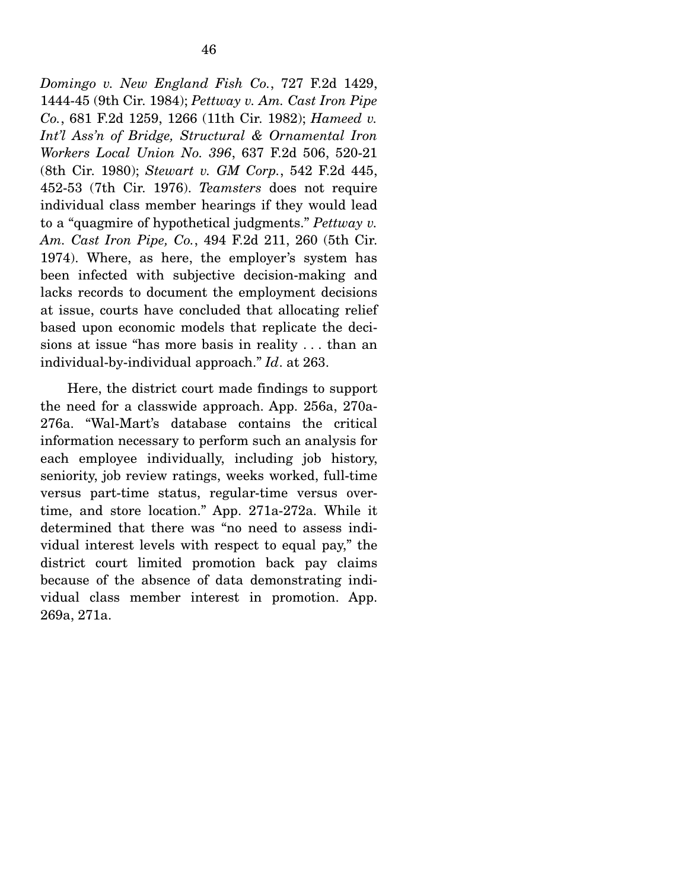*Domingo v. New England Fish Co.*, 727 F.2d 1429, 1444-45 (9th Cir. 1984); *Pettway v. Am. Cast Iron Pipe Co.*, 681 F.2d 1259, 1266 (11th Cir. 1982); *Hameed v. Int'l Ass'n of Bridge, Structural & Ornamental Iron Workers Local Union No. 396*, 637 F.2d 506, 520-21 (8th Cir. 1980); *Stewart v. GM Corp.*, 542 F.2d 445, 452-53 (7th Cir. 1976). *Teamsters* does not require individual class member hearings if they would lead

to a "quagmire of hypothetical judgments." *Pettway v. Am. Cast Iron Pipe, Co.*, 494 F.2d 211, 260 (5th Cir. 1974). Where, as here, the employer's system has been infected with subjective decision-making and lacks records to document the employment decisions at issue, courts have concluded that allocating relief based upon economic models that replicate the decisions at issue "has more basis in reality . . . than an individual-by-individual approach." *Id*. at 263.

 Here, the district court made findings to support the need for a classwide approach. App. 256a, 270a-276a. "Wal-Mart's database contains the critical information necessary to perform such an analysis for each employee individually, including job history, seniority, job review ratings, weeks worked, full-time versus part-time status, regular-time versus overtime, and store location." App. 271a-272a. While it determined that there was "no need to assess individual interest levels with respect to equal pay," the district court limited promotion back pay claims because of the absence of data demonstrating individual class member interest in promotion. App. 269a, 271a.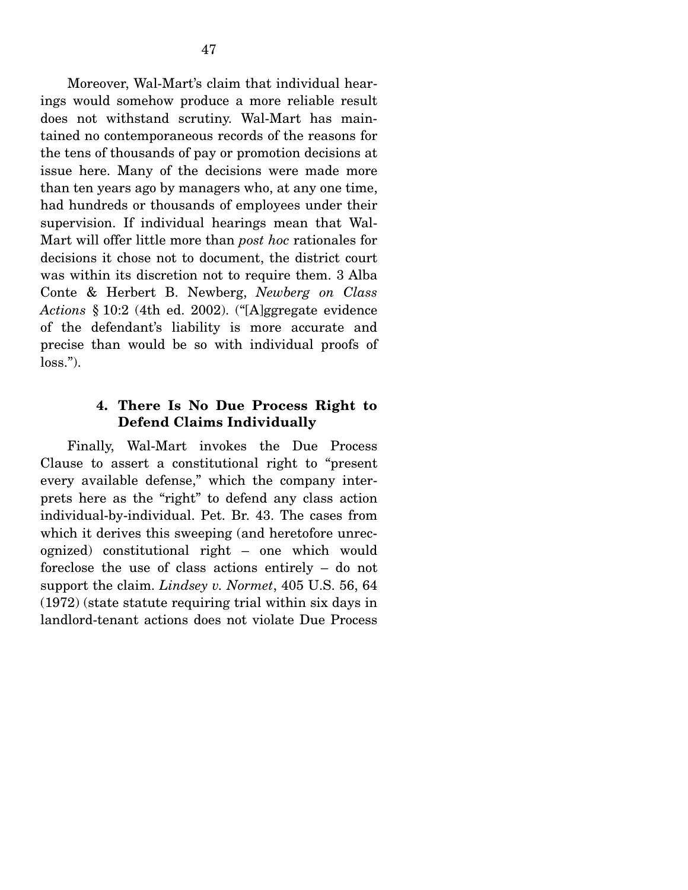Moreover, Wal-Mart's claim that individual hearings would somehow produce a more reliable result does not withstand scrutiny. Wal-Mart has maintained no contemporaneous records of the reasons for the tens of thousands of pay or promotion decisions at issue here. Many of the decisions were made more than ten years ago by managers who, at any one time, had hundreds or thousands of employees under their supervision. If individual hearings mean that Wal-Mart will offer little more than *post hoc* rationales for decisions it chose not to document, the district court was within its discretion not to require them. 3 Alba Conte & Herbert B. Newberg, *Newberg on Class Actions* § 10:2 (4th ed. 2002). ("[A]ggregate evidence of the defendant's liability is more accurate and precise than would be so with individual proofs of  $loss."$ ).

#### **4. There Is No Due Process Right to Defend Claims Individually**

Finally, Wal-Mart invokes the Due Process Clause to assert a constitutional right to "present every available defense," which the company interprets here as the "right" to defend any class action individual-by-individual. Pet. Br. 43. The cases from which it derives this sweeping (and heretofore unrecognized) constitutional right – one which would foreclose the use of class actions entirely – do not support the claim. *Lindsey v. Normet*, 405 U.S. 56, 64 (1972) (state statute requiring trial within six days in landlord-tenant actions does not violate Due Process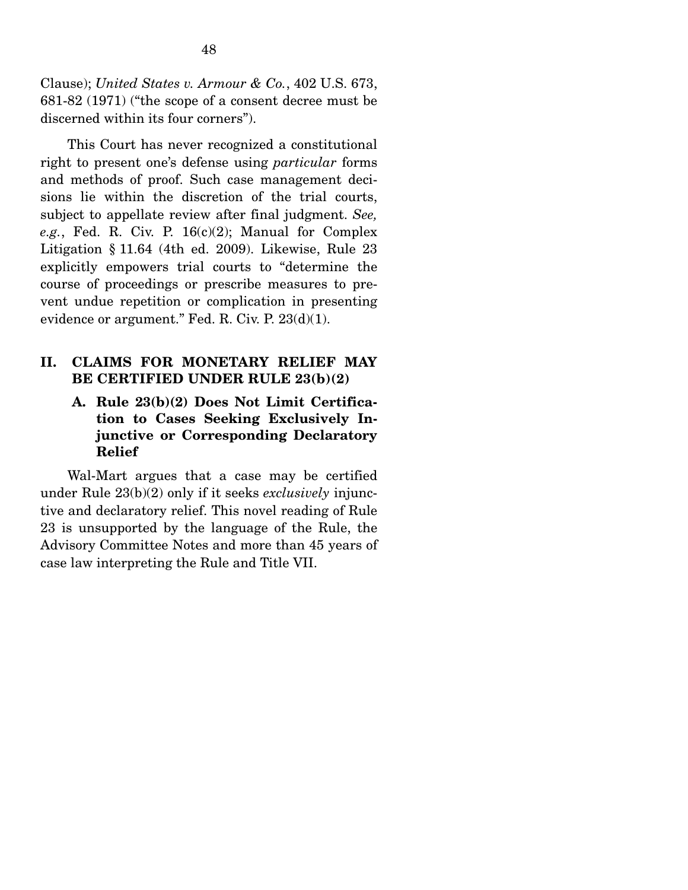Clause); *United States v. Armour & Co.*, 402 U.S. 673, 681-82 (1971) ("the scope of a consent decree must be discerned within its four corners").

 This Court has never recognized a constitutional right to present one's defense using *particular* forms and methods of proof. Such case management decisions lie within the discretion of the trial courts, subject to appellate review after final judgment. *See, e.g.*, Fed. R. Civ. P. 16(c)(2); Manual for Complex Litigation § 11.64 (4th ed. 2009). Likewise, Rule 23 explicitly empowers trial courts to "determine the course of proceedings or prescribe measures to prevent undue repetition or complication in presenting evidence or argument." Fed. R. Civ. P. 23(d)(1).

## **II. CLAIMS FOR MONETARY RELIEF MAY BE CERTIFIED UNDER RULE 23(b)(2)**

## **A. Rule 23(b)(2) Does Not Limit Certification to Cases Seeking Exclusively Injunctive or Corresponding Declaratory Relief**

Wal-Mart argues that a case may be certified under Rule 23(b)(2) only if it seeks *exclusively* injunctive and declaratory relief. This novel reading of Rule 23 is unsupported by the language of the Rule, the Advisory Committee Notes and more than 45 years of case law interpreting the Rule and Title VII.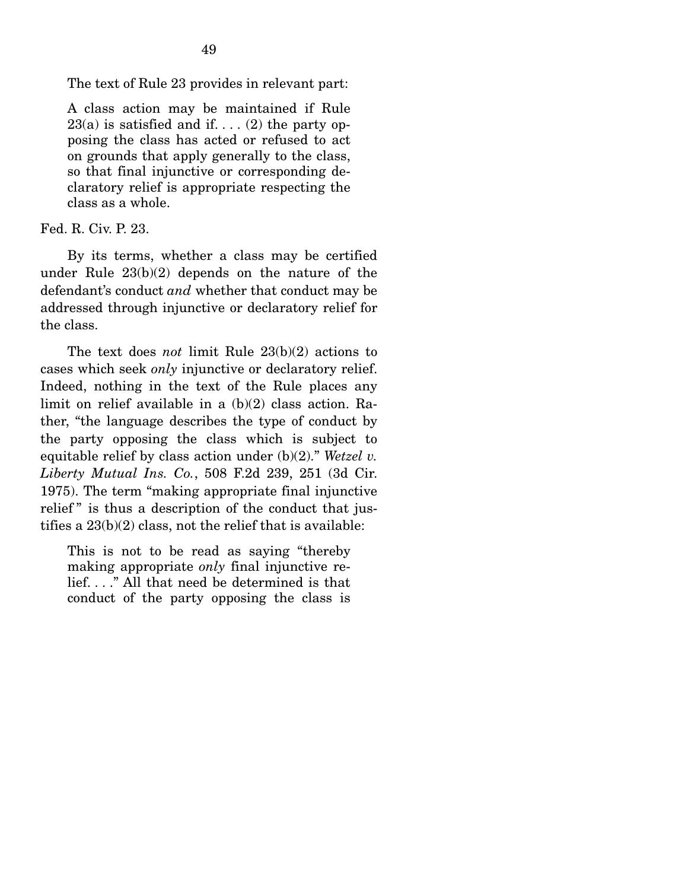The text of Rule 23 provides in relevant part:

A class action may be maintained if Rule  $23(a)$  is satisfied and if...  $(2)$  the party opposing the class has acted or refused to act on grounds that apply generally to the class, so that final injunctive or corresponding declaratory relief is appropriate respecting the class as a whole.

Fed. R. Civ. P. 23.

 By its terms, whether a class may be certified under Rule 23(b)(2) depends on the nature of the defendant's conduct *and* whether that conduct may be addressed through injunctive or declaratory relief for the class.

 The text does *not* limit Rule 23(b)(2) actions to cases which seek *only* injunctive or declaratory relief. Indeed, nothing in the text of the Rule places any limit on relief available in a (b)(2) class action. Rather, "the language describes the type of conduct by the party opposing the class which is subject to equitable relief by class action under (b)(2)." *Wetzel v. Liberty Mutual Ins. Co.*, 508 F.2d 239, 251 (3d Cir. 1975). The term "making appropriate final injunctive relief" is thus a description of the conduct that justifies a 23(b)(2) class, not the relief that is available:

This is not to be read as saying "thereby making appropriate *only* final injunctive relief. . . ." All that need be determined is that conduct of the party opposing the class is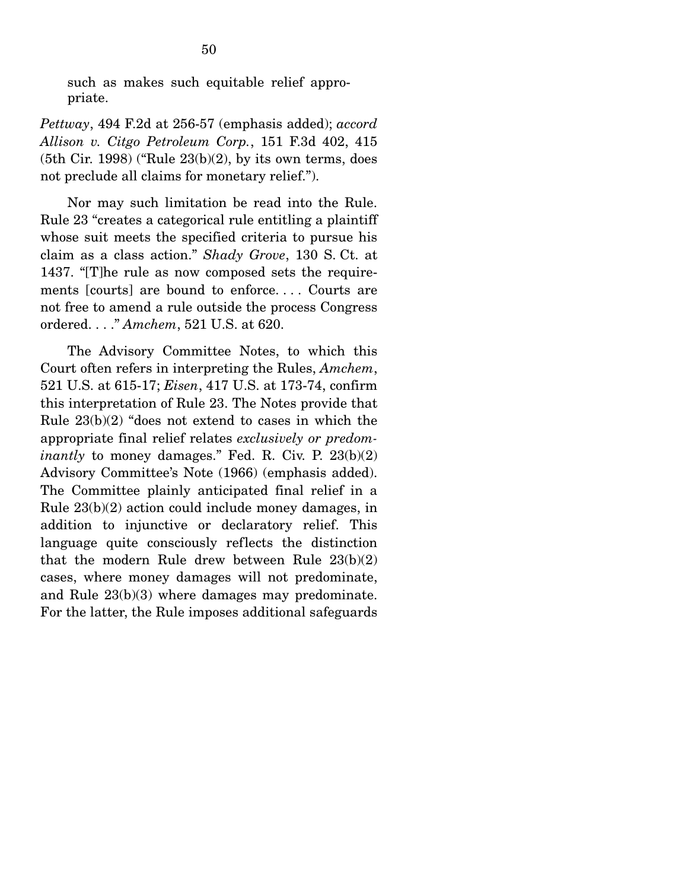such as makes such equitable relief appropriate.

*Pettway*, 494 F.2d at 256-57 (emphasis added); *accord Allison v. Citgo Petroleum Corp.*, 151 F.3d 402, 415  $(5th$  Cir. 1998) ("Rule  $23(b)(2)$ , by its own terms, does not preclude all claims for monetary relief.").

 Nor may such limitation be read into the Rule. Rule 23 "creates a categorical rule entitling a plaintiff whose suit meets the specified criteria to pursue his claim as a class action." *Shady Grove*, 130 S. Ct. at 1437. "[T]he rule as now composed sets the requirements [courts] are bound to enforce. . . . Courts are not free to amend a rule outside the process Congress ordered. . . ." *Amchem*, 521 U.S. at 620.

 The Advisory Committee Notes, to which this Court often refers in interpreting the Rules, *Amchem*, 521 U.S. at 615-17; *Eisen*, 417 U.S. at 173-74, confirm this interpretation of Rule 23. The Notes provide that Rule 23(b)(2) "does not extend to cases in which the appropriate final relief relates *exclusively or predominantly* to money damages." Fed. R. Civ. P. 23(b)(2) Advisory Committee's Note (1966) (emphasis added). The Committee plainly anticipated final relief in a Rule 23(b)(2) action could include money damages, in addition to injunctive or declaratory relief. This language quite consciously reflects the distinction that the modern Rule drew between Rule 23(b)(2) cases, where money damages will not predominate, and Rule 23(b)(3) where damages may predominate. For the latter, the Rule imposes additional safeguards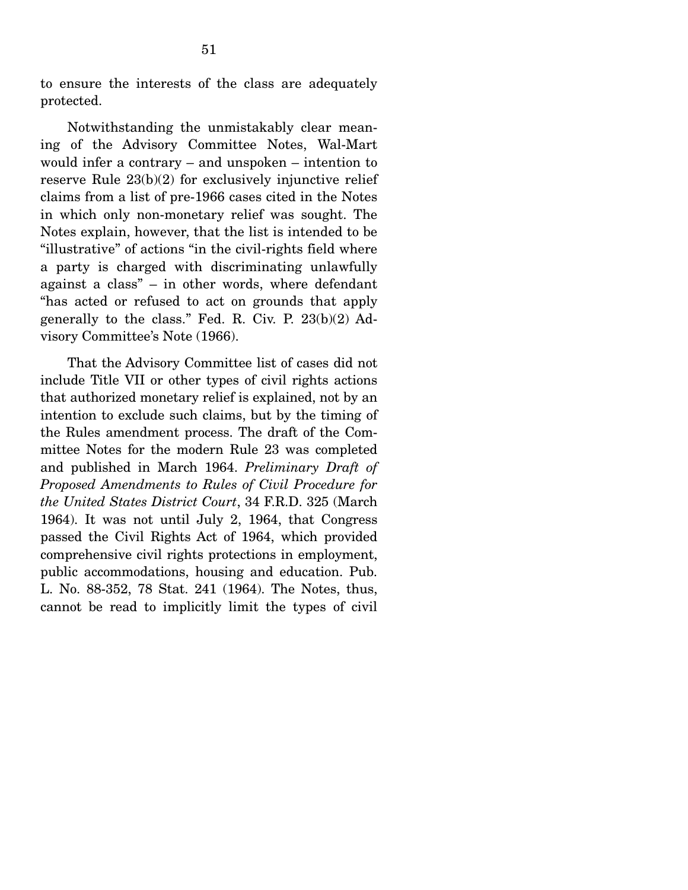to ensure the interests of the class are adequately protected.

 Notwithstanding the unmistakably clear meaning of the Advisory Committee Notes, Wal-Mart would infer a contrary – and unspoken – intention to reserve Rule 23(b)(2) for exclusively injunctive relief claims from a list of pre-1966 cases cited in the Notes in which only non-monetary relief was sought. The Notes explain, however, that the list is intended to be "illustrative" of actions "in the civil-rights field where a party is charged with discriminating unlawfully against a class" – in other words, where defendant "has acted or refused to act on grounds that apply generally to the class." Fed. R. Civ. P. 23(b)(2) Advisory Committee's Note (1966).

 That the Advisory Committee list of cases did not include Title VII or other types of civil rights actions that authorized monetary relief is explained, not by an intention to exclude such claims, but by the timing of the Rules amendment process. The draft of the Committee Notes for the modern Rule 23 was completed and published in March 1964. *Preliminary Draft of Proposed Amendments to Rules of Civil Procedure for the United States District Court*, 34 F.R.D. 325 (March 1964). It was not until July 2, 1964, that Congress passed the Civil Rights Act of 1964, which provided comprehensive civil rights protections in employment, public accommodations, housing and education. Pub. L. No. 88-352, 78 Stat. 241 (1964). The Notes, thus, cannot be read to implicitly limit the types of civil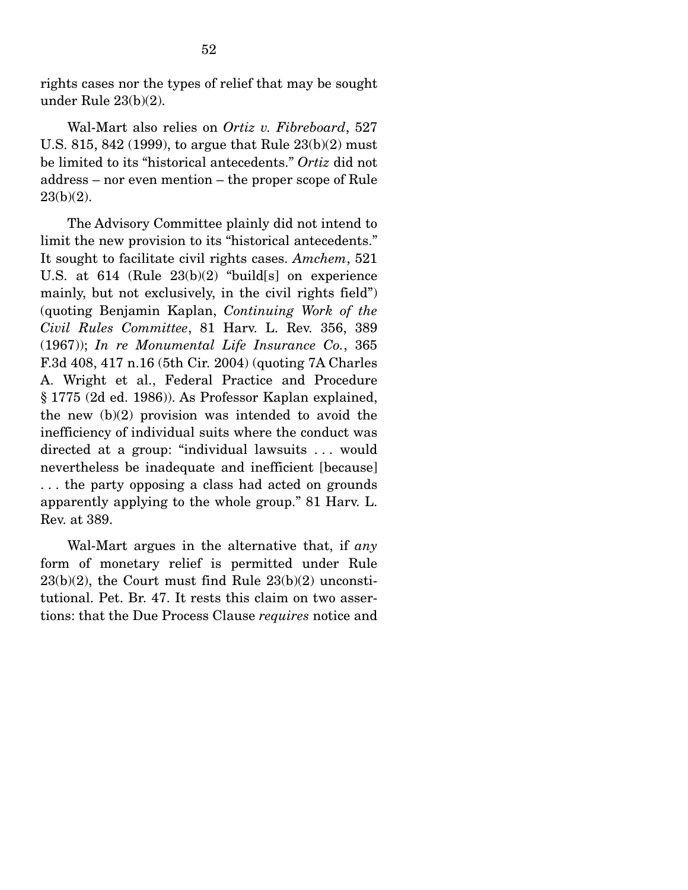rights cases nor the types of relief that may be sought under Rule 23(b)(2).

 Wal-Mart also relies on *Ortiz v. Fibreboard*, 527 U.S. 815, 842 (1999), to argue that Rule 23(b)(2) must be limited to its "historical antecedents." *Ortiz* did not address – nor even mention – the proper scope of Rule 23(b)(2).

 The Advisory Committee plainly did not intend to limit the new provision to its "historical antecedents." It sought to facilitate civil rights cases. *Amchem*, 521 U.S. at 614 (Rule 23(b)(2) "build[s] on experience mainly, but not exclusively, in the civil rights field") (quoting Benjamin Kaplan, *Continuing Work of the Civil Rules Committee*, 81 Harv. L. Rev. 356, 389 (1967)); *In re Monumental Life Insurance Co.*, 365 F.3d 408, 417 n.16 (5th Cir. 2004) (quoting 7A Charles A. Wright et al., Federal Practice and Procedure § 1775 (2d ed. 1986)). As Professor Kaplan explained, the new (b)(2) provision was intended to avoid the inefficiency of individual suits where the conduct was directed at a group: "individual lawsuits . . . would nevertheless be inadequate and inefficient [because] . . . the party opposing a class had acted on grounds apparently applying to the whole group." 81 Harv. L. Rev. at 389.

 Wal-Mart argues in the alternative that, if *any* form of monetary relief is permitted under Rule  $23(b)(2)$ , the Court must find Rule  $23(b)(2)$  unconstitutional. Pet. Br. 47. It rests this claim on two assertions: that the Due Process Clause *requires* notice and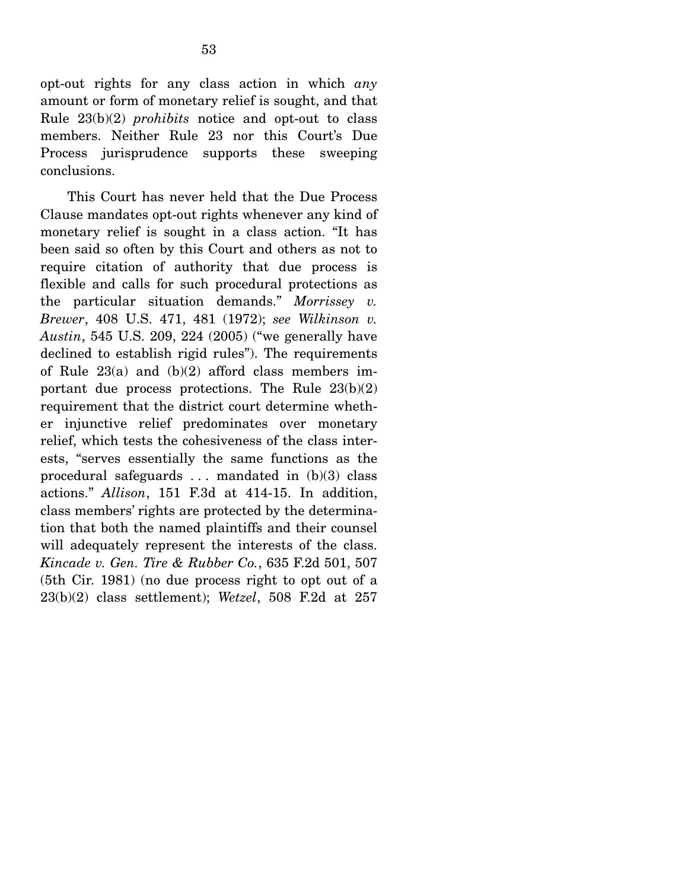opt-out rights for any class action in which *any* amount or form of monetary relief is sought, and that Rule 23(b)(2) *prohibits* notice and opt-out to class members. Neither Rule 23 nor this Court's Due Process jurisprudence supports these sweeping conclusions.

 This Court has never held that the Due Process Clause mandates opt-out rights whenever any kind of monetary relief is sought in a class action. "It has been said so often by this Court and others as not to require citation of authority that due process is flexible and calls for such procedural protections as the particular situation demands." *Morrissey v. Brewer*, 408 U.S. 471, 481 (1972); *see Wilkinson v. Austin*, 545 U.S. 209, 224 (2005) ("we generally have declined to establish rigid rules"). The requirements of Rule  $23(a)$  and  $(b)(2)$  afford class members important due process protections. The Rule 23(b)(2) requirement that the district court determine whether injunctive relief predominates over monetary relief, which tests the cohesiveness of the class interests, "serves essentially the same functions as the procedural safeguards  $\dots$  mandated in  $(b)(3)$  class actions." *Allison*, 151 F.3d at 414-15. In addition, class members' rights are protected by the determination that both the named plaintiffs and their counsel will adequately represent the interests of the class. *Kincade v. Gen. Tire & Rubber Co.*, 635 F.2d 501, 507 (5th Cir. 1981) (no due process right to opt out of a 23(b)(2) class settlement); *Wetzel*, 508 F.2d at 257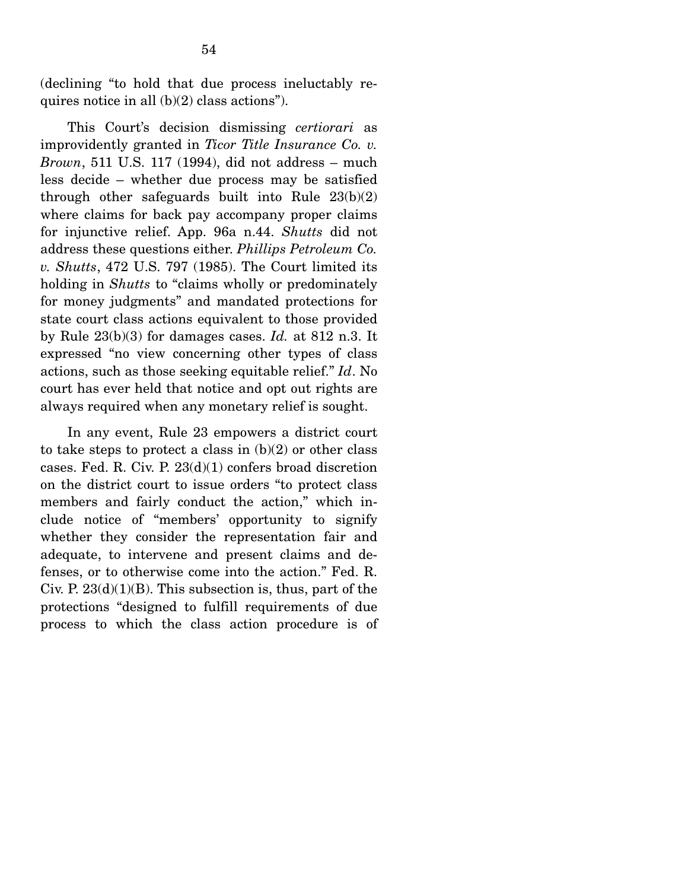(declining "to hold that due process ineluctably requires notice in all (b)(2) class actions").

This Court's decision dismissing *certiorari* as improvidently granted in *Ticor Title Insurance Co. v. Brown*, 511 U.S. 117 (1994), did not address – much less decide – whether due process may be satisfied through other safeguards built into Rule 23(b)(2) where claims for back pay accompany proper claims for injunctive relief. App. 96a n.44. *Shutts* did not address these questions either. *Phillips Petroleum Co. v. Shutts*, 472 U.S. 797 (1985). The Court limited its holding in *Shutts* to "claims wholly or predominately for money judgments" and mandated protections for state court class actions equivalent to those provided by Rule 23(b)(3) for damages cases. *Id.* at 812 n.3. It expressed "no view concerning other types of class actions, such as those seeking equitable relief." *Id*. No court has ever held that notice and opt out rights are always required when any monetary relief is sought.

 In any event, Rule 23 empowers a district court to take steps to protect a class in  $(b)(2)$  or other class cases. Fed. R. Civ. P. 23(d)(1) confers broad discretion on the district court to issue orders "to protect class members and fairly conduct the action," which include notice of "members' opportunity to signify whether they consider the representation fair and adequate, to intervene and present claims and defenses, or to otherwise come into the action." Fed. R. Civ. P.  $23(d)(1)(B)$ . This subsection is, thus, part of the protections "designed to fulfill requirements of due process to which the class action procedure is of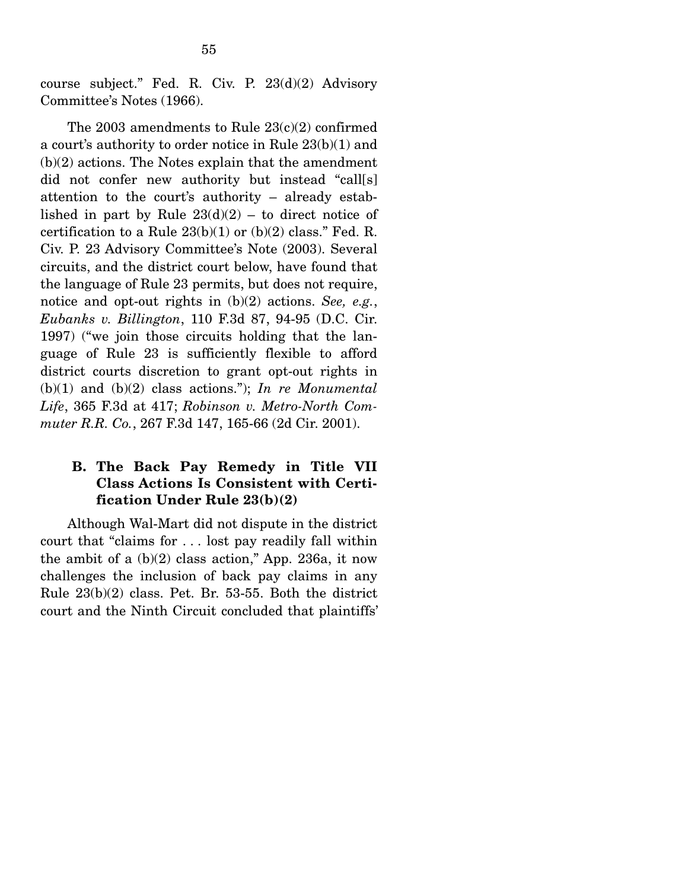course subject." Fed. R. Civ. P. 23(d)(2) Advisory Committee's Notes (1966).

The 2003 amendments to Rule 23(c)(2) confirmed a court's authority to order notice in Rule 23(b)(1) and  $(b)(2)$  actions. The Notes explain that the amendment did not confer new authority but instead "call[s] attention to the court's authority – already established in part by Rule  $23(d)(2)$  – to direct notice of certification to a Rule  $23(b)(1)$  or  $(b)(2)$  class." Fed. R. Civ. P. 23 Advisory Committee's Note (2003). Several circuits, and the district court below, have found that the language of Rule 23 permits, but does not require, notice and opt-out rights in (b)(2) actions. *See, e.g.*, *Eubanks v. Billington*, 110 F.3d 87, 94-95 (D.C. Cir. 1997) ("we join those circuits holding that the language of Rule 23 is sufficiently flexible to afford district courts discretion to grant opt-out rights in (b)(1) and (b)(2) class actions."); *In re Monumental Life*, 365 F.3d at 417; *Robinson v. Metro-North Commuter R.R. Co.*, 267 F.3d 147, 165-66 (2d Cir. 2001).

## **B. The Back Pay Remedy in Title VII Class Actions Is Consistent with Certification Under Rule 23(b)(2)**

Although Wal-Mart did not dispute in the district court that "claims for . . . lost pay readily fall within the ambit of a  $(b)(2)$  class action," App. 236a, it now challenges the inclusion of back pay claims in any Rule 23(b)(2) class. Pet. Br. 53-55. Both the district court and the Ninth Circuit concluded that plaintiffs'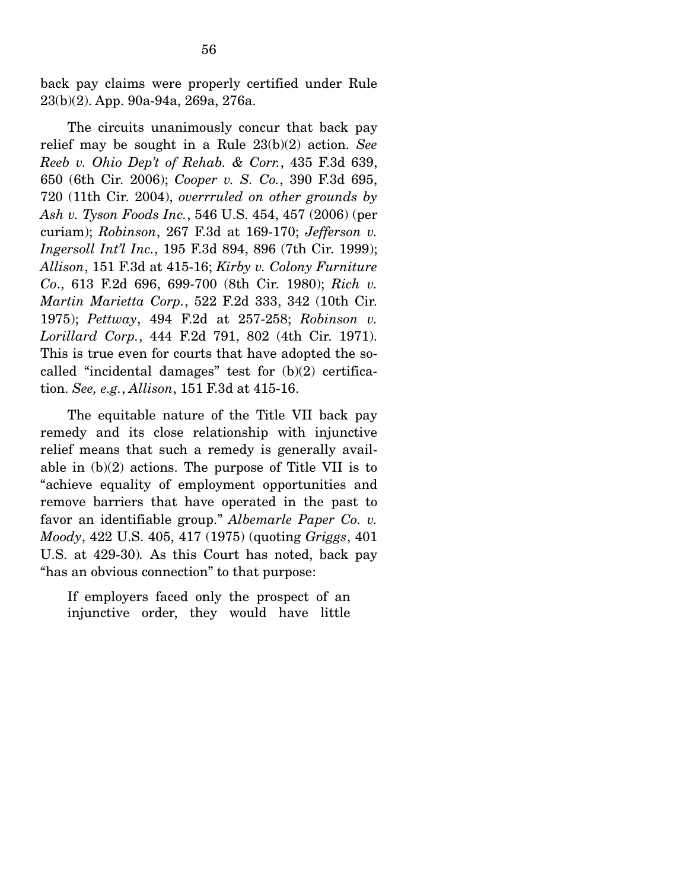back pay claims were properly certified under Rule 23(b)(2). App. 90a-94a, 269a, 276a.

 The circuits unanimously concur that back pay relief may be sought in a Rule 23(b)(2) action. *See Reeb v. Ohio Dep't of Rehab. & Corr.*, 435 F.3d 639, 650 (6th Cir. 2006); *Cooper v. S. Co.*, 390 F.3d 695, 720 (11th Cir. 2004), *overrruled on other grounds by Ash v. Tyson Foods Inc.*, 546 U.S. 454, 457 (2006) (per curiam); *Robinson*, 267 F.3d at 169-170; *Jefferson v. Ingersoll Int'l Inc.*, 195 F.3d 894, 896 (7th Cir. 1999); *Allison*, 151 F.3d at 415-16; *Kirby v. Colony Furniture Co*., 613 F.2d 696, 699-700 (8th Cir. 1980); *Rich v. Martin Marietta Corp.*, 522 F.2d 333, 342 (10th Cir. 1975); *Pettway*, 494 F.2d at 257-258; *Robinson v. Lorillard Corp.*, 444 F.2d 791, 802 (4th Cir. 1971). This is true even for courts that have adopted the socalled "incidental damages" test for  $(b)(2)$  certification. *See, e.g.*, *Allison*, 151 F.3d at 415-16.

 The equitable nature of the Title VII back pay remedy and its close relationship with injunctive relief means that such a remedy is generally available in (b)(2) actions. The purpose of Title VII is to "achieve equality of employment opportunities and remove barriers that have operated in the past to favor an identifiable group." *Albemarle Paper Co. v. Moody*, 422 U.S. 405, 417 (1975) (quoting *Griggs*, 401 U.S. at 429-30)*.* As this Court has noted, back pay "has an obvious connection" to that purpose:

If employers faced only the prospect of an injunctive order, they would have little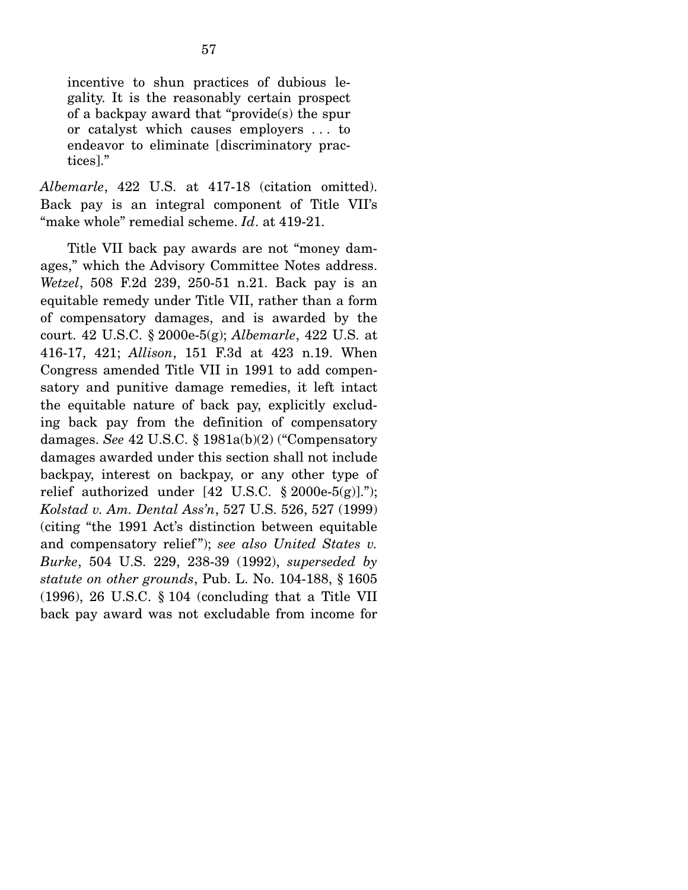incentive to shun practices of dubious legality. It is the reasonably certain prospect of a backpay award that "provide(s) the spur or catalyst which causes employers . . . to endeavor to eliminate [discriminatory practices]."

*Albemarle*, 422 U.S. at 417-18 (citation omitted). Back pay is an integral component of Title VII's "make whole" remedial scheme. *Id*. at 419-21.

Title VII back pay awards are not "money damages," which the Advisory Committee Notes address. *Wetzel*, 508 F.2d 239, 250-51 n.21. Back pay is an equitable remedy under Title VII, rather than a form of compensatory damages, and is awarded by the court. 42 U.S.C. § 2000e-5(g); *Albemarle*, 422 U.S. at 416-17, 421; *Allison*, 151 F.3d at 423 n.19. When Congress amended Title VII in 1991 to add compensatory and punitive damage remedies, it left intact the equitable nature of back pay, explicitly excluding back pay from the definition of compensatory damages. *See* 42 U.S.C. § 1981a(b)(2) ("Compensatory damages awarded under this section shall not include backpay, interest on backpay, or any other type of relief authorized under  $[42 \text{ U.S.C. } § 2000e-5(g)]$ ."); *Kolstad v. Am. Dental Ass'n*, 527 U.S. 526, 527 (1999) (citing "the 1991 Act's distinction between equitable and compensatory relief"); *see also United States v. Burke*, 504 U.S. 229, 238-39 (1992), *superseded by statute on other grounds*, Pub. L. No. 104-188, § 1605 (1996), 26 U.S.C. § 104 (concluding that a Title VII back pay award was not excludable from income for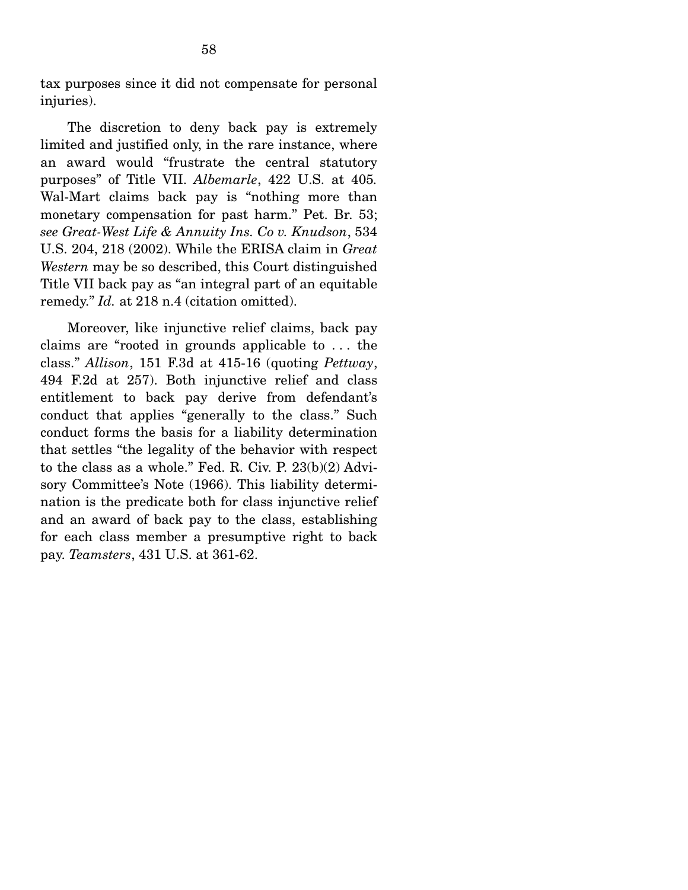tax purposes since it did not compensate for personal injuries).

 The discretion to deny back pay is extremely limited and justified only, in the rare instance, where an award would "frustrate the central statutory purposes" of Title VII. *Albemarle*, 422 U.S. at 405*.* Wal-Mart claims back pay is "nothing more than monetary compensation for past harm." Pet. Br. 53; *see Great-West Life & Annuity Ins. Co v. Knudson*, 534 U.S. 204, 218 (2002). While the ERISA claim in *Great Western* may be so described, this Court distinguished Title VII back pay as "an integral part of an equitable remedy." *Id.* at 218 n.4 (citation omitted).

Moreover, like injunctive relief claims, back pay claims are "rooted in grounds applicable to . . . the class." *Allison*, 151 F.3d at 415-16 (quoting *Pettway*, 494 F.2d at 257). Both injunctive relief and class entitlement to back pay derive from defendant's conduct that applies "generally to the class." Such conduct forms the basis for a liability determination that settles "the legality of the behavior with respect to the class as a whole." Fed. R. Civ. P. 23(b)(2) Advisory Committee's Note (1966). This liability determination is the predicate both for class injunctive relief and an award of back pay to the class, establishing for each class member a presumptive right to back pay. *Teamsters*, 431 U.S. at 361-62.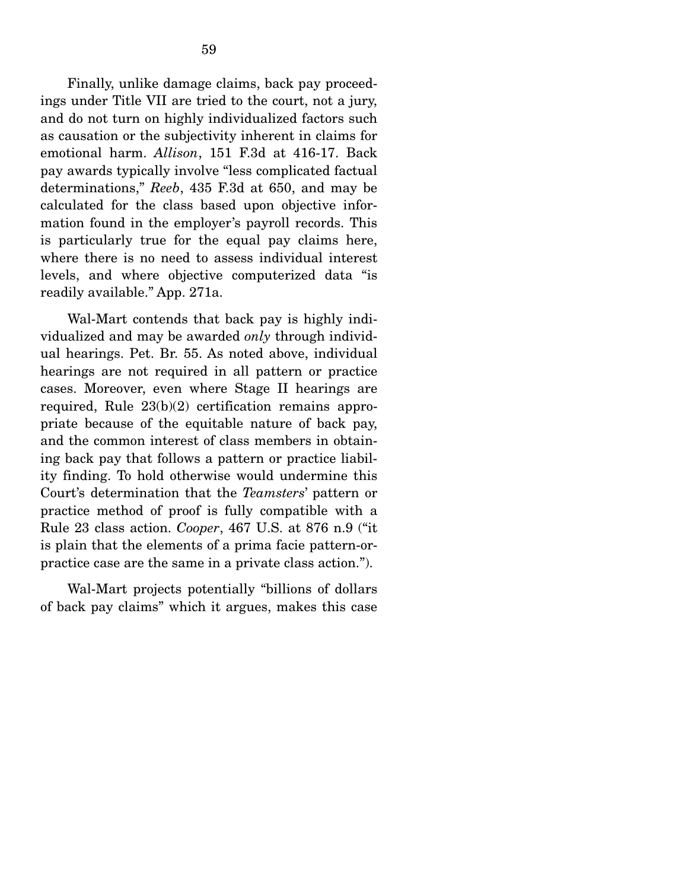Finally, unlike damage claims, back pay proceedings under Title VII are tried to the court, not a jury, and do not turn on highly individualized factors such as causation or the subjectivity inherent in claims for emotional harm. *Allison*, 151 F.3d at 416-17. Back pay awards typically involve "less complicated factual determinations," *Reeb*, 435 F.3d at 650, and may be calculated for the class based upon objective information found in the employer's payroll records. This is particularly true for the equal pay claims here, where there is no need to assess individual interest levels, and where objective computerized data "is readily available." App. 271a.

 Wal-Mart contends that back pay is highly individualized and may be awarded *only* through individual hearings. Pet. Br. 55. As noted above, individual hearings are not required in all pattern or practice cases. Moreover, even where Stage II hearings are required, Rule 23(b)(2) certification remains appropriate because of the equitable nature of back pay, and the common interest of class members in obtaining back pay that follows a pattern or practice liability finding. To hold otherwise would undermine this Court's determination that the *Teamsters*' pattern or practice method of proof is fully compatible with a Rule 23 class action. *Cooper*, 467 U.S. at 876 n.9 ("it is plain that the elements of a prima facie pattern-orpractice case are the same in a private class action.").

 Wal-Mart projects potentially "billions of dollars of back pay claims" which it argues, makes this case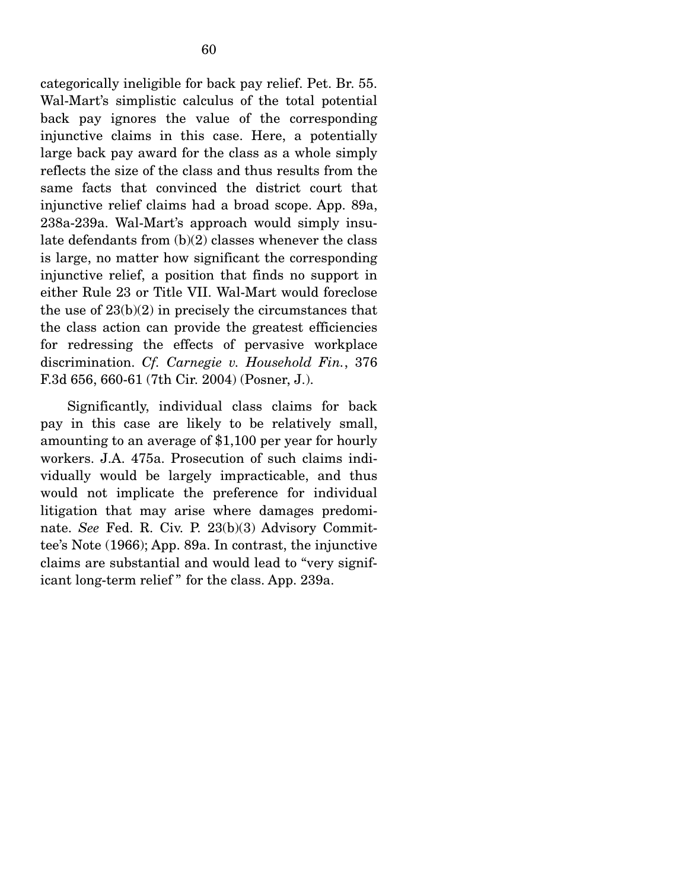categorically ineligible for back pay relief. Pet. Br. 55. Wal-Mart's simplistic calculus of the total potential back pay ignores the value of the corresponding injunctive claims in this case. Here, a potentially large back pay award for the class as a whole simply reflects the size of the class and thus results from the same facts that convinced the district court that injunctive relief claims had a broad scope. App. 89a, 238a-239a. Wal-Mart's approach would simply insulate defendants from (b)(2) classes whenever the class is large, no matter how significant the corresponding injunctive relief, a position that finds no support in either Rule 23 or Title VII. Wal-Mart would foreclose the use of  $23(b)(2)$  in precisely the circumstances that the class action can provide the greatest efficiencies for redressing the effects of pervasive workplace discrimination. *Cf. Carnegie v. Household Fin.*, 376 F.3d 656, 660-61 (7th Cir. 2004) (Posner, J.).

 Significantly, individual class claims for back pay in this case are likely to be relatively small, amounting to an average of \$1,100 per year for hourly workers. J.A. 475a. Prosecution of such claims individually would be largely impracticable, and thus would not implicate the preference for individual litigation that may arise where damages predominate. *See* Fed. R. Civ. P. 23(b)(3) Advisory Committee's Note (1966); App. 89a. In contrast, the injunctive claims are substantial and would lead to "very significant long-term relief " for the class. App. 239a.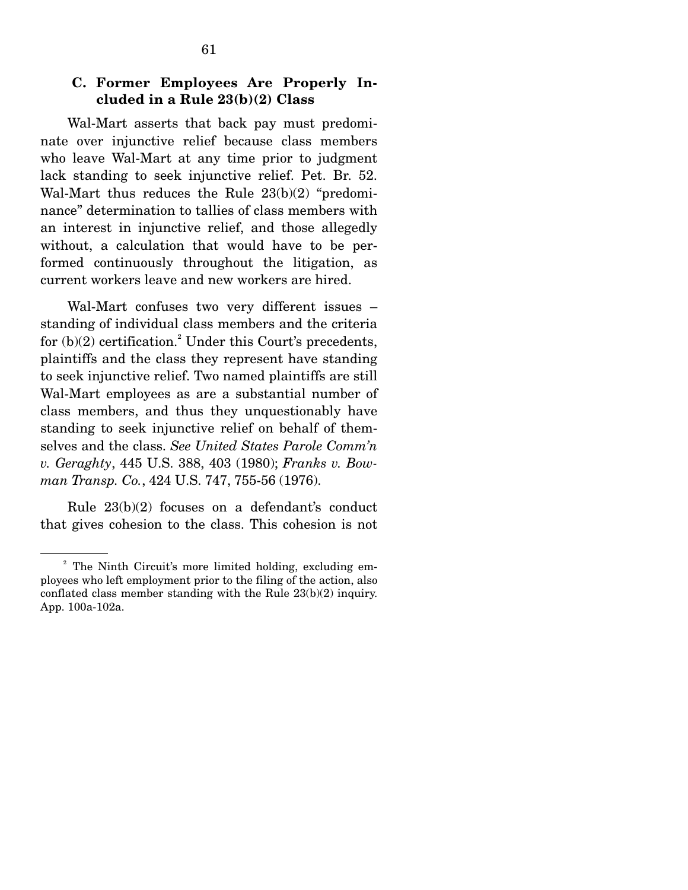## **C. Former Employees Are Properly Included in a Rule 23(b)(2) Class**

Wal-Mart asserts that back pay must predominate over injunctive relief because class members who leave Wal-Mart at any time prior to judgment lack standing to seek injunctive relief. Pet. Br. 52. Wal-Mart thus reduces the Rule 23(b)(2) "predominance" determination to tallies of class members with an interest in injunctive relief, and those allegedly without, a calculation that would have to be performed continuously throughout the litigation, as current workers leave and new workers are hired.

 Wal-Mart confuses two very different issues – standing of individual class members and the criteria for  $(b)(2)$  certification.<sup>2</sup> Under this Court's precedents, plaintiffs and the class they represent have standing to seek injunctive relief. Two named plaintiffs are still Wal-Mart employees as are a substantial number of class members, and thus they unquestionably have standing to seek injunctive relief on behalf of themselves and the class. *See United States Parole Comm'n v. Geraghty*, 445 U.S. 388, 403 (1980); *Franks v. Bowman Transp. Co.*, 424 U.S. 747, 755-56 (1976).

 Rule 23(b)(2) focuses on a defendant's conduct that gives cohesion to the class. This cohesion is not

<sup>&</sup>lt;sup>2</sup> The Ninth Circuit's more limited holding, excluding employees who left employment prior to the filing of the action, also conflated class member standing with the Rule 23(b)(2) inquiry. App. 100a-102a.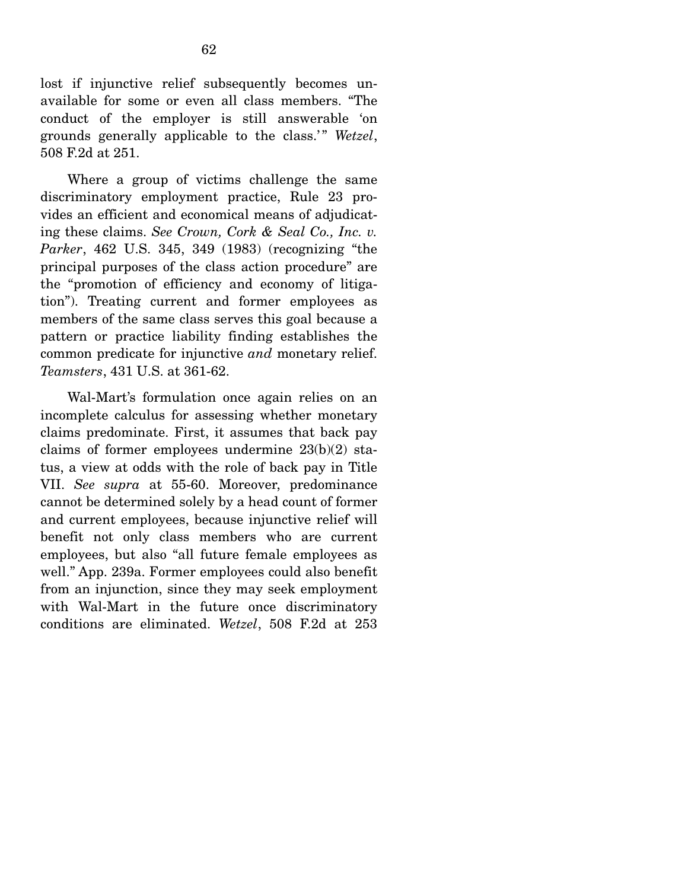lost if injunctive relief subsequently becomes unavailable for some or even all class members. "The conduct of the employer is still answerable 'on grounds generally applicable to the class.' " *Wetzel*, 508 F.2d at 251.

 Where a group of victims challenge the same discriminatory employment practice, Rule 23 provides an efficient and economical means of adjudicating these claims. *See Crown, Cork & Seal Co., Inc. v. Parker*, 462 U.S. 345, 349 (1983) (recognizing "the principal purposes of the class action procedure" are the "promotion of efficiency and economy of litigation"). Treating current and former employees as members of the same class serves this goal because a pattern or practice liability finding establishes the common predicate for injunctive *and* monetary relief. *Teamsters*, 431 U.S. at 361-62.

 Wal-Mart's formulation once again relies on an incomplete calculus for assessing whether monetary claims predominate. First, it assumes that back pay claims of former employees undermine 23(b)(2) status, a view at odds with the role of back pay in Title VII. *See supra* at 55-60. Moreover, predominance cannot be determined solely by a head count of former and current employees, because injunctive relief will benefit not only class members who are current employees, but also "all future female employees as well." App. 239a. Former employees could also benefit from an injunction, since they may seek employment with Wal-Mart in the future once discriminatory conditions are eliminated. *Wetzel*, 508 F.2d at 253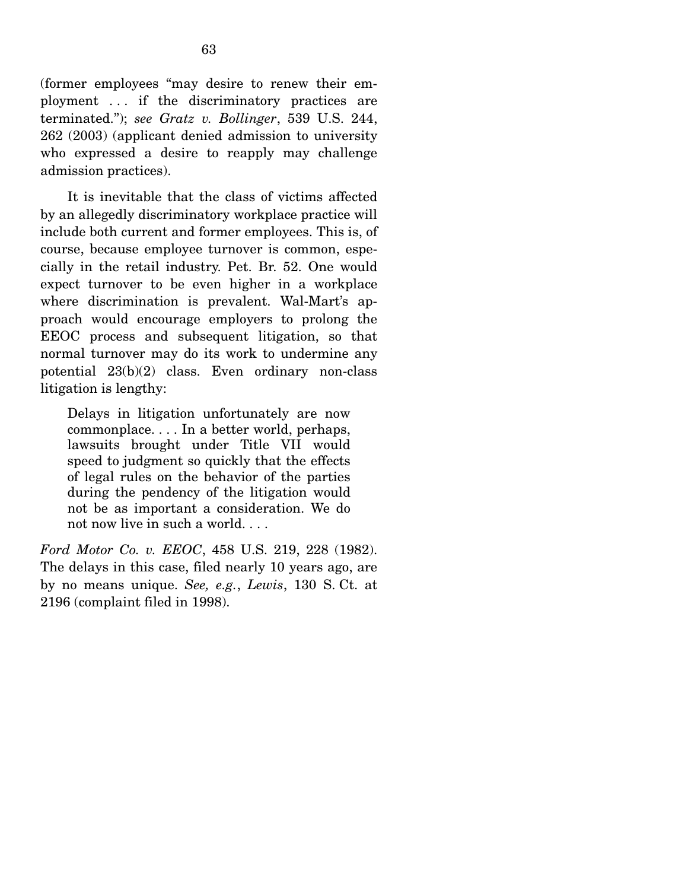(former employees "may desire to renew their employment . . . if the discriminatory practices are terminated."); *see Gratz v. Bollinger*, 539 U.S. 244, 262 (2003) (applicant denied admission to university who expressed a desire to reapply may challenge admission practices).

 It is inevitable that the class of victims affected by an allegedly discriminatory workplace practice will include both current and former employees. This is, of course, because employee turnover is common, especially in the retail industry. Pet. Br. 52. One would expect turnover to be even higher in a workplace where discrimination is prevalent. Wal-Mart's approach would encourage employers to prolong the EEOC process and subsequent litigation, so that normal turnover may do its work to undermine any potential 23(b)(2) class. Even ordinary non-class litigation is lengthy:

Delays in litigation unfortunately are now commonplace. . . . In a better world, perhaps, lawsuits brought under Title VII would speed to judgment so quickly that the effects of legal rules on the behavior of the parties during the pendency of the litigation would not be as important a consideration. We do not now live in such a world. . . .

*Ford Motor Co. v. EEOC*, 458 U.S. 219, 228 (1982). The delays in this case, filed nearly 10 years ago, are by no means unique. *See, e.g.*, *Lewis*, 130 S. Ct. at 2196 (complaint filed in 1998).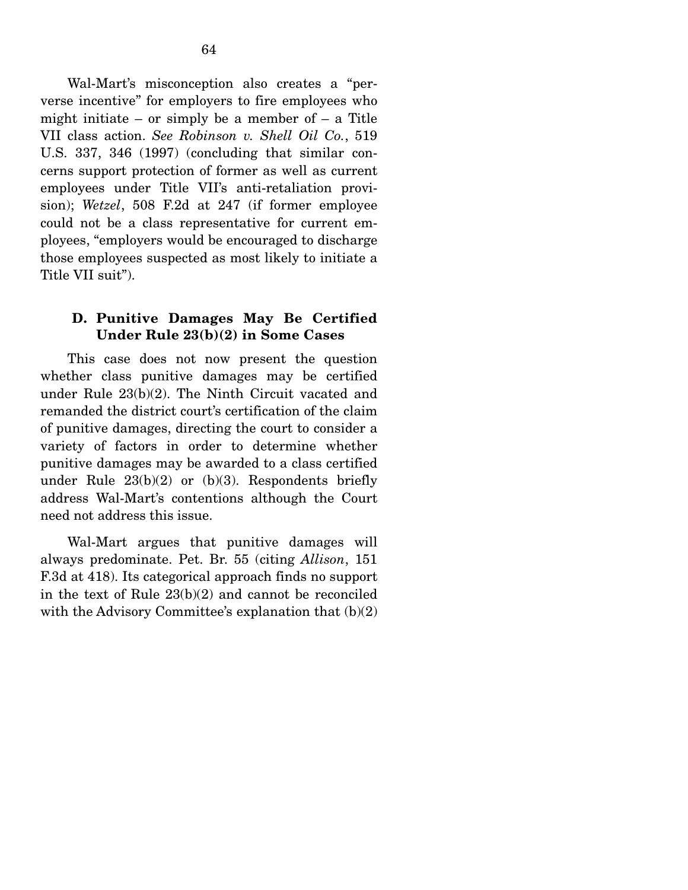Wal-Mart's misconception also creates a "perverse incentive" for employers to fire employees who might initiate – or simply be a member of  $-$  a Title VII class action. *See Robinson v. Shell Oil Co.*, 519 U.S. 337, 346 (1997) (concluding that similar concerns support protection of former as well as current employees under Title VII's anti-retaliation provision); *Wetzel*, 508 F.2d at 247 (if former employee could not be a class representative for current employees, "employers would be encouraged to discharge those employees suspected as most likely to initiate a Title VII suit").

#### **D. Punitive Damages May Be Certified Under Rule 23(b)(2) in Some Cases**

This case does not now present the question whether class punitive damages may be certified under Rule 23(b)(2). The Ninth Circuit vacated and remanded the district court's certification of the claim of punitive damages, directing the court to consider a variety of factors in order to determine whether punitive damages may be awarded to a class certified under Rule  $23(b)(2)$  or  $(b)(3)$ . Respondents briefly address Wal-Mart's contentions although the Court need not address this issue.

 Wal-Mart argues that punitive damages will always predominate. Pet. Br. 55 (citing *Allison*, 151 F.3d at 418). Its categorical approach finds no support in the text of Rule 23(b)(2) and cannot be reconciled with the Advisory Committee's explanation that (b)(2)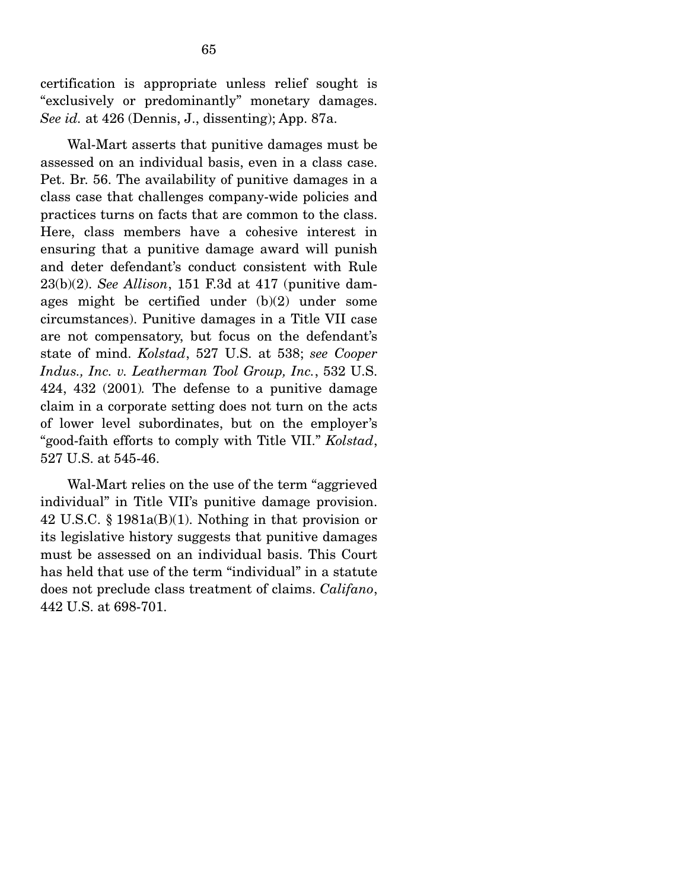certification is appropriate unless relief sought is "exclusively or predominantly" monetary damages. *See id.* at 426 (Dennis, J., dissenting); App. 87a.

 Wal-Mart asserts that punitive damages must be assessed on an individual basis, even in a class case. Pet. Br. 56. The availability of punitive damages in a class case that challenges company-wide policies and practices turns on facts that are common to the class. Here, class members have a cohesive interest in ensuring that a punitive damage award will punish and deter defendant's conduct consistent with Rule 23(b)(2). *See Allison*, 151 F.3d at 417 (punitive damages might be certified under (b)(2) under some circumstances). Punitive damages in a Title VII case are not compensatory, but focus on the defendant's state of mind. *Kolstad*, 527 U.S. at 538; *see Cooper Indus., Inc. v. Leatherman Tool Group, Inc.*, 532 U.S. 424, 432 (2001)*.* The defense to a punitive damage claim in a corporate setting does not turn on the acts of lower level subordinates, but on the employer's "good-faith efforts to comply with Title VII." *Kolstad*, 527 U.S. at 545-46.

 Wal-Mart relies on the use of the term "aggrieved individual" in Title VII's punitive damage provision. 42 U.S.C. § 1981a(B)(1). Nothing in that provision or its legislative history suggests that punitive damages must be assessed on an individual basis. This Court has held that use of the term "individual" in a statute does not preclude class treatment of claims. *Califano*, 442 U.S. at 698-701.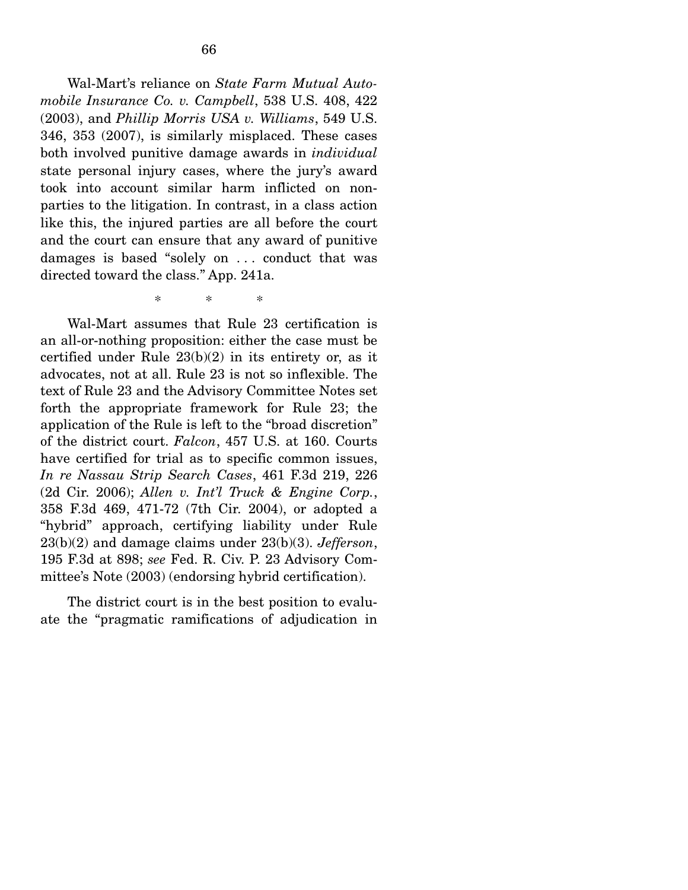Wal-Mart's reliance on *State Farm Mutual Automobile Insurance Co. v. Campbell*, 538 U.S. 408, 422 (2003), and *Phillip Morris USA v. Williams*, 549 U.S. 346, 353 (2007), is similarly misplaced. These cases both involved punitive damage awards in *individual* state personal injury cases, where the jury's award took into account similar harm inflicted on nonparties to the litigation. In contrast, in a class action like this, the injured parties are all before the court and the court can ensure that any award of punitive damages is based "solely on . . . conduct that was directed toward the class." App. 241a.

\* \* \*

 Wal-Mart assumes that Rule 23 certification is an all-or-nothing proposition: either the case must be certified under Rule 23(b)(2) in its entirety or, as it advocates, not at all. Rule 23 is not so inflexible. The text of Rule 23 and the Advisory Committee Notes set forth the appropriate framework for Rule 23; the application of the Rule is left to the "broad discretion" of the district court. *Falcon*, 457 U.S. at 160. Courts have certified for trial as to specific common issues, *In re Nassau Strip Search Cases*, 461 F.3d 219, 226 (2d Cir. 2006); *Allen v. Int'l Truck & Engine Corp.*, 358 F.3d 469, 471-72 (7th Cir. 2004), or adopted a "hybrid" approach, certifying liability under Rule 23(b)(2) and damage claims under 23(b)(3). *Jefferson*, 195 F.3d at 898; *see* Fed. R. Civ. P. 23 Advisory Committee's Note (2003) (endorsing hybrid certification).

 The district court is in the best position to evaluate the "pragmatic ramifications of adjudication in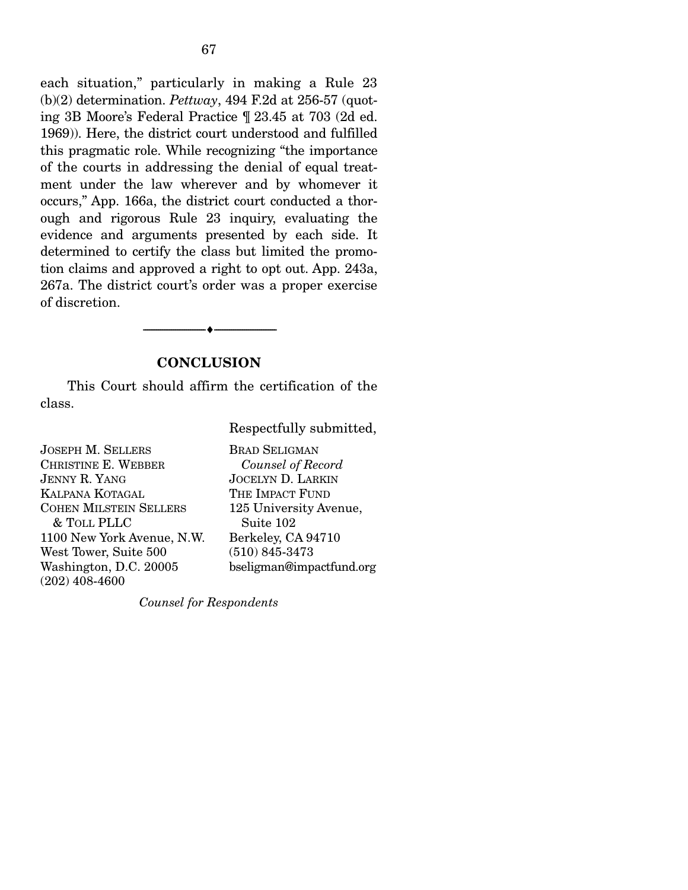each situation," particularly in making a Rule 23 (b)(2) determination. *Pettway*, 494 F.2d at 256-57 (quoting 3B Moore's Federal Practice ¶ 23.45 at 703 (2d ed. 1969)). Here, the district court understood and fulfilled this pragmatic role. While recognizing "the importance of the courts in addressing the denial of equal treatment under the law wherever and by whomever it occurs," App. 166a, the district court conducted a thorough and rigorous Rule 23 inquiry, evaluating the evidence and arguments presented by each side. It determined to certify the class but limited the promotion claims and approved a right to opt out. App. 243a, 267a. The district court's order was a proper exercise of discretion.

#### **CONCLUSION**

--------------------------------- ♦ ---------------------------------

This Court should affirm the certification of the class.

Respectfully submitted,

JOSEPH M. SELLERS CHRISTINE E. WEBBER JENNY R. YANG KALPANA KOTAGAL COHEN MILSTEIN SELLERS & TOLL PLLC 1100 New York Avenue, N.W. West Tower, Suite 500 Washington, D.C. 20005 (202) 408-4600 BRAD SELIGMAN *Counsel of Record* JOCELYN D. LARKIN THE IMPACT FUND 125 University Avenue, Suite 102 Berkeley, CA 94710 (510) 845-3473 bseligman@impactfund.org

*Counsel for Respondents*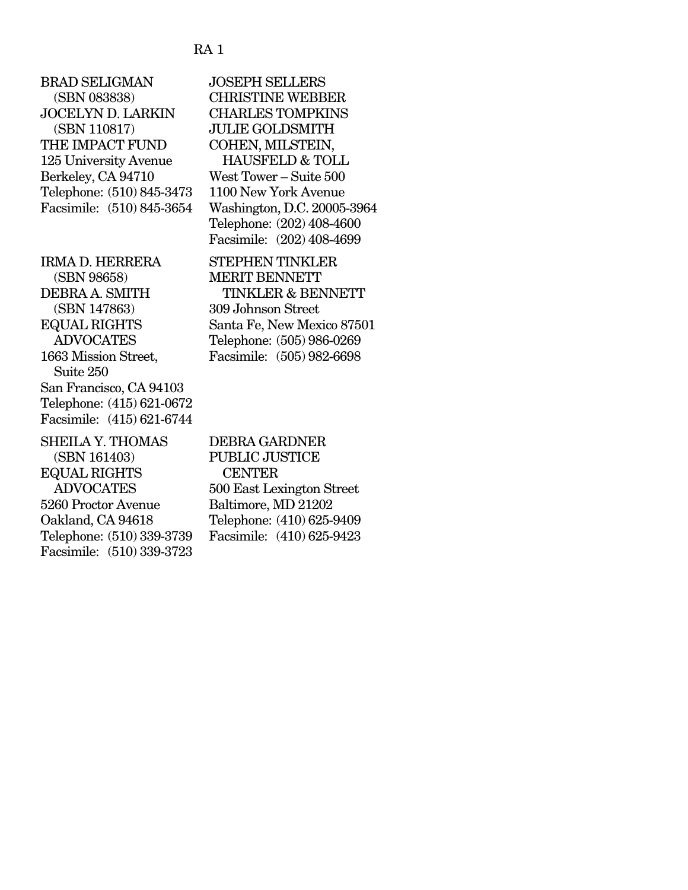#### RA 1

BRAD SELIGMAN (SBN 083838) JOCELYN D. LARKIN (SBN 110817) THE IMPACT FUND 125 University Avenue Berkeley, CA 94710 Telephone: (510) 845-3473 Facsimile: (510) 845-3654 IRMA D. HERRERA (SBN 98658) DEBRA A. SMITH (SBN 147863) EQUAL RIGHTS ADVOCATES 1663 Mission Street, Suite 250 San Francisco, CA 94103 Telephone: (415) 621-0672 Facsimile: (415) 621-6744  $STI$ EILA Y THOMAS

| OLLULA I. ILUMAD          | 1 J F |
|---------------------------|-------|
| (SBN 161403)              | PI    |
| <b>EQUAL RIGHTS</b>       |       |
| <b>ADVOCATES</b>          | 50    |
| 5260 Proctor Avenue       | Ва    |
| Oakland, CA 94618         | Te    |
| Telephone: (510) 339-3739 | Fa    |
| Facsimile: (510) 339-3723 |       |
|                           |       |

JOSEPH SELLERS CHRISTINE WEBBER CHARLES TOMPKINS JULIE GOLDSMITH COHEN, MILSTEIN, HAUSFELD & TOLL West Tower – Suite 500 1100 New York Avenue Washington, D.C. 20005-3964 Telephone: (202) 408-4600 Facsimile: (202) 408-4699

STEPHEN TINKLER MERIT BENNETT TINKLER & BENNETT 309 Johnson Street Santa Fe, New Mexico 87501 Telephone: (505) 986-0269 Facsimile: (505) 982-6698

DEBRA GARDNER **JBLIC JUSTICE CENTER** 500 East Lexington Street altimore, MD 21202 elephone: (410) 625-9409 csimile: (410) 625-9423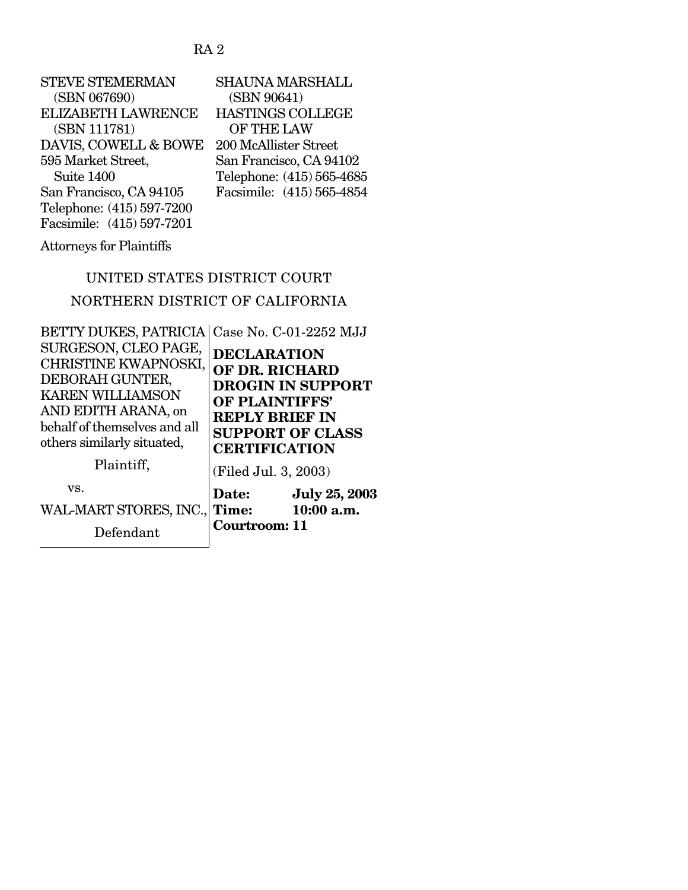# RA 2

| <b>STEVE STEMERMAN</b>    | <b>SHAUNA MARSHALL</b>    |
|---------------------------|---------------------------|
| (SBN 067690)              | (SBN 90641)               |
| <b>ELIZABETH LAWRENCE</b> | <b>HASTINGS COLLEGE</b>   |
| (SBN 111781)              | OF THE LAW                |
| DAVIS, COWELL & BOWE      | 200 McAllister Street     |
| 595 Market Street,        | San Francisco, CA 94102   |
| Suite 1400                | Telephone: (415) 565-4685 |
| San Francisco, CA 94105   | Facsimile: (415) 565-4854 |
| Telephone: (415) 597-7200 |                           |
| Facsimile: (415) 597-7201 |                           |

Attorneys for Plaintiffs

# UNITED STATES DISTRICT COURT

# NORTHERN DISTRICT OF CALIFORNIA

| <b>BETTY DUKES, PATRICIA</b><br>SURGESON, CLEO PAGE,<br>CHRISTINE KWAPNOSKI,                                                    | Case No. C-01-2252 MJJ<br><b>DECLARATION</b>                                                                                             |  |  |
|---------------------------------------------------------------------------------------------------------------------------------|------------------------------------------------------------------------------------------------------------------------------------------|--|--|
| DEBORAH GUNTER,<br><b>KAREN WILLIAMSON</b><br>AND EDITH ARANA, on<br>behalf of themselves and all<br>others similarly situated, | OF DR. RICHARD<br><b>DROGIN IN SUPPORT</b><br>OF PLAINTIFFS'<br><b>REPLY BRIEF IN</b><br><b>SUPPORT OF CLASS</b><br><b>CERTIFICATION</b> |  |  |
| Plaintiff,                                                                                                                      | (Filed Jul. 3, 2003)                                                                                                                     |  |  |
| VS.<br>WAL-MART STORES, INC.,<br>Defendant                                                                                      | <b>July 25, 2003</b><br>Date:<br>10:00 a.m.<br>Time:<br>Courtroom: 11                                                                    |  |  |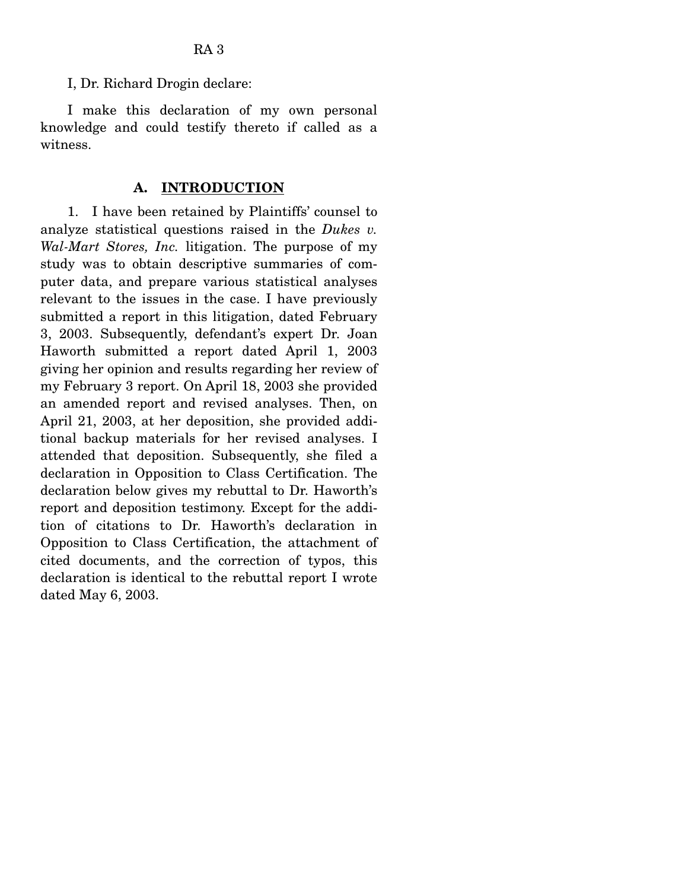I, Dr. Richard Drogin declare:

 I make this declaration of my own personal knowledge and could testify thereto if called as a witness.

#### **A. INTRODUCTION**

 1. I have been retained by Plaintiffs' counsel to analyze statistical questions raised in the *Dukes v. Wal-Mart Stores, Inc.* litigation. The purpose of my study was to obtain descriptive summaries of computer data, and prepare various statistical analyses relevant to the issues in the case. I have previously submitted a report in this litigation, dated February 3, 2003. Subsequently, defendant's expert Dr. Joan Haworth submitted a report dated April 1, 2003 giving her opinion and results regarding her review of my February 3 report. On April 18, 2003 she provided an amended report and revised analyses. Then, on April 21, 2003, at her deposition, she provided additional backup materials for her revised analyses. I attended that deposition. Subsequently, she filed a declaration in Opposition to Class Certification. The declaration below gives my rebuttal to Dr. Haworth's report and deposition testimony. Except for the addition of citations to Dr. Haworth's declaration in Opposition to Class Certification, the attachment of cited documents, and the correction of typos, this declaration is identical to the rebuttal report I wrote dated May 6, 2003.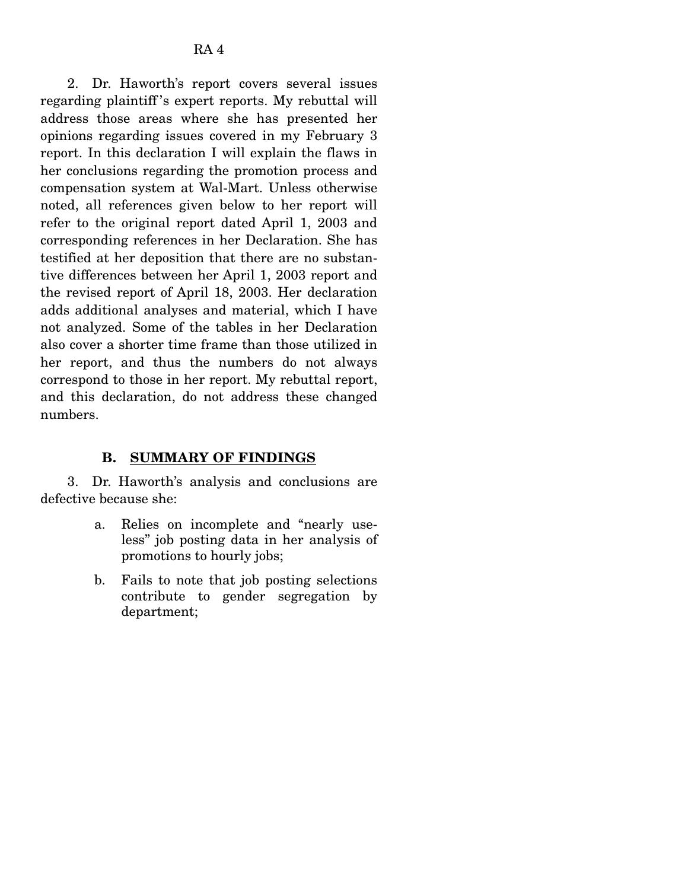2. Dr. Haworth's report covers several issues regarding plaintiff 's expert reports. My rebuttal will address those areas where she has presented her opinions regarding issues covered in my February 3 report. In this declaration I will explain the flaws in her conclusions regarding the promotion process and compensation system at Wal-Mart. Unless otherwise noted, all references given below to her report will refer to the original report dated April 1, 2003 and corresponding references in her Declaration. She has testified at her deposition that there are no substantive differences between her April 1, 2003 report and the revised report of April 18, 2003. Her declaration adds additional analyses and material, which I have not analyzed. Some of the tables in her Declaration also cover a shorter time frame than those utilized in her report, and thus the numbers do not always correspond to those in her report. My rebuttal report, and this declaration, do not address these changed numbers.

### **B. SUMMARY OF FINDINGS**

3. Dr. Haworth's analysis and conclusions are defective because she:

- a. Relies on incomplete and "nearly useless" job posting data in her analysis of promotions to hourly jobs;
- b. Fails to note that job posting selections contribute to gender segregation by department;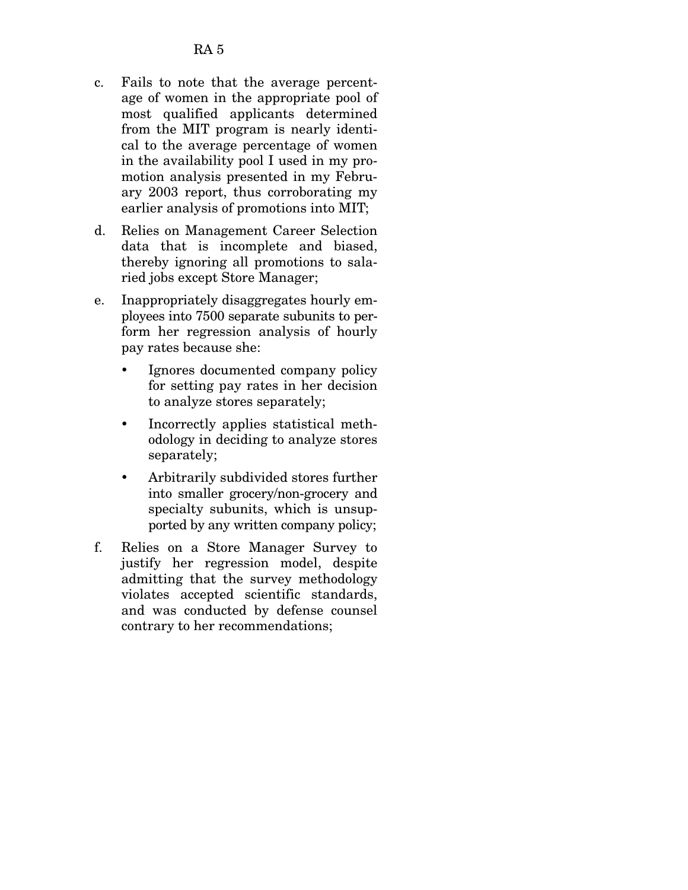- c. Fails to note that the average percentage of women in the appropriate pool of most qualified applicants determined from the MIT program is nearly identical to the average percentage of women in the availability pool I used in my promotion analysis presented in my February 2003 report, thus corroborating my earlier analysis of promotions into MIT;
- d. Relies on Management Career Selection data that is incomplete and biased, thereby ignoring all promotions to salaried jobs except Store Manager;
- e. Inappropriately disaggregates hourly employees into 7500 separate subunits to perform her regression analysis of hourly pay rates because she:
	- Ignores documented company policy for setting pay rates in her decision to analyze stores separately;
	- Incorrectly applies statistical methodology in deciding to analyze stores separately;
	- Arbitrarily subdivided stores further into smaller grocery/non-grocery and specialty subunits, which is unsupported by any written company policy;
- f. Relies on a Store Manager Survey to justify her regression model, despite admitting that the survey methodology violates accepted scientific standards, and was conducted by defense counsel contrary to her recommendations;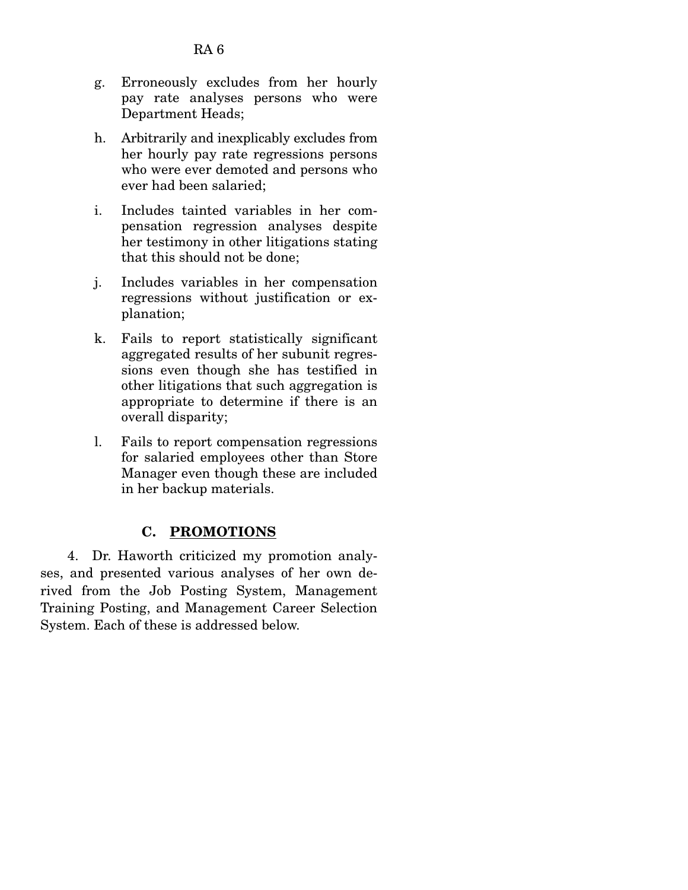- g. Erroneously excludes from her hourly pay rate analyses persons who were Department Heads;
- h. Arbitrarily and inexplicably excludes from her hourly pay rate regressions persons who were ever demoted and persons who ever had been salaried;
- i. Includes tainted variables in her compensation regression analyses despite her testimony in other litigations stating that this should not be done;
- j. Includes variables in her compensation regressions without justification or explanation;
- k. Fails to report statistically significant aggregated results of her subunit regressions even though she has testified in other litigations that such aggregation is appropriate to determine if there is an overall disparity;
- l. Fails to report compensation regressions for salaried employees other than Store Manager even though these are included in her backup materials.

# **C. PROMOTIONS**

 4. Dr. Haworth criticized my promotion analyses, and presented various analyses of her own derived from the Job Posting System, Management Training Posting, and Management Career Selection System. Each of these is addressed below.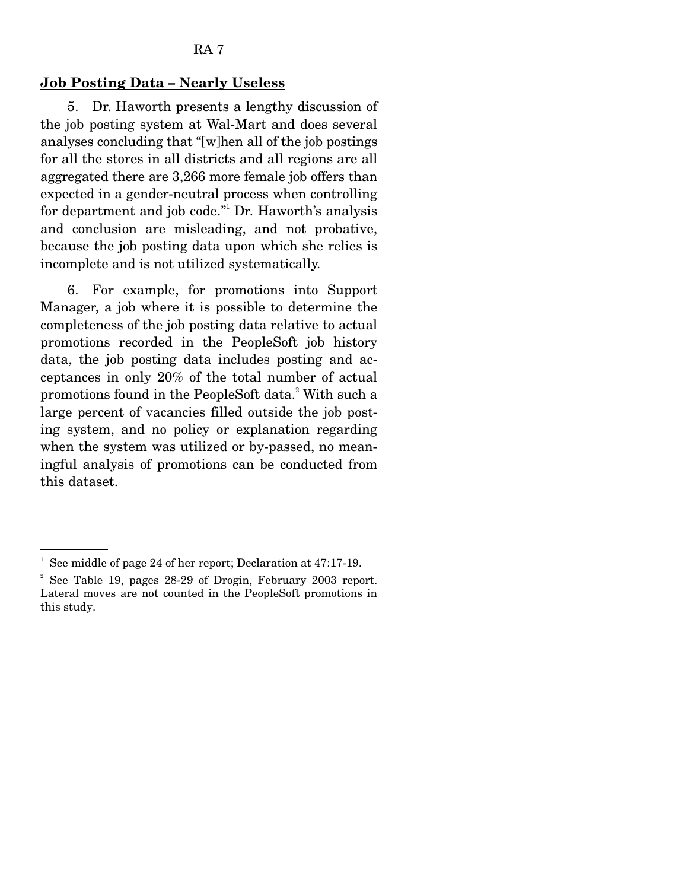#### **Job Posting Data – Nearly Useless**

 5. Dr. Haworth presents a lengthy discussion of the job posting system at Wal-Mart and does several analyses concluding that "[w]hen all of the job postings for all the stores in all districts and all regions are all aggregated there are 3,266 more female job offers than expected in a gender-neutral process when controlling for department and job code."1 Dr. Haworth's analysis and conclusion are misleading, and not probative, because the job posting data upon which she relies is incomplete and is not utilized systematically.

 6. For example, for promotions into Support Manager, a job where it is possible to determine the completeness of the job posting data relative to actual promotions recorded in the PeopleSoft job history data, the job posting data includes posting and acceptances in only 20% of the total number of actual promotions found in the PeopleSoft data.<sup>2</sup> With such a large percent of vacancies filled outside the job posting system, and no policy or explanation regarding when the system was utilized or by-passed, no meaningful analysis of promotions can be conducted from this dataset.

<sup>1</sup> See middle of page 24 of her report; Declaration at 47:17-19.

<sup>2</sup> See Table 19, pages 28-29 of Drogin, February 2003 report. Lateral moves are not counted in the PeopleSoft promotions in this study.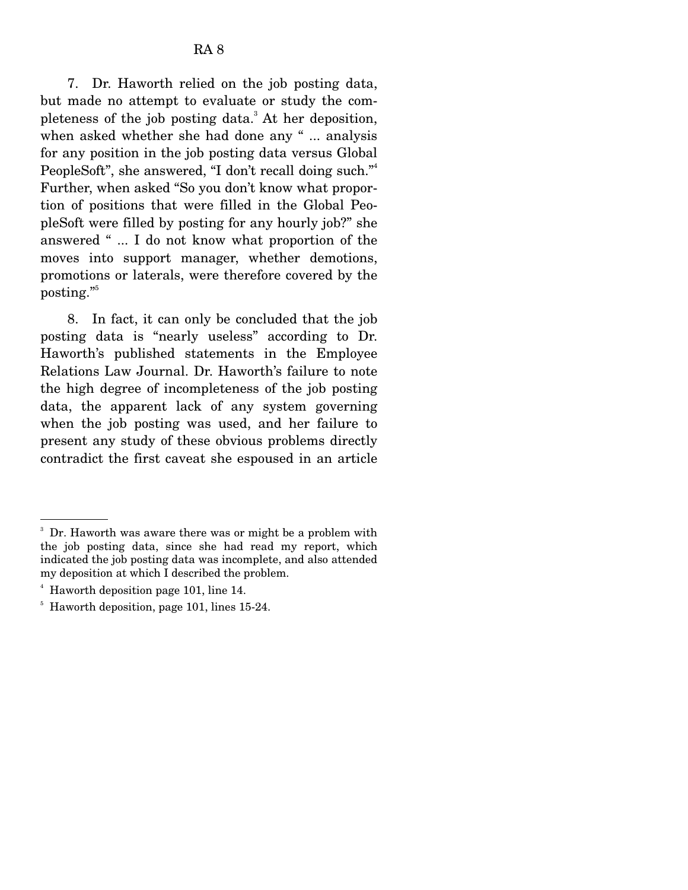7. Dr. Haworth relied on the job posting data, but made no attempt to evaluate or study the completeness of the job posting data.<sup>3</sup> At her deposition, when asked whether she had done any " ... analysis for any position in the job posting data versus Global PeopleSoft", she answered, "I don't recall doing such."<sup>4</sup> Further, when asked "So you don't know what proportion of positions that were filled in the Global PeopleSoft were filled by posting for any hourly job?" she answered " ... I do not know what proportion of the moves into support manager, whether demotions, promotions or laterals, were therefore covered by the posting."

 8. In fact, it can only be concluded that the job posting data is "nearly useless" according to Dr. Haworth's published statements in the Employee Relations Law Journal. Dr. Haworth's failure to note the high degree of incompleteness of the job posting data, the apparent lack of any system governing when the job posting was used, and her failure to present any study of these obvious problems directly contradict the first caveat she espoused in an article

<sup>3</sup> Dr. Haworth was aware there was or might be a problem with the job posting data, since she had read my report, which indicated the job posting data was incomplete, and also attended my deposition at which I described the problem.

<sup>4</sup> Haworth deposition page 101, line 14.

<sup>&</sup>lt;sup>5</sup> Haworth deposition, page 101, lines 15-24.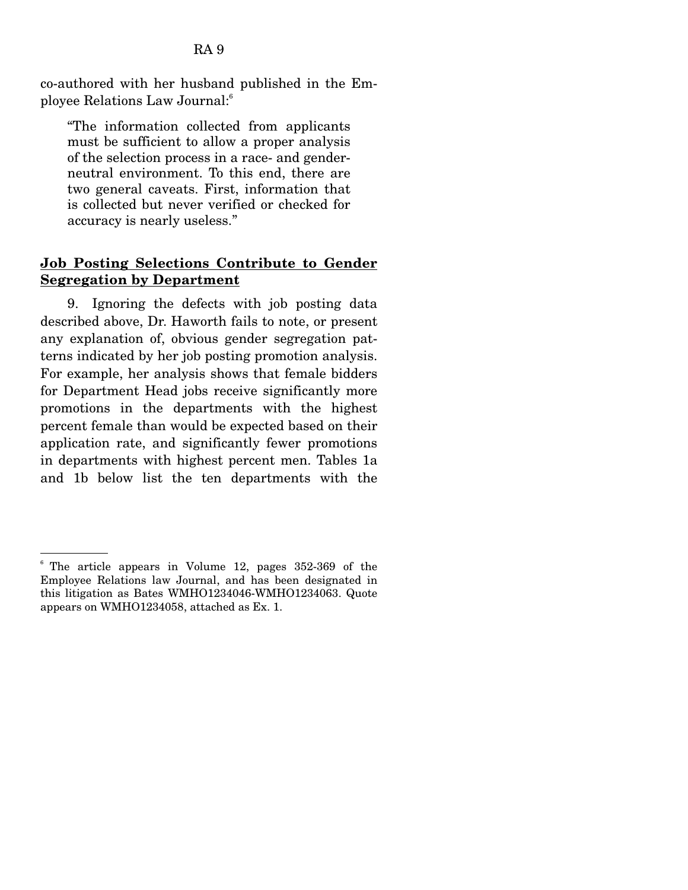co-authored with her husband published in the Employee Relations Law Journal:6

"The information collected from applicants must be sufficient to allow a proper analysis of the selection process in a race- and genderneutral environment. To this end, there are two general caveats. First, information that is collected but never verified or checked for accuracy is nearly useless."

# **Job Posting Selections Contribute to Gender Segregation by Department**

 9. Ignoring the defects with job posting data described above, Dr. Haworth fails to note, or present any explanation of, obvious gender segregation patterns indicated by her job posting promotion analysis. For example, her analysis shows that female bidders for Department Head jobs receive significantly more promotions in the departments with the highest percent female than would be expected based on their application rate, and significantly fewer promotions in departments with highest percent men. Tables 1a and 1b below list the ten departments with the

<sup>6</sup> The article appears in Volume 12, pages 352-369 of the Employee Relations law Journal, and has been designated in this litigation as Bates WMHO1234046-WMHO1234063. Quote appears on WMHO1234058, attached as Ex. 1.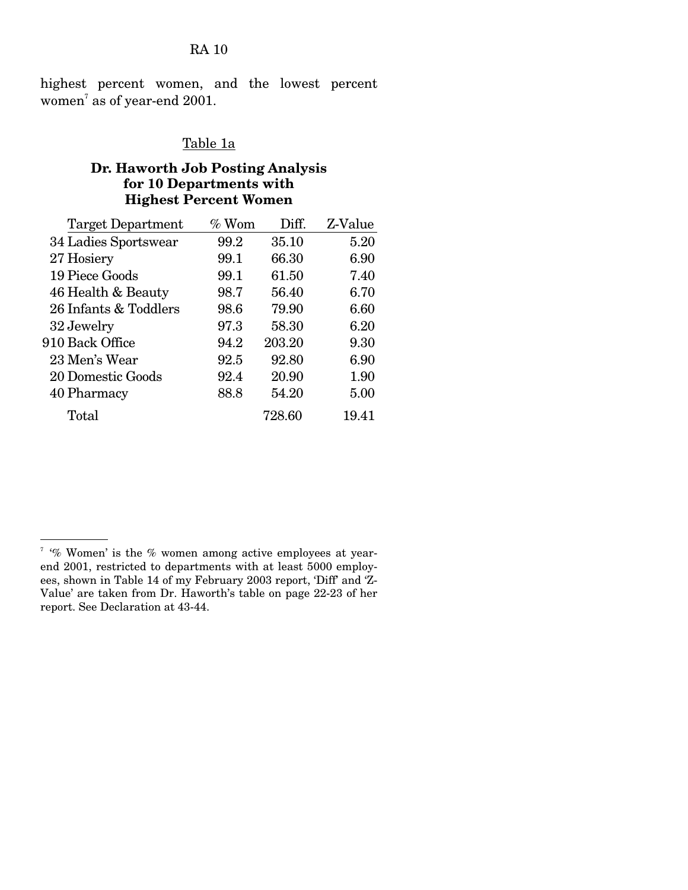RA 10

highest percent women, and the lowest percent women $^7$  as of year-end 2001.

# Table 1a

## **Dr. Haworth Job Posting Analysis for 10 Departments with Highest Percent Women**

| <b>Target Department</b> | $\%$ Wom | Diff.  | Z-Value |
|--------------------------|----------|--------|---------|
| 34 Ladies Sportswear     | 99.2     | 35.10  | 5.20    |
| 27 Hosiery               | 99.1     | 66.30  | 6.90    |
| 19 Piece Goods           | 99.1     | 61.50  | 7.40    |
| 46 Health & Beauty       | 98.7     | 56.40  | 6.70    |
| 26 Infants & Toddlers    | 98.6     | 79.90  | 6.60    |
| 32 Jewelry               | 97.3     | 58.30  | 6.20    |
| 910 Back Office          | 94.2     | 203.20 | 9.30    |
| 23 Men's Wear            | 92.5     | 92.80  | 6.90    |
| 20 Domestic Goods        | 92.4     | 20.90  | 1.90    |
| 40 Pharmacy              | 88.8     | 54.20  | 5.00    |
| Total                    |          | 728.60 | 19.41   |
|                          |          |        |         |

 $\frac{7}{6}$  '% Women' is the % women among active employees at yearend 2001, restricted to departments with at least 5000 employees, shown in Table 14 of my February 2003 report, 'Diff' and 'Z-Value' are taken from Dr. Haworth's table on page 22-23 of her report. See Declaration at 43-44.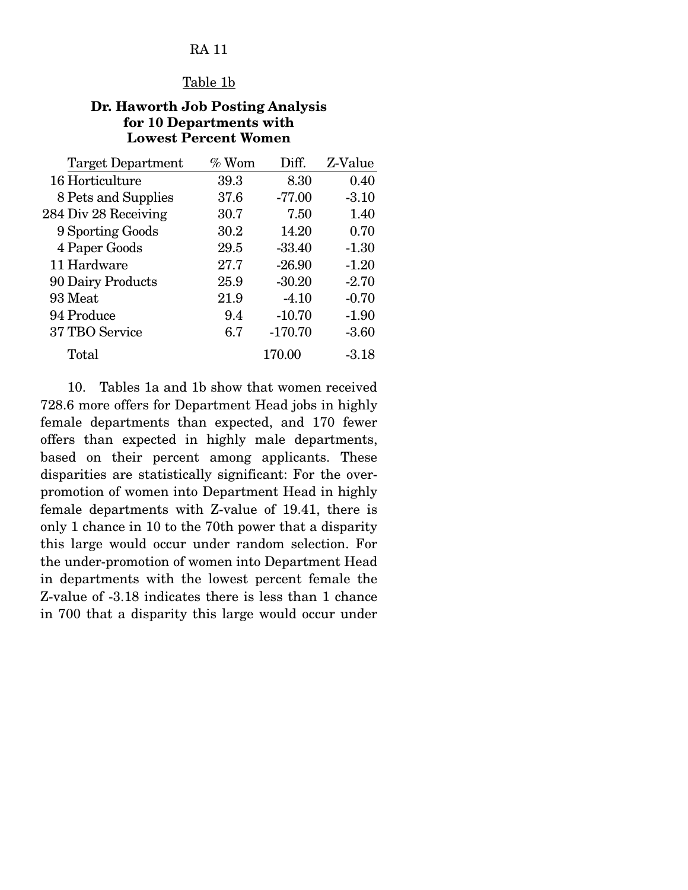# RA 11

#### Table 1b

### **Dr. Haworth Job Posting Analysis for 10 Departments with Lowest Percent Women**

| <b>Target Department</b> | $%$ Wom | Diff.     | Z-Value |
|--------------------------|---------|-----------|---------|
| 16 Horticulture          | 39.3    | 8.30      | 0.40    |
| 8 Pets and Supplies      | 37.6    | $-77.00$  | $-3.10$ |
| 284 Div 28 Receiving     | 30.7    | 7.50      | 1.40    |
| 9 Sporting Goods         | 30.2    | 14.20     | 0.70    |
| 4 Paper Goods            | 29.5    | $-33.40$  | $-1.30$ |
| 11 Hardware              | 27.7    | $-26.90$  | $-1.20$ |
| 90 Dairy Products        | 25.9    | $-30.20$  | $-2.70$ |
| 93 Meat                  | 21.9    | $-4.10$   | $-0.70$ |
| 94 Produce               | 9.4     | $-10.70$  | $-1.90$ |
| 37 TBO Service           | 6.7     | $-170.70$ | $-3.60$ |
| Total                    |         | 170.00    | $-3.18$ |

 10. Tables 1a and 1b show that women received 728.6 more offers for Department Head jobs in highly female departments than expected, and 170 fewer offers than expected in highly male departments, based on their percent among applicants. These disparities are statistically significant: For the overpromotion of women into Department Head in highly female departments with Z-value of 19.41, there is only 1 chance in 10 to the 70th power that a disparity this large would occur under random selection. For the under-promotion of women into Department Head in departments with the lowest percent female the Z-value of -3.18 indicates there is less than 1 chance in 700 that a disparity this large would occur under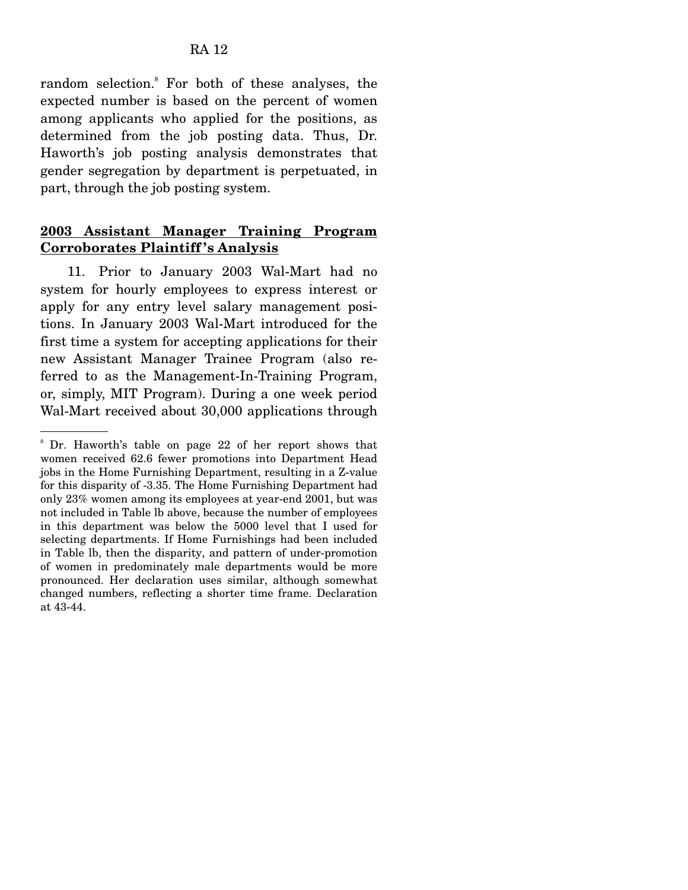random selection.<sup>8</sup> For both of these analyses, the expected number is based on the percent of women among applicants who applied for the positions, as determined from the job posting data. Thus, Dr. Haworth's job posting analysis demonstrates that gender segregation by department is perpetuated, in part, through the job posting system.

# **2003 Assistant Manager Training Program Corroborates Plaintiff 's Analysis**

 11. Prior to January 2003 Wal-Mart had no system for hourly employees to express interest or apply for any entry level salary management positions. In January 2003 Wal-Mart introduced for the first time a system for accepting applications for their new Assistant Manager Trainee Program (also referred to as the Management-In-Training Program, or, simply, MIT Program). During a one week period Wal-Mart received about 30,000 applications through

<sup>8</sup> Dr. Haworth's table on page 22 of her report shows that women received 62.6 fewer promotions into Department Head jobs in the Home Furnishing Department, resulting in a Z-value for this disparity of -3.35. The Home Furnishing Department had only 23% women among its employees at year-end 2001, but was not included in Table lb above, because the number of employees in this department was below the 5000 level that I used for selecting departments. If Home Furnishings had been included in Table lb, then the disparity, and pattern of under-promotion of women in predominately male departments would be more pronounced. Her declaration uses similar, although somewhat changed numbers, reflecting a shorter time frame. Declaration at 43-44.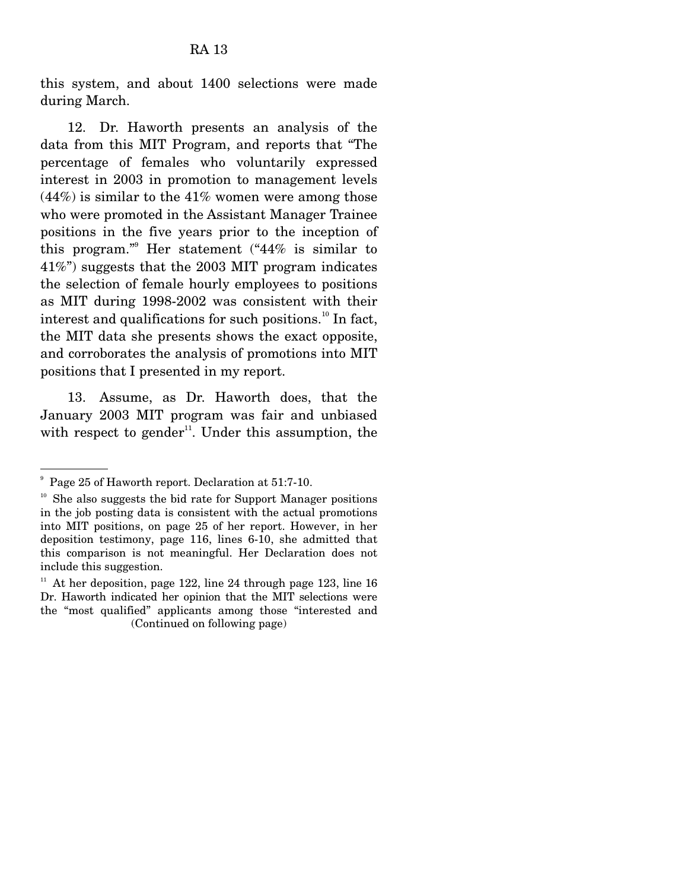this system, and about 1400 selections were made during March.

 12. Dr. Haworth presents an analysis of the data from this MIT Program, and reports that "The percentage of females who voluntarily expressed interest in 2003 in promotion to management levels  $(44%)$  is similar to the  $41%$  women were among those who were promoted in the Assistant Manager Trainee positions in the five years prior to the inception of this program."9 Her statement ("44% is similar to 41%") suggests that the 2003 MIT program indicates the selection of female hourly employees to positions as MIT during 1998-2002 was consistent with their interest and qualifications for such positions.<sup>10</sup> In fact, the MIT data she presents shows the exact opposite, and corroborates the analysis of promotions into MIT positions that I presented in my report.

 13. Assume, as Dr. Haworth does, that the January 2003 MIT program was fair and unbiased with respect to gender<sup>11</sup>. Under this assumption, the

<sup>9</sup> Page 25 of Haworth report. Declaration at 51:7-10.

 $10<sup>10</sup>$  She also suggests the bid rate for Support Manager positions in the job posting data is consistent with the actual promotions into MIT positions, on page 25 of her report. However, in her deposition testimony, page 116, lines 6-10, she admitted that this comparison is not meaningful. Her Declaration does not include this suggestion.

At her deposition, page 122, line 24 through page 123, line 16 Dr. Haworth indicated her opinion that the MIT selections were the "most qualified" applicants among those "interested and (Continued on following page)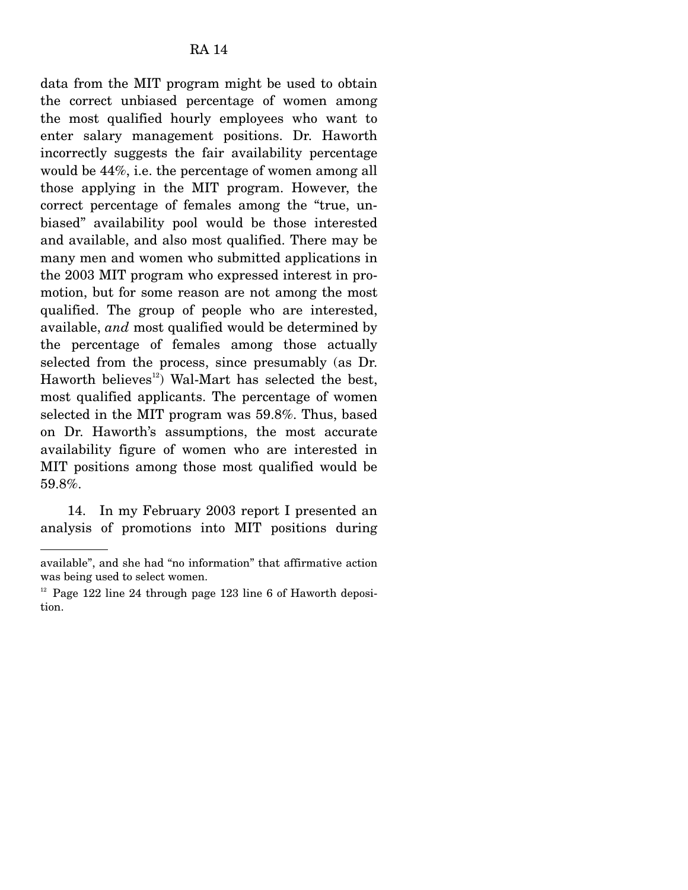data from the MIT program might be used to obtain the correct unbiased percentage of women among the most qualified hourly employees who want to enter salary management positions. Dr. Haworth incorrectly suggests the fair availability percentage would be 44%, i.e. the percentage of women among all those applying in the MIT program. However, the correct percentage of females among the "true, unbiased" availability pool would be those interested and available, and also most qualified. There may be many men and women who submitted applications in the 2003 MIT program who expressed interest in promotion, but for some reason are not among the most qualified. The group of people who are interested, available, *and* most qualified would be determined by the percentage of females among those actually selected from the process, since presumably (as Dr. Haworth believes<sup>12</sup>) Wal-Mart has selected the best, most qualified applicants. The percentage of women selected in the MIT program was 59.8%. Thus, based on Dr. Haworth's assumptions, the most accurate availability figure of women who are interested in MIT positions among those most qualified would be 59.8%.

 14. In my February 2003 report I presented an analysis of promotions into MIT positions during

available", and she had "no information" that affirmative action was being used to select women.

 $12$  Page 122 line 24 through page 123 line 6 of Haworth deposition.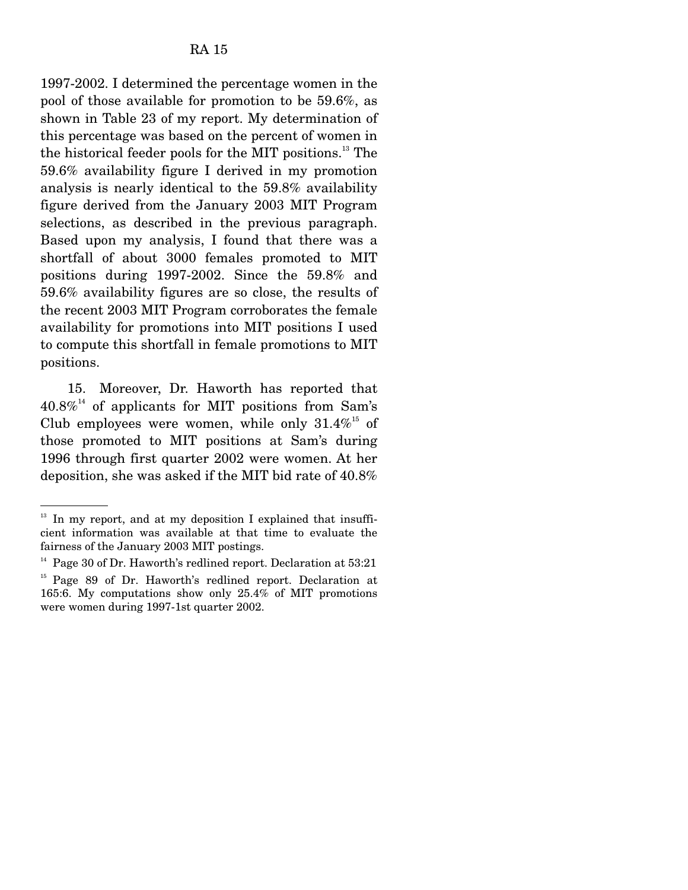1997-2002. I determined the percentage women in the pool of those available for promotion to be 59.6%, as shown in Table 23 of my report. My determination of this percentage was based on the percent of women in the historical feeder pools for the MIT positions.13 The 59.6% availability figure I derived in my promotion analysis is nearly identical to the 59.8% availability figure derived from the January 2003 MIT Program selections, as described in the previous paragraph. Based upon my analysis, I found that there was a shortfall of about 3000 females promoted to MIT positions during 1997-2002. Since the 59.8% and 59.6% availability figures are so close, the results of the recent 2003 MIT Program corroborates the female availability for promotions into MIT positions I used to compute this shortfall in female promotions to MIT positions.

 15. Moreover, Dr. Haworth has reported that  $40.8\%$ <sup>14</sup> of applicants for MIT positions from Sam's Club employees were women, while only  $31.4\%$ <sup>15</sup> of those promoted to MIT positions at Sam's during 1996 through first quarter 2002 were women. At her deposition, she was asked if the MIT bid rate of 40.8%

 $13$  In my report, and at my deposition I explained that insufficient information was available at that time to evaluate the fairness of the January 2003 MIT postings.

 $14$  Page 30 of Dr. Haworth's redlined report. Declaration at  $53:21$ 

<sup>&</sup>lt;sup>15</sup> Page 89 of Dr. Haworth's redlined report. Declaration at 165:6. My computations show only 25.4% of MIT promotions were women during 1997-1st quarter 2002.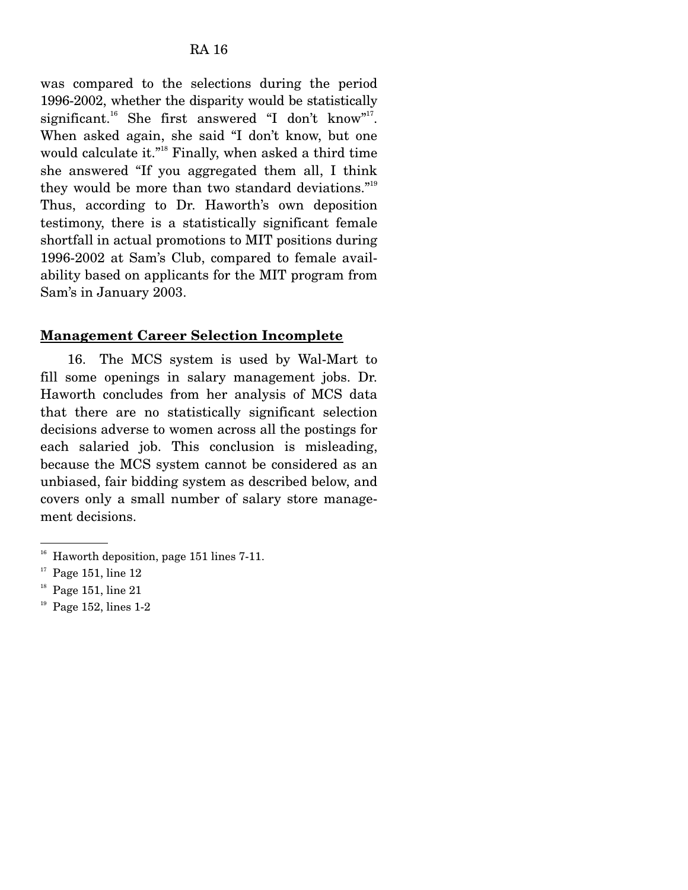was compared to the selections during the period 1996-2002, whether the disparity would be statistically significant.<sup>16</sup> She first answered "I don't know"<sup>17</sup>. When asked again, she said "I don't know, but one would calculate it."18 Finally, when asked a third time she answered "If you aggregated them all, I think they would be more than two standard deviations."19 Thus, according to Dr. Haworth's own deposition testimony, there is a statistically significant female shortfall in actual promotions to MIT positions during 1996-2002 at Sam's Club, compared to female availability based on applicants for the MIT program from Sam's in January 2003.

## **Management Career Selection Incomplete**

 16. The MCS system is used by Wal-Mart to fill some openings in salary management jobs. Dr. Haworth concludes from her analysis of MCS data that there are no statistically significant selection decisions adverse to women across all the postings for each salaried job. This conclusion is misleading, because the MCS system cannot be considered as an unbiased, fair bidding system as described below, and covers only a small number of salary store management decisions.

 $19$  Page 152, lines 1-2

 $16$  Haworth deposition, page 151 lines 7-11.

 $17$  Page 151, line 12

 $18$  Page 151, line 21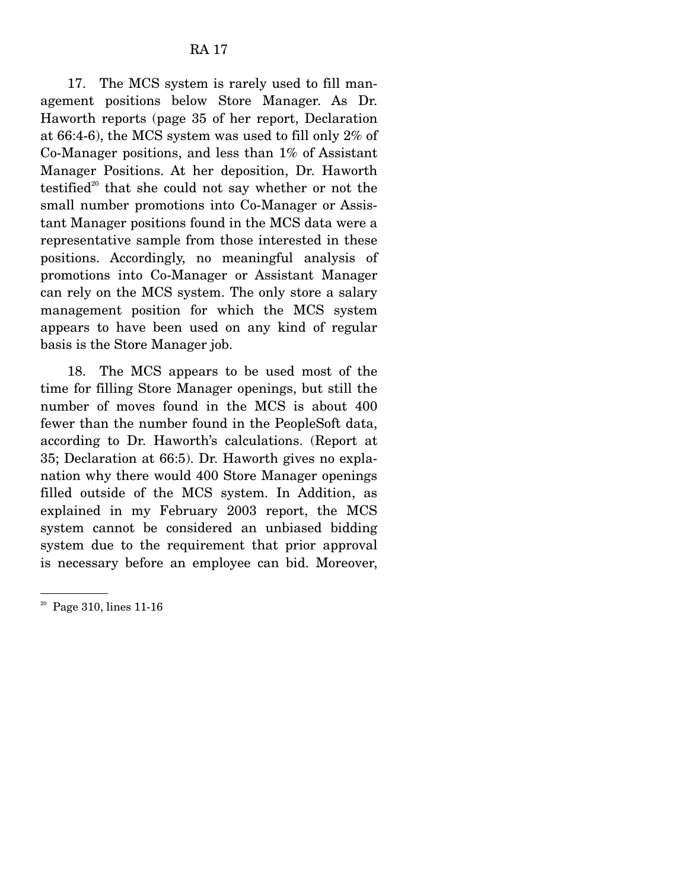17. The MCS system is rarely used to fill management positions below Store Manager. As Dr. Haworth reports (page 35 of her report, Declaration at 66:4-6), the MCS system was used to fill only 2% of Co-Manager positions, and less than 1% of Assistant Manager Positions. At her deposition, Dr. Haworth testified $2^{\circ}$  that she could not say whether or not the small number promotions into Co-Manager or Assistant Manager positions found in the MCS data were a representative sample from those interested in these positions. Accordingly, no meaningful analysis of promotions into Co-Manager or Assistant Manager can rely on the MCS system. The only store a salary management position for which the MCS system appears to have been used on any kind of regular basis is the Store Manager job.

 18. The MCS appears to be used most of the time for filling Store Manager openings, but still the number of moves found in the MCS is about 400 fewer than the number found in the PeopleSoft data, according to Dr. Haworth's calculations. (Report at 35; Declaration at 66:5). Dr. Haworth gives no explanation why there would 400 Store Manager openings filled outside of the MCS system. In Addition, as explained in my February 2003 report, the MCS system cannot be considered an unbiased bidding system due to the requirement that prior approval is necessary before an employee can bid. Moreover,

 $20$  Page 310, lines 11-16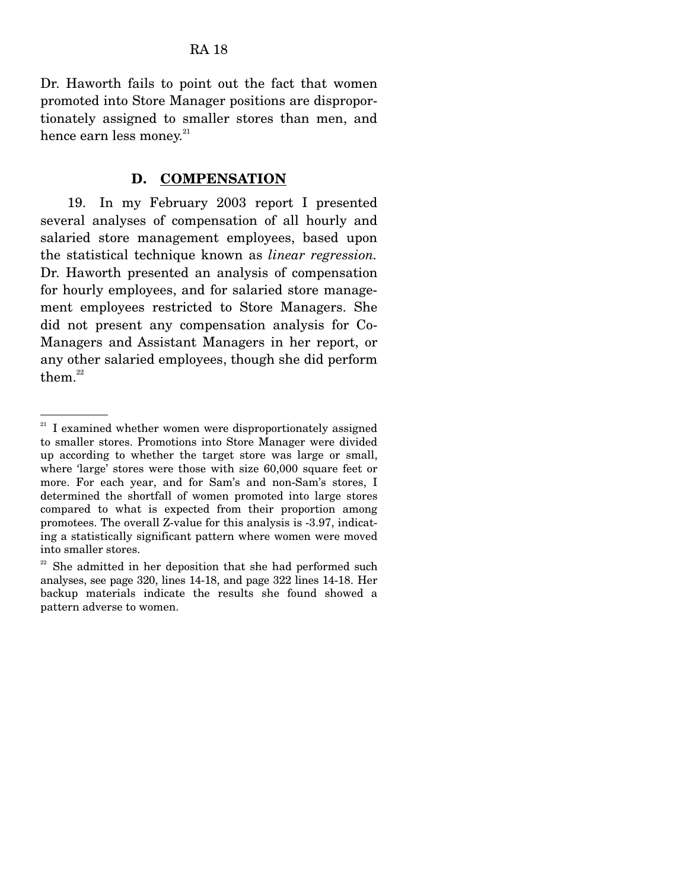Dr. Haworth fails to point out the fact that women promoted into Store Manager positions are disproportionately assigned to smaller stores than men, and hence earn less money. $21$ 

### **D. COMPENSATION**

 19. In my February 2003 report I presented several analyses of compensation of all hourly and salaried store management employees, based upon the statistical technique known as *linear regression.*  Dr. Haworth presented an analysis of compensation for hourly employees, and for salaried store management employees restricted to Store Managers. She did not present any compensation analysis for Co-Managers and Assistant Managers in her report, or any other salaried employees, though she did perform them. $22$ 

<sup>21</sup> I examined whether women were disproportionately assigned to smaller stores. Promotions into Store Manager were divided up according to whether the target store was large or small, where 'large' stores were those with size 60,000 square feet or more. For each year, and for Sam's and non-Sam's stores, I determined the shortfall of women promoted into large stores compared to what is expected from their proportion among promotees. The overall Z-value for this analysis is -3.97, indicating a statistically significant pattern where women were moved into smaller stores.

 $22$  She admitted in her deposition that she had performed such analyses, see page 320, lines 14-18, and page 322 lines 14-18. Her backup materials indicate the results she found showed a pattern adverse to women.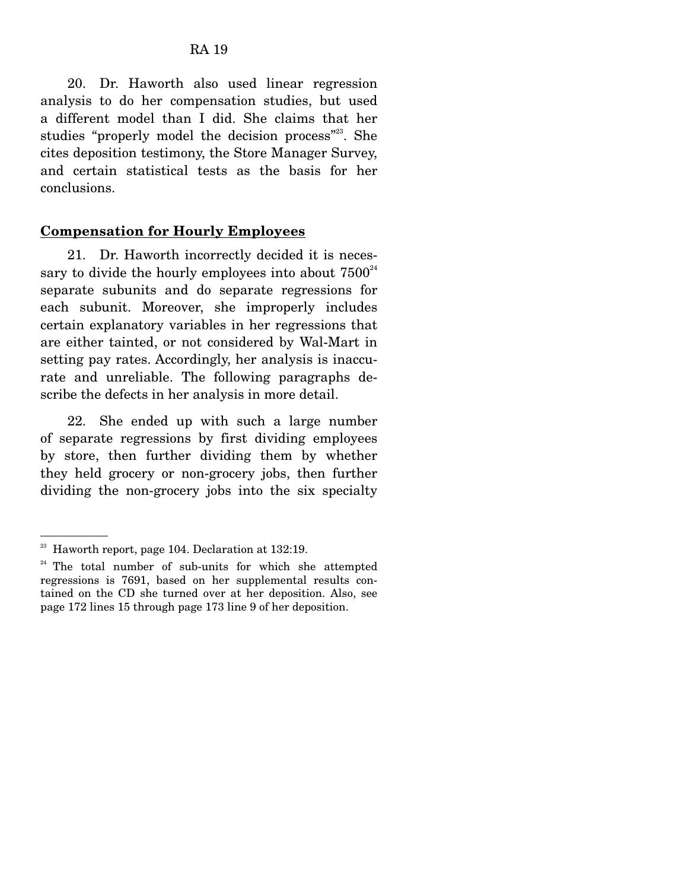20. Dr. Haworth also used linear regression analysis to do her compensation studies, but used a different model than I did. She claims that her studies "properly model the decision process"<sup>23</sup>. She cites deposition testimony, the Store Manager Survey, and certain statistical tests as the basis for her conclusions.

#### **Compensation for Hourly Employees**

 21. Dr. Haworth incorrectly decided it is necessary to divide the hourly employees into about  $7500^{24}$ separate subunits and do separate regressions for each subunit. Moreover, she improperly includes certain explanatory variables in her regressions that are either tainted, or not considered by Wal-Mart in setting pay rates. Accordingly, her analysis is inaccurate and unreliable. The following paragraphs describe the defects in her analysis in more detail.

 22. She ended up with such a large number of separate regressions by first dividing employees by store, then further dividing them by whether they held grocery or non-grocery jobs, then further dividing the non-grocery jobs into the six specialty

<sup>23</sup> Haworth report, page 104. Declaration at 132:19.

<sup>&</sup>lt;sup>24</sup> The total number of sub-units for which she attempted regressions is 7691, based on her supplemental results contained on the CD she turned over at her deposition. Also, see page 172 lines 15 through page 173 line 9 of her deposition.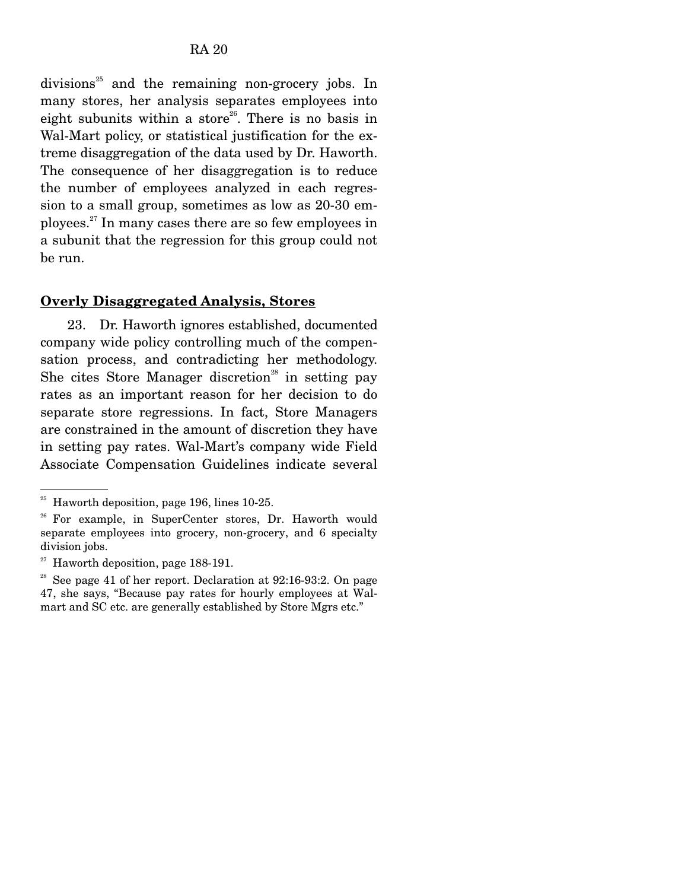$divisions<sup>25</sup>$  and the remaining non-grocery jobs. In many stores, her analysis separates employees into eight subunits within a store<sup>26</sup>. There is no basis in Wal-Mart policy, or statistical justification for the extreme disaggregation of the data used by Dr. Haworth. The consequence of her disaggregation is to reduce the number of employees analyzed in each regression to a small group, sometimes as low as 20-30 employees.27 In many cases there are so few employees in a subunit that the regression for this group could not be run.

#### **Overly Disaggregated Analysis, Stores**

 23. Dr. Haworth ignores established, documented company wide policy controlling much of the compensation process, and contradicting her methodology. She cites Store Manager discretion<sup>28</sup> in setting pay rates as an important reason for her decision to do separate store regressions. In fact, Store Managers are constrained in the amount of discretion they have in setting pay rates. Wal-Mart's company wide Field Associate Compensation Guidelines indicate several

 $25$  Haworth deposition, page 196, lines 10-25.

<sup>&</sup>lt;sup>26</sup> For example, in SuperCenter stores, Dr. Haworth would separate employees into grocery, non-grocery, and 6 specialty division jobs.

<sup>27</sup> Haworth deposition, page 188-191.

<sup>&</sup>lt;sup>28</sup> See page 41 of her report. Declaration at  $92:16-93:2$ . On page 47, she says, "Because pay rates for hourly employees at Walmart and SC etc. are generally established by Store Mgrs etc."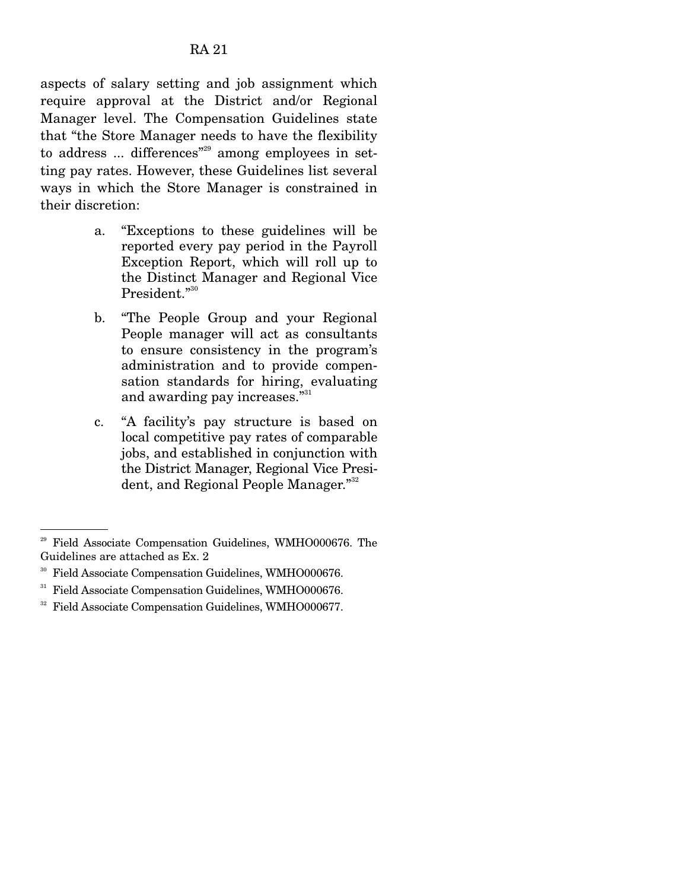aspects of salary setting and job assignment which require approval at the District and/or Regional Manager level. The Compensation Guidelines state that "the Store Manager needs to have the flexibility to address ... differences<sup>"29</sup> among employees in setting pay rates. However, these Guidelines list several ways in which the Store Manager is constrained in their discretion:

- a. "Exceptions to these guidelines will be reported every pay period in the Payroll Exception Report, which will roll up to the Distinct Manager and Regional Vice President."<sup>30</sup>
- b. "The People Group and your Regional People manager will act as consultants to ensure consistency in the program's administration and to provide compensation standards for hiring, evaluating and awarding pay increases."<sup>31</sup>
- c. "A facility's pay structure is based on local competitive pay rates of comparable jobs, and established in conjunction with the District Manager, Regional Vice President, and Regional People Manager."<sup>32</sup>

<sup>29</sup> Field Associate Compensation Guidelines, WMHO000676. The Guidelines are attached as Ex. 2

<sup>30</sup> Field Associate Compensation Guidelines, WMHO000676.

<sup>&</sup>lt;sup>31</sup> Field Associate Compensation Guidelines, WMHO000676.

<sup>32</sup> Field Associate Compensation Guidelines, WMHO000677.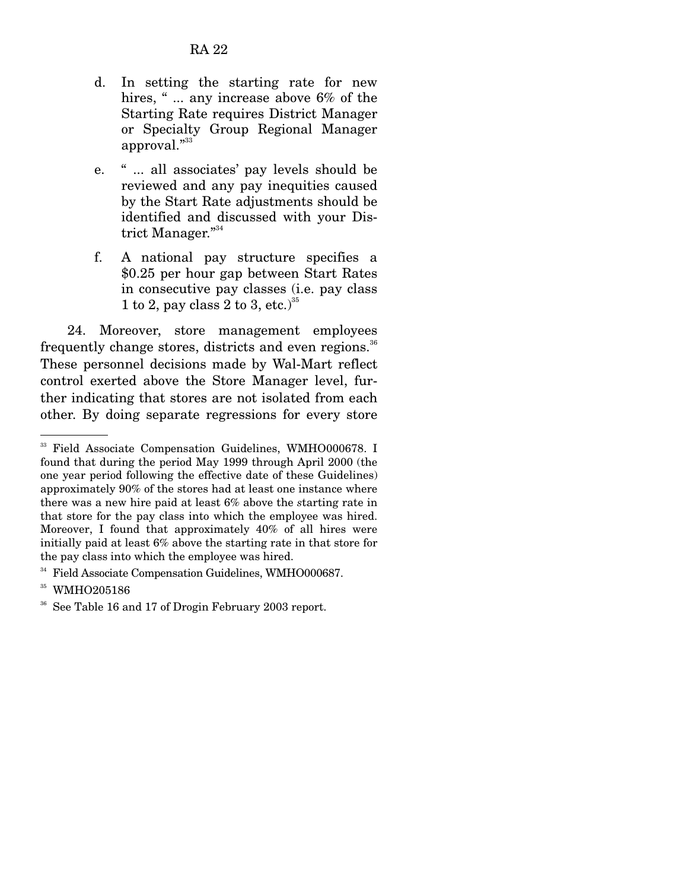- d. In setting the starting rate for new hires, "... any increase above 6% of the Starting Rate requires District Manager or Specialty Group Regional Manager approval."<sup>33</sup>
- e. " ... all associates' pay levels should be reviewed and any pay inequities caused by the Start Rate adjustments should be identified and discussed with your District Manager."<sup>34</sup>
- f. A national pay structure specifies a \$0.25 per hour gap between Start Rates in consecutive pay classes (i.e. pay class 1 to 2, pay class 2 to 3, etc.)<sup>35</sup>

 24. Moreover, store management employees frequently change stores, districts and even regions.<sup>36</sup> These personnel decisions made by Wal-Mart reflect control exerted above the Store Manager level, further indicating that stores are not isolated from each other. By doing separate regressions for every store

<sup>&</sup>lt;sup>33</sup> Field Associate Compensation Guidelines, WMHO000678. I found that during the period May 1999 through April 2000 (the one year period following the effective date of these Guidelines) approximately 90% of the stores had at least one instance where there was a new hire paid at least 6% above the *s*tarting rate in that store for the pay class into which the employee was hired. Moreover, I found that approximately 40% of all hires were initially paid at least 6% above the starting rate in that store for the pay class into which the employee was hired.

<sup>34</sup> Field Associate Compensation Guidelines, WMHO000687.

<sup>35</sup> WMHO205186

<sup>36</sup> See Table 16 and 17 of Drogin February 2003 report.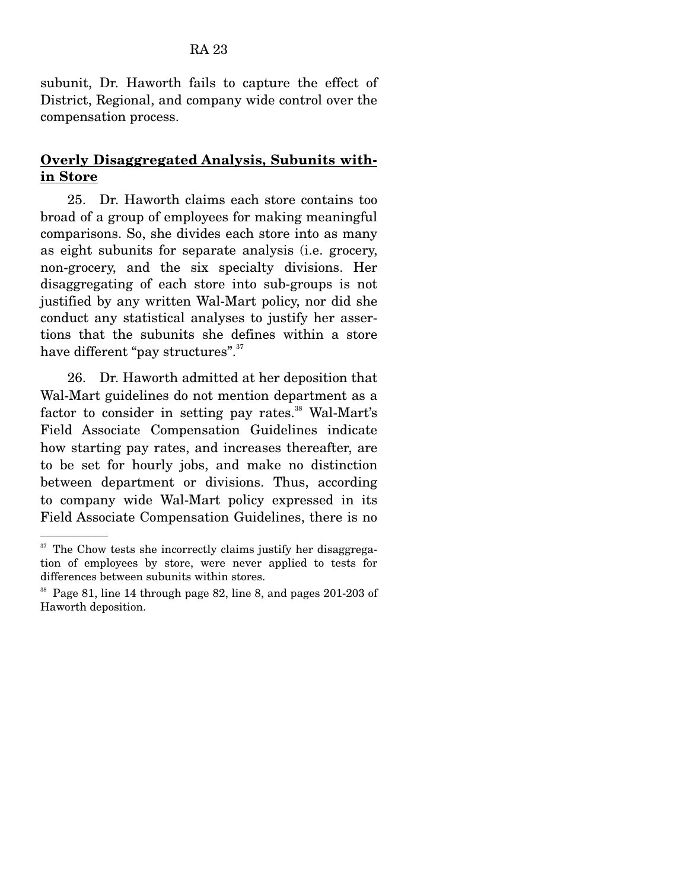subunit, Dr. Haworth fails to capture the effect of District, Regional, and company wide control over the compensation process.

### **Overly Disaggregated Analysis, Subunits within Store**

 25. Dr. Haworth claims each store contains too broad of a group of employees for making meaningful comparisons. So, she divides each store into as many as eight subunits for separate analysis (i.e. grocery, non-grocery, and the six specialty divisions. Her disaggregating of each store into sub-groups is not justified by any written Wal-Mart policy, nor did she conduct any statistical analyses to justify her assertions that the subunits she defines within a store have different "pay structures".<sup>37</sup>

 26. Dr. Haworth admitted at her deposition that Wal-Mart guidelines do not mention department as a factor to consider in setting pay rates.<sup>38</sup> Wal-Mart's Field Associate Compensation Guidelines indicate how starting pay rates, and increases thereafter, are to be set for hourly jobs, and make no distinction between department or divisions. Thus, according to company wide Wal-Mart policy expressed in its Field Associate Compensation Guidelines, there is no

 $37$  The Chow tests she incorrectly claims justify her disaggregation of employees by store, were never applied to tests for differences between subunits within stores.

<sup>38</sup> Page 81, line 14 through page 82, line 8, and pages 201-203 of Haworth deposition.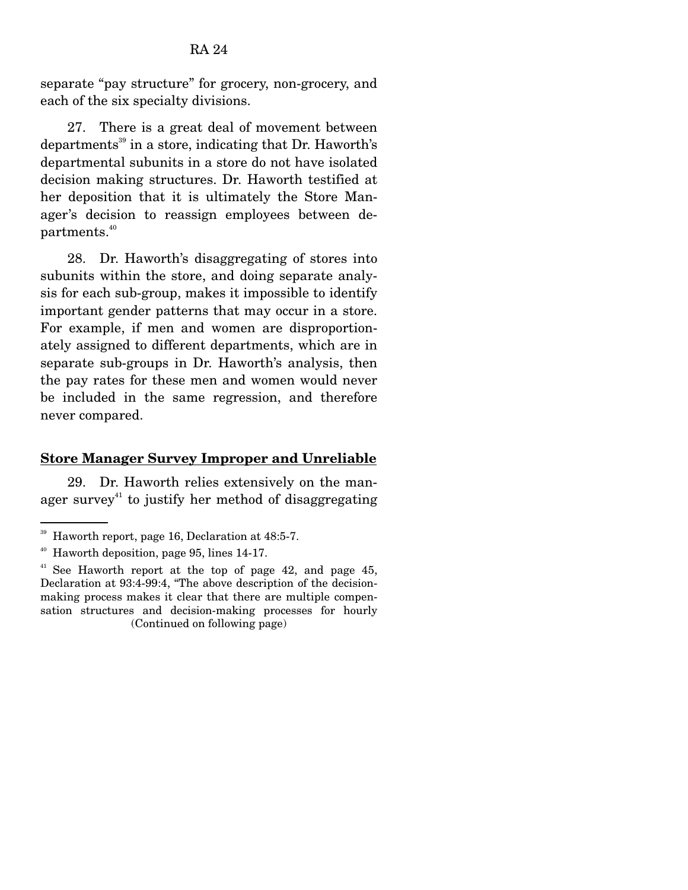separate "pay structure" for grocery, non-grocery, and each of the six specialty divisions.

 27. There is a great deal of movement between departments<sup>39</sup> in a store, indicating that Dr. Haworth's departmental subunits in a store do not have isolated decision making structures. Dr. Haworth testified at her deposition that it is ultimately the Store Manager's decision to reassign employees between departments.<sup>40</sup>

 28. Dr. Haworth's disaggregating of stores into subunits within the store, and doing separate analysis for each sub-group, makes it impossible to identify important gender patterns that may occur in a store. For example, if men and women are disproportionately assigned to different departments, which are in separate sub-groups in Dr. Haworth's analysis, then the pay rates for these men and women would never be included in the same regression, and therefore never compared.

#### **Store Manager Survey Improper and Unreliable**

 29. Dr. Haworth relies extensively on the manager survey<sup>41</sup> to justify her method of disaggregating

<sup>39</sup> Haworth report, page 16, Declaration at 48:5-7.

<sup>40</sup> Haworth deposition, page 95, lines 14-17.

 $41$  See Haworth report at the top of page 42, and page 45, Declaration at 93:4-99:4, "The above description of the decisionmaking process makes it clear that there are multiple compensation structures and decision-making processes for hourly (Continued on following page)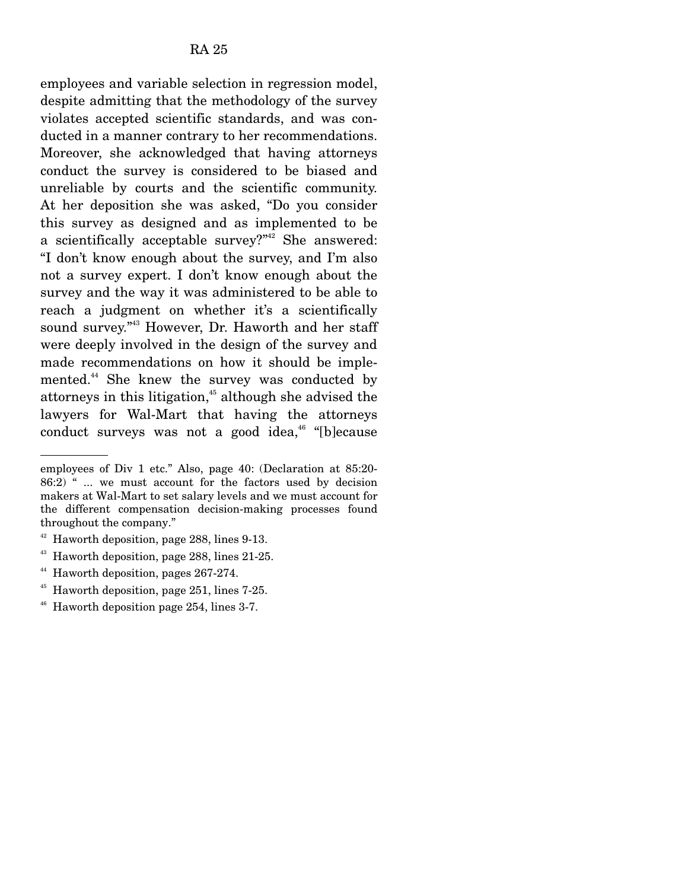employees and variable selection in regression model, despite admitting that the methodology of the survey violates accepted scientific standards, and was conducted in a manner contrary to her recommendations. Moreover, she acknowledged that having attorneys conduct the survey is considered to be biased and unreliable by courts and the scientific community. At her deposition she was asked, "Do you consider this survey as designed and as implemented to be a scientifically acceptable survey?" $42$  She answered: "I don't know enough about the survey, and I'm also not a survey expert. I don't know enough about the survey and the way it was administered to be able to reach a judgment on whether it's a scientifically sound survey."43 However, Dr. Haworth and her staff were deeply involved in the design of the survey and made recommendations on how it should be implemented.44 She knew the survey was conducted by attorneys in this litigation,<sup>45</sup> although she advised the lawyers for Wal-Mart that having the attorneys conduct surveys was not a good idea,<sup> $46$ </sup> "[b]ecause

employees of Div 1 etc." Also, page 40: (Declaration at 85:20-  $86:2$ ) " ... we must account for the factors used by decision makers at Wal-Mart to set salary levels and we must account for the different compensation decision-making processes found throughout the company."

<sup>42</sup> Haworth deposition, page 288, lines 9-13.

<sup>&</sup>lt;sup>43</sup> Haworth deposition, page 288, lines 21-25.

<sup>&</sup>lt;sup>44</sup> Haworth deposition, pages 267-274.

<sup>&</sup>lt;sup>45</sup> Haworth deposition, page 251, lines 7-25.

 $46$  Haworth deposition page 254, lines 3-7.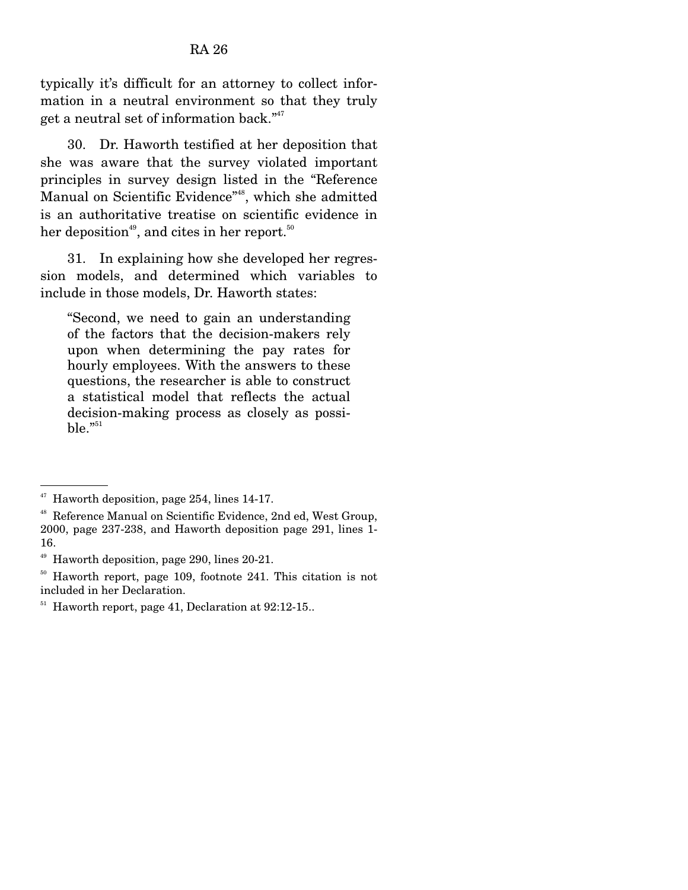typically it's difficult for an attorney to collect information in a neutral environment so that they truly get a neutral set of information back."47

 30. Dr. Haworth testified at her deposition that she was aware that the survey violated important principles in survey design listed in the "Reference Manual on Scientific Evidence"48, which she admitted is an authoritative treatise on scientific evidence in her deposition<sup>49</sup>, and cites in her report.<sup>50</sup>

 31. In explaining how she developed her regression models, and determined which variables to include in those models, Dr. Haworth states:

"Second, we need to gain an understanding of the factors that the decision-makers rely upon when determining the pay rates for hourly employees. With the answers to these questions, the researcher is able to construct a statistical model that reflects the actual decision-making process as closely as possi $ble.^{"51}$ 

<sup>47</sup> Haworth deposition, page 254, lines 14-17.

<sup>48</sup> Reference Manual on Scientific Evidence, 2nd ed, West Group, 2000, page 237-238, and Haworth deposition page 291, lines 1- 16.

<sup>49</sup> Haworth deposition, page 290, lines 20-21.

<sup>50</sup> Haworth report, page 109, footnote 241. This citation is not included in her Declaration.

 $51$  Haworth report, page 41, Declaration at 92:12-15..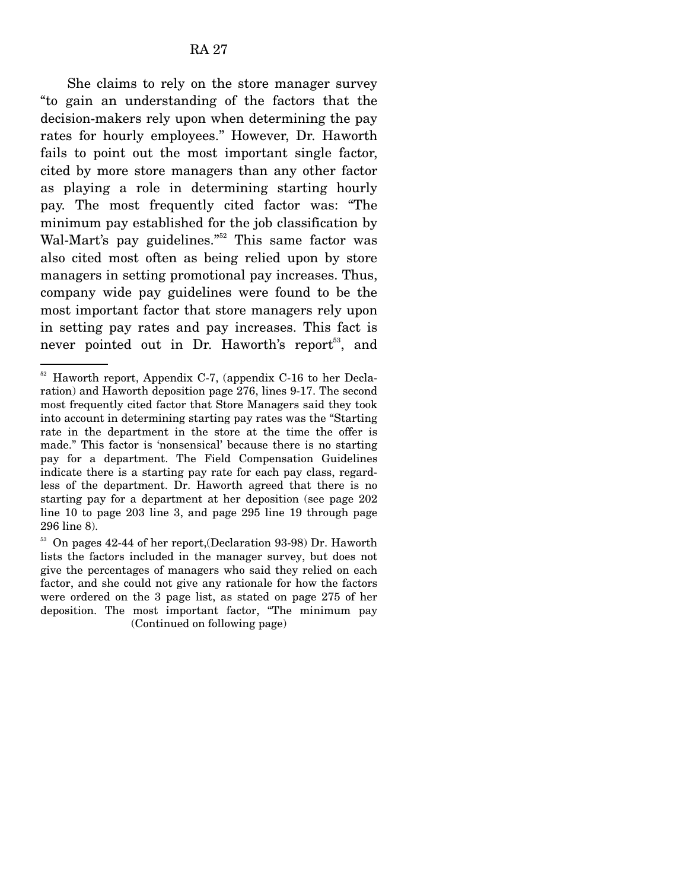She claims to rely on the store manager survey "to gain an understanding of the factors that the decision-makers rely upon when determining the pay rates for hourly employees." However, Dr. Haworth fails to point out the most important single factor, cited by more store managers than any other factor as playing a role in determining starting hourly pay. The most frequently cited factor was: "The minimum pay established for the job classification by Wal-Mart's pay guidelines."<sup>52</sup> This same factor was also cited most often as being relied upon by store managers in setting promotional pay increases. Thus, company wide pay guidelines were found to be the most important factor that store managers rely upon in setting pay rates and pay increases. This fact is never pointed out in Dr. Haworth's report<sup>53</sup>, and

 $52$  Haworth report, Appendix C-7, (appendix C-16 to her Declaration) and Haworth deposition page 276, lines 9-17. The second most frequently cited factor that Store Managers said they took into account in determining starting pay rates was the "Starting rate in the department in the store at the time the offer is made." This factor is 'nonsensical' because there is no starting pay for a department. The Field Compensation Guidelines indicate there is a starting pay rate for each pay class, regardless of the department. Dr. Haworth agreed that there is no starting pay for a department at her deposition (see page 202 line 10 to page 203 line 3, and page 295 line 19 through page 296 line 8).

<sup>&</sup>lt;sup>53</sup> On pages 42-44 of her report, (Declaration 93-98) Dr. Haworth lists the factors included in the manager survey, but does not give the percentages of managers who said they relied on each factor, and she could not give any rationale for how the factors were ordered on the 3 page list, as stated on page 275 of her deposition. The most important factor, "The minimum pay (Continued on following page)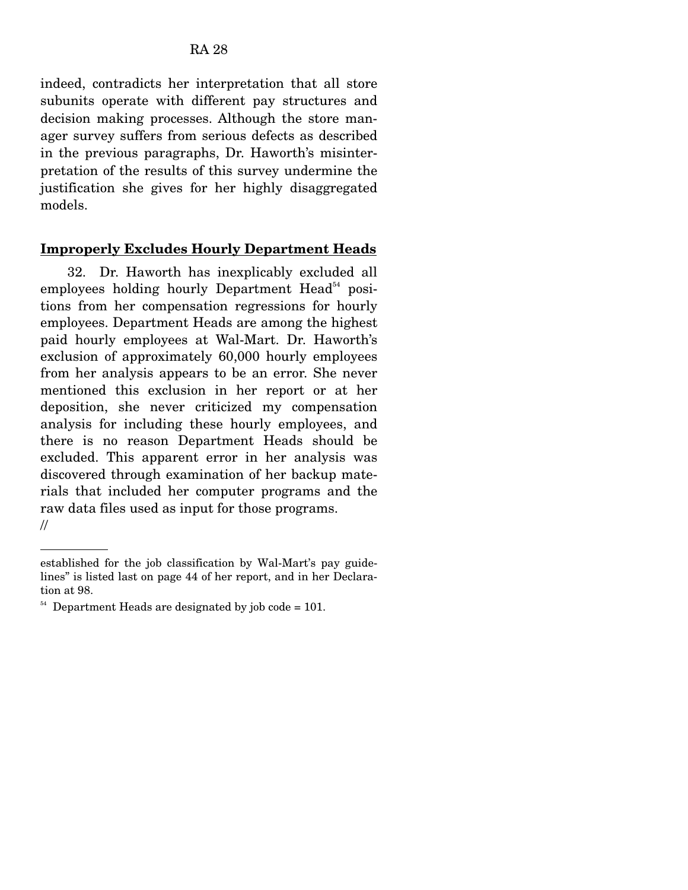indeed, contradicts her interpretation that all store subunits operate with different pay structures and decision making processes. Although the store manager survey suffers from serious defects as described in the previous paragraphs, Dr. Haworth's misinterpretation of the results of this survey undermine the justification she gives for her highly disaggregated models.

#### **Improperly Excludes Hourly Department Heads**

 32. Dr. Haworth has inexplicably excluded all employees holding hourly Department  $Head<sup>54</sup>$  positions from her compensation regressions for hourly employees. Department Heads are among the highest paid hourly employees at Wal-Mart. Dr. Haworth's exclusion of approximately 60,000 hourly employees from her analysis appears to be an error. She never mentioned this exclusion in her report or at her deposition, she never criticized my compensation analysis for including these hourly employees, and there is no reason Department Heads should be excluded. This apparent error in her analysis was discovered through examination of her backup materials that included her computer programs and the raw data files used as input for those programs. //

established for the job classification by Wal-Mart's pay guidelines" is listed last on page 44 of her report, and in her Declaration at 98.

 $54$  Department Heads are designated by job code = 101.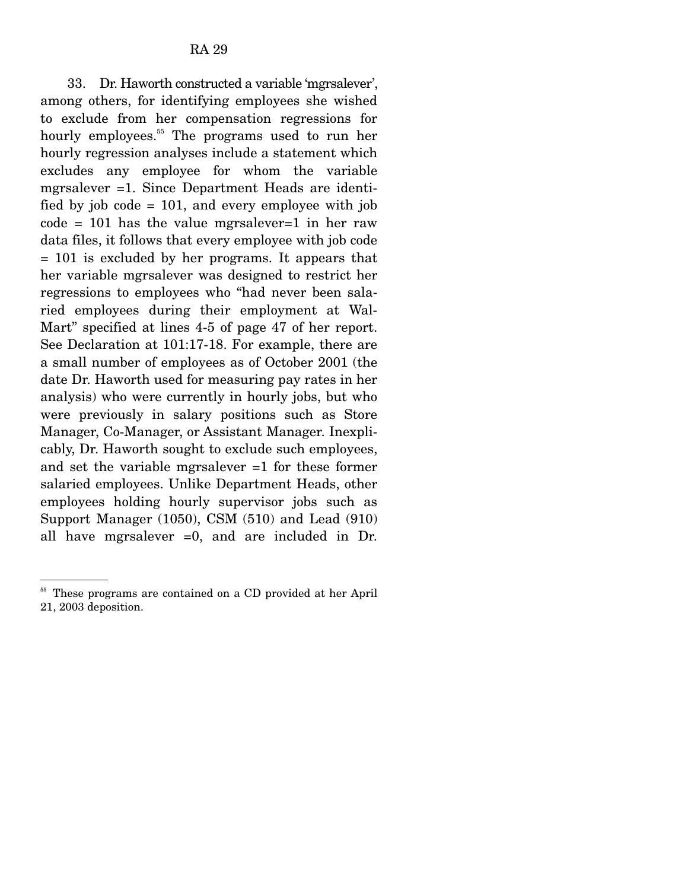33. Dr. Haworth constructed a variable 'mgrsalever', among others, for identifying employees she wished to exclude from her compensation regressions for hourly employees.<sup>55</sup> The programs used to run her hourly regression analyses include a statement which excludes any employee for whom the variable mgrsalever =1. Since Department Heads are identified by job code  $= 101$ , and every employee with job  $code = 101$  has the value mgrsalever=1 in her raw data files, it follows that every employee with job code = 101 is excluded by her programs. It appears that her variable mgrsalever was designed to restrict her regressions to employees who "had never been salaried employees during their employment at Wal-Mart" specified at lines 4-5 of page 47 of her report. See Declaration at 101:17-18. For example, there are a small number of employees as of October 2001 (the date Dr. Haworth used for measuring pay rates in her analysis) who were currently in hourly jobs, but who were previously in salary positions such as Store Manager, Co-Manager, or Assistant Manager. Inexplicably, Dr. Haworth sought to exclude such employees, and set the variable mgrsalever =1 for these former salaried employees. Unlike Department Heads, other employees holding hourly supervisor jobs such as Support Manager (1050), CSM (510) and Lead (910) all have mgrsalever =0, and are included in Dr.

These programs are contained on a CD provided at her April 21, 2003 deposition.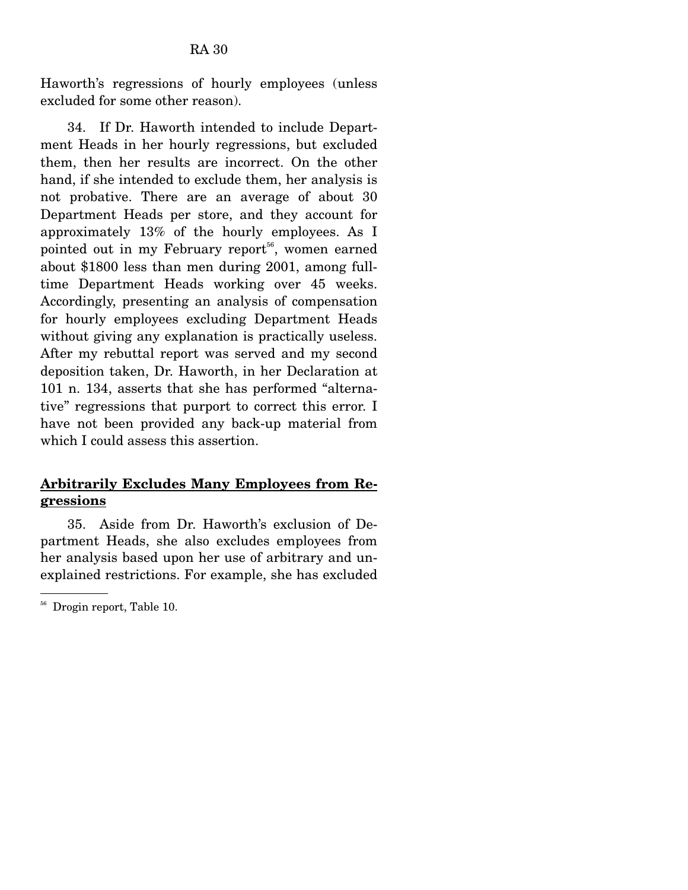Haworth's regressions of hourly employees (unless excluded for some other reason).

 34. If Dr. Haworth intended to include Department Heads in her hourly regressions, but excluded them, then her results are incorrect. On the other hand, if she intended to exclude them, her analysis is not probative. There are an average of about 30 Department Heads per store, and they account for approximately 13% of the hourly employees. As I pointed out in my February report<sup> $56$ </sup>, women earned about \$1800 less than men during 2001, among fulltime Department Heads working over 45 weeks. Accordingly, presenting an analysis of compensation for hourly employees excluding Department Heads without giving any explanation is practically useless. After my rebuttal report was served and my second deposition taken, Dr. Haworth, in her Declaration at 101 n. 134, asserts that she has performed "alternative" regressions that purport to correct this error. I have not been provided any back-up material from which I could assess this assertion.

## **Arbitrarily Excludes Many Employees from Regressions**

 35. Aside from Dr. Haworth's exclusion of Department Heads, she also excludes employees from her analysis based upon her use of arbitrary and unexplained restrictions. For example, she has excluded

<sup>56</sup> Drogin report, Table 10.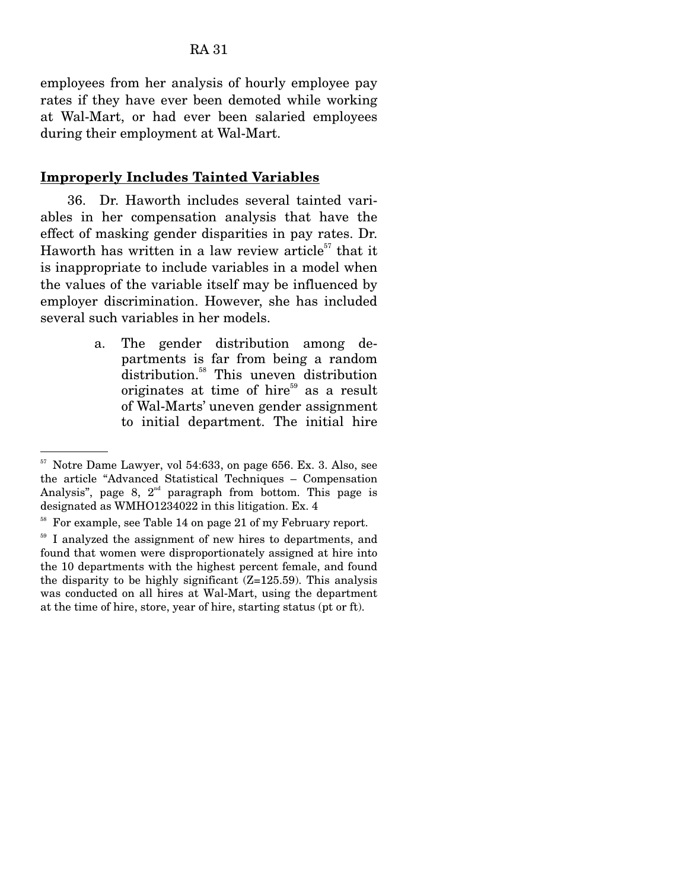employees from her analysis of hourly employee pay rates if they have ever been demoted while working at Wal-Mart, or had ever been salaried employees during their employment at Wal-Mart.

#### **Improperly Includes Tainted Variables**

 36. Dr. Haworth includes several tainted variables in her compensation analysis that have the effect of masking gender disparities in pay rates. Dr. Haworth has written in a law review article $57$  that it is inappropriate to include variables in a model when the values of the variable itself may be influenced by employer discrimination. However, she has included several such variables in her models.

> a. The gender distribution among departments is far from being a random distribution.<sup>58</sup> This uneven distribution originates at time of hire $59$  as a result of Wal-Marts' uneven gender assignment to initial department. The initial hire

<sup>57</sup> Notre Dame Lawyer, vol 54:633, on page 656. Ex. 3. Also, see the article "Advanced Statistical Techniques – Compensation Analysis", page 8,  $2<sup>nd</sup>$  paragraph from bottom. This page is designated as WMHO1234022 in this litigation. Ex. 4

<sup>58</sup> For example, see Table 14 on page 21 of my February report.

<sup>&</sup>lt;sup>59</sup> I analyzed the assignment of new hires to departments, and found that women were disproportionately assigned at hire into the 10 departments with the highest percent female, and found the disparity to be highly significant  $(Z=125.59)$ . This analysis was conducted on all hires at Wal-Mart, using the department at the time of hire, store, year of hire, starting status (pt or ft).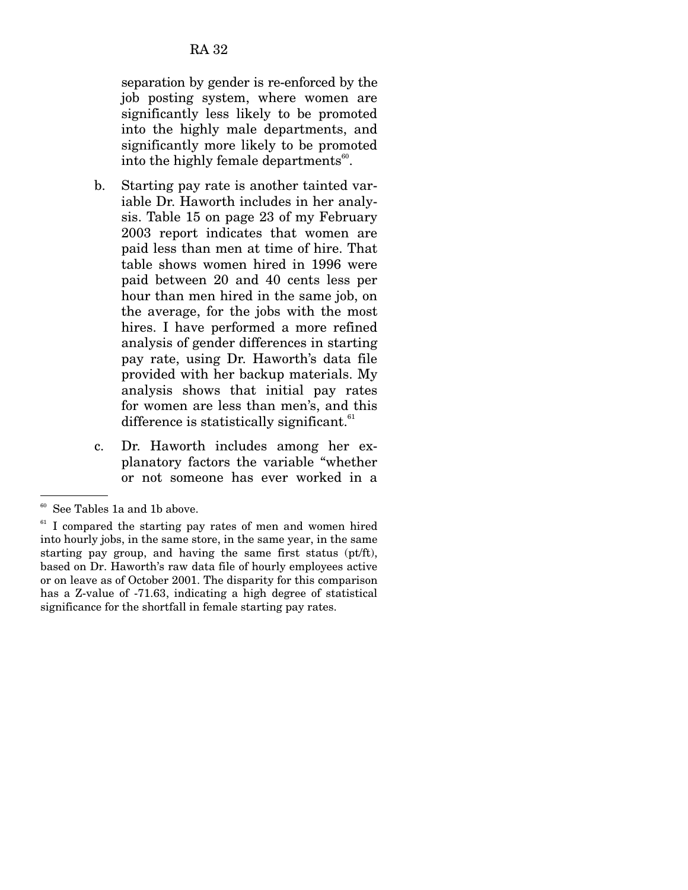separation by gender is re-enforced by the job posting system, where women are significantly less likely to be promoted into the highly male departments, and significantly more likely to be promoted into the highly female departments $60$ .

- b. Starting pay rate is another tainted variable Dr. Haworth includes in her analysis. Table 15 on page 23 of my February 2003 report indicates that women are paid less than men at time of hire. That table shows women hired in 1996 were paid between 20 and 40 cents less per hour than men hired in the same job, on the average, for the jobs with the most hires. I have performed a more refined analysis of gender differences in starting pay rate, using Dr. Haworth's data file provided with her backup materials. My analysis shows that initial pay rates for women are less than men's, and this difference is statistically significant.<sup>61</sup>
- c. Dr. Haworth includes among her explanatory factors the variable "whether or not someone has ever worked in a

 $60$  See Tables 1a and 1b above.

 $61$  I compared the starting pay rates of men and women hired into hourly jobs, in the same store, in the same year, in the same starting pay group, and having the same first status (pt/ft), based on Dr. Haworth's raw data file of hourly employees active or on leave as of October 2001. The disparity for this comparison has a Z-value of -71.63, indicating a high degree of statistical significance for the shortfall in female starting pay rates.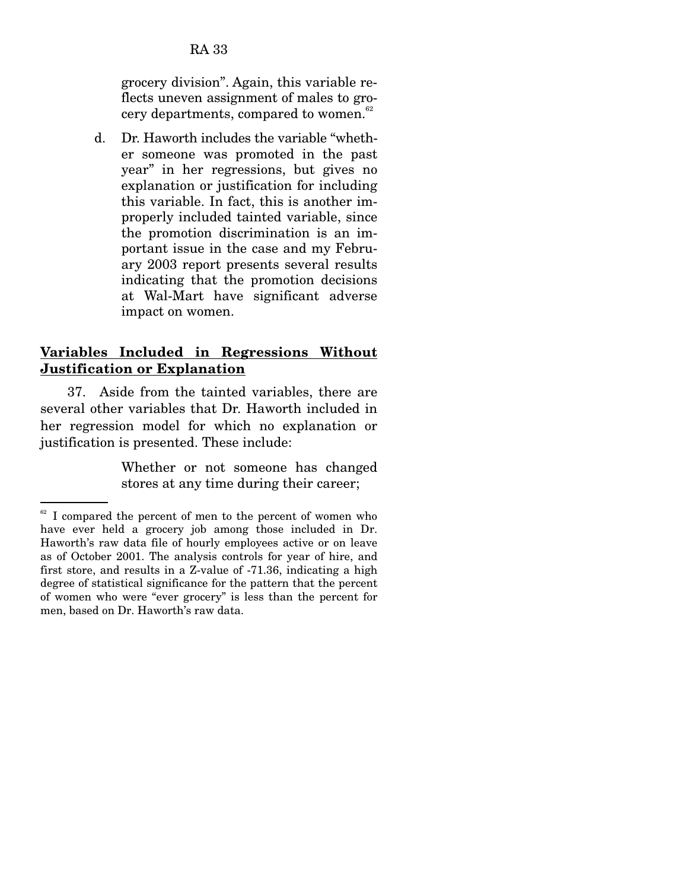grocery division". Again, this variable reflects uneven assignment of males to grocery departments, compared to women. $62$ 

d. Dr. Haworth includes the variable "whether someone was promoted in the past year" in her regressions, but gives no explanation or justification for including this variable. In fact, this is another improperly included tainted variable, since the promotion discrimination is an important issue in the case and my February 2003 report presents several results indicating that the promotion decisions at Wal-Mart have significant adverse impact on women.

## **Variables Included in Regressions Without Justification or Explanation**

37. Aside from the tainted variables, there are several other variables that Dr. Haworth included in her regression model for which no explanation or justification is presented. These include:

> Whether or not someone has changed stores at any time during their career;

 $62$  I compared the percent of men to the percent of women who have ever held a grocery job among those included in Dr. Haworth's raw data file of hourly employees active or on leave as of October 2001. The analysis controls for year of hire, and first store, and results in a Z-value of -71.36, indicating a high degree of statistical significance for the pattern that the percent of women who were "ever grocery" is less than the percent for men, based on Dr. Haworth's raw data.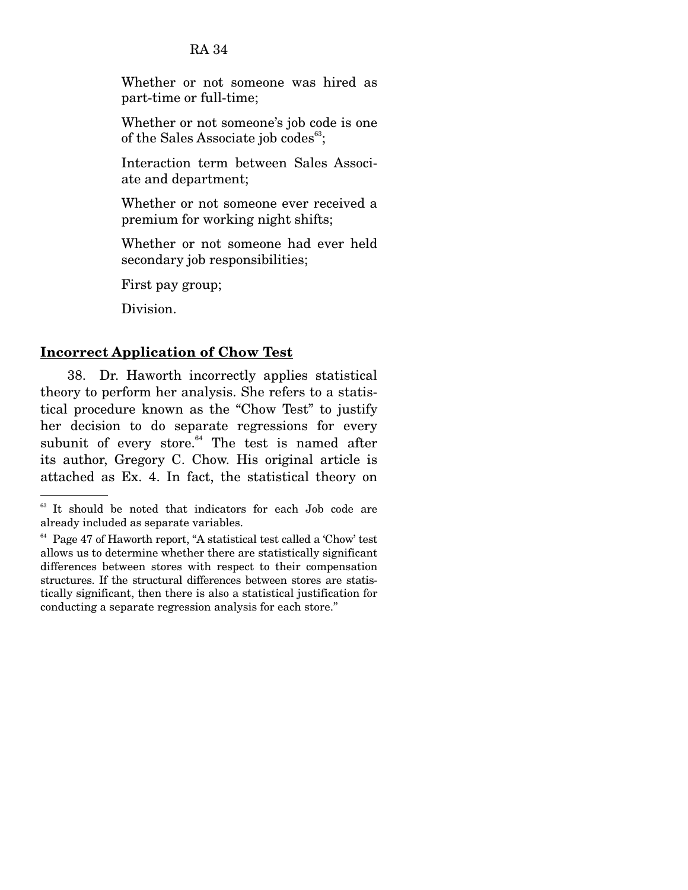Whether or not someone was hired as part-time or full-time;

Whether or not someone's job code is one of the Sales Associate job codes $^{63}$ ;

Interaction term between Sales Associate and department;

Whether or not someone ever received a premium for working night shifts;

Whether or not someone had ever held secondary job responsibilities;

First pay group;

Division.

## **Incorrect Application of Chow Test**

38. Dr. Haworth incorrectly applies statistical theory to perform her analysis. She refers to a statistical procedure known as the "Chow Test" to justify her decision to do separate regressions for every subunit of every store. $64$  The test is named after its author, Gregory C. Chow. His original article is attached as Ex. 4. In fact, the statistical theory on

<sup>&</sup>lt;sup>63</sup> It should be noted that indicators for each Job code are already included as separate variables.

 $64$  Page 47 of Haworth report, "A statistical test called a 'Chow' test allows us to determine whether there are statistically significant differences between stores with respect to their compensation structures. If the structural differences between stores are statistically significant, then there is also a statistical justification for conducting a separate regression analysis for each store."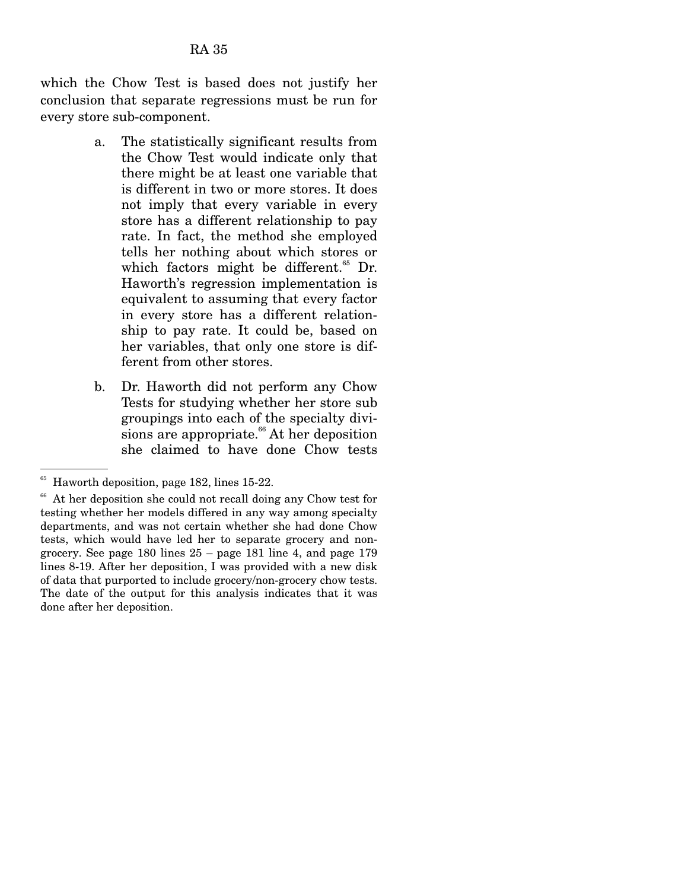which the Chow Test is based does not justify her conclusion that separate regressions must be run for every store sub-component.

- a. The statistically significant results from the Chow Test would indicate only that there might be at least one variable that is different in two or more stores. It does not imply that every variable in every store has a different relationship to pay rate. In fact, the method she employed tells her nothing about which stores or which factors might be different.<sup>65</sup> Dr. Haworth's regression implementation is equivalent to assuming that every factor in every store has a different relationship to pay rate. It could be, based on her variables, that only one store is different from other stores.
- b. Dr. Haworth did not perform any Chow Tests for studying whether her store sub groupings into each of the specialty divisions are appropriate.<sup>66</sup> At her deposition she claimed to have done Chow tests

<sup>65</sup> Haworth deposition, page 182, lines 15-22.

<sup>&</sup>lt;sup>66</sup> At her deposition she could not recall doing any Chow test for testing whether her models differed in any way among specialty departments, and was not certain whether she had done Chow tests, which would have led her to separate grocery and nongrocery. See page 180 lines 25 – page 181 line 4, and page 179 lines 8-19. After her deposition, I was provided with a new disk of data that purported to include grocery/non-grocery chow tests. The date of the output for this analysis indicates that it was done after her deposition.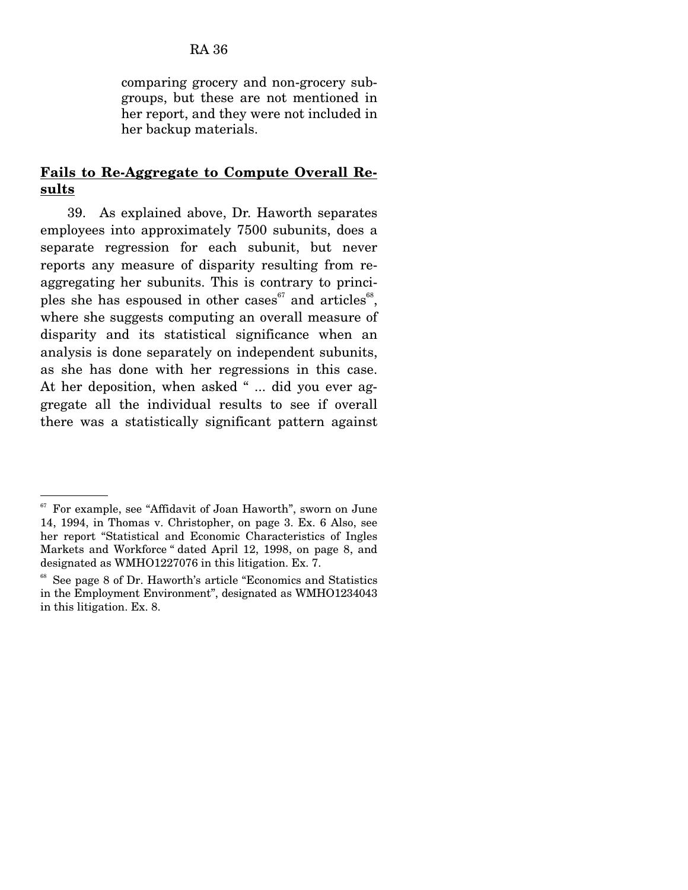comparing grocery and non-grocery subgroups, but these are not mentioned in her report, and they were not included in her backup materials.

#### **Fails to Re-Aggregate to Compute Overall Results**

39. As explained above, Dr. Haworth separates employees into approximately 7500 subunits, does a separate regression for each subunit, but never reports any measure of disparity resulting from reaggregating her subunits. This is contrary to principles she has espoused in other cases $e^{67}$  and articles $e^{68}$ , where she suggests computing an overall measure of disparity and its statistical significance when an analysis is done separately on independent subunits, as she has done with her regressions in this case. At her deposition, when asked " ... did you ever aggregate all the individual results to see if overall there was a statistically significant pattern against

 $^{67}$  For example, see "Affidavit of Joan Haworth", sworn on June 14, 1994, in Thomas v. Christopher, on page 3. Ex. 6 Also, see her report "Statistical and Economic Characteristics of Ingles Markets and Workforce " dated April 12, 1998, on page 8, and designated as WMHO1227076 in this litigation. Ex. 7.

See page 8 of Dr. Haworth's article "Economics and Statistics" in the Employment Environment", designated as WMHO1234043 in this litigation. Ex. 8.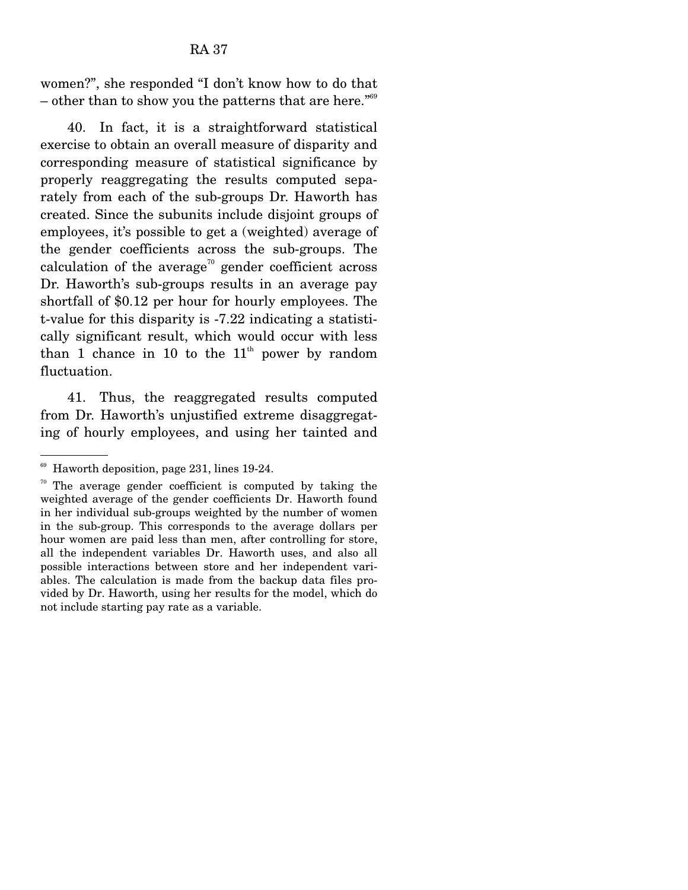women?", she responded "I don't know how to do that – other than to show you the patterns that are here. $169$ 

 40. In fact, it is a straightforward statistical exercise to obtain an overall measure of disparity and corresponding measure of statistical significance by properly reaggregating the results computed separately from each of the sub-groups Dr. Haworth has created. Since the subunits include disjoint groups of employees, it's possible to get a (weighted) average of the gender coefficients across the sub-groups. The calculation of the average<sup>70</sup> gender coefficient across Dr. Haworth's sub-groups results in an average pay shortfall of \$0.12 per hour for hourly employees. The t-value for this disparity is -7.22 indicating a statistically significant result, which would occur with less than 1 chance in 10 to the  $11<sup>th</sup>$  power by random fluctuation.

 41. Thus, the reaggregated results computed from Dr. Haworth's unjustified extreme disaggregating of hourly employees, and using her tainted and

 $69$  Haworth deposition, page 231, lines 19-24.

 $70$  The average gender coefficient is computed by taking the weighted average of the gender coefficients Dr. Haworth found in her individual sub-groups weighted by the number of women in the sub-group. This corresponds to the average dollars per hour women are paid less than men, after controlling for store, all the independent variables Dr. Haworth uses, and also all possible interactions between store and her independent variables. The calculation is made from the backup data files provided by Dr. Haworth, using her results for the model, which do not include starting pay rate as a variable.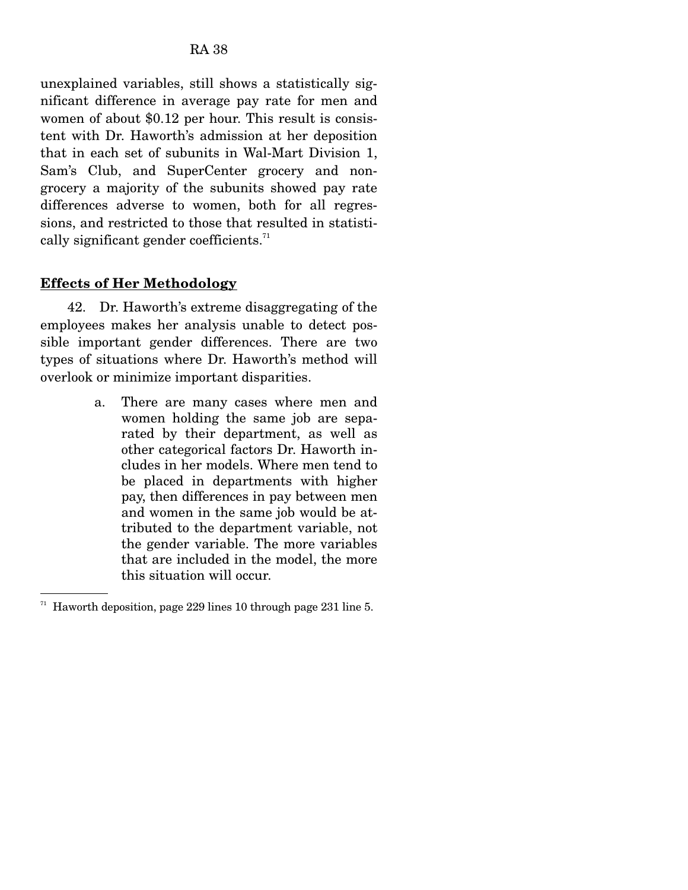unexplained variables, still shows a statistically significant difference in average pay rate for men and women of about \$0.12 per hour. This result is consistent with Dr. Haworth's admission at her deposition that in each set of subunits in Wal-Mart Division 1, Sam's Club, and SuperCenter grocery and nongrocery a majority of the subunits showed pay rate differences adverse to women, both for all regressions, and restricted to those that resulted in statistically significant gender coefficients.<sup>71</sup>

## **Effects of Her Methodology**

 42. Dr. Haworth's extreme disaggregating of the employees makes her analysis unable to detect possible important gender differences. There are two types of situations where Dr. Haworth's method will overlook or minimize important disparities.

> a. There are many cases where men and women holding the same job are separated by their department, as well as other categorical factors Dr. Haworth includes in her models. Where men tend to be placed in departments with higher pay, then differences in pay between men and women in the same job would be attributed to the department variable, not the gender variable. The more variables that are included in the model, the more this situation will occur.

<sup>71</sup> Haworth deposition, page 229 lines 10 through page 231 line 5.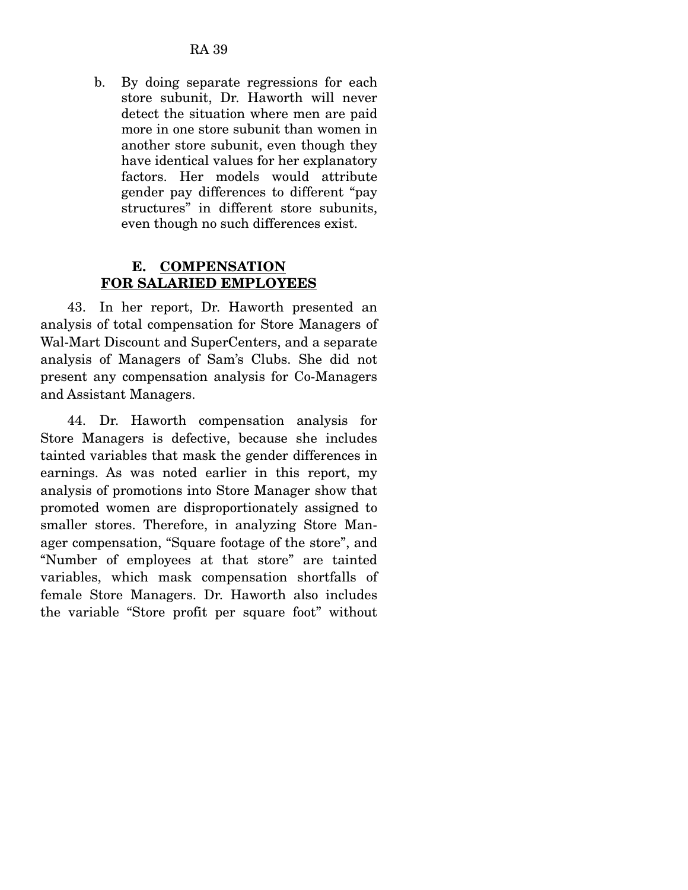b. By doing separate regressions for each store subunit, Dr. Haworth will never detect the situation where men are paid more in one store subunit than women in another store subunit, even though they have identical values for her explanatory factors. Her models would attribute gender pay differences to different "pay structures" in different store subunits, even though no such differences exist.

## **E. COMPENSATION FOR SALARIED EMPLOYEES**

 43. In her report, Dr. Haworth presented an analysis of total compensation for Store Managers of Wal-Mart Discount and SuperCenters, and a separate analysis of Managers of Sam's Clubs. She did not present any compensation analysis for Co-Managers and Assistant Managers.

 44. Dr. Haworth compensation analysis for Store Managers is defective, because she includes tainted variables that mask the gender differences in earnings. As was noted earlier in this report, my analysis of promotions into Store Manager show that promoted women are disproportionately assigned to smaller stores. Therefore, in analyzing Store Manager compensation, "Square footage of the store", and "Number of employees at that store" are tainted variables, which mask compensation shortfalls of female Store Managers. Dr. Haworth also includes the variable "Store profit per square foot" without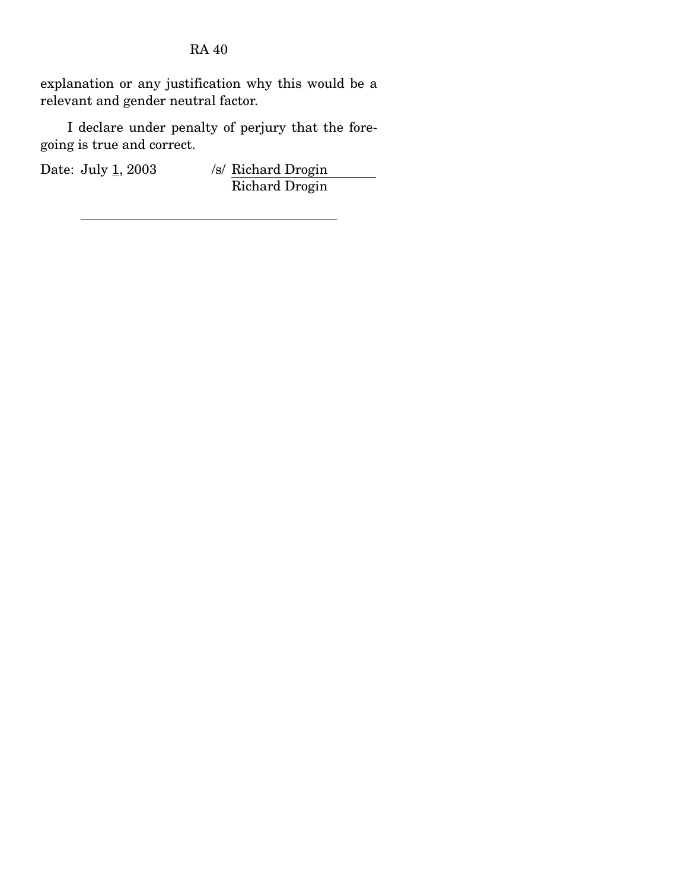explanation or any justification why this would be a relevant and gender neutral factor.

 I declare under penalty of perjury that the foregoing is true and correct.

Date: July 1, 2003 /s/ Richard Drogin Richard Drogin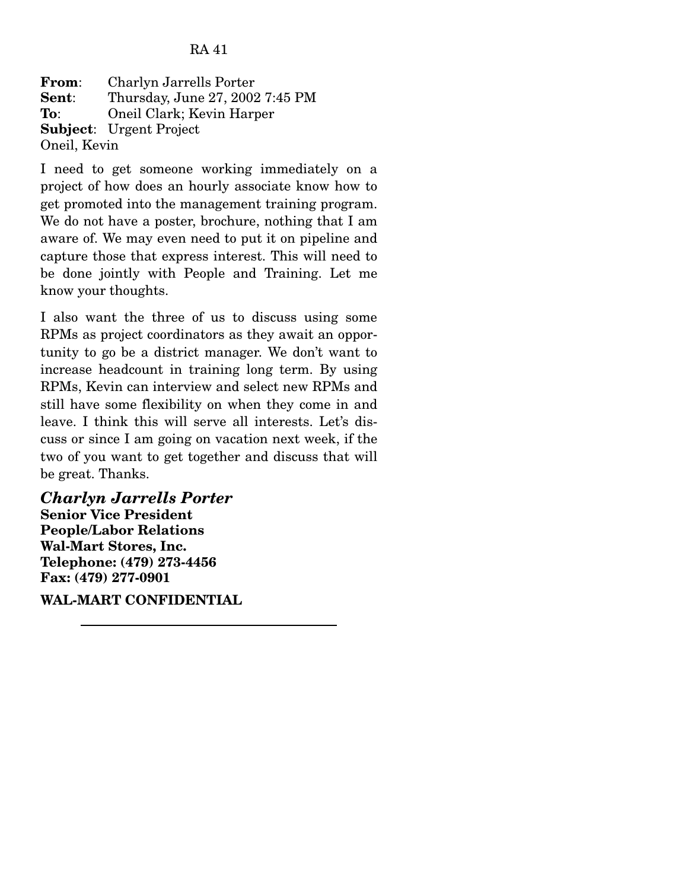**From**: Charlyn Jarrells Porter **Sent**: Thursday, June 27, 2002 7:45 PM **To**: Oneil Clark; Kevin Harper **Subject**: Urgent Project Oneil, Kevin

I need to get someone working immediately on a project of how does an hourly associate know how to get promoted into the management training program. We do not have a poster, brochure, nothing that I am aware of. We may even need to put it on pipeline and capture those that express interest. This will need to be done jointly with People and Training. Let me know your thoughts.

I also want the three of us to discuss using some RPMs as project coordinators as they await an opportunity to go be a district manager. We don't want to increase headcount in training long term. By using RPMs, Kevin can interview and select new RPMs and still have some flexibility on when they come in and leave. I think this will serve all interests. Let's discuss or since I am going on vacation next week, if the two of you want to get together and discuss that will be great. Thanks.

*Charlyn Jarrells Porter*  **Senior Vice President People/Labor Relations Wal-Mart Stores, Inc. Telephone: (479) 273-4456 Fax: (479) 277-0901** 

**WAL-MART CONFIDENTIAL**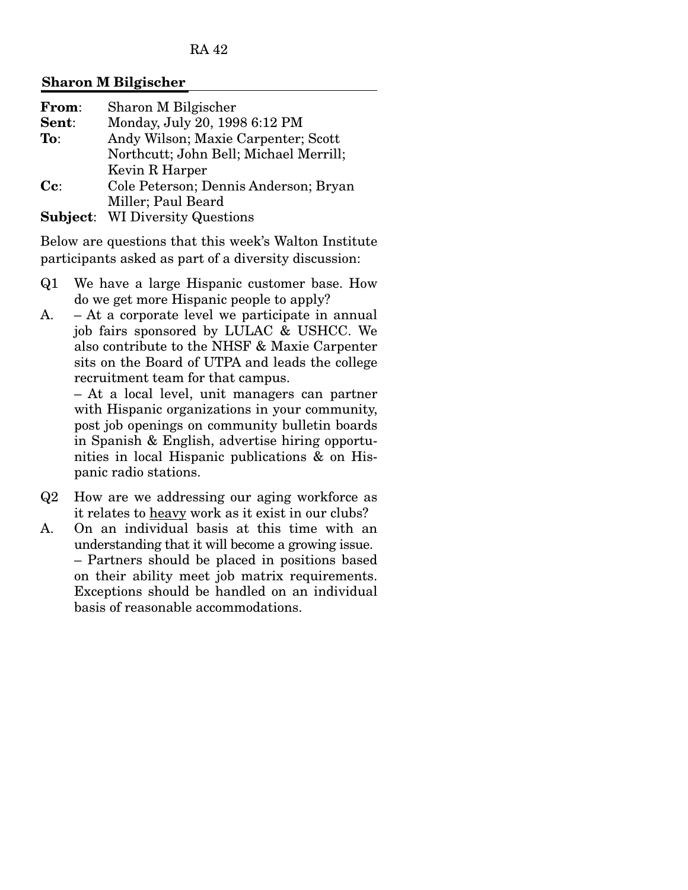#### **Sharon M Bilgischer**

| From:                    | Sharon M Bilgischer                    |
|--------------------------|----------------------------------------|
| Sent:                    | Monday, July 20, 1998 6:12 PM          |
| To:                      | Andy Wilson; Maxie Carpenter; Scott    |
|                          | Northcutt; John Bell; Michael Merrill; |
|                          | Kevin R Harper                         |
| $\mathbf{C}\mathbf{c}$ : | Cole Peterson; Dennis Anderson; Bryan  |
|                          | Miller; Paul Beard                     |
| Subject:                 | <b>WI Diversity Questions</b>          |

Below are questions that this week's Walton Institute participants asked as part of a diversity discussion:

- Q1 We have a large Hispanic customer base. How do we get more Hispanic people to apply?
- A. At a corporate level we participate in annual job fairs sponsored by LULAC & USHCC. We also contribute to the NHSF & Maxie Carpenter sits on the Board of UTPA and leads the college recruitment team for that campus.

 – At a local level, unit managers can partner with Hispanic organizations in your community, post job openings on community bulletin boards in Spanish & English, advertise hiring opportunities in local Hispanic publications & on Hispanic radio stations.

- Q2 How are we addressing our aging workforce as it relates to heavy work as it exist in our clubs?
- A. On an individual basis at this time with an understanding that it will become a growing issue. – Partners should be placed in positions based on their ability meet job matrix requirements. Exceptions should be handled on an individual basis of reasonable accommodations.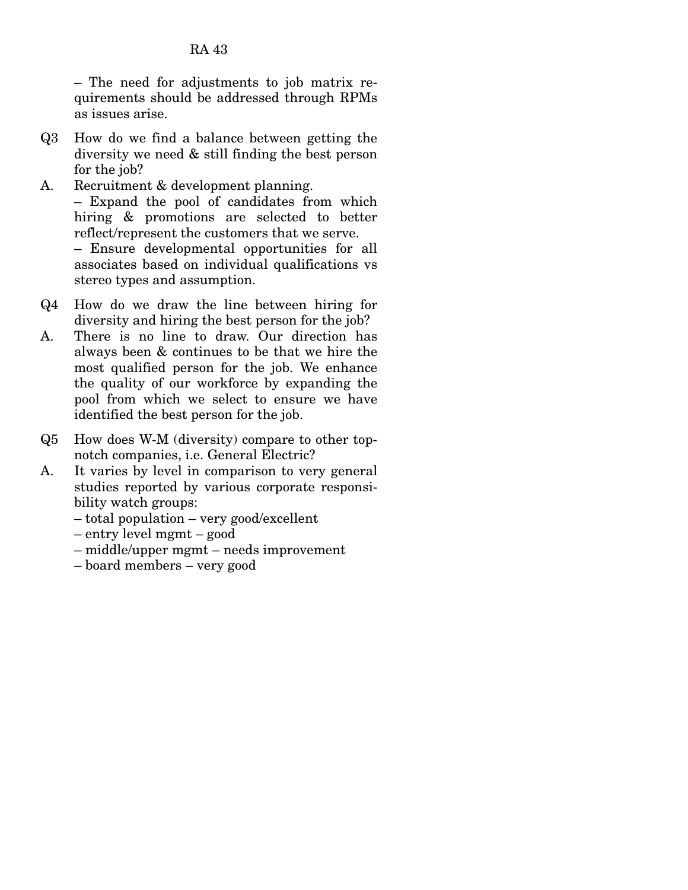– The need for adjustments to job matrix requirements should be addressed through RPMs as issues arise.

- Q3 How do we find a balance between getting the diversity we need & still finding the best person for the job?
- A. Recruitment & development planning. – Expand the pool of candidates from which hiring & promotions are selected to better reflect/represent the customers that we serve.

 – Ensure developmental opportunities for all associates based on individual qualifications vs stereo types and assumption.

- Q4 How do we draw the line between hiring for diversity and hiring the best person for the job?
- A. There is no line to draw. Our direction has always been & continues to be that we hire the most qualified person for the job. We enhance the quality of our workforce by expanding the pool from which we select to ensure we have identified the best person for the job.
- Q5 How does W-M (diversity) compare to other topnotch companies, i.e. General Electric?
- A. It varies by level in comparison to very general studies reported by various corporate responsibility watch groups:
	- total population very good/excellent
	- entry level mgmt good
	- middle/upper mgmt needs improvement
	- board members very good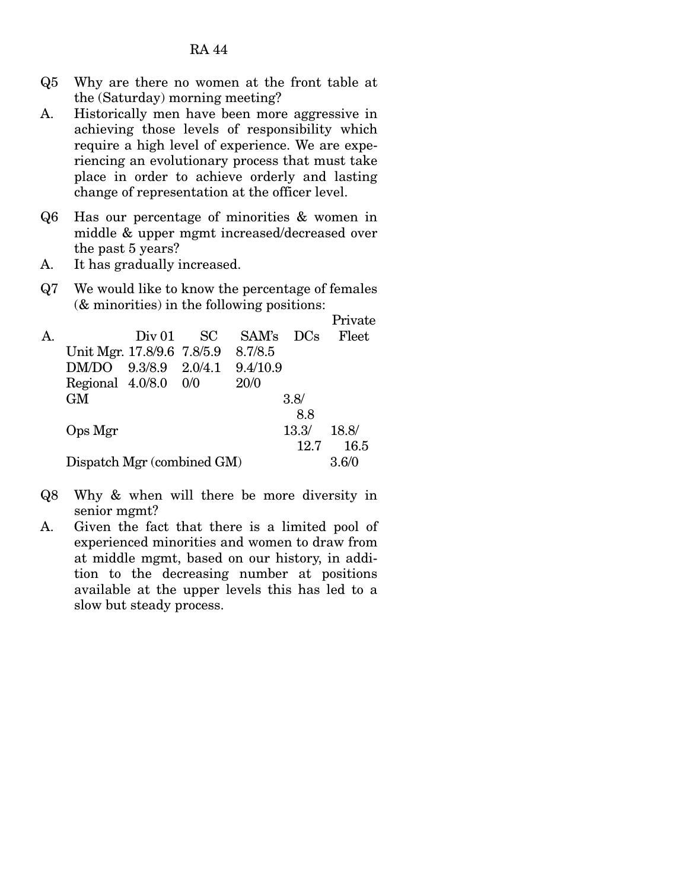- Q5 Why are there no women at the front table at the (Saturday) morning meeting?
- A. Historically men have been more aggressive in achieving those levels of responsibility which require a high level of experience. We are experiencing an evolutionary process that must take place in order to achieve orderly and lasting change of representation at the officer level.
- Q6 Has our percentage of minorities & women in middle & upper mgmt increased/decreased over the past 5 years?
- A. It has gradually increased.
- Q7 We would like to know the percentage of females (& minorities) in the following positions:

|    |                            |        |     |          |            | Private |
|----|----------------------------|--------|-----|----------|------------|---------|
| A. |                            | Div 01 | -SC | SAM's    | <b>DCs</b> | Fleet   |
|    | Unit Mgr. 17.8/9.6 7.8/5.9 |        |     | 8.7/8.5  |            |         |
|    | DM/DO 9.3/8.9 2.0/4.1      |        |     | 9.4/10.9 |            |         |
|    | Regional $4.0/8.0$ 0/0     |        |     | 20/0     |            |         |
|    | <b>GM</b>                  |        |     |          | 3.8/       |         |
|    |                            |        |     |          | 8.8        |         |
|    | Ops Mgr                    |        |     |          | 13.3/      | 18.8/   |
|    |                            |        |     |          | 12.7       | 16.5    |
|    | Dispatch Mgr (combined GM) |        |     |          |            | 3.6/0   |

- Q8 Why & when will there be more diversity in senior mgmt?
- A. Given the fact that there is a limited pool of experienced minorities and women to draw from at middle mgmt, based on our history, in addition to the decreasing number at positions available at the upper levels this has led to a slow but steady process.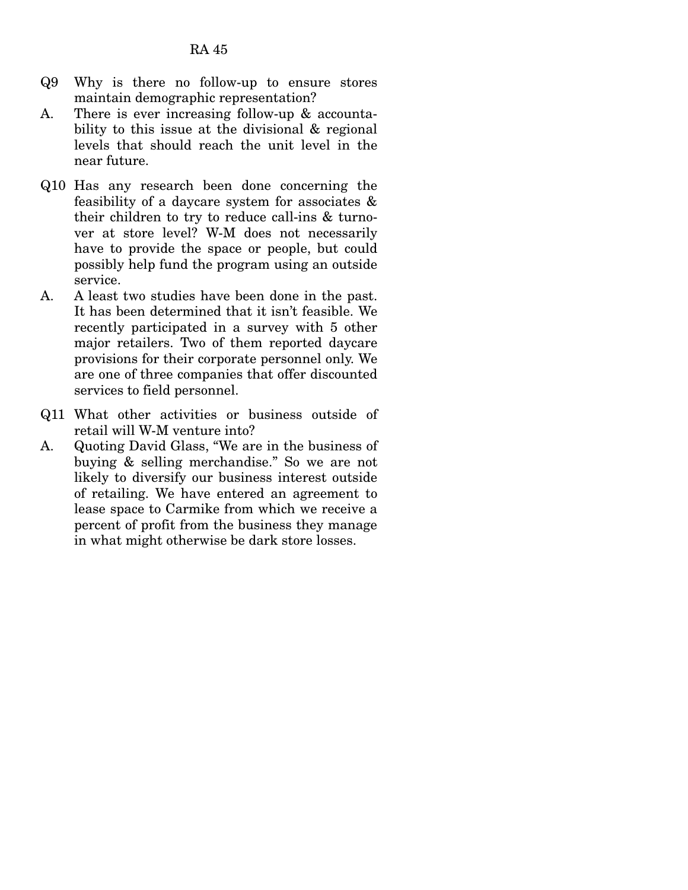- Q9 Why is there no follow-up to ensure stores maintain demographic representation?
- A. There is ever increasing follow-up & accountability to this issue at the divisional & regional levels that should reach the unit level in the near future.
- Q10 Has any research been done concerning the feasibility of a daycare system for associates & their children to try to reduce call-ins & turnover at store level? W-M does not necessarily have to provide the space or people, but could possibly help fund the program using an outside service.
- A. A least two studies have been done in the past. It has been determined that it isn't feasible. We recently participated in a survey with 5 other major retailers. Two of them reported daycare provisions for their corporate personnel only. We are one of three companies that offer discounted services to field personnel.
- Q11 What other activities or business outside of retail will W-M venture into?
- A. Quoting David Glass, "We are in the business of buying & selling merchandise." So we are not likely to diversify our business interest outside of retailing. We have entered an agreement to lease space to Carmike from which we receive a percent of profit from the business they manage in what might otherwise be dark store losses.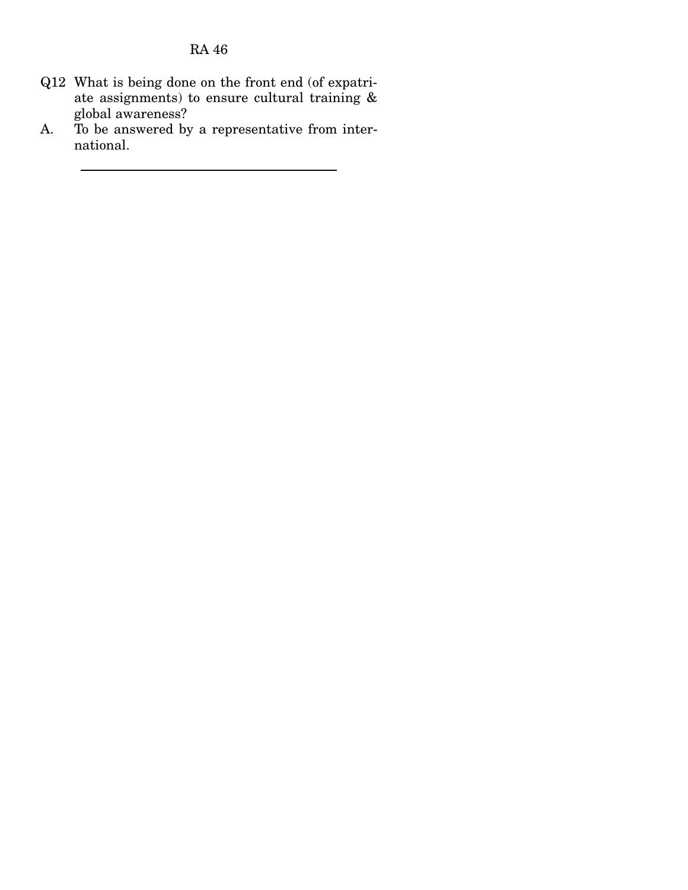- Q12 What is being done on the front end (of expatriate assignments) to ensure cultural training & global awareness?
- A. To be answered by a representative from international.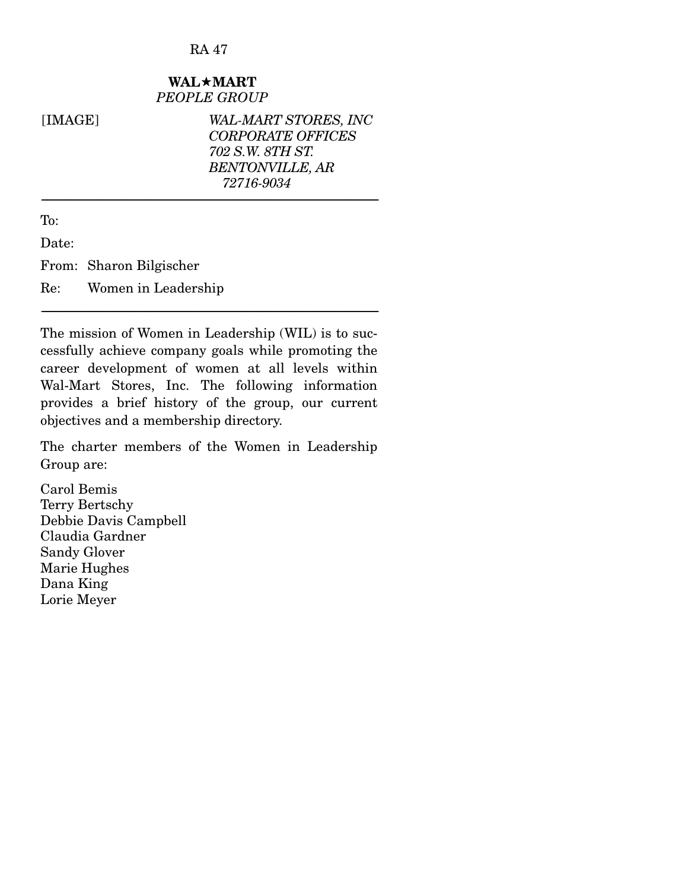## WAL**\*MART** *PEOPLE GROUP*

------------------------------------------------------------------------------------------------------------------------------------------------------------------------------------

[IMAGE] *WAL-MART STORES, INC CORPORATE OFFICES 702 S.W. 8TH ST. BENTONVILLE, AR 72716-9034* 

To:

Date:

From: Sharon Bilgischer

Re: Women in Leadership

The mission of Women in Leadership (WIL) is to successfully achieve company goals while promoting the career development of women at all levels within Wal-Mart Stores, Inc. The following information provides a brief history of the group, our current objectives and a membership directory.

------------------------------------------------------------------------------------------------------------------------------------------------------------------------------------

The charter members of the Women in Leadership Group are:

Carol Bemis Terry Bertschy Debbie Davis Campbell Claudia Gardner Sandy Glover Marie Hughes Dana King Lorie Meyer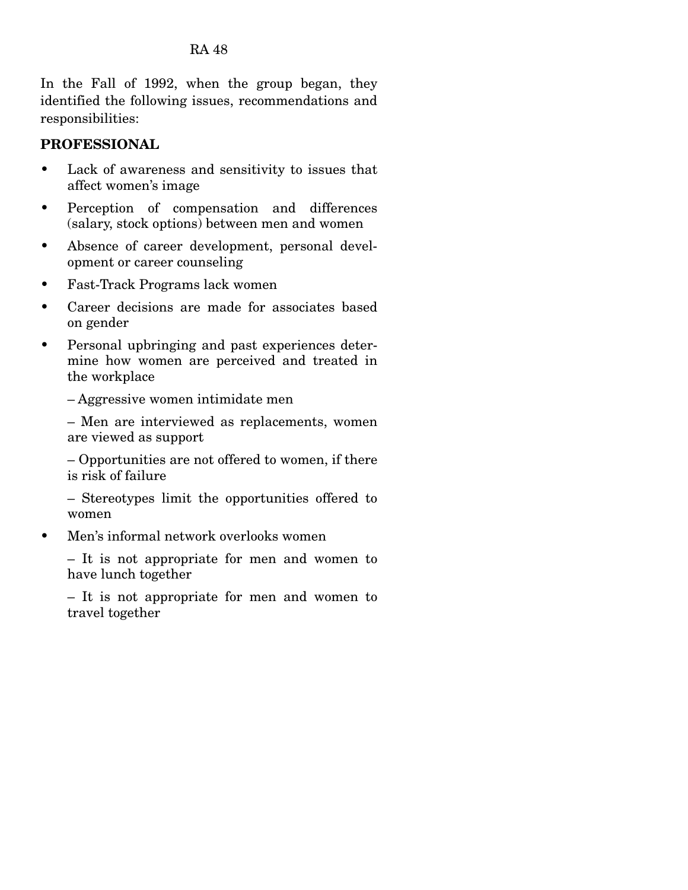In the Fall of 1992, when the group began, they identified the following issues, recommendations and responsibilities:

## **PROFESSIONAL**

- Lack of awareness and sensitivity to issues that affect women's image
- Perception of compensation and differences (salary, stock options) between men and women
- Absence of career development, personal development or career counseling
- Fast-Track Programs lack women
- Career decisions are made for associates based on gender
- Personal upbringing and past experiences determine how women are perceived and treated in the workplace

– Aggressive women intimidate men

– Men are interviewed as replacements, women are viewed as support

– Opportunities are not offered to women, if there is risk of failure

– Stereotypes limit the opportunities offered to women

• Men's informal network overlooks women

– It is not appropriate for men and women to have lunch together

– It is not appropriate for men and women to travel together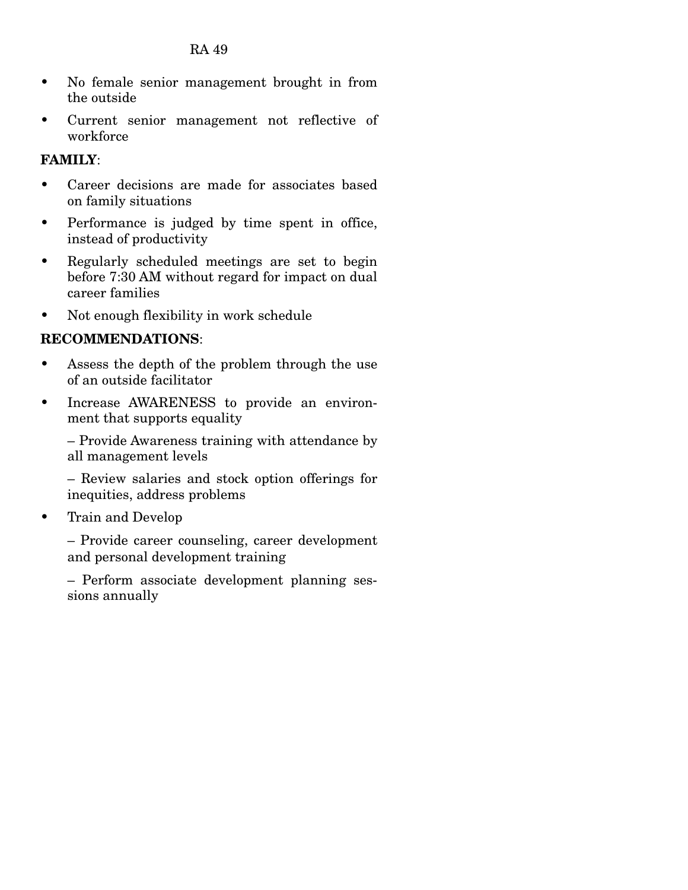- No female senior management brought in from the outside
- Current senior management not reflective of workforce

## **FAMILY**:

- Career decisions are made for associates based on family situations
- Performance is judged by time spent in office, instead of productivity
- Regularly scheduled meetings are set to begin before 7:30 AM without regard for impact on dual career families
- Not enough flexibility in work schedule

## **RECOMMENDATIONS**:

- Assess the depth of the problem through the use of an outside facilitator
- Increase AWARENESS to provide an environment that supports equality

– Provide Awareness training with attendance by all management levels

– Review salaries and stock option offerings for inequities, address problems

• Train and Develop

– Provide career counseling, career development and personal development training

– Perform associate development planning sessions annually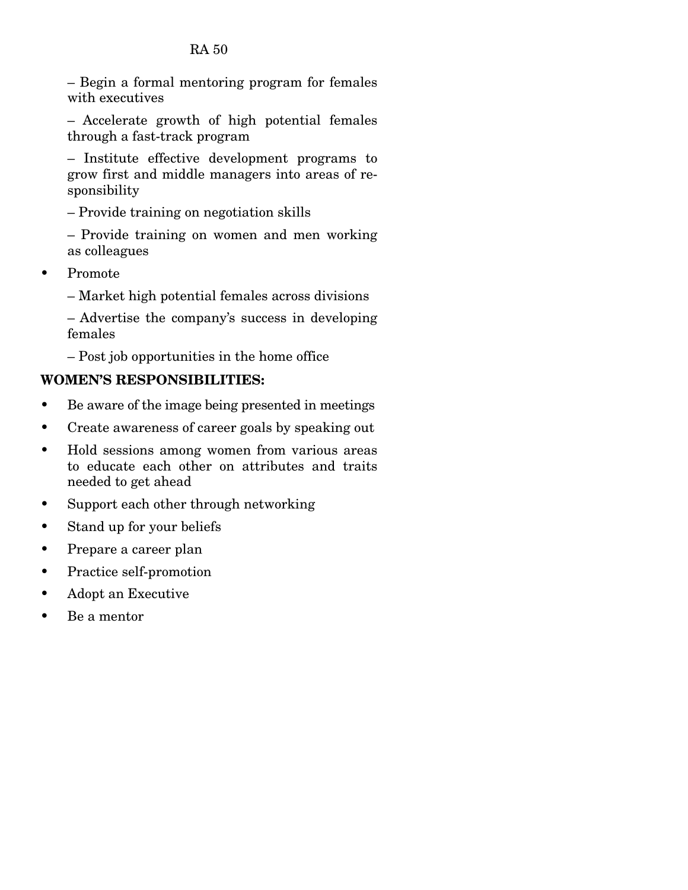– Begin a formal mentoring program for females with executives

– Accelerate growth of high potential females through a fast-track program

– Institute effective development programs to grow first and middle managers into areas of responsibility

– Provide training on negotiation skills

– Provide training on women and men working as colleagues

• Promote

– Market high potential females across divisions

– Advertise the company's success in developing females

– Post job opportunities in the home office

## **WOMEN'S RESPONSIBILITIES:**

- Be aware of the image being presented in meetings
- Create awareness of career goals by speaking out
- Hold sessions among women from various areas to educate each other on attributes and traits needed to get ahead
- Support each other through networking
- Stand up for your beliefs
- Prepare a career plan
- Practice self-promotion
- Adopt an Executive
- Be a mentor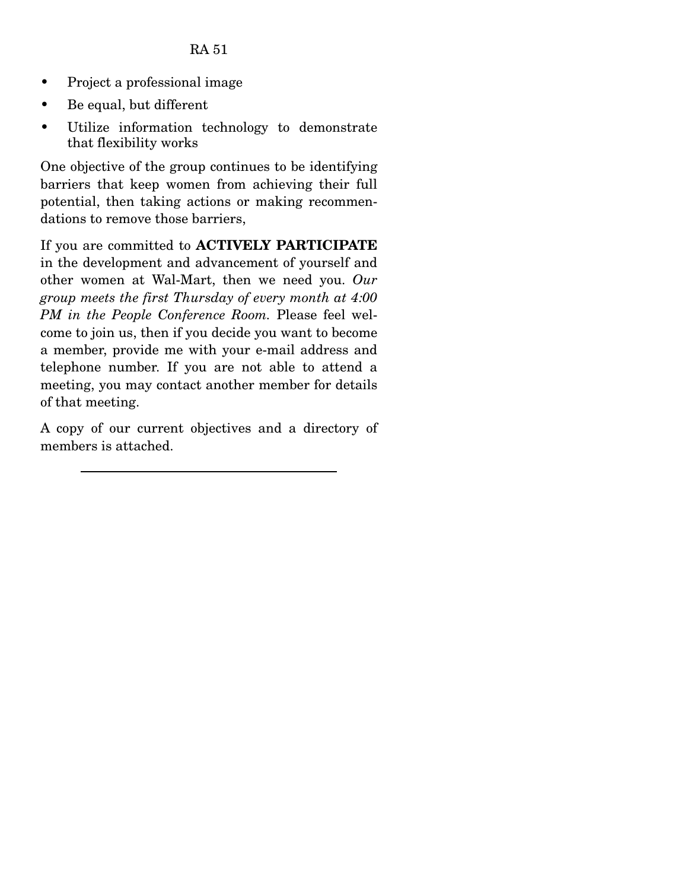- Project a professional image
- Be equal, but different
- Utilize information technology to demonstrate that flexibility works

One objective of the group continues to be identifying barriers that keep women from achieving their full potential, then taking actions or making recommendations to remove those barriers,

If you are committed to **ACTIVELY PARTICIPATE** in the development and advancement of yourself and other women at Wal-Mart, then we need you. *Our group meets the first Thursday of every month at 4:00 PM in the People Conference Room.* Please feel welcome to join us, then if you decide you want to become a member, provide me with your e-mail address and telephone number. If you are not able to attend a meeting, you may contact another member for details of that meeting.

A copy of our current objectives and a directory of members is attached.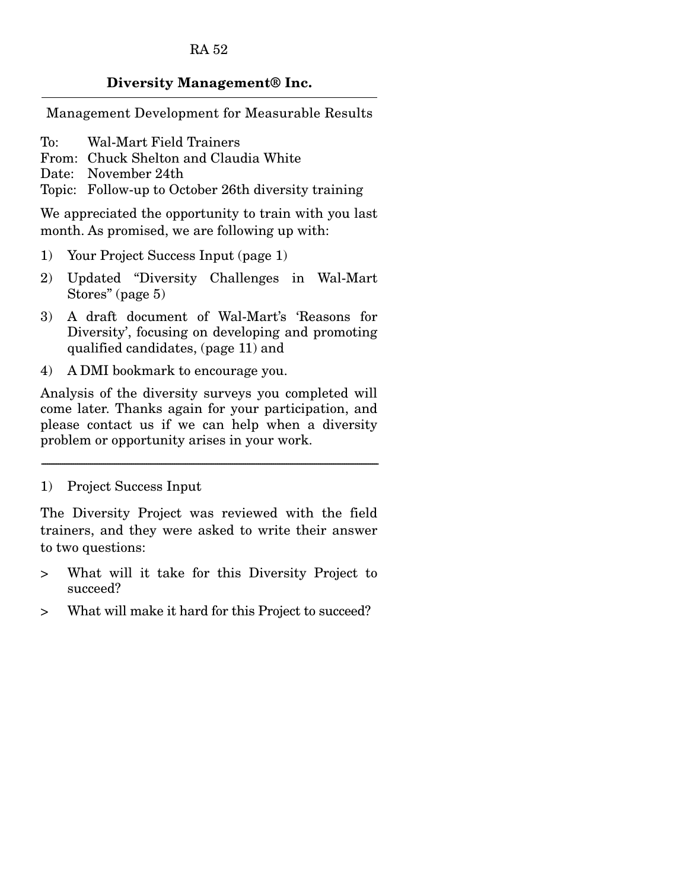#### **Diversity Management® Inc.**

Management Development for Measurable Results

To: Wal-Mart Field Trainers

From: Chuck Shelton and Claudia White

Date: November 24th

Topic: Follow-up to October 26th diversity training

We appreciated the opportunity to train with you last month. As promised, we are following up with:

- 1) Your Project Success Input (page 1)
- 2) Updated "Diversity Challenges in Wal-Mart Stores" (page 5)
- 3) A draft document of Wal-Mart's 'Reasons for Diversity', focusing on developing and promoting qualified candidates, (page 11) and
- 4) A DMI bookmark to encourage you.

Analysis of the diversity surveys you completed will come later. Thanks again for your participation, and please contact us if we can help when a diversity problem or opportunity arises in your work.

------------------------------------------------------------------------------------------------------------------------------------------------------------------------------------

1) Project Success Input

The Diversity Project was reviewed with the field trainers, and they were asked to write their answer to two questions:

- > What will it take for this Diversity Project to succeed?
- > What will make it hard for this Project to succeed?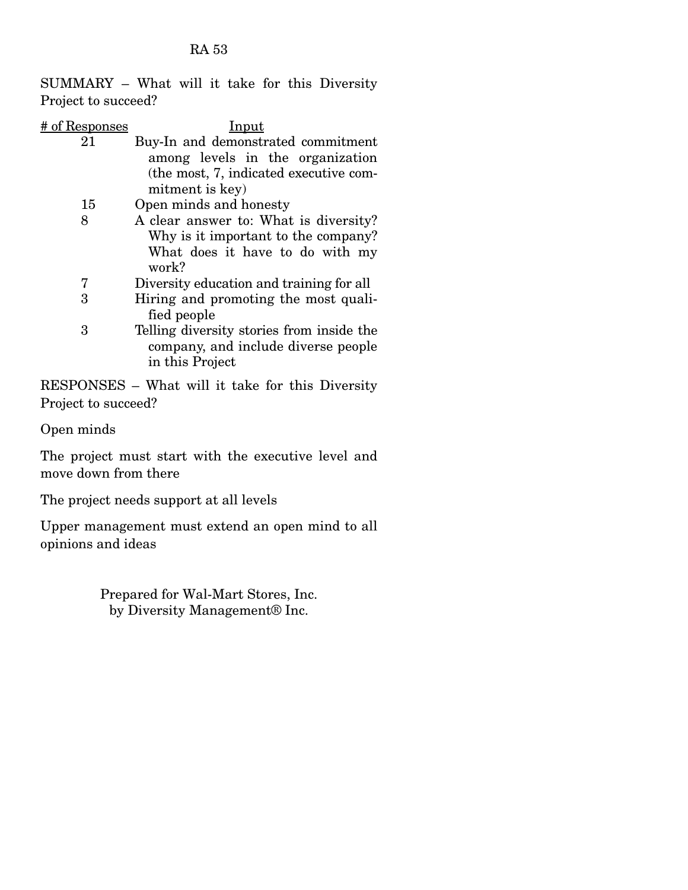SUMMARY – What will it take for this Diversity Project to succeed?

| # of Responses | Input                                     |
|----------------|-------------------------------------------|
| 21             | Buy-In and demonstrated commitment        |
|                | among levels in the organization          |
|                | (the most, 7, indicated executive com-    |
|                | mitment is key)                           |
| 15             | Open minds and honesty                    |
| 8              | A clear answer to: What is diversity?     |
|                | Why is it important to the company?       |
|                | What does it have to do with my           |
|                | work?                                     |
| 7              | Diversity education and training for all  |
| 3              | Hiring and promoting the most quali-      |
|                | fied people                               |
| 3              | Telling diversity stories from inside the |
|                | company, and include diverse people       |
|                | in this Project                           |

RESPONSES – What will it take for this Diversity Project to succeed?

Open minds

The project must start with the executive level and move down from there

The project needs support at all levels

Upper management must extend an open mind to all opinions and ideas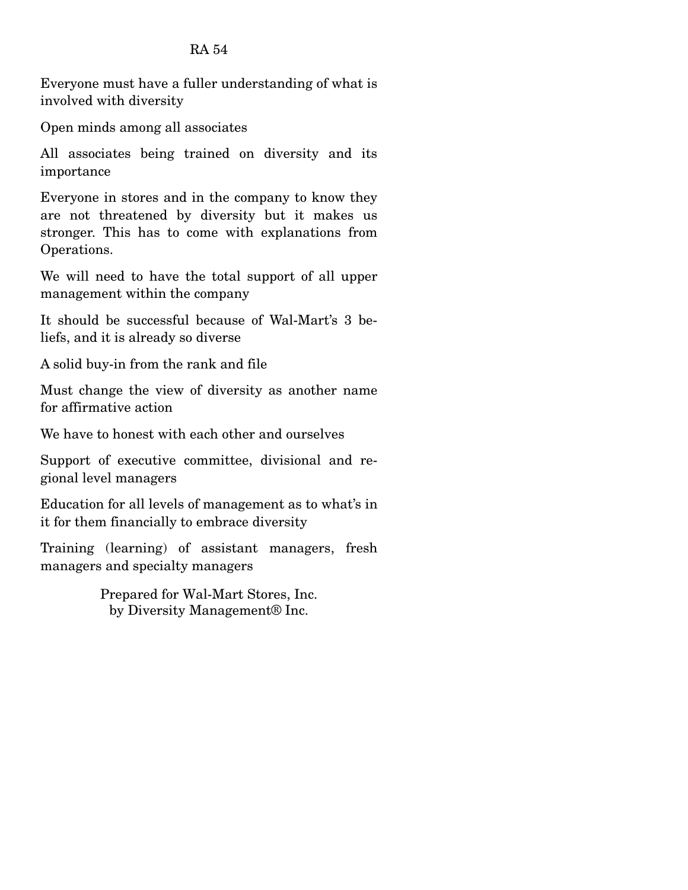Everyone must have a fuller understanding of what is involved with diversity\*

Open minds among all associates

All associates being trained on diversity and its importance

Everyone in stores and in the company to know they are not threatened by diversity but it makes us stronger. This has to come with explanations from Operations.

We will need to have the total support of all upper management within the company

It should be successful because of Wal-Mart's 3 beliefs, and it is already so diverse

A solid buy-in from the rank and file

Must change the view of diversity as another name for affirmative action

We have to honest with each other and ourselves

Support of executive committee, divisional and regional level managers

Education for all levels of management as to what's in it for them financially to embrace diversity

Training (learning) of assistant managers, fresh managers and specialty managers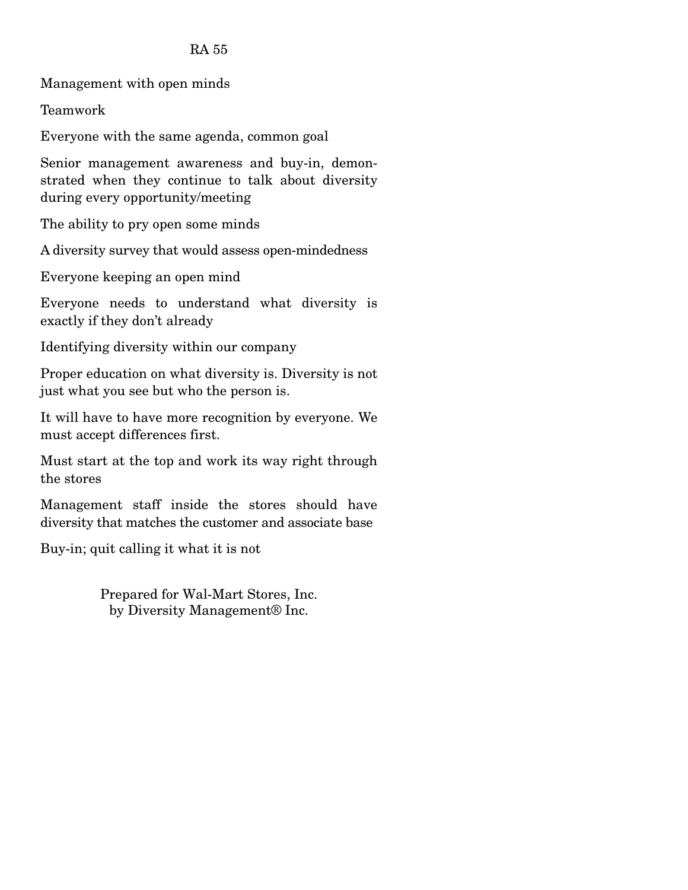Management with open minds\*

Teamwork

Everyone with the same agenda, common goal

Senior management awareness and buy-in, demonstrated when they continue to talk about diversity during every opportunity/meeting

The ability to pry open some minds

A diversity survey that would assess open-mindedness

Everyone keeping an open mind

Everyone needs to understand what diversity is exactly if they don't already

Identifying diversity within our company

Proper education on what diversity is. Diversity is not just what you see but who the person is.

It will have to have more recognition by everyone. We must accept differences first.

Must start at the top and work its way right through the stores

Management staff inside the stores should have diversity that matches the customer and associate base

Buy-in; quit calling it what it is not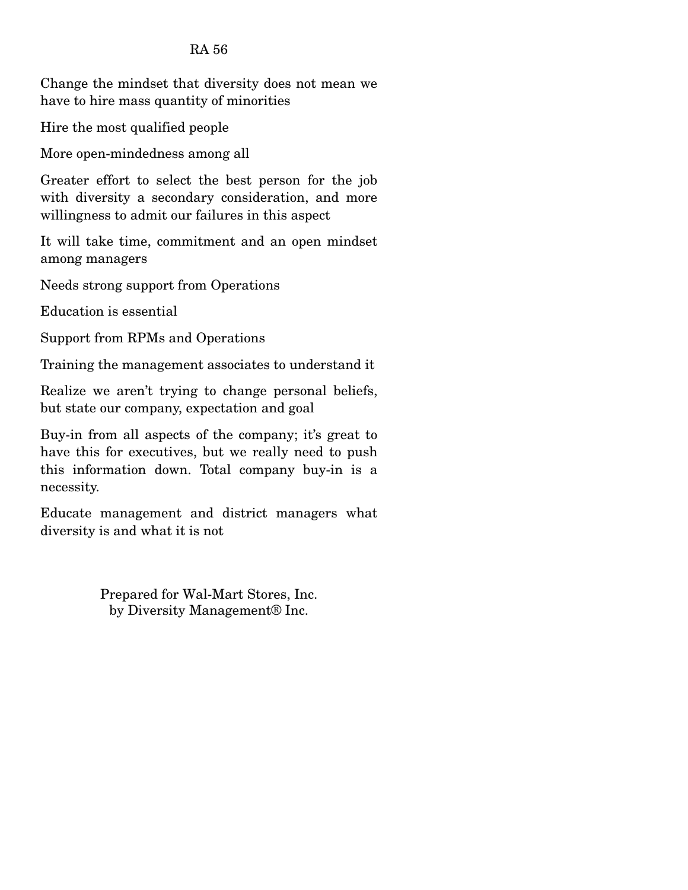Change the mindset that diversity does not mean we have to hire mass quantity of minorities

Hire the most qualified people

More open-mindedness among all

Greater effort to select the best person for the job with diversity a secondary consideration, and more willingness to admit our failures in this aspect

It will take time, commitment and an open mindset among managers

Needs strong support from Operations

Education is essential

Support from RPMs and Operations

Training the management associates to understand it

Realize we aren't trying to change personal beliefs, but state our company, expectation and goal

Buy-in from all aspects of the company; it's great to have this for executives, but we really need to push this information down. Total company buy-in is a necessity.

Educate management and district managers what diversity is and what it is not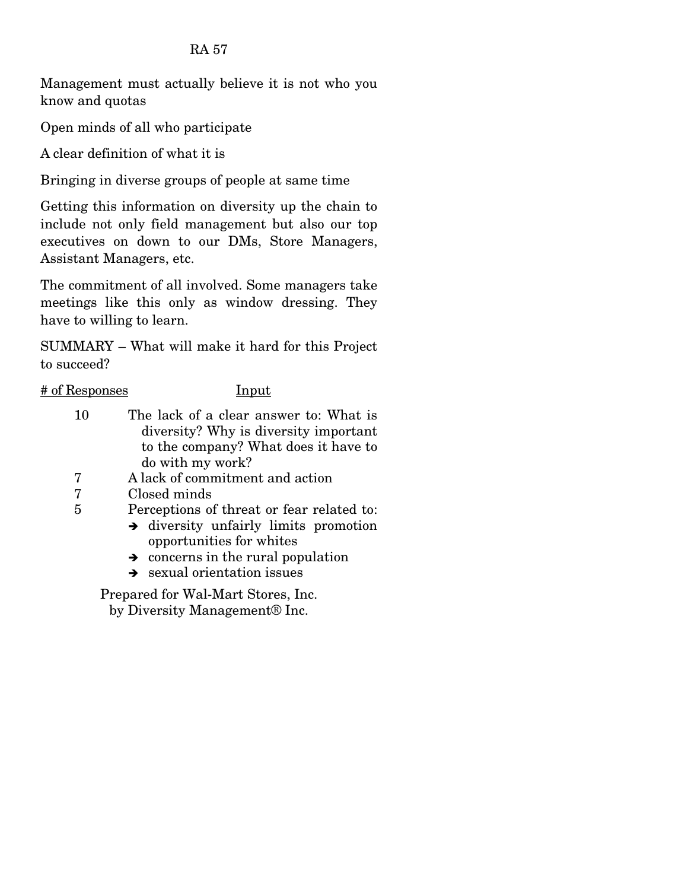Management must actually believe it is not who you know and quotas

Open minds of all who participate

A clear definition of what it is

Bringing in diverse groups of people at same time

Getting this information on diversity up the chain to include not only field management but also our top executives on down to our DMs, Store Managers, Assistant Managers, etc.

The commitment of all involved. Some managers take meetings like this only as window dressing. They have to willing to learn.

SUMMARY – What will make it hard for this Project to succeed?

## # of Responses Input

- 10 The lack of a clear answer to: What is diversity? Why is diversity important to the company? What does it have to do with my work?
- 7 A lack of commitment and action
- 7 Closed minds
- 5 Perceptions of threat or fear related to:
	- $\rightarrow$  diversity unfairly limits promotion opportunities for whites
	- $\rightarrow$  concerns in the rural population
	- $\rightarrow$  sexual orientation issues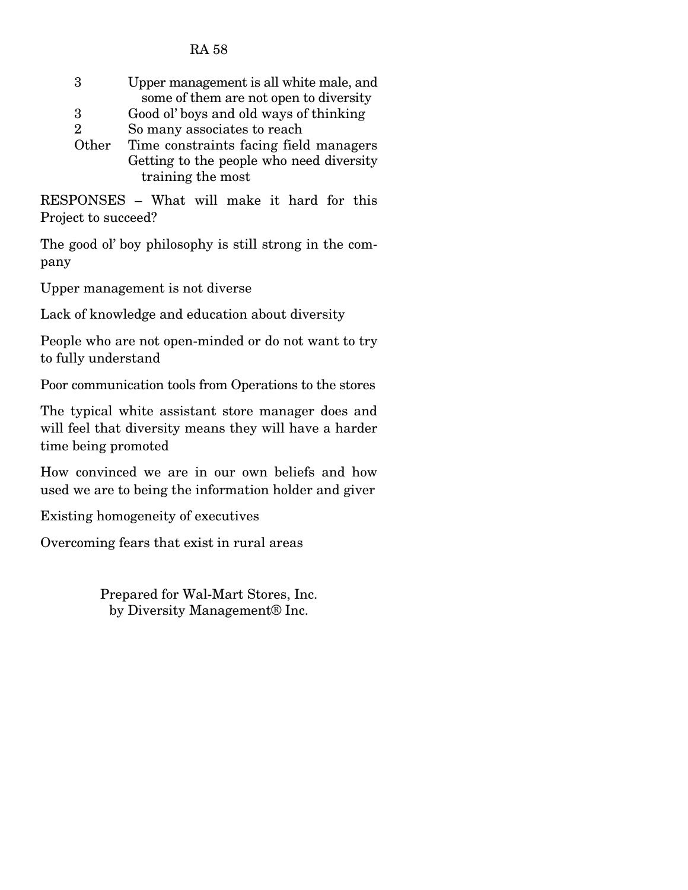| Upper management is all white male, and  |
|------------------------------------------|
| some of them are not open to diversity   |
| Good ol' boys and old ways of thinking   |
| So many associates to reach              |
| Time constraints facing field managers   |
| Getting to the people who need diversity |
| training the most                        |
|                                          |

RESPONSES – What will make it hard for this Project to succeed?

The good ol' boy philosophy is still strong in the company

Upper management is not diverse

Lack of knowledge and education about diversity

People who are not open-minded or do not want to try to fully understand

Poor communication tools from Operations to the stores

The typical white assistant store manager does and will feel that diversity means they will have a harder time being promoted

How convinced we are in our own beliefs and how used we are to being the information holder and giver

Existing homogeneity of executives

Overcoming fears that exist in rural areas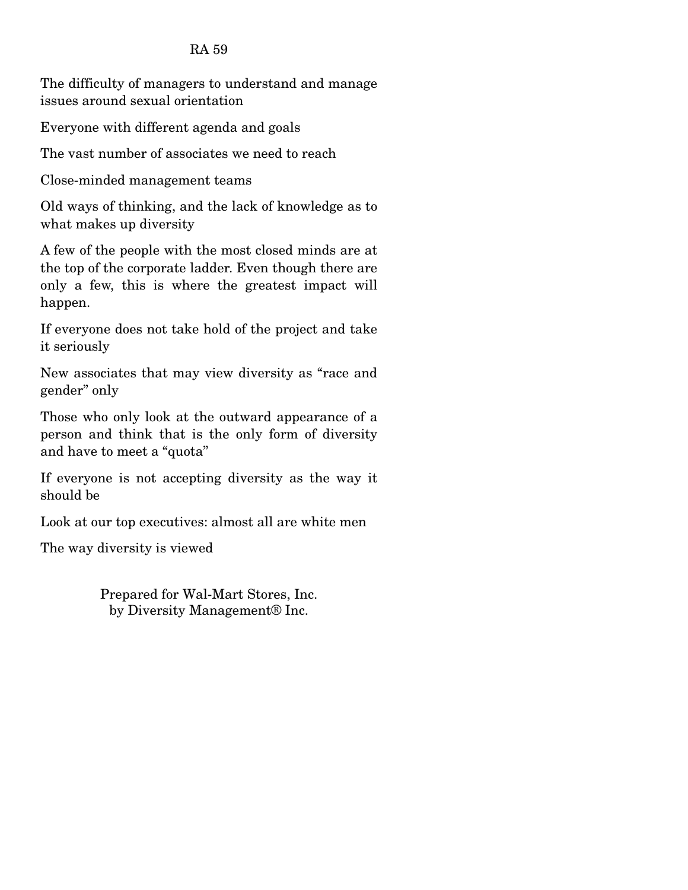The difficulty of managers to understand and manage issues around sexual orientation\*

Everyone with different agenda and goals

The vast number of associates we need to reach

Close-minded management teams

Old ways of thinking, and the lack of knowledge as to what makes up diversity

A few of the people with the most closed minds are at the top of the corporate ladder. Even though there are only a few, this is where the greatest impact will happen.

If everyone does not take hold of the project and take it seriously

New associates that may view diversity as "race and gender" only

Those who only look at the outward appearance of a person and think that is the only form of diversity and have to meet a "quota"

If everyone is not accepting diversity as the way it should be

Look at our top executives: almost all are white men

The way diversity is viewed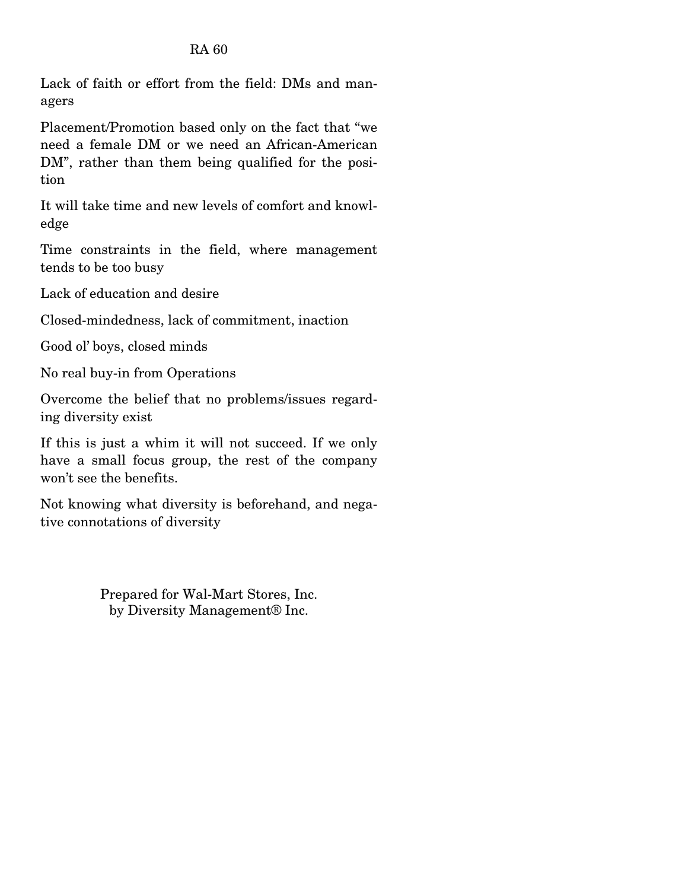Lack of faith or effort from the field: DMs and managers\*

Placement/Promotion based only on the fact that "we need a female DM or we need an African-American DM", rather than them being qualified for the position

It will take time and new levels of comfort and knowledge

Time constraints in the field, where management tends to be too busy

Lack of education and desire

Closed-mindedness, lack of commitment, inaction

Good ol' boys, closed minds

No real buy-in from Operations

Overcome the belief that no problems/issues regarding diversity exist

If this is just a whim it will not succeed. If we only have a small focus group, the rest of the company won't see the benefits.

Not knowing what diversity is beforehand, and negative connotations of diversity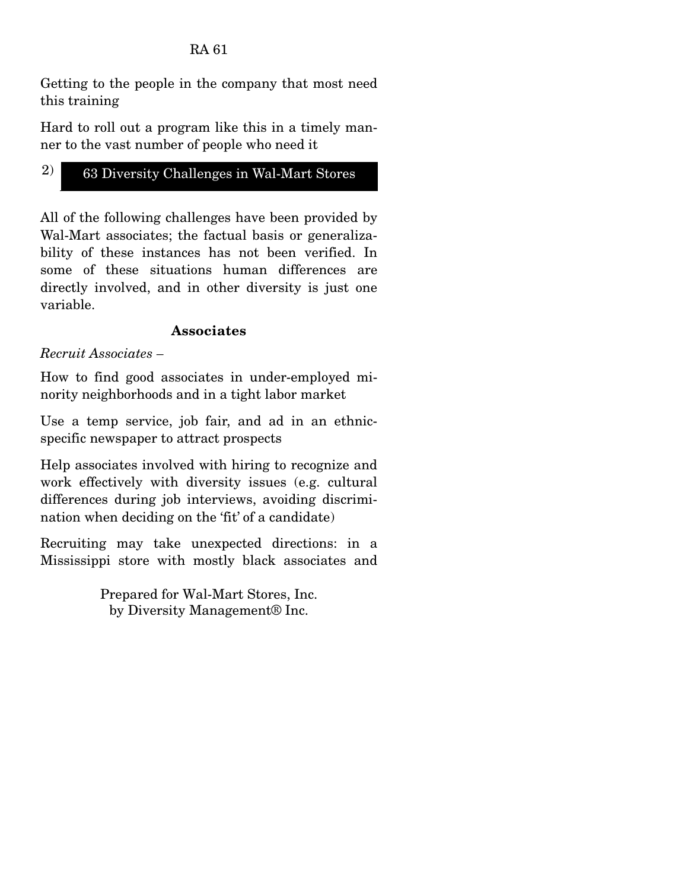Getting to the people in the company that most need this training\*

Hard to roll out a program like this in a timely manner to the vast number of people who need it

# 2) 63 Diversity Challenges in Wal-Mart Stores

All of the following challenges have been provided by Wal-Mart associates; the factual basis or generalizability of these instances has not been verified. In some of these situations human differences are directly involved, and in other diversity is just one variable.

## **Associates**

*Recruit Associates –* 

How to find good associates in under-employed minority neighborhoods and in a tight labor market

Use a temp service, job fair, and ad in an ethnicspecific newspaper to attract prospects

Help associates involved with hiring to recognize and work effectively with diversity issues (e.g. cultural differences during job interviews, avoiding discrimination when deciding on the 'fit' of a candidate)

Recruiting may take unexpected directions: in a Mississippi store with mostly black associates and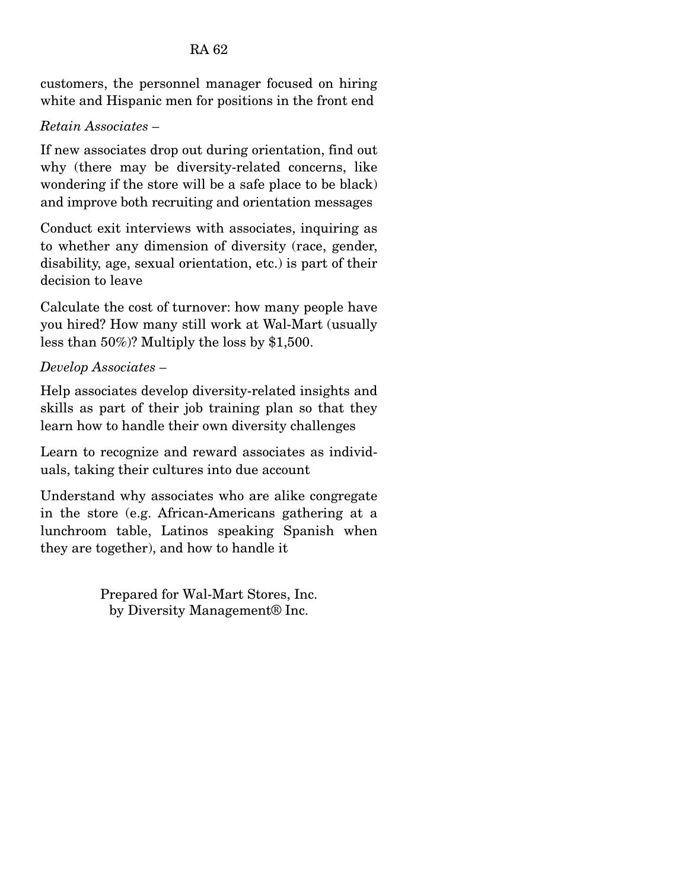customers, the personnel manager focused on hiring white and Hispanic men for positions in the front end

## *Retain Associates –* \*

If new associates drop out during orientation, find out why (there may be diversity-related concerns, like wondering if the store will be a safe place to be black) and improve both recruiting and orientation messages

Conduct exit interviews with associates, inquiring as to whether any dimension of diversity (race, gender, disability, age, sexual orientation, etc.) is part of their decision to leave

Calculate the cost of turnover: how many people have you hired? How many still work at Wal-Mart (usually less than 50%)? Multiply the loss by \$1,500.

## *Develop Associates –*

Help associates develop diversity-related insights and skills as part of their job training plan so that they learn how to handle their own diversity challenges

Learn to recognize and reward associates as individuals, taking their cultures into due account

Understand why associates who are alike congregate in the store (e.g. African-Americans gathering at a lunchroom table, Latinos speaking Spanish when they are together), and how to handle it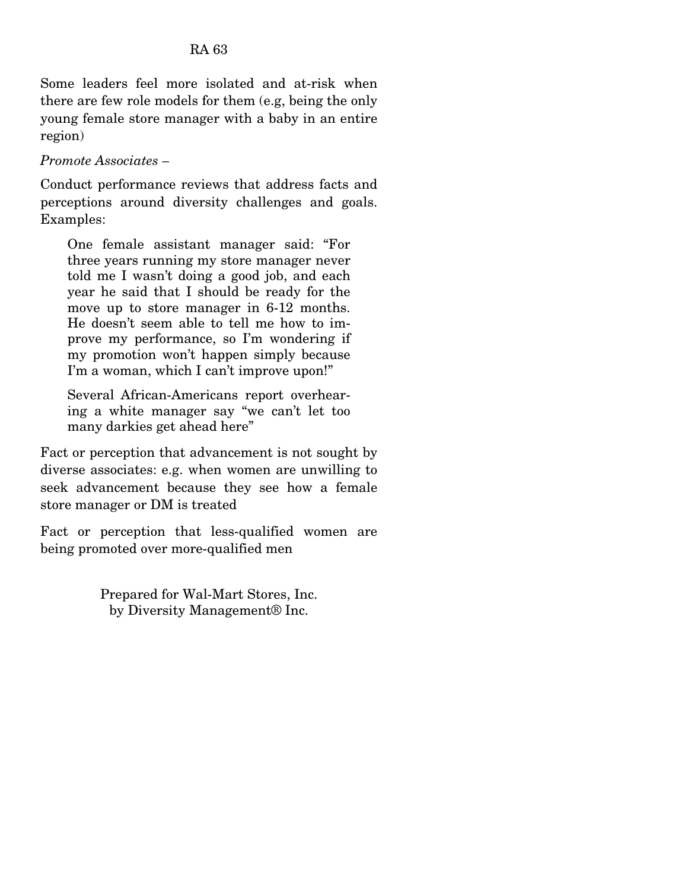Some leaders feel more isolated and at-risk when there are few role models for them (e.g, being the only young female store manager with a baby in an entire region)\*

## *Promote Associates –*

Conduct performance reviews that address facts and perceptions around diversity challenges and goals. Examples:

One female assistant manager said: "For three years running my store manager never told me I wasn't doing a good job, and each year he said that I should be ready for the move up to store manager in 6-12 months. He doesn't seem able to tell me how to improve my performance, so I'm wondering if my promotion won't happen simply because I'm a woman, which I can't improve upon!"

Several African-Americans report overhearing a white manager say "we can't let too many darkies get ahead here"

Fact or perception that advancement is not sought by diverse associates: e.g. when women are unwilling to seek advancement because they see how a female store manager or DM is treated

Fact or perception that less-qualified women are being promoted over more-qualified men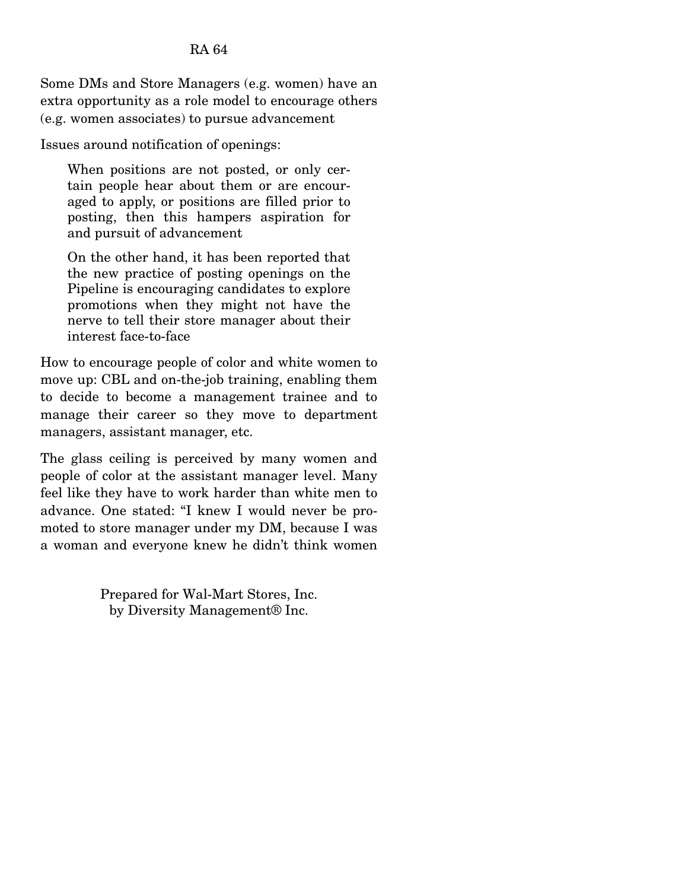Some DMs and Store Managers (e.g. women) have an extra opportunity as a role model to encourage others (e.g. women associates) to pursue advancement\*

Issues around notification of openings:

When positions are not posted, or only certain people hear about them or are encouraged to apply, or positions are filled prior to posting, then this hampers aspiration for and pursuit of advancement

On the other hand, it has been reported that the new practice of posting openings on the Pipeline is encouraging candidates to explore promotions when they might not have the nerve to tell their store manager about their interest face-to-face

How to encourage people of color and white women to move up: CBL and on-the-job training, enabling them to decide to become a management trainee and to manage their career so they move to department managers, assistant manager, etc.

The glass ceiling is perceived by many women and people of color at the assistant manager level. Many feel like they have to work harder than white men to advance. One stated: "I knew I would never be promoted to store manager under my DM, because I was a woman and everyone knew he didn't think women